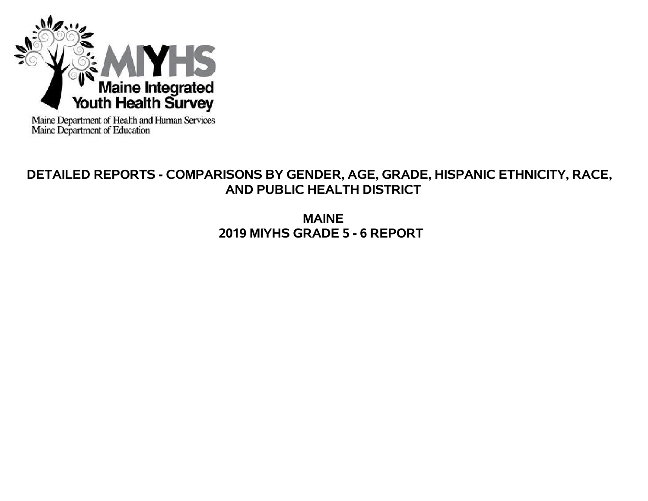

Maine Department of Health and Human Services<br>Maine Department of Education

# **DETAILED REPORTS - COMPARISONS BY GENDER, AGE, GRADE, HISPANIC ETHNICITY, RACE, AND PUBLIC HEALTH DISTRICT**

**MAINE 2019 MIYHS GRADE 5 - 6 REPORT**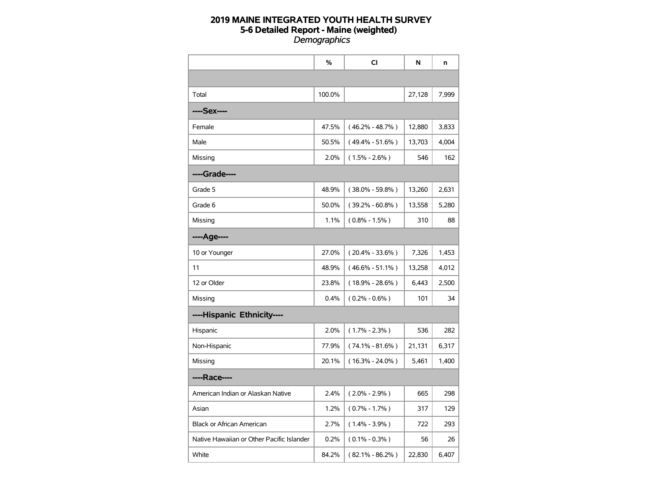|                                           | %      | <b>CI</b>           | N      | n     |
|-------------------------------------------|--------|---------------------|--------|-------|
|                                           |        |                     |        |       |
| Total                                     | 100.0% |                     | 27,128 | 7,999 |
| ----Sex----                               |        |                     |        |       |
| Female                                    | 47.5%  | $(46.2\% - 48.7\%)$ | 12,880 | 3,833 |
| Male                                      | 50.5%  | $(49.4\% - 51.6\%)$ | 13,703 | 4,004 |
| Missing                                   | 2.0%   | $(1.5\% - 2.6\%)$   | 546    | 162   |
| ----Grade----                             |        |                     |        |       |
| Grade 5                                   | 48.9%  | $(38.0\% - 59.8\%)$ | 13,260 | 2,631 |
| Grade 6                                   | 50.0%  | $(39.2\% - 60.8\%)$ | 13,558 | 5,280 |
| Missing                                   | 1.1%   | $(0.8\% - 1.5\%)$   | 310    | 88    |
| ----Age----                               |        |                     |        |       |
| 10 or Younger                             | 27.0%  | $(20.4\% - 33.6\%)$ | 7,326  | 1,453 |
| 11                                        | 48.9%  | $(46.6\% - 51.1\%)$ | 13,258 | 4,012 |
| 12 or Older                               | 23.8%  | $(18.9\% - 28.6\%)$ | 6,443  | 2,500 |
| Missing                                   | 0.4%   | $(0.2\% - 0.6\%)$   | 101    | 34    |
| ----Hispanic Ethnicity----                |        |                     |        |       |
| Hispanic                                  | 2.0%   | $(1.7\% - 2.3\%)$   | 536    | 282   |
| Non-Hispanic                              | 77.9%  | $(74.1\% - 81.6\%)$ | 21,131 | 6,317 |
| Missing                                   | 20.1%  | $(16.3\% - 24.0\%)$ | 5,461  | 1,400 |
| ----Race----                              |        |                     |        |       |
| American Indian or Alaskan Native         | 2.4%   | $(2.0\% - 2.9\%)$   | 665    | 298   |
| Asian                                     | 1.2%   | $(0.7\% - 1.7\%)$   | 317    | 129   |
| <b>Black or African American</b>          | 2.7%   | $(1.4\% - 3.9\%)$   | 722    | 293   |
| Native Hawaiian or Other Pacific Islander | 0.2%   | $(0.1\% - 0.3\%)$   | 56     | 26    |
| White                                     | 84.2%  | $(82.1\% - 86.2\%)$ | 22,830 | 6,407 |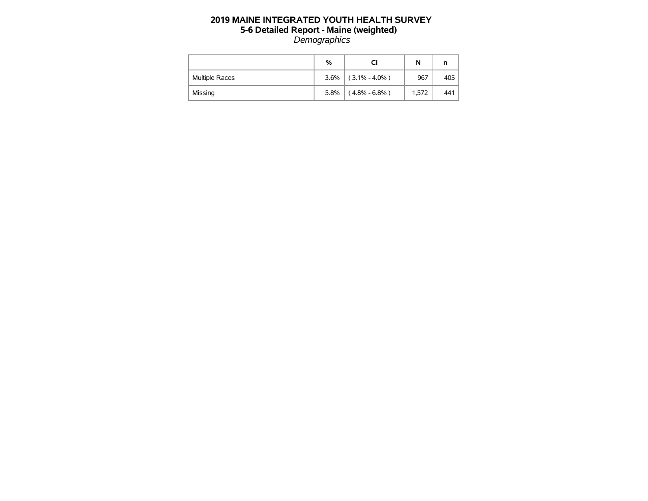|                       | %    | СI                    | N     | n   |
|-----------------------|------|-----------------------|-------|-----|
| <b>Multiple Races</b> |      | $3.6\%$ (3.1% - 4.0%) | 967   | 405 |
| Missing               | 5.8% | $(4.8\% - 6.8\%)$     | 1.572 | 441 |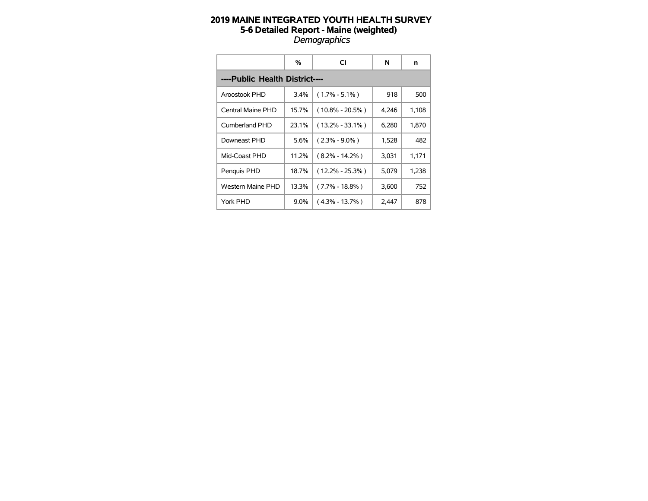|                                | %       | СI                  | N     | n     |
|--------------------------------|---------|---------------------|-------|-------|
| ----Public Health District---- |         |                     |       |       |
| Aroostook PHD                  | 3.4%    | $(1.7\% - 5.1\%)$   | 918   | 500   |
| Central Maine PHD              | 15.7%   | $(10.8\% - 20.5\%)$ | 4,246 | 1,108 |
| Cumberland PHD                 | 23.1%   | $(13.2\% - 33.1\%)$ | 6,280 | 1,870 |
| Downeast PHD                   | 5.6%    | $(2.3\% - 9.0\%)$   | 1,528 | 482   |
| Mid-Coast PHD                  | 11.2%   | $(8.2\% - 14.2\%)$  | 3,031 | 1,171 |
| Penquis PHD                    | 18.7%   | (12.2% - 25.3%)     | 5,079 | 1,238 |
| Western Maine PHD              | 13.3%   | (7.7% - 18.8%)      | 3,600 | 752   |
| York PHD                       | $9.0\%$ | $(4.3\% - 13.7\%)$  | 2,447 | 878   |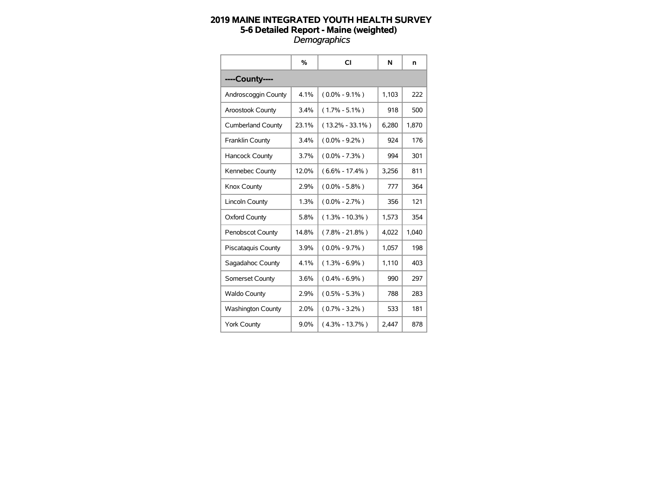|                           | %       | CI                  | N     | n     |
|---------------------------|---------|---------------------|-------|-------|
| ----County----            |         |                     |       |       |
| Androscoggin County       | 4.1%    | $(0.0\% - 9.1\%)$   | 1,103 | 222   |
| <b>Aroostook County</b>   | 3.4%    | $(1.7\% - 5.1\%)$   | 918   | 500   |
| <b>Cumberland County</b>  | 23.1%   | $(13.2\% - 33.1\%)$ | 6,280 | 1,870 |
| Franklin County           | 3.4%    | $(0.0\% - 9.2\%)$   | 924   | 176   |
| <b>Hancock County</b>     | 3.7%    | $(0.0\% - 7.3\%)$   | 994   | 301   |
| Kennebec County           | 12.0%   | $(6.6\% - 17.4\%)$  | 3,256 | 811   |
| Knox County               | 2.9%    | $(0.0\% - 5.8\%)$   | 777   | 364   |
| <b>Lincoln County</b>     | 1.3%    | $(0.0\% - 2.7\%)$   | 356   | 121   |
| <b>Oxford County</b>      | 5.8%    | $(1.3\% - 10.3\%)$  | 1,573 | 354   |
| <b>Penobscot County</b>   | 14.8%   | $(7.8\% - 21.8\%)$  | 4.022 | 1,040 |
| <b>Piscataquis County</b> | 3.9%    | $(0.0\% - 9.7\%)$   | 1,057 | 198   |
| Sagadahoc County          | 4.1%    | $(1.3\% - 6.9\%)$   | 1,110 | 403   |
| Somerset County           | 3.6%    | $(0.4\% - 6.9\%)$   | 990   | 297   |
| <b>Waldo County</b>       | 2.9%    | $(0.5\% - 5.3\%)$   | 788   | 283   |
| <b>Washington County</b>  | 2.0%    | $(0.7\% - 3.2\%)$   | 533   | 181   |
| <b>York County</b>        | $9.0\%$ | $(4.3\% - 13.7\%)$  | 2,447 | 878   |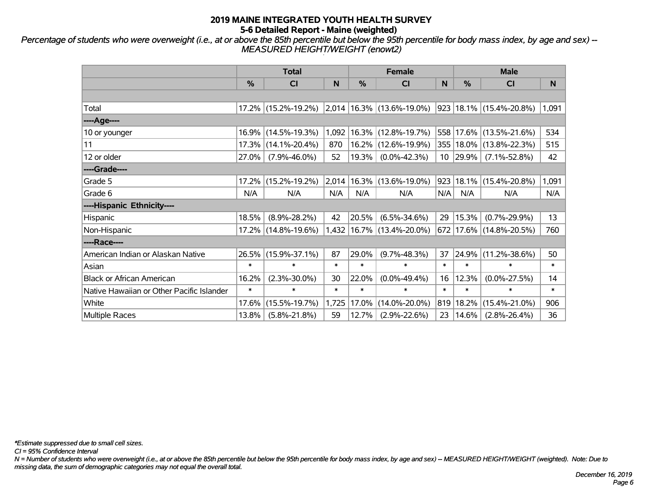*Percentage of students who were overweight (i.e., at or above the 85th percentile but below the 95th percentile for body mass index, by age and sex) -- MEASURED HEIGHT/WEIGHT (enowt2)*

|                                           | <b>Total</b>  |                     |        |        | <b>Female</b>                   |        | <b>Male</b> |                             |        |  |
|-------------------------------------------|---------------|---------------------|--------|--------|---------------------------------|--------|-------------|-----------------------------|--------|--|
|                                           | $\frac{0}{0}$ | CI                  | N      | %      | CI                              | N      | %           | C <sub>l</sub>              | N      |  |
|                                           |               |                     |        |        |                                 |        |             |                             |        |  |
| Total                                     |               | 17.2% (15.2%-19.2%) |        |        | $2,014$   16.3%   (13.6%-19.0%) |        |             | 923 18.1% (15.4%-20.8%)     | 1,091  |  |
| ----Age----                               |               |                     |        |        |                                 |        |             |                             |        |  |
| 10 or younger                             | 16.9%         | $(14.5\% - 19.3\%)$ | 1,092  | 16.3%  | $(12.8\% - 19.7\%)$             |        |             | 558 17.6% (13.5%-21.6%)     | 534    |  |
| 11                                        | 17.3%         | $(14.1\% - 20.4\%)$ | 870    | 16.2%  | $(12.6\% - 19.9\%)$             |        |             | 355   18.0%   (13.8%-22.3%) | 515    |  |
| 12 or older                               | 27.0%         | $(7.9\% - 46.0\%)$  | 52     | 19.3%  | $(0.0\% - 42.3\%)$              |        | $10$  29.9% | $(7.1\% - 52.8\%)$          | 42     |  |
| ----Grade----                             |               |                     |        |        |                                 |        |             |                             |        |  |
| Grade 5                                   | 17.2%         | $(15.2\% - 19.2\%)$ | 2,014  | 16.3%  | $(13.6\% - 19.0\%)$             | 923    |             | 18.1% (15.4%-20.8%)         | 1,091  |  |
| Grade 6                                   | N/A           | N/A                 | N/A    | N/A    | N/A                             | N/A    | N/A         | N/A                         | N/A    |  |
| ----Hispanic Ethnicity----                |               |                     |        |        |                                 |        |             |                             |        |  |
| Hispanic                                  | 18.5%         | $(8.9\% - 28.2\%)$  | 42     | 20.5%  | $(6.5\% - 34.6\%)$              | 29     | 15.3%       | $(0.7\% - 29.9\%)$          | 13     |  |
| Non-Hispanic                              | 17.2%         | $(14.8\% - 19.6\%)$ | 1,432  |        | 16.7% (13.4%-20.0%)             |        |             | 672 17.6% (14.8%-20.5%)     | 760    |  |
| ----Race----                              |               |                     |        |        |                                 |        |             |                             |        |  |
| American Indian or Alaskan Native         | 26.5%         | $(15.9\% - 37.1\%)$ | 87     | 29.0%  | $(9.7\% - 48.3\%)$              | 37     | 24.9%       | $(11.2\% - 38.6\%)$         | 50     |  |
| Asian                                     | $\ast$        | $\ast$              | $\ast$ | $\ast$ | $\ast$                          | $\ast$ | $\ast$      | $\ast$                      | $\ast$ |  |
| <b>Black or African American</b>          | 16.2%         | $(2.3\% - 30.0\%)$  | 30     | 22.0%  | $(0.0\% - 49.4\%)$              | 16     | 12.3%       | $(0.0\% - 27.5\%)$          | 14     |  |
| Native Hawaiian or Other Pacific Islander | $\ast$        | $\ast$              | $\ast$ | *      | *                               | $\ast$ | $\ast$      | $\ast$                      | $\ast$ |  |
| White                                     | 17.6%         | $(15.5\% - 19.7\%)$ | 1,725  | 17.0%  | $(14.0\% - 20.0\%)$             | 819    | 18.2%       | $(15.4\% - 21.0\%)$         | 906    |  |
| Multiple Races                            | 13.8%         | $(5.8\% - 21.8\%)$  | 59     | 12.7%  | $(2.9\% - 22.6\%)$              | 23     | $ 14.6\%$   | $(2.8\% - 26.4\%)$          | 36     |  |

*\*Estimate suppressed due to small cell sizes.*

*CI = 95% Confidence Interval*

*N = Number of students who were overweight (i.e., at or above the 85th percentile but below the 95th percentile for body mass index, by age and sex) -- MEASURED HEIGHT/WEIGHT (weighted). Note: Due to missing data, the sum of demographic categories may not equal the overall total.*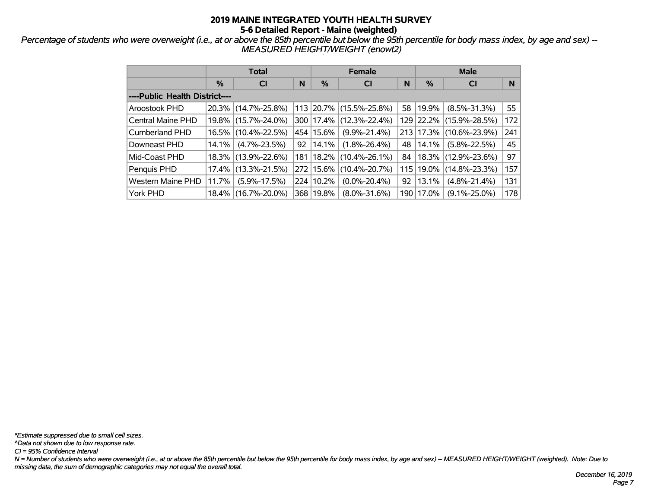*Percentage of students who were overweight (i.e., at or above the 85th percentile but below the 95th percentile for body mass index, by age and sex) -- MEASURED HEIGHT/WEIGHT (enowt2)*

|                                | <b>Total</b> |                     |    |             | <b>Female</b>       |    | <b>Male</b> |                             |     |  |
|--------------------------------|--------------|---------------------|----|-------------|---------------------|----|-------------|-----------------------------|-----|--|
|                                | %            | <b>CI</b>           | N  | %           | <b>CI</b>           | N  | %           | <b>CI</b>                   | N   |  |
| ----Public Health District---- |              |                     |    |             |                     |    |             |                             |     |  |
| Aroostook PHD                  |              | 20.3% (14.7%-25.8%) |    | 113 20.7%   | $(15.5\% - 25.8\%)$ |    | 58 19.9%    | $(8.5\% - 31.3\%)$          | 55  |  |
| <b>Central Maine PHD</b>       |              | 19.8% (15.7%-24.0%) |    | 300   17.4% | $(12.3\% - 22.4\%)$ |    | 129 22.2%   | $(15.9\% - 28.5\%)$         | 172 |  |
| <b>Cumberland PHD</b>          |              | 16.5% (10.4%-22.5%) |    | 454 15.6%   | $(9.9\% - 21.4\%)$  |    |             | 213 17.3% (10.6%-23.9%)     | 241 |  |
| Downeast PHD                   | $14.1\%$     | $(4.7\% - 23.5\%)$  | 92 | 14.1%       | $(1.8\% - 26.4\%)$  | 48 | 14.1%       | $(5.8\% - 22.5\%)$          | 45  |  |
| Mid-Coast PHD                  |              | 18.3% (13.9%-22.6%) |    | 181   18.2% | $(10.4\% - 26.1\%)$ | 84 |             | $ 18.3\% $ (12.9%-23.6%)    | 97  |  |
| Penquis PHD                    |              | 17.4% (13.3%-21.5%) |    | 272 15.6%   | $(10.4\% - 20.7\%)$ |    |             | 115   19.0%   (14.8%-23.3%) | 157 |  |
| <b>Western Maine PHD</b>       | 11.7%        | $(5.9\% - 17.5\%)$  |    | 224 10.2%   | $(0.0\% - 20.4\%)$  | 92 | 13.1%       | $(4.8\% - 21.4\%)$          | 131 |  |
| York PHD                       |              | 18.4% (16.7%-20.0%) |    | 368   19.8% | $(8.0\% - 31.6\%)$  |    | 190   17.0% | $(9.1\% - 25.0\%)$          | 178 |  |

*\*Estimate suppressed due to small cell sizes.*

*^Data not shown due to low response rate.*

*CI = 95% Confidence Interval*

*N = Number of students who were overweight (i.e., at or above the 85th percentile but below the 95th percentile for body mass index, by age and sex) -- MEASURED HEIGHT/WEIGHT (weighted). Note: Due to missing data, the sum of demographic categories may not equal the overall total.*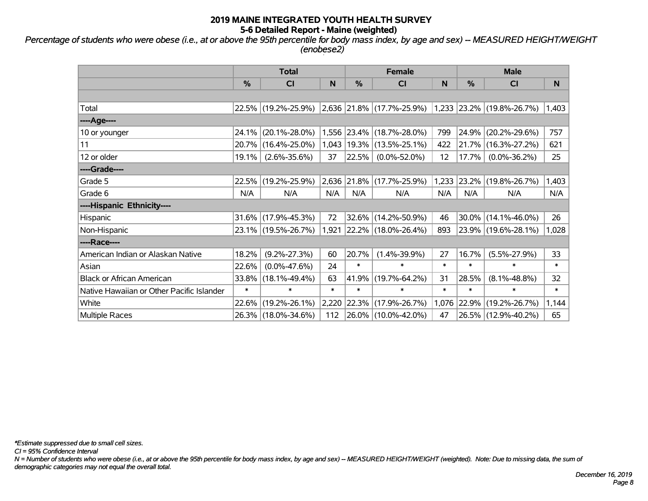*Percentage of students who were obese (i.e., at or above the 95th percentile for body mass index, by age and sex) -- MEASURED HEIGHT/WEIGHT (enobese2)*

|                                           | <b>Total</b> |                                               |        |        | <b>Female</b>             |        | <b>Male</b>   |                             |        |
|-------------------------------------------|--------------|-----------------------------------------------|--------|--------|---------------------------|--------|---------------|-----------------------------|--------|
|                                           | %            | CI                                            | N      | %      | <b>CI</b>                 | N      | $\frac{0}{0}$ | C <sub>l</sub>              | N      |
|                                           |              |                                               |        |        |                           |        |               |                             |        |
| Total                                     |              | 22.5% (19.2%-25.9%) 2,636 21.8% (17.7%-25.9%) |        |        |                           |        |               | $1,233$ 23.2% (19.8%-26.7%) | 1,403  |
| ----Age----                               |              |                                               |        |        |                           |        |               |                             |        |
| 10 or younger                             | 24.1%        | $(20.1\% - 28.0\%)$                           |        |        | 1,556 23.4% (18.7%-28.0%) | 799    |               | 24.9% (20.2%-29.6%)         | 757    |
| 11                                        | 20.7%        | $(16.4\% - 25.0\%)$                           | 1,043  |        | $ 19.3\% $ (13.5%-25.1%)  | 422    | 21.7%         | $(16.3\% - 27.2\%)$         | 621    |
| 12 or older                               | 19.1%        | $(2.6\% - 35.6\%)$                            | 37     |        | 22.5% (0.0%-52.0%)        | 12     | 17.7%         | $(0.0\% - 36.2\%)$          | 25     |
| ----Grade----                             |              |                                               |        |        |                           |        |               |                             |        |
| Grade 5                                   | 22.5%        | $(19.2\% - 25.9\%)$                           | 2,636  |        | $ 21.8\% $ (17.7%-25.9%)  | 1,233  |               | 23.2% (19.8%-26.7%)         | 1,403  |
| Grade 6                                   | N/A          | N/A                                           | N/A    | N/A    | N/A                       | N/A    | N/A           | N/A                         | N/A    |
| ----Hispanic Ethnicity----                |              |                                               |        |        |                           |        |               |                             |        |
| Hispanic                                  | 31.6%        | $(17.9\% - 45.3\%)$                           | 72     |        | 32.6% (14.2%-50.9%)       | 46     |               | 30.0% (14.1%-46.0%)         | 26     |
| Non-Hispanic                              |              | 23.1% (19.5%-26.7%)                           | 1,921  |        | $ 22.2\% $ (18.0%-26.4%)  | 893    |               | 23.9% (19.6%-28.1%)         | 1,028  |
| ----Race----                              |              |                                               |        |        |                           |        |               |                             |        |
| American Indian or Alaskan Native         | 18.2%        | $(9.2\% - 27.3\%)$                            | 60     | 20.7%  | $(1.4\% - 39.9\%)$        | 27     | 16.7%         | $(5.5\% - 27.9\%)$          | 33     |
| Asian                                     | 22.6%        | $(0.0\% - 47.6\%)$                            | 24     | $\ast$ | $\ast$                    | $\ast$ | $\ast$        | $\ast$                      | $\ast$ |
| <b>Black or African American</b>          | 33.8%        | $(18.1\% - 49.4\%)$                           | 63     | 41.9%  | $(19.7\% - 64.2\%)$       | 31     | 28.5%         | $(8.1\% - 48.8\%)$          | 32     |
| Native Hawaiian or Other Pacific Islander | $\ast$       | $\ast$                                        | $\ast$ | $\ast$ | $\ast$                    | $\ast$ | $\ast$        | $\ast$                      | $\ast$ |
| White                                     | 22.6%        | $(19.2\% - 26.1\%)$                           | 2,220  |        | 22.3% (17.9%-26.7%)       | 1,076  | 22.9%         | $(19.2\% - 26.7\%)$         | 1,144  |
| Multiple Races                            |              | 26.3% (18.0%-34.6%)                           | 112    |        | 26.0% (10.0%-42.0%)       | 47     |               | 26.5% (12.9%-40.2%)         | 65     |

*\*Estimate suppressed due to small cell sizes.*

*CI = 95% Confidence Interval*

*N = Number of students who were obese (i.e., at or above the 95th percentile for body mass index, by age and sex) -- MEASURED HEIGHT/WEIGHT (weighted). Note: Due to missing data, the sum of demographic categories may not equal the overall total.*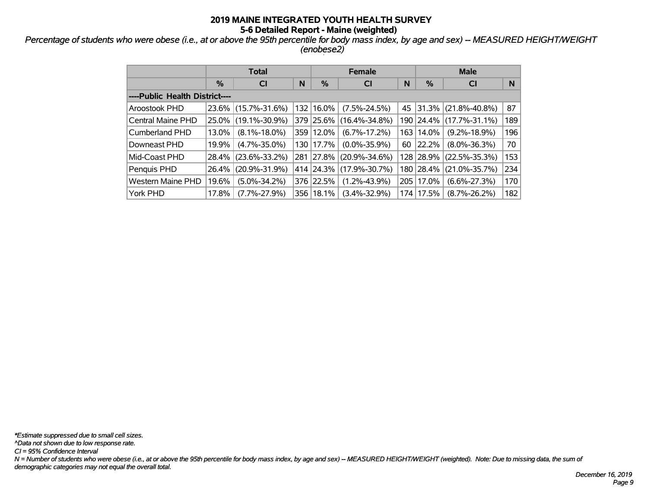*Percentage of students who were obese (i.e., at or above the 95th percentile for body mass index, by age and sex) -- MEASURED HEIGHT/WEIGHT (enobese2)*

|                                | <b>Total</b> |                     |   |               | <b>Female</b>       |    | <b>Male</b> |                          |     |  |
|--------------------------------|--------------|---------------------|---|---------------|---------------------|----|-------------|--------------------------|-----|--|
|                                | %            | <b>CI</b>           | N | $\frac{0}{0}$ | <b>CI</b>           | N  | %           | <b>CI</b>                | N   |  |
| ----Public Health District---- |              |                     |   |               |                     |    |             |                          |     |  |
| Aroostook PHD                  | 23.6%        | $(15.7\% - 31.6\%)$ |   | 132 16.0%     | $(7.5\% - 24.5\%)$  | 45 |             | $ 31.3\% $ (21.8%-40.8%) | 87  |  |
| Central Maine PHD              | 25.0%        | $(19.1\% - 30.9\%)$ |   | 379 25.6%     | $(16.4\% - 34.8\%)$ |    |             | 190 24.4% (17.7%-31.1%)  | 189 |  |
| <b>Cumberland PHD</b>          | 13.0%        | $(8.1\% - 18.0\%)$  |   | 359 12.0%     | $(6.7\% - 17.2\%)$  |    | 163 14.0%   | $(9.2\% - 18.9\%)$       | 196 |  |
| Downeast PHD                   | 19.9%        | $(4.7\% - 35.0\%)$  |   | 130 17.7%     | $(0.0\% - 35.9\%)$  | 60 | 22.2%       | $(8.0\% - 36.3\%)$       | 70  |  |
| Mid-Coast PHD                  | 28.4%        | $(23.6\% - 33.2\%)$ |   | 281 27.8%     | $(20.9\% - 34.6\%)$ |    |             | 128 28.9% (22.5%-35.3%)  | 153 |  |
| Penquis PHD                    | 26.4%        | $(20.9\% - 31.9\%)$ |   | 414 24.3%     | $(17.9\% - 30.7\%)$ |    | 180 28.4%   | $(21.0\% - 35.7\%)$      | 234 |  |
| <b>Western Maine PHD</b>       | 19.6%        | $(5.0\% - 34.2\%)$  |   | 376 22.5%     | $(1.2\% - 43.9\%)$  |    | 205 17.0%   | $(6.6\% - 27.3\%)$       | 170 |  |
| York PHD                       | 17.8%        | $(7.7\% - 27.9\%)$  |   | 356 18.1%     | $(3.4\% - 32.9\%)$  |    | 174 17.5%   | $(8.7\% - 26.2\%)$       | 182 |  |

*N = Number of students who were obese (i.e., at or above the 95th percentile for body mass index, by age and sex) -- MEASURED HEIGHT/WEIGHT (weighted). Note: Due to missing data, the sum of demographic categories may not equal the overall total. CI = 95% Confidence Interval ^Data not shown due to low response rate. \*Estimate suppressed due to small cell sizes.*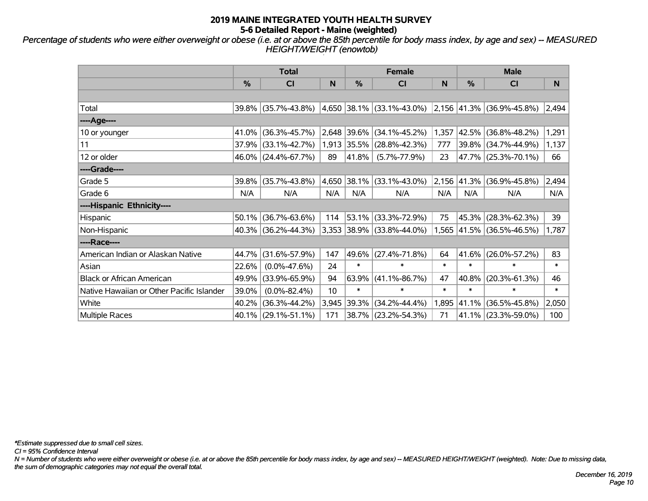*Percentage of students who were either overweight or obese (i.e. at or above the 85th percentile for body mass index, by age and sex) -- MEASURED HEIGHT/WEIGHT (enowtob)*

|                                           | <b>Total</b> |                     |       |            | <b>Female</b>                  |        | <b>Male</b>   |                                |        |
|-------------------------------------------|--------------|---------------------|-------|------------|--------------------------------|--------|---------------|--------------------------------|--------|
|                                           | %            | CI                  | N     | %          | <b>CI</b>                      | N      | $\frac{0}{0}$ | <b>CI</b>                      | N      |
|                                           |              |                     |       |            |                                |        |               |                                |        |
| Total                                     | $39.8\%$     | $(35.7\% - 43.8\%)$ |       |            | $ 4,650 38.1\% $ (33.1%-43.0%) |        |               | $ 2,156 41.3\% $ (36.9%-45.8%) | 2,494  |
| ----Age----                               |              |                     |       |            |                                |        |               |                                |        |
| 10 or younger                             | 41.0%        | $(36.3\% - 45.7\%)$ | 2,648 | $ 39.6\% $ | $(34.1\% - 45.2\%)$            | 1,357  | 42.5%         | $(36.8\% - 48.2\%)$            | 1,291  |
| 11                                        | 37.9%        | $(33.1\% - 42.7\%)$ |       |            | 1,913 35.5% (28.8%-42.3%)      | 777    |               | 39.8% (34.7%-44.9%)            | 1,137  |
| 12 or older                               | $46.0\%$     | $(24.4\% - 67.7\%)$ | 89    | $ 41.8\% $ | $(5.7\% - 77.9\%)$             | 23     |               | 47.7% (25.3%-70.1%)            | 66     |
| ----Grade----                             |              |                     |       |            |                                |        |               |                                |        |
| Grade 5                                   | 39.8%        | $(35.7\% - 43.8\%)$ | 4,650 |            | 38.1% (33.1%-43.0%)            | 2,156  |               | 41.3% (36.9%-45.8%)            | 2,494  |
| Grade 6                                   | N/A          | N/A                 | N/A   | N/A        | N/A                            | N/A    | N/A           | N/A                            | N/A    |
| ----Hispanic Ethnicity----                |              |                     |       |            |                                |        |               |                                |        |
| Hispanic                                  | 50.1%        | $(36.7\% - 63.6\%)$ | 114   | 53.1%      | $(33.3\% - 72.9\%)$            | 75     | 45.3%         | $(28.3\% - 62.3\%)$            | 39     |
| Non-Hispanic                              | $40.3\%$     | $(36.2\% - 44.3\%)$ |       |            | 3,353 38.9% (33.8%-44.0%)      | 1,565  |               | 41.5% (36.5%-46.5%)            | 1,787  |
| ----Race----                              |              |                     |       |            |                                |        |               |                                |        |
| American Indian or Alaskan Native         | 44.7%        | $(31.6\% - 57.9\%)$ | 147   |            | 49.6% (27.4%-71.8%)            | 64     |               | $41.6\%$ (26.0%-57.2%)         | 83     |
| Asian                                     | 22.6%        | $(0.0\% - 47.6\%)$  | 24    | $\ast$     | $\ast$                         | $\ast$ | $\ast$        | $\ast$                         | $\ast$ |
| <b>Black or African American</b>          | 49.9%        | $(33.9\% - 65.9\%)$ | 94    | 63.9%      | $(41.1\% - 86.7\%)$            | 47     | 40.8%         | $(20.3\% - 61.3\%)$            | 46     |
| Native Hawaiian or Other Pacific Islander | 39.0%        | $(0.0\% - 82.4\%)$  | 10    | $\ast$     | $\ast$                         | $\ast$ | $\ast$        | $\ast$                         | $\ast$ |
| White                                     | 40.2%        | $(36.3\% - 44.2\%)$ | 3,945 | 39.3%      | $(34.2\% - 44.4\%)$            | 1,895  | 41.1%         | $(36.5\% - 45.8\%)$            | 2,050  |
| Multiple Races                            |              | 40.1% (29.1%-51.1%) | 171   |            | 38.7% (23.2%-54.3%)            | 71     |               | $41.1\%$ (23.3%-59.0%)         | 100    |

*\*Estimate suppressed due to small cell sizes.*

*CI = 95% Confidence Interval*

*N = Number of students who were either overweight or obese (i.e. at or above the 85th percentile for body mass index, by age and sex) -- MEASURED HEIGHT/WEIGHT (weighted). Note: Due to missing data, the sum of demographic categories may not equal the overall total.*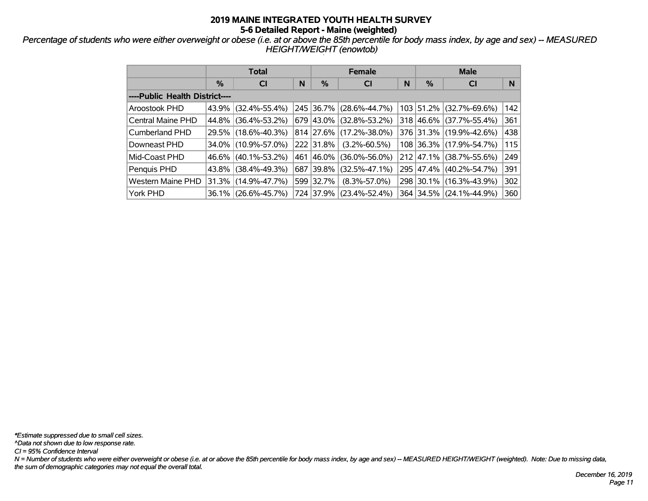*Percentage of students who were either overweight or obese (i.e. at or above the 85th percentile for body mass index, by age and sex) -- MEASURED HEIGHT/WEIGHT (enowtob)*

|                                | <b>Total</b> |                     |   |           | <b>Female</b>       |   | <b>Male</b> |                         |     |  |
|--------------------------------|--------------|---------------------|---|-----------|---------------------|---|-------------|-------------------------|-----|--|
|                                | $\%$         | <b>CI</b>           | N | $\%$      | <b>CI</b>           | N | %           | <b>CI</b>               | N   |  |
| ----Public Health District---- |              |                     |   |           |                     |   |             |                         |     |  |
| Aroostook PHD                  | $43.9\%$     | $(32.4\% - 55.4\%)$ |   | 245 36.7% | $(28.6\% - 44.7\%)$ |   |             | 103 51.2% (32.7%-69.6%) | 142 |  |
| Central Maine PHD              | 44.8%        | $(36.4\% - 53.2\%)$ |   | 679 43.0% | $(32.8\% - 53.2\%)$ |   |             | 318 46.6% (37.7%-55.4%) | 361 |  |
| <b>Cumberland PHD</b>          |              | 29.5% (18.6%-40.3%) |   | 814 27.6% | $(17.2\% - 38.0\%)$ |   |             | 376 31.3% (19.9%-42.6%) | 438 |  |
| Downeast PHD                   |              | 34.0% (10.9%-57.0%) |   | 222 31.8% | $(3.2\% - 60.5\%)$  |   |             | 108 36.3% (17.9%-54.7%) | 115 |  |
| Mid-Coast PHD                  | $46.6\%$     | $(40.1\% - 53.2\%)$ |   | 461 46.0% | $(36.0\% - 56.0\%)$ |   |             | 212 47.1% (38.7%-55.6%) | 249 |  |
| Penquis PHD                    | $43.8\%$     | $(38.4\% - 49.3\%)$ |   | 687 39.8% | $(32.5\% - 47.1\%)$ |   |             | 295 47.4% (40.2%-54.7%) | 391 |  |
| <b>Western Maine PHD</b>       | $31.3\%$     | $(14.9\% - 47.7\%)$ |   | 599 32.7% | $(8.3\% - 57.0\%)$  |   |             | 298 30.1% (16.3%-43.9%) | 302 |  |
| York PHD                       |              | 36.1% (26.6%-45.7%) |   | 724 37.9% | $(23.4\% - 52.4\%)$ |   |             | 364 34.5% (24.1%-44.9%) | 360 |  |

*\*Estimate suppressed due to small cell sizes.*

*^Data not shown due to low response rate.*

*CI = 95% Confidence Interval*

*N = Number of students who were either overweight or obese (i.e. at or above the 85th percentile for body mass index, by age and sex) -- MEASURED HEIGHT/WEIGHT (weighted). Note: Due to missing data, the sum of demographic categories may not equal the overall total.*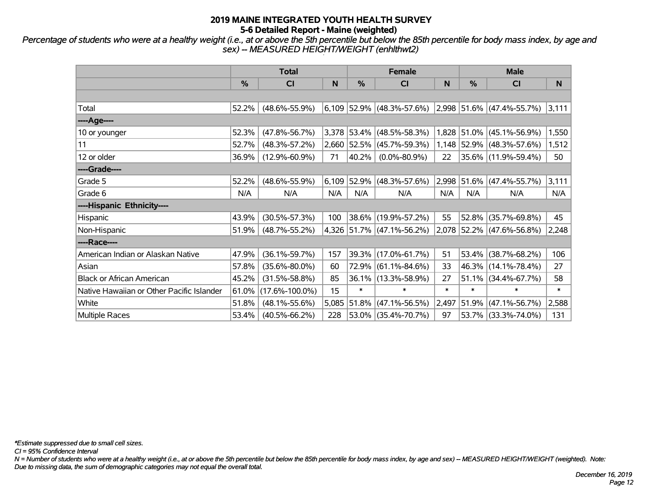*Percentage of students who were at a healthy weight (i.e., at or above the 5th percentile but below the 85th percentile for body mass index, by age and sex) -- MEASURED HEIGHT/WEIGHT (enhlthwt2)*

|                                           | <b>Total</b> |                      |       |        | <b>Female</b>                                         |        | <b>Male</b> |                           |        |
|-------------------------------------------|--------------|----------------------|-------|--------|-------------------------------------------------------|--------|-------------|---------------------------|--------|
|                                           | %            | <b>CI</b>            | N     | %      | CI                                                    | N      | %           | <b>CI</b>                 | N      |
|                                           |              |                      |       |        |                                                       |        |             |                           |        |
| Total                                     | 52.2%        | $(48.6\% - 55.9\%)$  |       |        | $6,109$ 52.9% (48.3%-57.6%) 2,998 51.6% (47.4%-55.7%) |        |             |                           | 3,111  |
| ----Age----                               |              |                      |       |        |                                                       |        |             |                           |        |
| 10 or younger                             | 52.3%        | $(47.8\% - 56.7\%)$  |       |        | 3,378 53.4% (48.5%-58.3%)                             |        |             | 1,828 51.0% (45.1%-56.9%) | 1,550  |
| 11                                        | 52.7%        | $(48.3\% - 57.2\%)$  |       |        | 2,660 52.5% (45.7%-59.3%)                             |        |             | 1,148 52.9% (48.3%-57.6%) | 1,512  |
| 12 or older                               | 36.9%        | $(12.9\% - 60.9\%)$  | 71    | 40.2%  | $(0.0\% - 80.9\%)$                                    | 22     |             | 35.6% (11.9%-59.4%)       | 50     |
| ----Grade----                             |              |                      |       |        |                                                       |        |             |                           |        |
| Grade 5                                   | 52.2%        | $(48.6\% - 55.9\%)$  |       |        | $6,109$ 52.9% (48.3%-57.6%)                           | 2,998  |             | $ 51.6\% $ (47.4%-55.7%)  | 3,111  |
| Grade 6                                   | N/A          | N/A                  | N/A   | N/A    | N/A                                                   | N/A    | N/A         | N/A                       | N/A    |
| ----Hispanic Ethnicity----                |              |                      |       |        |                                                       |        |             |                           |        |
| Hispanic                                  | 43.9%        | $(30.5\% - 57.3\%)$  | 100   |        | 38.6% (19.9%-57.2%)                                   | 55     | 52.8%       | $(35.7\% - 69.8\%)$       | 45     |
| Non-Hispanic                              | 51.9%        | $(48.7\% - 55.2\%)$  |       |        | 4,326 51.7% (47.1%-56.2%)                             |        |             | 2,078 52.2% (47.6%-56.8%) | 2,248  |
| ----Race----                              |              |                      |       |        |                                                       |        |             |                           |        |
| American Indian or Alaskan Native         | 47.9%        | $(36.1\% - 59.7\%)$  | 157   |        | 39.3% (17.0%-61.7%)                                   | 51     | 53.4%       | $(38.7\% - 68.2\%)$       | 106    |
| Asian                                     | 57.8%        | $(35.6\% - 80.0\%)$  | 60    |        | 72.9% (61.1%-84.6%)                                   | 33     | $ 46.3\% $  | $(14.1\% - 78.4\%)$       | 27     |
| <b>Black or African American</b>          | 45.2%        | $(31.5\% - 58.8\%)$  | 85    |        | 36.1% (13.3%-58.9%)                                   | 27     | 51.1%       | $(34.4\% - 67.7\%)$       | 58     |
| Native Hawaiian or Other Pacific Islander | 61.0%        | $(17.6\% - 100.0\%)$ | 15    | $\ast$ | $\ast$                                                | $\ast$ | $\ast$      | $\ast$                    | $\ast$ |
| White                                     | 51.8%        | $(48.1\% - 55.6\%)$  | 5,085 |        | $ 51.8\% $ (47.1%-56.5%)                              | 2,497  | $ 51.9\% $  | $(47.1\% - 56.7\%)$       | 2,588  |
| Multiple Races                            | 53.4%        | $(40.5\% - 66.2\%)$  | 228   |        | 53.0% (35.4%-70.7%)                                   | 97     |             | 53.7% (33.3%-74.0%)       | 131    |

*\*Estimate suppressed due to small cell sizes.*

*CI = 95% Confidence Interval*

*N = Number of students who were at a healthy weight (i.e., at or above the 5th percentile but below the 85th percentile for body mass index, by age and sex) -- MEASURED HEIGHT/WEIGHT (weighted). Note: Due to missing data, the sum of demographic categories may not equal the overall total.*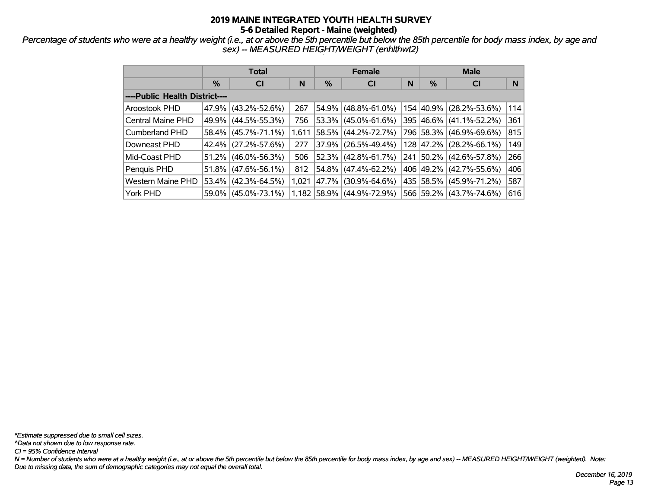*Percentage of students who were at a healthy weight (i.e., at or above the 5th percentile but below the 85th percentile for body mass index, by age and sex) -- MEASURED HEIGHT/WEIGHT (enhlthwt2)*

|                                | <b>Total</b> |                     |       |               | <b>Female</b>             |   | <b>Male</b> |                     |     |  |
|--------------------------------|--------------|---------------------|-------|---------------|---------------------------|---|-------------|---------------------|-----|--|
|                                | $\%$         | <b>CI</b>           | N     | $\frac{9}{6}$ | <b>CI</b>                 | N | %           | <b>CI</b>           | N   |  |
| ----Public Health District---- |              |                     |       |               |                           |   |             |                     |     |  |
| Aroostook PHD                  |              | 47.9% (43.2%-52.6%) | 267   |               | 54.9% (48.8%-61.0%)       |   | 154 40.9%   | $(28.2\% - 53.6\%)$ | 114 |  |
| Central Maine PHD              |              | 49.9% (44.5%-55.3%) | 756   |               | $53.3\%$ (45.0%-61.6%)    |   | 395 46.6%   | $(41.1\% - 52.2\%)$ | 361 |  |
| Cumberland PHD                 |              | 58.4% (45.7%-71.1%) | 1,611 |               | $58.5\%$ (44.2%-72.7%)    |   | 796 58.3%   | $(46.9\% - 69.6\%)$ | 815 |  |
| Downeast PHD                   |              | 42.4% (27.2%-57.6%) | 277   |               | $37.9\%$ (26.5%-49.4%)    |   | 128 47.2%   | $(28.2\% - 66.1\%)$ | 149 |  |
| Mid-Coast PHD                  |              | 51.2% (46.0%-56.3%) | 506   |               | 52.3% (42.8%-61.7%)       |   | 241 50.2%   | $(42.6\% - 57.8\%)$ | 266 |  |
| Penquis PHD                    |              | 51.8% (47.6%-56.1%) | 812   |               | $54.8\%$ (47.4%-62.2%)    |   | 406 49.2%   | $(42.7\% - 55.6\%)$ | 406 |  |
| <b>Western Maine PHD</b>       |              | 53.4% (42.3%-64.5%) | 1,021 |               | 47.7% (30.9%-64.6%)       |   | 435 58.5%   | $(45.9\% - 71.2\%)$ | 587 |  |
| York PHD                       |              | 59.0% (45.0%-73.1%) |       |               | 1,182 58.9% (44.9%-72.9%) |   | 566 59.2%   | $(43.7\% - 74.6\%)$ | 616 |  |

*\*Estimate suppressed due to small cell sizes.*

*^Data not shown due to low response rate.*

*CI = 95% Confidence Interval*

*N = Number of students who were at a healthy weight (i.e., at or above the 5th percentile but below the 85th percentile for body mass index, by age and sex) -- MEASURED HEIGHT/WEIGHT (weighted). Note: Due to missing data, the sum of demographic categories may not equal the overall total.*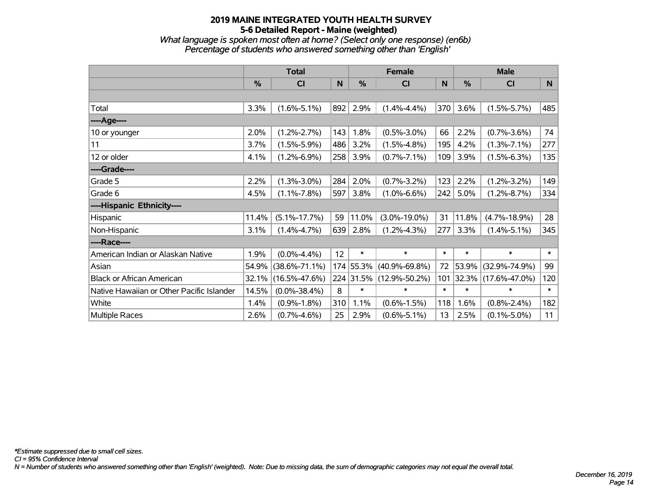*What language is spoken most often at home? (Select only one response) (en6b) Percentage of students who answered something other than 'English'*

|                                           | <b>Total</b>  |                     |     |               | <b>Female</b>       |        | <b>Male</b> |                     |        |
|-------------------------------------------|---------------|---------------------|-----|---------------|---------------------|--------|-------------|---------------------|--------|
|                                           | $\frac{0}{0}$ | CI                  | N   | $\frac{9}{6}$ | <b>CI</b>           | N      | %           | <b>CI</b>           | N      |
|                                           |               |                     |     |               |                     |        |             |                     |        |
| Total                                     | 3.3%          | $(1.6\% - 5.1\%)$   | 892 | 2.9%          | $(1.4\% - 4.4\%)$   | 370    | 3.6%        | $(1.5\% - 5.7\%)$   | 485    |
| ----Age----                               |               |                     |     |               |                     |        |             |                     |        |
| 10 or younger                             | 2.0%          | $(1.2\% - 2.7\%)$   | 143 | 1.8%          | $(0.5\% - 3.0\%)$   | 66     | 2.2%        | $(0.7\% - 3.6\%)$   | 74     |
| 11                                        | 3.7%          | $(1.5\% - 5.9\%)$   | 486 | 3.2%          | $(1.5\% - 4.8\%)$   | 195    | 4.2%        | $(1.3\% - 7.1\%)$   | 277    |
| 12 or older                               | 4.1%          | $(1.2\% - 6.9\%)$   | 258 | 3.9%          | $(0.7\% - 7.1\%)$   | 109    | 3.9%        | $(1.5\% - 6.3\%)$   | 135    |
| ----Grade----                             |               |                     |     |               |                     |        |             |                     |        |
| Grade 5                                   | 2.2%          | $(1.3\% - 3.0\%)$   | 284 | 2.0%          | $(0.7\% - 3.2\%)$   | 123    | 2.2%        | $(1.2\% - 3.2\%)$   | 149    |
| Grade 6                                   | 4.5%          | $(1.1\% - 7.8\%)$   | 597 | 3.8%          | $(1.0\% - 6.6\%)$   | 242    | 5.0%        | $(1.2\% - 8.7\%)$   | 334    |
| ----Hispanic Ethnicity----                |               |                     |     |               |                     |        |             |                     |        |
| Hispanic                                  | 11.4%         | $(5.1\% - 17.7\%)$  | 59  | 11.0%         | $(3.0\% - 19.0\%)$  | 31     | 11.8%       | $(4.7\% - 18.9\%)$  | 28     |
| Non-Hispanic                              | 3.1%          | $(1.4\% - 4.7\%)$   | 639 | 2.8%          | $(1.2\% - 4.3\%)$   | 277    | 3.3%        | $(1.4\% - 5.1\%)$   | 345    |
| ----Race----                              |               |                     |     |               |                     |        |             |                     |        |
| American Indian or Alaskan Native         | 1.9%          | $(0.0\% - 4.4\%)$   | 12  | $\ast$        | $\ast$              | $\ast$ | $\ast$      | $\ast$              | $\ast$ |
| Asian                                     | 54.9%         | $(38.6\% - 71.1\%)$ |     | 174 55.3%     | $(40.9\% - 69.8\%)$ | 72     | 53.9%       | $(32.9\% - 74.9\%)$ | 99     |
| <b>Black or African American</b>          | 32.1%         | $(16.5\% - 47.6\%)$ |     | 224 31.5%     | $(12.9\% - 50.2\%)$ | 101    | 32.3%       | $(17.6\% - 47.0\%)$ | 120    |
| Native Hawaiian or Other Pacific Islander | 14.5%         | $(0.0\% - 38.4\%)$  | 8   | $\ast$        | $\ast$              | $\ast$ | $\ast$      | $\ast$              | $\ast$ |
| White                                     | 1.4%          | $(0.9\% - 1.8\%)$   | 310 | 1.1%          | $(0.6\% - 1.5\%)$   | 118    | 1.6%        | $(0.8\% - 2.4\%)$   | 182    |
| Multiple Races                            | 2.6%          | $(0.7\% - 4.6\%)$   | 25  | 2.9%          | $(0.6\% - 5.1\%)$   | 13     | 2.5%        | $(0.1\% - 5.0\%)$   | 11     |

*CI = 95% Confidence Interval*

*N = Number of students who answered something other than 'English' (weighted). Note: Due to missing data, the sum of demographic categories may not equal the overall total.*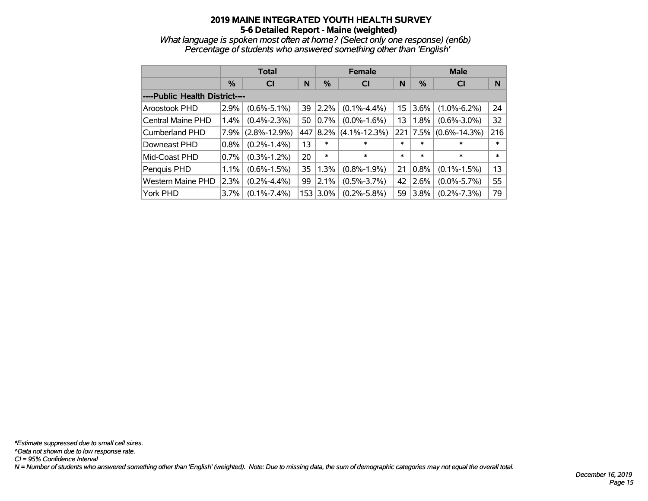*What language is spoken most often at home? (Select only one response) (en6b) Percentage of students who answered something other than 'English'*

|                                |               | Total              |    |          | <b>Female</b>      |        | <b>Male</b> |                    |        |  |
|--------------------------------|---------------|--------------------|----|----------|--------------------|--------|-------------|--------------------|--------|--|
|                                | $\frac{0}{0}$ | CI                 | N  | $\%$     | CI                 | N      | %           | <b>CI</b>          | N      |  |
| ----Public Health District---- |               |                    |    |          |                    |        |             |                    |        |  |
| Aroostook PHD                  | 2.9%          | $(0.6\% - 5.1\%)$  | 39 | 2.2%     | $(0.1\% - 4.4\%)$  | 15     | $3.6\%$     | $(1.0\% - 6.2\%)$  | 24     |  |
| Central Maine PHD              | 1.4%          | $(0.4\% - 2.3\%)$  | 50 | $0.7\%$  | $(0.0\% - 1.6\%)$  | 13     | $1.8\%$     | $(0.6\% - 3.0\%)$  | 32     |  |
| <b>Cumberland PHD</b>          | 7.9%          | $(2.8\% - 12.9\%)$ |    | 447 8.2% | $(4.1\% - 12.3\%)$ | 221    | 7.5%        | $(0.6\% - 14.3\%)$ | 216    |  |
| Downeast PHD                   | 0.8%          | $(0.2\% - 1.4\%)$  | 13 | *        | $\ast$             | $\ast$ | *           | $\ast$             | $\ast$ |  |
| Mid-Coast PHD                  | 0.7%          | $(0.3\% - 1.2\%)$  | 20 | $\ast$   | $\ast$             | $\ast$ | $\ast$      | $\ast$             | $\ast$ |  |
| Penquis PHD                    | 1.1%          | $(0.6\% - 1.5\%)$  | 35 | 1.3%     | $(0.8\% - 1.9\%)$  | 21     | 0.8%        | $(0.1\% - 1.5\%)$  | 13     |  |
| <b>Western Maine PHD</b>       | 2.3%          | $(0.2\% - 4.4\%)$  | 99 | 2.1%     | $(0.5\% - 3.7\%)$  | 42     | 2.6%        | $(0.0\% - 5.7\%)$  | 55     |  |
| York PHD                       | 3.7%          | $(0.1\% - 7.4\%)$  |    | 153 3.0% | $(0.2\% - 5.8\%)$  | 59     | 3.8%        | $(0.2\% - 7.3\%)$  | 79     |  |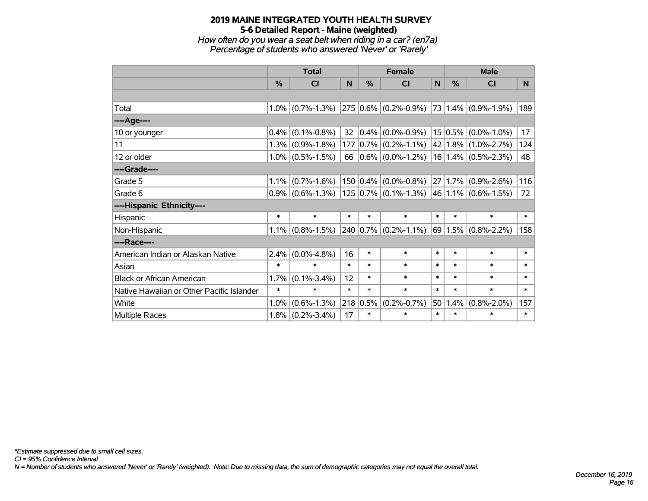*How often do you wear a seat belt when riding in a car? (en7a) Percentage of students who answered 'Never' or 'Rarely'*

|                                           | <b>Total</b> |                                                |        |        | <b>Female</b>                                                                            |        | <b>Male</b> |                             |        |  |
|-------------------------------------------|--------------|------------------------------------------------|--------|--------|------------------------------------------------------------------------------------------|--------|-------------|-----------------------------|--------|--|
|                                           | $\%$         | <b>CI</b>                                      | N      | $\%$   | <b>CI</b>                                                                                | N      | $\%$        | <b>CI</b>                   | N.     |  |
|                                           |              |                                                |        |        |                                                                                          |        |             |                             |        |  |
| Total                                     |              | $1.0\%$ (0.7%-1.3%)                            |        |        | $\vert$ 275 $\vert$ 0.6% $\vert$ (0.2%-0.9%) $\vert$ 73 $\vert$ 1.4% $\vert$ (0.9%-1.9%) |        |             |                             | 189    |  |
| ----Age----                               |              |                                                |        |        |                                                                                          |        |             |                             |        |  |
| 10 or younger                             |              | $0.4\%$ (0.1%-0.8%)                            | 32     |        | $0.4\%$ (0.0%-0.9%)                                                                      |        |             | $15 0.5\% $ (0.0%-1.0%)     | 17     |  |
| 11                                        |              | $1.3\%$ (0.9%-1.8%)                            |        |        | 177 0.7% (0.2%-1.1%)                                                                     |        |             | $42 1.8\% $ (1.0%-2.7%)     | 124    |  |
| 12 or older                               |              | $1.0\%$ (0.5%-1.5%)                            |        |        | 66 $ 0.6\% $ (0.0%-1.2%)                                                                 |        |             | $16 1.4\% $ (0.5%-2.3%)     | 48     |  |
| ----Grade----                             |              |                                                |        |        |                                                                                          |        |             |                             |        |  |
| Grade 5                                   |              | $1.1\%$ (0.7%-1.6%)                            |        |        | $150 0.4\% $ (0.0%-0.8%)                                                                 |        |             | $27 1.7\% $ (0.9%-2.6%)     | 116    |  |
| Grade 6                                   |              | $0.9\%$ (0.6%-1.3%)   125   0.7%   (0.1%-1.3%) |        |        |                                                                                          |        |             | 46 1.1% (0.6%-1.5%)         | 72     |  |
| ----Hispanic Ethnicity----                |              |                                                |        |        |                                                                                          |        |             |                             |        |  |
| Hispanic                                  | $\ast$       | $\ast$                                         | $\ast$ | $\ast$ | $\ast$                                                                                   | $\ast$ | $\ast$      | $\ast$                      | $\ast$ |  |
| Non-Hispanic                              |              | $1.1\%$ (0.8%-1.5%)                            |        |        | $240 0.7\% $ (0.2%-1.1%)                                                                 |        |             | $69 1.5\%  (0.8\% - 2.2\%)$ | 158    |  |
| ----Race----                              |              |                                                |        |        |                                                                                          |        |             |                             |        |  |
| American Indian or Alaskan Native         | 2.4%         | $(0.0\% - 4.8\%)$                              | 16     | $\ast$ | $\ast$                                                                                   | $\ast$ | $\ast$      | $\ast$                      | $\ast$ |  |
| Asian                                     | $\ast$       | $\ast$                                         | $\ast$ | $\ast$ | $\ast$                                                                                   | $\ast$ | $\ast$      | $\ast$                      | $\ast$ |  |
| <b>Black or African American</b>          | 1.7%         | $(0.1\% - 3.4\%)$                              | 12     | $\ast$ | $\ast$                                                                                   | $\ast$ | $\ast$      | $\ast$                      | $\ast$ |  |
| Native Hawaiian or Other Pacific Islander | $\ast$       | $\ast$                                         | $\ast$ | $\ast$ | $\ast$                                                                                   | $\ast$ | $\ast$      | $\ast$                      | $\ast$ |  |
| White                                     | 1.0%         | $(0.6\% - 1.3\%)$                              | 218    | 0.5%   | $(0.2\% - 0.7\%)$                                                                        | 50     | 1.4%        | $(0.8\% - 2.0\%)$           | 157    |  |
| Multiple Races                            |              | $1.8\%$ (0.2%-3.4%)                            | 17     | $\ast$ | $\ast$                                                                                   | $\ast$ | $\ast$      | $\ast$                      | $\ast$ |  |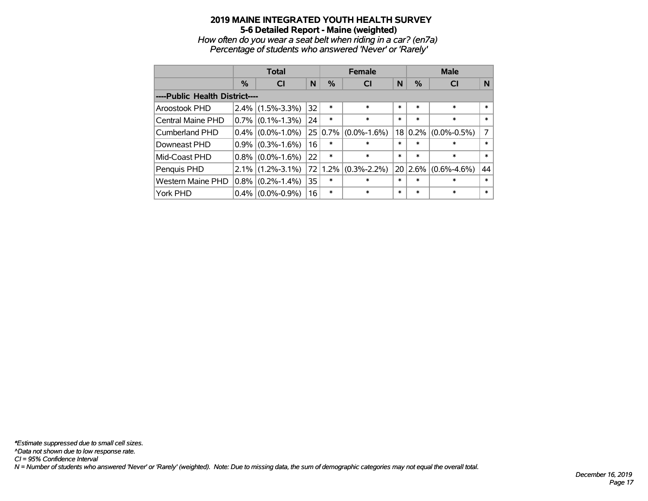*How often do you wear a seat belt when riding in a car? (en7a) Percentage of students who answered 'Never' or 'Rarely'*

|                                |         | <b>Total</b>      |    |               | <b>Female</b>     |        | <b>Male</b> |                         |        |  |
|--------------------------------|---------|-------------------|----|---------------|-------------------|--------|-------------|-------------------------|--------|--|
|                                | $\%$    | <b>CI</b>         | N  | $\frac{0}{0}$ | <b>CI</b>         | N      | %           | <b>CI</b>               | N      |  |
| ----Public Health District---- |         |                   |    |               |                   |        |             |                         |        |  |
| Aroostook PHD                  | $2.4\%$ | $(1.5\% - 3.3\%)$ | 32 | $\ast$        | $\ast$            | $\ast$ | $\ast$      | $\ast$                  | $\ast$ |  |
| Central Maine PHD              | $0.7\%$ | $(0.1\% - 1.3\%)$ | 24 | $\ast$        | $\ast$            | $\ast$ | $\ast$      | $\ast$                  | $\ast$ |  |
| Cumberland PHD                 | $0.4\%$ | $(0.0\% - 1.0\%)$ |    | 25 0.7%       | $(0.0\% - 1.6\%)$ |        |             | $18 0.2\% $ (0.0%-0.5%) | 7      |  |
| Downeast PHD                   | $0.9\%$ | $(0.3\% - 1.6\%)$ | 16 | $\ast$        | $\ast$            | $\ast$ | $\ast$      | $\ast$                  | $\ast$ |  |
| Mid-Coast PHD                  | $0.8\%$ | $(0.0\% - 1.6\%)$ | 22 | $\ast$        | $\ast$            | $\ast$ | $\ast$      | $\ast$                  | $\ast$ |  |
| Penquis PHD                    | $2.1\%$ | $(1.2\% - 3.1\%)$ | 72 | 1.2%          | $(0.3\% - 2.2\%)$ |        | 20 2.6%     | $(0.6\% - 4.6\%)$       | 44     |  |
| <b>Western Maine PHD</b>       | $0.8\%$ | $(0.2\% - 1.4\%)$ | 35 | $\ast$        | $\ast$            | $\ast$ | $\ast$      | $\ast$                  | $\ast$ |  |
| York PHD                       | $0.4\%$ | $(0.0\% - 0.9\%)$ | 16 | $\ast$        | $\ast$            | $\ast$ | $\ast$      | $\ast$                  | $\ast$ |  |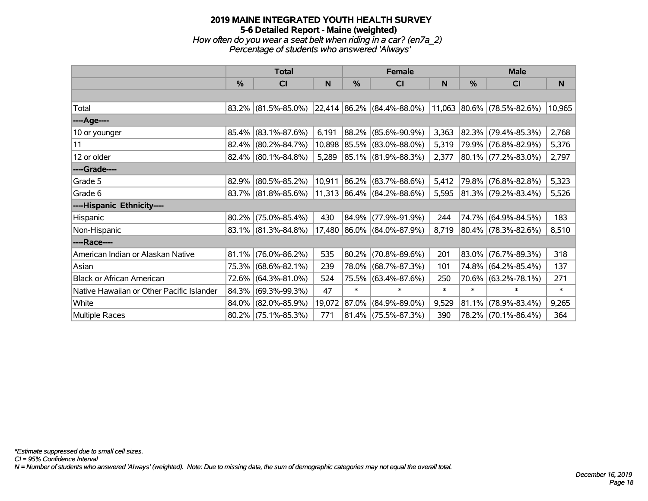## **2019 MAINE INTEGRATED YOUTH HEALTH SURVEY 5-6 Detailed Report - Maine (weighted)** *How often do you wear a seat belt when riding in a car? (en7a\_2) Percentage of students who answered 'Always'*

|                                           |               | <b>Total</b>           |        |        | <b>Female</b>                      |        | <b>Male</b> |                            |              |  |
|-------------------------------------------|---------------|------------------------|--------|--------|------------------------------------|--------|-------------|----------------------------|--------------|--|
|                                           | $\frac{0}{0}$ | <b>CI</b>              | N      | %      | <b>CI</b>                          | N      | %           | CI                         | <sub>N</sub> |  |
|                                           |               |                        |        |        |                                    |        |             |                            |              |  |
| Total                                     |               | $83.2\%$ (81.5%-85.0%) |        |        | $\vert$ 22,414 86.2% (84.4%-88.0%) |        |             | 11,063 80.6% (78.5%-82.6%) | 10,965       |  |
| ----Age----                               |               |                        |        |        |                                    |        |             |                            |              |  |
| 10 or younger                             | 85.4%         | $(83.1\% - 87.6\%)$    | 6,191  | 88.2%  | $(85.6\% - 90.9\%)$                | 3,363  |             | 82.3% (79.4%-85.3%)        | 2,768        |  |
| 11                                        |               | $82.4\%$ (80.2%-84.7%) | 10,898 |        | 85.5% (83.0%-88.0%)                | 5,319  |             | 79.9% (76.8%-82.9%)        | 5,376        |  |
| 12 or older                               |               | $82.4\%$ (80.1%-84.8%) | 5,289  |        | 85.1% (81.9%-88.3%)                | 2,377  |             | $ 80.1\% $ (77.2%-83.0%)   | 2,797        |  |
| ----Grade----                             |               |                        |        |        |                                    |        |             |                            |              |  |
| Grade 5                                   | 82.9%         | $(80.5\% - 85.2\%)$    | 10,911 | 86.2%  | $(83.7\% - 88.6\%)$                | 5,412  |             | 79.8% (76.8%-82.8%)        | 5,323        |  |
| Grade 6                                   |               | $83.7\%$ (81.8%-85.6%) |        |        | 11,313 86.4% (84.2%-88.6%)         | 5,595  |             | $ 81.3\% $ (79.2%-83.4%)   | 5,526        |  |
| ----Hispanic Ethnicity----                |               |                        |        |        |                                    |        |             |                            |              |  |
| Hispanic                                  | 80.2%         | $(75.0\% - 85.4\%)$    | 430    | 84.9%  | $(77.9\% - 91.9\%)$                | 244    | 74.7%       | $(64.9\% - 84.5\%)$        | 183          |  |
| Non-Hispanic                              |               | $83.1\%$ (81.3%-84.8%) |        |        | 17,480 86.0% (84.0%-87.9%)         | 8,719  |             | $ 80.4\% $ (78.3%-82.6%)   | 8,510        |  |
| ----Race----                              |               |                        |        |        |                                    |        |             |                            |              |  |
| American Indian or Alaskan Native         |               | $81.1\%$ (76.0%-86.2%) | 535    | 80.2%  | $(70.8\% - 89.6\%)$                | 201    |             | 83.0% (76.7%-89.3%)        | 318          |  |
| Asian                                     |               | 75.3% (68.6%-82.1%)    | 239    | 78.0%  | $(68.7\% - 87.3\%)$                | 101    |             | 74.8% (64.2%-85.4%)        | 137          |  |
| <b>Black or African American</b>          |               | 72.6% (64.3%-81.0%)    | 524    | 75.5%  | $(63.4\% - 87.6\%)$                | 250    |             | 70.6% (63.2%-78.1%)        | 271          |  |
| Native Hawaiian or Other Pacific Islander | 84.3%         | $(69.3\% - 99.3\%)$    | 47     | $\ast$ | $\ast$                             | $\ast$ | $\ast$      | $\ast$                     | $\ast$       |  |
| White                                     | 84.0%         | $(82.0\% - 85.9\%)$    | 19,072 | 87.0%  | $(84.9\% - 89.0\%)$                | 9,529  | 81.1%       | $(78.9\% - 83.4\%)$        | 9,265        |  |
| Multiple Races                            |               | $80.2\%$ (75.1%-85.3%) | 771    |        | $81.4\%$ (75.5%-87.3%)             | 390    |             | 78.2% (70.1%-86.4%)        | 364          |  |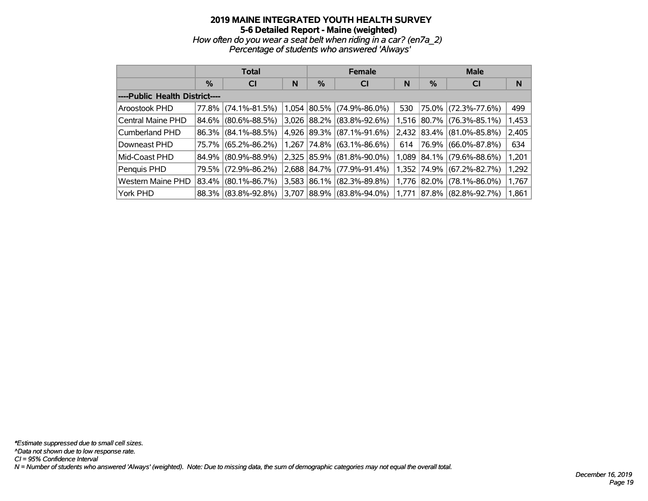*How often do you wear a seat belt when riding in a car? (en7a\_2) Percentage of students who answered 'Always'*

|                                |         | <b>Total</b>        |       |            | <b>Female</b>               |     | <b>Male</b> |                           |       |  |
|--------------------------------|---------|---------------------|-------|------------|-----------------------------|-----|-------------|---------------------------|-------|--|
|                                | $\%$    | <b>CI</b>           | N     | %          | <b>CI</b>                   | N   | %           | <b>CI</b>                 | N     |  |
| ----Public Health District---- |         |                     |       |            |                             |     |             |                           |       |  |
| Aroostook PHD                  | 77.8%   | $(74.1\% - 81.5\%)$ |       |            | $1,054$ 80.5% (74.9%-86.0%) | 530 |             | 75.0% (72.3%-77.6%)       | 499   |  |
| Central Maine PHD              | 84.6%   | $(80.6\% - 88.5\%)$ | 3,026 | 88.2%      | $(83.8\% - 92.6\%)$         |     |             | 1,516 80.7% (76.3%-85.1%) | 1,453 |  |
| Cumberland PHD                 |         | 86.3% (84.1%-88.5%) | 4,926 | $ 89.3\% $ | $(87.1\% - 91.6\%)$         |     |             | 2,432 83.4% (81.0%-85.8%) | 2,405 |  |
| Downeast PHD                   | 75.7%   | $(65.2\% - 86.2\%)$ | 1.267 | 74.8%      | $(63.1\% - 86.6\%)$         | 614 |             | 76.9% (66.0%-87.8%)       | 634   |  |
| Mid-Coast PHD                  | 84.9%   | $(80.9\% - 88.9\%)$ | 2,325 | 85.9%      | $(81.8\% - 90.0\%)$         |     |             | 1,089 84.1% (79.6%-88.6%) | 1,201 |  |
| Penquis PHD                    | 79.5% l | $(72.9\% - 86.2\%)$ | 2.688 | 84.7%      | $(77.9\% - 91.4\%)$         |     |             | 1,352 74.9% (67.2%-82.7%) | 1,292 |  |
| Western Maine PHD              | 83.4%   | $(80.1\% - 86.7\%)$ | 3,583 | 86.1%      | $(82.3\% - 89.8\%)$         |     |             | 1,776 82.0% (78.1%-86.0%) | 1,767 |  |
| York PHD                       |         | 88.3% (83.8%-92.8%) | 3.707 | 88.9%      | $(83.8\% - 94.0\%)$         |     |             | 1,771 87.8% (82.8%-92.7%) | 1,861 |  |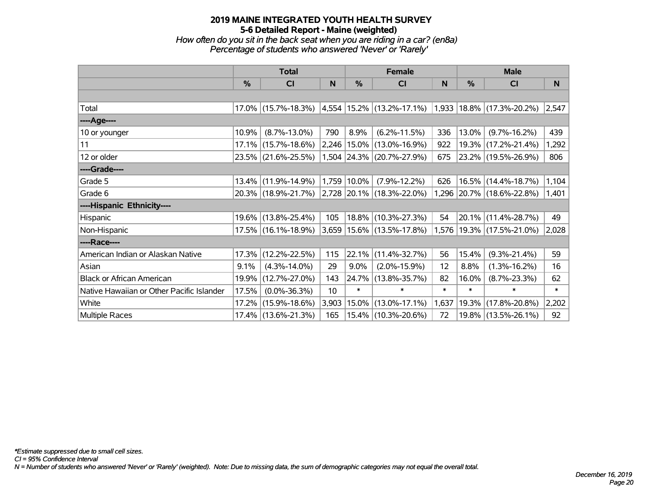*How often do you sit in the back seat when you are riding in a car? (en8a) Percentage of students who answered 'Never' or 'Rarely'*

|                                           |       | <b>Total</b>           |       |               | <b>Female</b>                                            |        | <b>Male</b>   |                               |        |
|-------------------------------------------|-------|------------------------|-------|---------------|----------------------------------------------------------|--------|---------------|-------------------------------|--------|
|                                           | $\%$  | C <sub>l</sub>         | N     | $\frac{0}{0}$ | CI                                                       | N      | $\frac{0}{0}$ | <b>CI</b>                     | N      |
|                                           |       |                        |       |               |                                                          |        |               |                               |        |
| Total                                     |       | $17.0\%$ (15.7%-18.3%) |       |               | 4,554  15.2%  (13.2%-17.1%)  1,933  18.8%  (17.3%-20.2%) |        |               |                               | 2,547  |
| ----Age----                               |       |                        |       |               |                                                          |        |               |                               |        |
| 10 or younger                             | 10.9% | $(8.7\% - 13.0\%)$     | 790   | 8.9%          | $(6.2\% - 11.5\%)$                                       | 336    | 13.0%         | $(9.7\% - 16.2\%)$            | 439    |
| 11                                        |       | 17.1% (15.7%-18.6%)    |       |               | 2,246   15.0%   (13.0%-16.9%)                            | 922    |               | 19.3% (17.2%-21.4%)           | 1,292  |
| 12 or older                               |       | 23.5% (21.6%-25.5%)    |       |               | 1,504 24.3% (20.7%-27.9%)                                | 675    |               | 23.2% (19.5%-26.9%)           | 806    |
| ----Grade----                             |       |                        |       |               |                                                          |        |               |                               |        |
| Grade 5                                   | 13.4% | $(11.9\% - 14.9\%)$    |       | 1,759 10.0%   | $(7.9\% - 12.2\%)$                                       | 626    |               | 16.5% (14.4%-18.7%)           | 1,104  |
| Grade 6                                   |       | 20.3% (18.9%-21.7%)    |       |               | $ 2,728 20.1\% $ (18.3%-22.0%)                           |        |               | 1,296 20.7% (18.6%-22.8%)     | 1,401  |
| ----Hispanic Ethnicity----                |       |                        |       |               |                                                          |        |               |                               |        |
| Hispanic                                  | 19.6% | $(13.8\% - 25.4\%)$    | 105   |               | 18.8% (10.3%-27.3%)                                      | 54     |               | $20.1\%$ (11.4%-28.7%)        | 49     |
| Non-Hispanic                              |       | 17.5% (16.1%-18.9%)    |       |               | 3,659   15.6%   (13.5%-17.8%)                            |        |               | 1,576   19.3%   (17.5%-21.0%) | 2,028  |
| ----Race----                              |       |                        |       |               |                                                          |        |               |                               |        |
| American Indian or Alaskan Native         | 17.3% | $(12.2\% - 22.5\%)$    | 115   |               | 22.1% (11.4%-32.7%)                                      | 56     | 15.4%         | $(9.3\% - 21.4\%)$            | 59     |
| Asian                                     | 9.1%  | $(4.3\% - 14.0\%)$     | 29    | $9.0\%$       | $(2.0\% - 15.9\%)$                                       | 12     | 8.8%          | $(1.3\% - 16.2\%)$            | 16     |
| <b>Black or African American</b>          | 19.9% | $(12.7\% - 27.0\%)$    | 143   | 24.7%         | $(13.8\% - 35.7\%)$                                      | 82     | 16.0%         | $(8.7\% - 23.3\%)$            | 62     |
| Native Hawaiian or Other Pacific Islander | 17.5% | $(0.0\% - 36.3\%)$     | 10    | $\ast$        | $\ast$                                                   | $\ast$ | $\ast$        | $\ast$                        | $\ast$ |
| White                                     | 17.2% | $(15.9\% - 18.6\%)$    | 3,903 | 15.0%         | $(13.0\% - 17.1\%)$                                      | 1,637  | 19.3%         | $(17.8\% - 20.8\%)$           | 2,202  |
| Multiple Races                            |       | 17.4% (13.6%-21.3%)    | 165   |               | 15.4% (10.3%-20.6%)                                      | 72     |               | 19.8% (13.5%-26.1%)           | 92     |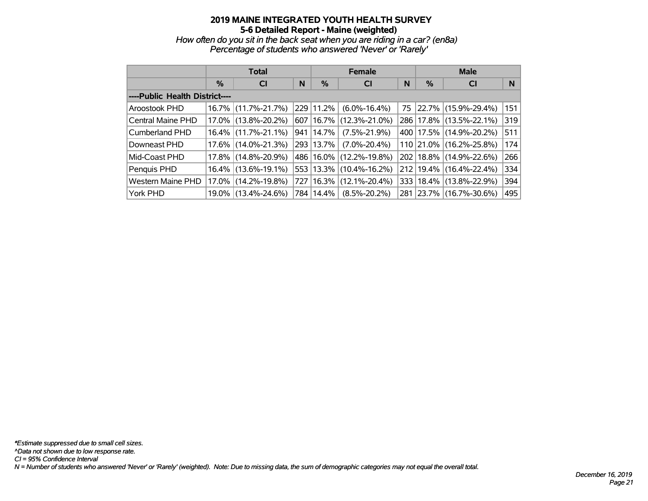*How often do you sit in the back seat when you are riding in a car? (en8a) Percentage of students who answered 'Never' or 'Rarely'*

|                                |          | <b>Total</b>        |     |             | <b>Female</b>       |     | <b>Male</b> |                             |     |  |
|--------------------------------|----------|---------------------|-----|-------------|---------------------|-----|-------------|-----------------------------|-----|--|
|                                | %        | <b>CI</b>           | N   | $\%$        | <b>CI</b>           | N   | %           | <b>CI</b>                   | N   |  |
| ----Public Health District---- |          |                     |     |             |                     |     |             |                             |     |  |
| Aroostook PHD                  | 16.7%    | $(11.7\% - 21.7\%)$ |     | 229 11.2%   | $(6.0\% - 16.4\%)$  | 75  |             | $ 22.7\% $ (15.9%-29.4%)    | 151 |  |
| Central Maine PHD              | 17.0%    | $(13.8\% - 20.2\%)$ |     | 607 16.7%   | $(12.3\% - 21.0\%)$ |     |             | 286   17.8%   (13.5%-22.1%) | 319 |  |
| <b>Cumberland PHD</b>          | $16.4\%$ | $(11.7\% - 21.1\%)$ |     | 941 14.7%   | $(7.5\% - 21.9\%)$  |     |             | 400   17.5%   (14.9%-20.2%) | 511 |  |
| Downeast PHD                   | 17.6%    | $(14.0\% - 21.3\%)$ |     | 293 13.7%   | $(7.0\% - 20.4\%)$  |     |             | 110 21.0% (16.2%-25.8%)     | 174 |  |
| Mid-Coast PHD                  | $17.8\%$ | $(14.8\% - 20.9\%)$ |     | 486 16.0%   | $(12.2\% - 19.8\%)$ |     |             | 202   18.8%   (14.9%-22.6%) | 266 |  |
| Penquis PHD                    | $16.4\%$ | $(13.6\% - 19.1\%)$ |     | 553   13.3% | $(10.4\% - 16.2\%)$ |     |             | 212 19.4% (16.4%-22.4%)     | 334 |  |
| <b>Western Maine PHD</b>       | 17.0%    | $(14.2\% - 19.8\%)$ | 727 | 16.3%       | $(12.1\% - 20.4\%)$ |     |             | 333   18.4%   (13.8%-22.9%) | 394 |  |
| York PHD                       | 19.0%    | $(13.4\% - 24.6\%)$ |     | 784 14.4%   | $(8.5\% - 20.2\%)$  | 281 |             | $ 23.7\% $ (16.7%-30.6%)    | 495 |  |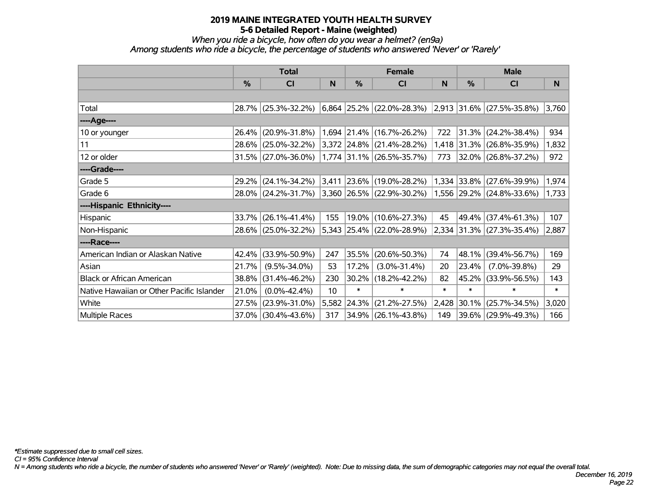#### *When you ride a bicycle, how often do you wear a helmet? (en9a) Among students who ride a bicycle, the percentage of students who answered 'Never' or 'Rarely'*

|                                           | <b>Total</b> |                        |                 |            | <b>Female</b>                                            |        | <b>Male</b>   |                             |          |  |
|-------------------------------------------|--------------|------------------------|-----------------|------------|----------------------------------------------------------|--------|---------------|-----------------------------|----------|--|
|                                           | %            | <b>CI</b>              | <b>N</b>        | %          | CI                                                       | N      | $\frac{0}{0}$ | CI                          | <b>N</b> |  |
|                                           |              |                        |                 |            |                                                          |        |               |                             |          |  |
| Total                                     |              | 28.7% (25.3%-32.2%)    |                 |            | $ 6,864 25.2\% $ (22.0%-28.3%) 2,913 31.6% (27.5%-35.8%) |        |               |                             | 3,760    |  |
| ----Age----                               |              |                        |                 |            |                                                          |        |               |                             |          |  |
| 10 or younger                             | 26.4%        | $(20.9\% - 31.8\%)$    |                 |            | $1,694$ 21.4% (16.7%-26.2%)                              | 722    |               | $31.3\%$ (24.2%-38.4%)      | 934      |  |
| 11                                        | $28.6\%$     | $(25.0\% - 32.2\%)$    |                 |            | $ 3,372 24.8\% 21.4\% - 28.2\% $                         |        |               | 1,418 31.3% (26.8%-35.9%)   | 1,832    |  |
| 12 or older                               |              | $31.5\%$ (27.0%-36.0%) |                 |            | $\vert 1,774 \vert 31.1\% \vert (26.5\% - 35.7\%)$       | 773    |               | $32.0\%$ (26.8%-37.2%)      | 972      |  |
| ----Grade----                             |              |                        |                 |            |                                                          |        |               |                             |          |  |
| Grade 5                                   | 29.2%        | $(24.1\% - 34.2\%)$    | 3,411           |            | $ 23.6\% $ (19.0%-28.2%)                                 |        |               | 1,334 33.8% (27.6%-39.9%)   | 1,974    |  |
| Grade 6                                   |              | 28.0% (24.2%-31.7%)    |                 |            | $ 3,360 26.5\% (22.9\% - 30.2\%)$                        |        |               | 1,556 29.2% (24.8%-33.6%)   | 1,733    |  |
| ----Hispanic Ethnicity----                |              |                        |                 |            |                                                          |        |               |                             |          |  |
| Hispanic                                  | 33.7%        | $(26.1\% - 41.4\%)$    | 155             |            | 19.0% (10.6%-27.3%)                                      | 45     |               | 49.4% (37.4%-61.3%)         | 107      |  |
| Non-Hispanic                              |              | 28.6% (25.0%-32.2%)    |                 |            | 5,343 25.4% (22.0%-28.9%)                                |        |               | $2,334$ 31.3% (27.3%-35.4%) | 2,887    |  |
| ----Race----                              |              |                        |                 |            |                                                          |        |               |                             |          |  |
| American Indian or Alaskan Native         | 42.4%        | $(33.9\% - 50.9\%)$    | 247             | 35.5%      | $(20.6\% - 50.3\%)$                                      | 74     | 48.1%         | $(39.4\% - 56.7\%)$         | 169      |  |
| Asian                                     | 21.7%        | $(9.5\% - 34.0\%)$     | 53              | 17.2%      | $(3.0\% - 31.4\%)$                                       | 20     | 23.4%         | $(7.0\% - 39.8\%)$          | 29       |  |
| <b>Black or African American</b>          | 38.8%        | $(31.4\% - 46.2\%)$    | 230             |            | 30.2% (18.2%-42.2%)                                      | 82     |               | 45.2% (33.9%-56.5%)         | 143      |  |
| Native Hawaiian or Other Pacific Islander | 21.0%        | $(0.0\% - 42.4\%)$     | 10 <sup>1</sup> | $\ast$     | $\ast$                                                   | $\ast$ | $\ast$        | $\ast$                      | $\ast$   |  |
| White                                     | 27.5%        | $(23.9\% - 31.0\%)$    | 5,582           | $ 24.3\% $ | $(21.2\% - 27.5\%)$                                      | 2,428  | 30.1%         | $(25.7\% - 34.5\%)$         | 3,020    |  |
| <b>Multiple Races</b>                     | $37.0\%$     | $(30.4\% - 43.6\%)$    | 317             |            | 34.9% (26.1%-43.8%)                                      | 149    |               | 39.6% (29.9%-49.3%)         | 166      |  |

*CI = 95% Confidence Interval*

*N = Among students who ride a bicycle, the number of students who answered 'Never' or 'Rarely' (weighted). Note: Due to missing data, the sum of demographic categories may not equal the overall total.*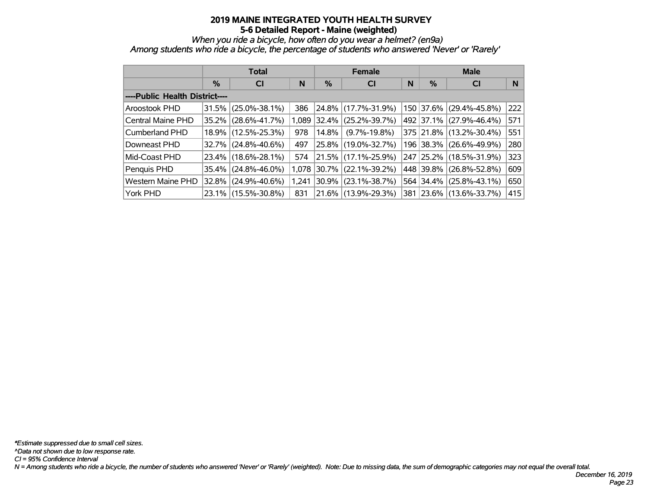*When you ride a bicycle, how often do you wear a helmet? (en9a)*

*Among students who ride a bicycle, the percentage of students who answered 'Never' or 'Rarely'*

|                                |      | <b>Total</b>        |       |       | <b>Female</b>       |   | <b>Male</b> |                         |     |  |
|--------------------------------|------|---------------------|-------|-------|---------------------|---|-------------|-------------------------|-----|--|
|                                | $\%$ | <b>CI</b>           | N     | %     | <b>CI</b>           | N | %           | <b>CI</b>               | N   |  |
| ----Public Health District---- |      |                     |       |       |                     |   |             |                         |     |  |
| Aroostook PHD                  |      | 31.5% (25.0%-38.1%) | 386   |       | 24.8% (17.7%-31.9%) |   |             | 150 37.6% (29.4%-45.8%) | 222 |  |
| Central Maine PHD              |      | 35.2% (28.6%-41.7%) | 1.089 | 32.4% | $(25.2\% - 39.7\%)$ |   |             | 492 37.1% (27.9%-46.4%) | 571 |  |
| Cumberland PHD                 |      | 18.9% (12.5%-25.3%) | 978   | 14.8% | $(9.7\% - 19.8\%)$  |   |             | 375 21.8% (13.2%-30.4%) | 551 |  |
| Downeast PHD                   |      | 32.7% (24.8%-40.6%) | 497   |       | 25.8% (19.0%-32.7%) |   |             | 196 38.3% (26.6%-49.9%) | 280 |  |
| Mid-Coast PHD                  |      | 23.4% (18.6%-28.1%) | 574   |       | 21.5% (17.1%-25.9%) |   |             | 247 25.2% (18.5%-31.9%) | 323 |  |
| Penquis PHD                    |      | 35.4% (24.8%-46.0%) | 1.078 |       | 30.7% (22.1%-39.2%) |   |             | 448 39.8% (26.8%-52.8%) | 609 |  |
| <b>Western Maine PHD</b>       |      | 32.8% (24.9%-40.6%) | 1.241 | 30.9% | $(23.1\% - 38.7\%)$ |   |             | 564 34.4% (25.8%-43.1%) | 650 |  |
| York PHD                       |      | 23.1% (15.5%-30.8%) | 831   |       | 21.6% (13.9%-29.3%) |   |             | 381 23.6% (13.6%-33.7%) | 415 |  |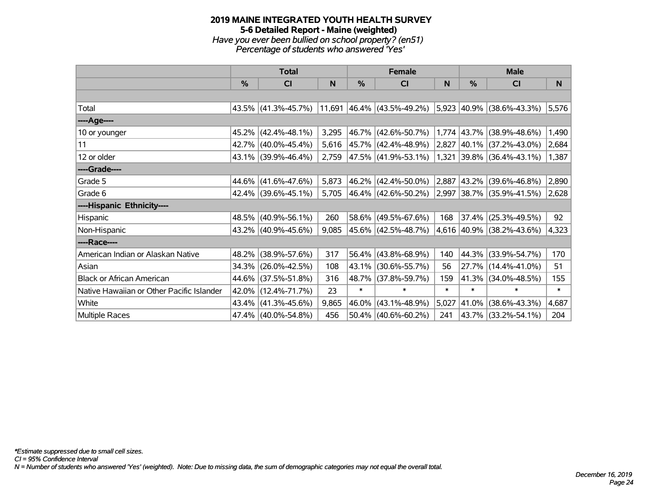#### **2019 MAINE INTEGRATED YOUTH HEALTH SURVEY 5-6 Detailed Report - Maine (weighted)** *Have you ever been bullied on school property? (en51) Percentage of students who answered 'Yes'*

|                                           | <b>Total</b>  |                     |       |        | <b>Female</b>                                    |        | <b>Male</b>   |                                |        |
|-------------------------------------------|---------------|---------------------|-------|--------|--------------------------------------------------|--------|---------------|--------------------------------|--------|
|                                           | $\frac{0}{0}$ | CI                  | N     | %      | CI                                               | N      | $\frac{0}{0}$ | CI                             | N      |
|                                           |               |                     |       |        |                                                  |        |               |                                |        |
| Total                                     |               | 43.5% (41.3%-45.7%) |       |        | $11,691$ 46.4% (43.5%-49.2%)                     |        |               | $ 5,923 40.9\% $ (38.6%-43.3%) | 5,576  |
| ----Age----                               |               |                     |       |        |                                                  |        |               |                                |        |
| 10 or younger                             | 45.2%         | $(42.4\% - 48.1\%)$ | 3,295 |        | 46.7% (42.6%-50.7%)                              |        |               | 1,774 43.7% (38.9%-48.6%)      | 1,490  |
| 11                                        |               | 42.7% (40.0%-45.4%) | 5,616 |        | 45.7% (42.4%-48.9%)                              |        |               | $2,827$ 40.1% (37.2%-43.0%)    | 2,684  |
| 12 or older                               |               | 43.1% (39.9%-46.4%) | 2,759 |        | 47.5% (41.9%-53.1%)                              |        |               | $1,321$ 39.8% (36.4%-43.1%)    | 1,387  |
| ----Grade----                             |               |                     |       |        |                                                  |        |               |                                |        |
| Grade 5                                   | 44.6%         | $(41.6\% - 47.6\%)$ | 5,873 |        | 46.2% (42.4%-50.0%)                              | 2,887  |               | $ 43.2\% $ (39.6%-46.8%)       | 2,890  |
| Grade 6                                   |               | 42.4% (39.6%-45.1%) | 5,705 |        | $46.4\%$ (42.6%-50.2%) 2,997 38.7% (35.9%-41.5%) |        |               |                                | 2,628  |
| ----Hispanic Ethnicity----                |               |                     |       |        |                                                  |        |               |                                |        |
| Hispanic                                  | 48.5%         | $(40.9\% - 56.1\%)$ | 260   | 58.6%  | $(49.5\% - 67.6\%)$                              | 168    | 37.4%         | $(25.3\% - 49.5\%)$            | 92     |
| Non-Hispanic                              |               | 43.2% (40.9%-45.6%) | 9,085 |        | 45.6% (42.5%-48.7%)                              |        |               | 4,616 40.9% (38.2%-43.6%)      | 4,323  |
| ----Race----                              |               |                     |       |        |                                                  |        |               |                                |        |
| American Indian or Alaskan Native         | 48.2%         | $(38.9\% - 57.6\%)$ | 317   |        | 56.4% (43.8%-68.9%)                              | 140    | 44.3%         | $(33.9\% - 54.7\%)$            | 170    |
| Asian                                     |               | 34.3% (26.0%-42.5%) | 108   |        | 43.1% (30.6%-55.7%)                              | 56     |               | 27.7% (14.4%-41.0%)            | 51     |
| <b>Black or African American</b>          |               | 44.6% (37.5%-51.8%) | 316   |        | 48.7% (37.8%-59.7%)                              | 159    |               | 41.3% (34.0%-48.5%)            | 155    |
| Native Hawaiian or Other Pacific Islander |               | 42.0% (12.4%-71.7%) | 23    | $\ast$ | $\ast$                                           | $\ast$ | $\ast$        | $\ast$                         | $\ast$ |
| White                                     | 43.4%         | $(41.3\% - 45.6\%)$ | 9,865 | 46.0%  | $(43.1\% - 48.9\%)$                              | 5,027  | 41.0%         | $(38.6\% - 43.3\%)$            | 4,687  |
| Multiple Races                            |               | 47.4% (40.0%-54.8%) | 456   |        | $50.4\%$ (40.6%-60.2%)                           | 241    |               | 43.7% (33.2%-54.1%)            | 204    |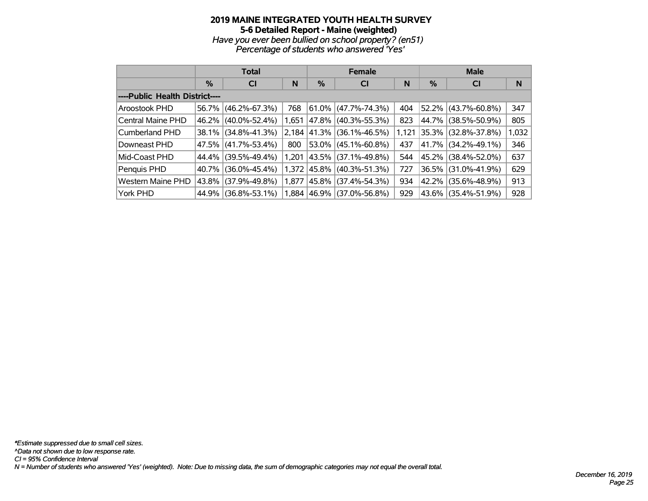# **2019 MAINE INTEGRATED YOUTH HEALTH SURVEY 5-6 Detailed Report - Maine (weighted)** *Have you ever been bullied on school property? (en51)*

*Percentage of students who answered 'Yes'*

|                                |       | <b>Total</b>        |       |   | <b>Female</b>             |       | <b>Male</b> |                          |       |  |
|--------------------------------|-------|---------------------|-------|---|---------------------------|-------|-------------|--------------------------|-------|--|
|                                | $\%$  | <b>CI</b>           | N     | % | <b>CI</b>                 | N     | %           | <b>CI</b>                | N     |  |
| ----Public Health District---- |       |                     |       |   |                           |       |             |                          |       |  |
| Aroostook PHD                  | 56.7% | $(46.2\% - 67.3\%)$ | 768   |   | $61.0\%$ (47.7%-74.3%)    | 404   |             | 52.2% (43.7%-60.8%)      | 347   |  |
| Central Maine PHD              | 46.2% | $(40.0\% - 52.4\%)$ | 1,651 |   | 47.8% (40.3%-55.3%)       | 823   |             | 44.7% (38.5%-50.9%)      | 805   |  |
| <b>Cumberland PHD</b>          | 38.1% | $(34.8\% - 41.3\%)$ | 2,184 |   | 41.3% (36.1%-46.5%)       | 1,121 |             | $ 35.3\% $ (32.8%-37.8%) | 1,032 |  |
| Downeast PHD                   | 47.5% | $(41.7\% - 53.4\%)$ | 800   |   | 53.0% $(45.1\% - 60.8\%)$ | 437   |             | 41.7% (34.2%-49.1%)      | 346   |  |
| Mid-Coast PHD                  | 44.4% | $(39.5\% - 49.4\%)$ | 1.201 |   | 43.5%   (37.1%-49.8%)     | 544   |             | 45.2% (38.4%-52.0%)      | 637   |  |
| Penquis PHD                    | 40.7% | $(36.0\% - 45.4\%)$ | 1.372 |   | 45.8%   (40.3%-51.3%)     | 727   |             | 36.5% (31.0%-41.9%)      | 629   |  |
| Western Maine PHD              | 43.8% | $(37.9\% - 49.8\%)$ | 1,877 |   | 45.8% (37.4%-54.3%)       | 934   |             | 42.2% (35.6%-48.9%)      | 913   |  |
| York PHD                       | 44.9% | $(36.8\% - 53.1\%)$ |       |   | 1,884 46.9% (37.0%-56.8%) | 929   |             | 43.6% (35.4%-51.9%)      | 928   |  |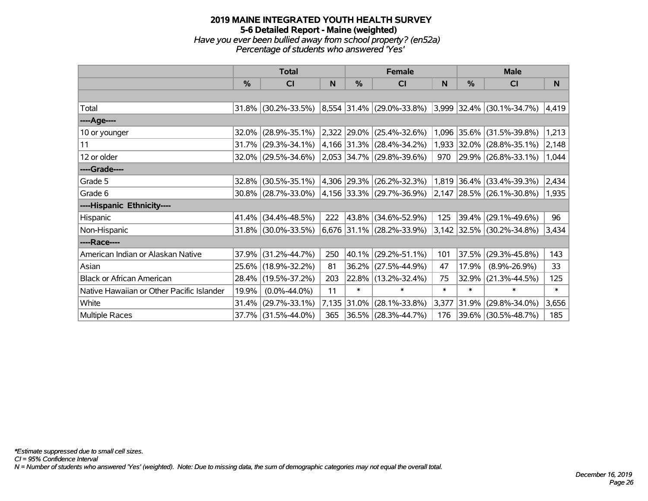## **2019 MAINE INTEGRATED YOUTH HEALTH SURVEY 5-6 Detailed Report - Maine (weighted)** *Have you ever been bullied away from school property? (en52a) Percentage of students who answered 'Yes'*

|                                           |       | <b>Total</b>           |       |             | <b>Female</b>                 |        | <b>Male</b>   |                             |        |  |
|-------------------------------------------|-------|------------------------|-------|-------------|-------------------------------|--------|---------------|-----------------------------|--------|--|
|                                           | $\%$  | C <sub>l</sub>         | N     | %           | <b>CI</b>                     | N      | $\frac{0}{0}$ | <b>CI</b>                   | N      |  |
|                                           |       |                        |       |             |                               |        |               |                             |        |  |
| Total                                     | 31.8% | $(30.2\% - 33.5\%)$    |       |             | 8,554 31.4% (29.0%-33.8%)     |        |               | 3,999 32.4% (30.1%-34.7%)   | 4,419  |  |
| ----Age----                               |       |                        |       |             |                               |        |               |                             |        |  |
| 10 or younger                             | 32.0% | $(28.9\% - 35.1\%)$    | 2,322 |             | $ 29.0\% $ (25.4%-32.6%)      | 1,096  |               | $ 35.6\% $ (31.5%-39.8%)    | 1,213  |  |
| 11                                        | 31.7% | $(29.3\% - 34.1\%)$    |       |             | 4,166 31.3% (28.4%-34.2%)     | 1,933  |               | $ 32.0\% $ (28.8%-35.1%)    | 2,148  |  |
| 12 or older                               |       | 32.0% (29.5%-34.6%)    |       |             | 2,053 34.7% (29.8%-39.6%)     | 970    |               | 29.9% (26.8%-33.1%)         | 1,044  |  |
| ----Grade----                             |       |                        |       |             |                               |        |               |                             |        |  |
| Grade 5                                   | 32.8% | $(30.5\% - 35.1\%)$    |       | 4,306 29.3% | $(26.2\% - 32.3\%)$           | 1,819  |               | $ 36.4\% $ (33.4%-39.3%)    | 2,434  |  |
| Grade 6                                   |       | $30.8\%$ (28.7%-33.0%) |       |             | 4,156   33.3%   (29.7%-36.9%) |        |               | $2,147$ 28.5% (26.1%-30.8%) | 1,935  |  |
| ----Hispanic Ethnicity----                |       |                        |       |             |                               |        |               |                             |        |  |
| Hispanic                                  | 41.4% | $(34.4\% - 48.5\%)$    | 222   | $43.8\%$    | $(34.6\% - 52.9\%)$           | 125    | 39.4%         | $(29.1\% - 49.6\%)$         | 96     |  |
| Non-Hispanic                              |       | 31.8% (30.0%-33.5%)    |       |             | 6,676 31.1% (28.2%-33.9%)     |        |               | 3,142 32.5% (30.2%-34.8%)   | 3,434  |  |
| ----Race----                              |       |                        |       |             |                               |        |               |                             |        |  |
| American Indian or Alaskan Native         | 37.9% | $(31.2\% - 44.7\%)$    | 250   | $40.1\%$    | $(29.2\% - 51.1\%)$           | 101    | 37.5%         | $(29.3\% - 45.8\%)$         | 143    |  |
| Asian                                     | 25.6% | $(18.9\% - 32.2\%)$    | 81    | $36.2\%$    | $(27.5\% - 44.9\%)$           | 47     | 17.9%         | $(8.9\% - 26.9\%)$          | 33     |  |
| <b>Black or African American</b>          | 28.4% | $(19.5\% - 37.2\%)$    | 203   |             | 22.8% (13.2%-32.4%)           | 75     | 32.9%         | $(21.3\% - 44.5\%)$         | 125    |  |
| Native Hawaiian or Other Pacific Islander | 19.9% | $(0.0\% - 44.0\%)$     | 11    | $\ast$      | $\ast$                        | $\ast$ | $\ast$        | $\ast$                      | $\ast$ |  |
| White                                     | 31.4% | $(29.7\% - 33.1\%)$    | 7,135 | 31.0%       | $(28.1\% - 33.8\%)$           | 3,377  | 31.9%         | $(29.8\% - 34.0\%)$         | 3,656  |  |
| Multiple Races                            |       | 37.7% (31.5%-44.0%)    | 365   |             | 36.5% (28.3%-44.7%)           | 176    |               | 39.6% (30.5%-48.7%)         | 185    |  |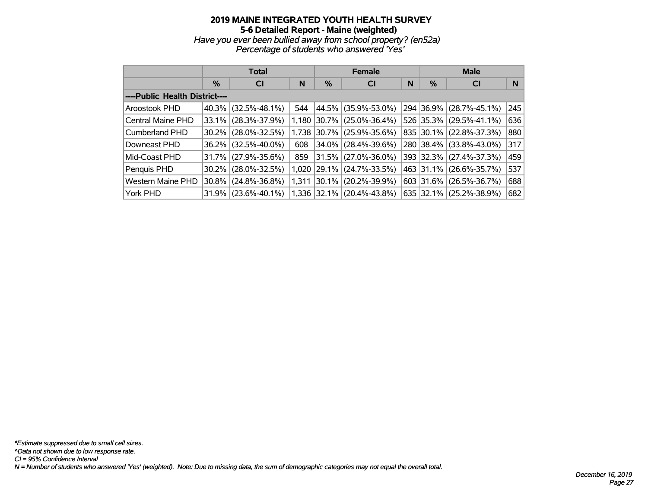#### **2019 MAINE INTEGRATED YOUTH HEALTH SURVEY 5-6 Detailed Report - Maine (weighted)** *Have you ever been bullied away from school property? (en52a) Percentage of students who answered 'Yes'*

|                                |          | <b>Total</b>        |       | <b>Female</b> |                           | <b>Male</b> |           |                     |     |  |  |
|--------------------------------|----------|---------------------|-------|---------------|---------------------------|-------------|-----------|---------------------|-----|--|--|
|                                | $\%$     | <b>CI</b>           | N     | %             | <b>CI</b>                 |             | $\%$      | <b>CI</b>           | N   |  |  |
| ----Public Health District---- |          |                     |       |               |                           |             |           |                     |     |  |  |
| Aroostook PHD                  | $40.3\%$ | $(32.5\% - 48.1\%)$ | 544   | 44.5%         | $(35.9\% - 53.0\%)$       |             | 294 36.9% | $(28.7\% - 45.1\%)$ | 245 |  |  |
| Central Maine PHD              |          | 33.1% (28.3%-37.9%) | 1.180 | $ 30.7\% $    | $(25.0\% - 36.4\%)$       |             | 526 35.3% | $(29.5\% - 41.1\%)$ | 636 |  |  |
| Cumberland PHD                 |          | 30.2% (28.0%-32.5%) | 1.738 |               | $ 30.7\% $ (25.9%-35.6%)  |             | 835 30.1% | $(22.8\% - 37.3\%)$ | 880 |  |  |
| Downeast PHD                   |          | 36.2% (32.5%-40.0%) | 608   | 34.0%         | $(28.4\% - 39.6\%)$       |             | 280 38.4% | $(33.8\% - 43.0\%)$ | 317 |  |  |
| Mid-Coast PHD                  |          | 31.7% (27.9%-35.6%) | 859   | 31.5%         | $(27.0\% - 36.0\%)$       |             | 393 32.3% | $(27.4\% - 37.3\%)$ | 459 |  |  |
| Penquis PHD                    |          | 30.2% (28.0%-32.5%) | 1.020 | 29.1%         | $(24.7\% - 33.5\%)$       |             | 463 31.1% | $(26.6\% - 35.7\%)$ | 537 |  |  |
| <b>Western Maine PHD</b>       |          | 30.8% (24.8%-36.8%) | 1,311 | 30.1%         | $(20.2\% - 39.9\%)$       |             | 603 31.6% | $(26.5\% - 36.7\%)$ | 688 |  |  |
| York PHD                       |          | 31.9% (23.6%-40.1%) |       |               | 1,336 32.1% (20.4%-43.8%) |             | 635 32.1% | $(25.2\% - 38.9\%)$ | 682 |  |  |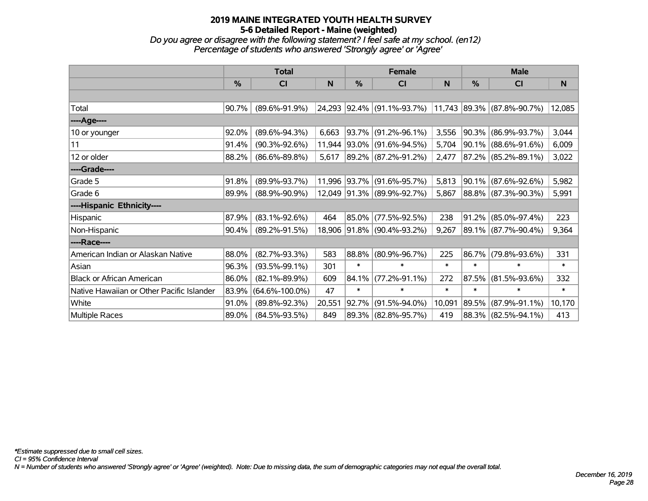*Do you agree or disagree with the following statement? I feel safe at my school. (en12) Percentage of students who answered 'Strongly agree' or 'Agree'*

|                                           |               | <b>Total</b>         |        |               | <b>Female</b>              |        | <b>Male</b> |                            |        |  |
|-------------------------------------------|---------------|----------------------|--------|---------------|----------------------------|--------|-------------|----------------------------|--------|--|
|                                           | $\frac{0}{0}$ | CI                   | N      | $\frac{9}{6}$ | <b>CI</b>                  | N      | %           | CI                         | N      |  |
|                                           |               |                      |        |               |                            |        |             |                            |        |  |
| Total                                     | 90.7%         | $(89.6\% - 91.9\%)$  |        |               | 24,293 92.4% (91.1%-93.7%) |        |             | 11,743 89.3% (87.8%-90.7%) | 12,085 |  |
| ----Age----                               |               |                      |        |               |                            |        |             |                            |        |  |
| 10 or younger                             | 92.0%         | $(89.6\% - 94.3\%)$  | 6,663  |               | 93.7% (91.2%-96.1%)        | 3,556  |             | $90.3\%$ (86.9%-93.7%)     | 3,044  |  |
| 11                                        | 91.4%         | $(90.3\% - 92.6\%)$  | 11,944 |               | $ 93.0\% $ (91.6%-94.5%)   | 5,704  |             | $90.1\%$ (88.6%-91.6%)     | 6,009  |  |
| 12 or older                               | 88.2%         | $(86.6\% - 89.8\%)$  | 5,617  |               | 89.2% (87.2%-91.2%)        | 2,477  |             | 87.2% (85.2%-89.1%)        | 3,022  |  |
| ----Grade----                             |               |                      |        |               |                            |        |             |                            |        |  |
| Grade 5                                   | 91.8%         | $(89.9\% - 93.7\%)$  | 11,996 |               | 93.7% (91.6%-95.7%)        | 5,813  |             | $90.1\%$ (87.6%-92.6%)     | 5,982  |  |
| Grade 6                                   | 89.9%         | $(88.9\% - 90.9\%)$  |        |               | 12,049 91.3% (89.9%-92.7%) | 5,867  |             | 88.8% (87.3%-90.3%)        | 5,991  |  |
| ----Hispanic Ethnicity----                |               |                      |        |               |                            |        |             |                            |        |  |
| Hispanic                                  | 87.9%         | $(83.1\% - 92.6\%)$  | 464    |               | 85.0% (77.5%-92.5%)        | 238    | 91.2%       | $(85.0\% - 97.4\%)$        | 223    |  |
| Non-Hispanic                              | 90.4%         | $(89.2\% - 91.5\%)$  |        |               | 18,906 91.8% (90.4%-93.2%) | 9,267  |             | 89.1% (87.7%-90.4%)        | 9,364  |  |
| ----Race----                              |               |                      |        |               |                            |        |             |                            |        |  |
| American Indian or Alaskan Native         | 88.0%         | $(82.7\% - 93.3\%)$  | 583    |               | 88.8% (80.9%-96.7%)        | 225    |             | 86.7% (79.8%-93.6%)        | 331    |  |
| Asian                                     | 96.3%         | $(93.5\% - 99.1\%)$  | 301    | $\ast$        | $\ast$                     | $\ast$ | $\ast$      | $\ast$                     | $\ast$ |  |
| <b>Black or African American</b>          | 86.0%         | $(82.1\% - 89.9\%)$  | 609    | 84.1%         | $(77.2\% - 91.1\%)$        | 272    | 87.5%       | $(81.5\% - 93.6\%)$        | 332    |  |
| Native Hawaiian or Other Pacific Islander | 83.9%         | $(64.6\% - 100.0\%)$ | 47     | $\ast$        | $\ast$                     | $\ast$ | $\ast$      | $\ast$                     | $\ast$ |  |
| White                                     | 91.0%         | $(89.8\% - 92.3\%)$  | 20,551 | 92.7%         | $(91.5\% - 94.0\%)$        | 10,091 | 89.5%       | $(87.9\% - 91.1\%)$        | 10,170 |  |
| Multiple Races                            | 89.0%         | $(84.5\% - 93.5\%)$  | 849    |               | 89.3% (82.8%-95.7%)        | 419    |             | 88.3% (82.5%-94.1%)        | 413    |  |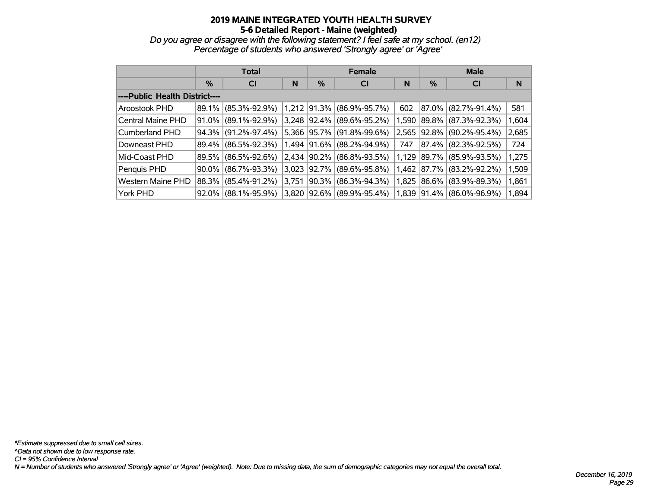*Do you agree or disagree with the following statement? I feel safe at my school. (en12) Percentage of students who answered 'Strongly agree' or 'Agree'*

|                                |       | <b>Total</b>        |       |          | <b>Female</b>       |       | <b>Male</b> |                     |       |  |  |
|--------------------------------|-------|---------------------|-------|----------|---------------------|-------|-------------|---------------------|-------|--|--|
|                                | %     | <b>CI</b>           | N     | %        | <b>CI</b>           |       | %           | <b>CI</b>           | N     |  |  |
| ----Public Health District---- |       |                     |       |          |                     |       |             |                     |       |  |  |
| Aroostook PHD                  | 89.1% | $(85.3\% - 92.9\%)$ | 1,212 | 91.3%    | $(86.9\% - 95.7\%)$ | 602   | 87.0%       | $(82.7\% - 91.4\%)$ | 581   |  |  |
| Central Maine PHD              | 91.0% | $(89.1\% - 92.9\%)$ | 3,248 | 92.4%    | $(89.6\% - 95.2\%)$ | 1,590 | 89.8%       | $(87.3\% - 92.3\%)$ | 1,604 |  |  |
| Cumberland PHD                 | 94.3% | $(91.2\% - 97.4\%)$ | 5.366 | 95.7%    | $(91.8\% - 99.6\%)$ | 2,565 | 92.8%       | $(90.2\% - 95.4\%)$ | 2,685 |  |  |
| Downeast PHD                   | 89.4% | $(86.5\% - 92.3\%)$ | 1.494 | 91.6%    | $(88.2\% - 94.9\%)$ | 747   | 87.4%       | $(82.3\% - 92.5\%)$ | 724   |  |  |
| Mid-Coast PHD                  | 89.5% | $(86.5\% - 92.6\%)$ | 2,434 | $90.2\%$ | $(86.8\% - 93.5\%)$ | 1,129 | 89.7%       | $(85.9\% - 93.5\%)$ | 1,275 |  |  |
| Penquis PHD                    | 90.0% | $(86.7\% - 93.3\%)$ | 3.023 | 92.7%    | $(89.6\% - 95.8\%)$ | 1,462 | 87.7%       | $(83.2\% - 92.2\%)$ | 1,509 |  |  |
| Western Maine PHD              | 88.3% | $(85.4\% - 91.2\%)$ | 3,751 | 90.3%    | $(86.3\% - 94.3\%)$ | 1,825 | 86.6%       | $(83.9\% - 89.3\%)$ | 1,861 |  |  |
| York PHD                       | 92.0% | $(88.1\% - 95.9\%)$ | 3,820 | $92.6\%$ | $(89.9\% - 95.4\%)$ | 1,839 | 91.4%       | $(86.0\% - 96.9\%)$ | 1,894 |  |  |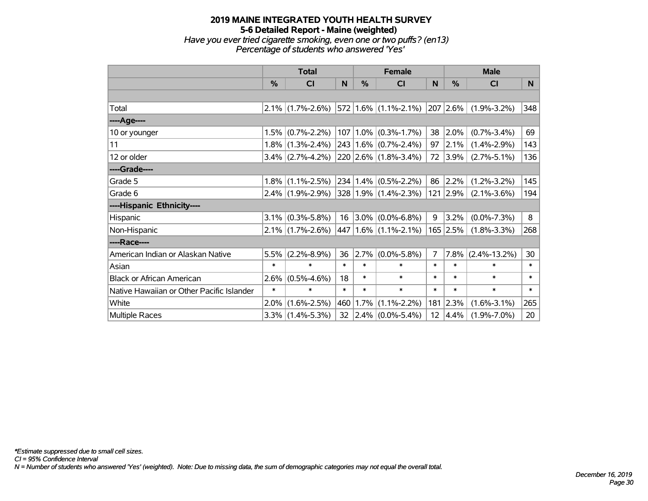## **2019 MAINE INTEGRATED YOUTH HEALTH SURVEY 5-6 Detailed Report - Maine (weighted)** *Have you ever tried cigarette smoking, even one or two puffs? (en13) Percentage of students who answered 'Yes'*

|                                           |         | <b>Total</b>        |        |        | <b>Female</b>                                     |                | <b>Male</b>   |                    |          |
|-------------------------------------------|---------|---------------------|--------|--------|---------------------------------------------------|----------------|---------------|--------------------|----------|
|                                           | $\%$    | <b>CI</b>           | N      | $\%$   | CI                                                | N              | $\frac{0}{0}$ | <b>CI</b>          | <b>N</b> |
|                                           |         |                     |        |        |                                                   |                |               |                    |          |
| Total                                     |         |                     |        |        | $2.1\%$ (1.7%-2.6%) 572 1.6% (1.1%-2.1%) 207 2.6% |                |               | $(1.9\% - 3.2\%)$  | 348      |
| ---- Age----                              |         |                     |        |        |                                                   |                |               |                    |          |
| 10 or younger                             | 1.5%    | $(0.7\% - 2.2\%)$   |        |        | $107 1.0\% $ (0.3%-1.7%)                          | 38             | 2.0%          | $(0.7\% - 3.4\%)$  | 69       |
| 11                                        |         | $1.8\%$ (1.3%-2.4%) |        |        | $243   1.6\%   (0.7\% - 2.4\%)$                   | 97             | 2.1%          | $(1.4\% - 2.9\%)$  | 143      |
| 12 or older                               |         | $3.4\%$ (2.7%-4.2%) |        |        | $220$ 2.6% (1.8%-3.4%)                            | 72             | 3.9%          | $(2.7\% - 5.1\%)$  | 136      |
| ----Grade----                             |         |                     |        |        |                                                   |                |               |                    |          |
| Grade 5                                   |         | $1.8\%$ (1.1%-2.5%) |        |        | $234   1.4\%   (0.5\% - 2.2\%)$                   | 86             | 2.2%          | $(1.2\% - 3.2\%)$  | 145      |
| Grade 6                                   |         | $2.4\%$ (1.9%-2.9%) |        |        | $ 328 1.9\% $ (1.4%-2.3%)                         | 121            | 2.9%          | $(2.1\% - 3.6\%)$  | 194      |
| ----Hispanic Ethnicity----                |         |                     |        |        |                                                   |                |               |                    |          |
| Hispanic                                  |         | $3.1\%$ (0.3%-5.8%) |        |        | 16 3.0% $(0.0\% - 6.8\%)$                         | 9              | 3.2%          | $(0.0\% - 7.3\%)$  | 8        |
| Non-Hispanic                              |         | $2.1\%$ (1.7%-2.6%) |        |        | $ 447 1.6\%  (1.1\% - 2.1\%)$                     |                | $165$ 2.5%    | $(1.8\% - 3.3\%)$  | 268      |
| ----Race----                              |         |                     |        |        |                                                   |                |               |                    |          |
| American Indian or Alaskan Native         | 5.5%    | $(2.2\% - 8.9\%)$   | 36     | 2.7%   | $(0.0\% - 5.8\%)$                                 | $\overline{7}$ | 7.8%          | $(2.4\% - 13.2\%)$ | 30       |
| Asian                                     | $\ast$  | $\ast$              | $\ast$ | $\ast$ | $\ast$                                            | $\ast$         | $\ast$        | $\ast$             | $\ast$   |
| <b>Black or African American</b>          | $2.6\%$ | $(0.5\% - 4.6\%)$   | 18     | $\ast$ | $\ast$                                            | $\ast$         | $\ast$        | $\ast$             | $\ast$   |
| Native Hawaiian or Other Pacific Islander | $\ast$  | $\ast$              | $\ast$ | $\ast$ | $\ast$                                            | $\ast$         | $\ast$        | $\ast$             | $\ast$   |
| White                                     | $2.0\%$ | $(1.6\% - 2.5\%)$   | 460    | 1.7%   | $(1.1\% - 2.2\%)$                                 | 181            | 2.3%          | $(1.6\% - 3.1\%)$  | 265      |
| Multiple Races                            |         | $3.3\%$ (1.4%-5.3%) | 32     |        | $ 2.4\% $ (0.0%-5.4%)                             | 12             | 4.4%          | $(1.9\% - 7.0\%)$  | 20       |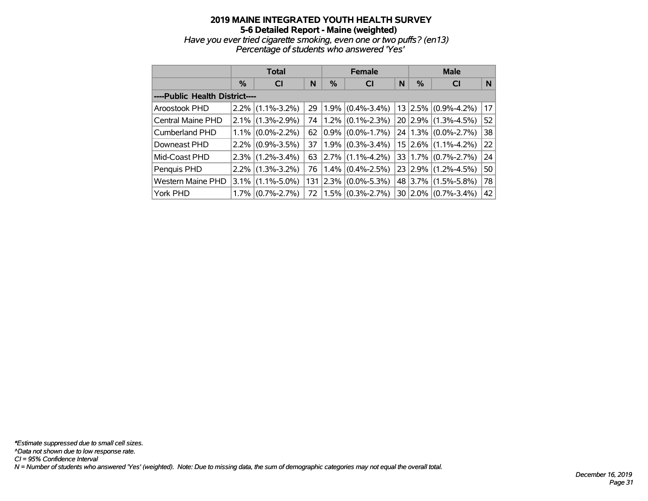## **2019 MAINE INTEGRATED YOUTH HEALTH SURVEY 5-6 Detailed Report - Maine (weighted)** *Have you ever tried cigarette smoking, even one or two puffs? (en13) Percentage of students who answered 'Yes'*

|                                |         | <b>Total</b>      |     |         | <b>Female</b>       |   | <b>Male</b> |                                |    |  |
|--------------------------------|---------|-------------------|-----|---------|---------------------|---|-------------|--------------------------------|----|--|
|                                | $\%$    | <b>CI</b>         | N   | %       | <b>CI</b>           | N | $\%$        | <b>CI</b>                      | N  |  |
| ----Public Health District---- |         |                   |     |         |                     |   |             |                                |    |  |
| Aroostook PHD                  | $2.2\%$ | $(1.1\% - 3.2\%)$ | 29  | 1.9%    | $(0.4\% - 3.4\%)$   |   |             | $13$ 2.5% (0.9%-4.2%)          | 17 |  |
| Central Maine PHD              | 2.1%    | $(1.3\% - 2.9\%)$ | 74  | $1.2\%$ | $(0.1\% - 2.3\%)$   |   |             | 20 2.9% (1.3%-4.5%)            | 52 |  |
| <b>Cumberland PHD</b>          | $1.1\%$ | $(0.0\% - 2.2\%)$ | 62  | $0.9\%$ | $(0.0\% - 1.7\%)$   |   |             | $24 1.3\% $ (0.0%-2.7%)        | 38 |  |
| Downeast PHD                   | $2.2\%$ | $(0.9\% - 3.5\%)$ | 37  |         | $1.9\%$ (0.3%-3.4%) |   |             | $15$ 2.6% (1.1%-4.2%)          | 22 |  |
| Mid-Coast PHD                  | $2.3\%$ | $(1.2\% - 3.4\%)$ | 63  |         | 2.7% (1.1%-4.2%)    |   |             | $33   1.7\%   (0.7\% - 2.7\%)$ | 24 |  |
| Penquis PHD                    | $2.2\%$ | $(1.3\% - 3.2\%)$ | 76  |         | $1.4\%$ (0.4%-2.5%) |   |             | $23$ 2.9% (1.2%-4.5%)          | 50 |  |
| <b>Western Maine PHD</b>       | $3.1\%$ | $(1.1\% - 5.0\%)$ | 131 | 2.3%    | $(0.0\% - 5.3\%)$   |   |             | 48 3.7% (1.5%-5.8%)            | 78 |  |
| York PHD                       | $1.7\%$ | $(0.7\% - 2.7\%)$ | 72  |         | $1.5\%$ (0.3%-2.7%) |   |             | $30 2.0\% $ (0.7%-3.4%)        | 42 |  |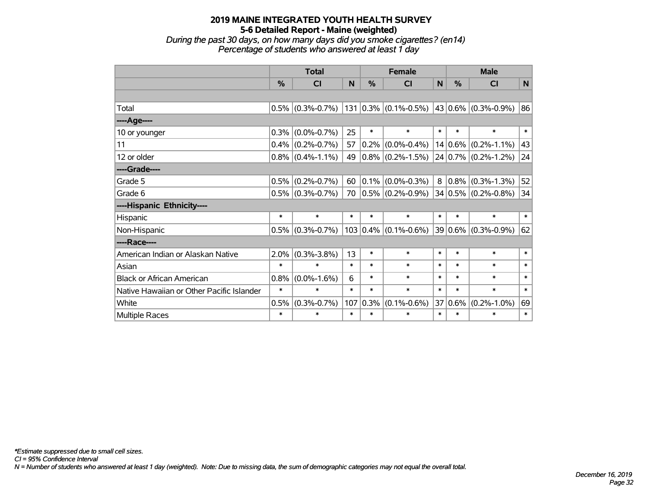*During the past 30 days, on how many days did you smoke cigarettes? (en14) Percentage of students who answered at least 1 day*

|                                           |               | <b>Total</b>        |        |               | <b>Female</b>                                                                            | <b>Male</b> |             |                          |        |
|-------------------------------------------|---------------|---------------------|--------|---------------|------------------------------------------------------------------------------------------|-------------|-------------|--------------------------|--------|
|                                           | $\frac{0}{0}$ | <b>CI</b>           | N      | $\frac{0}{0}$ | <b>CI</b>                                                                                | N           | $\%$        | <b>CI</b>                | N      |
|                                           |               |                     |        |               |                                                                                          |             |             |                          |        |
| Total                                     |               | $0.5\%$ (0.3%-0.7%) |        |               | $\vert$ 131 $\vert$ 0.3% $\vert$ (0.1%-0.5%) $\vert$ 43 $\vert$ 0.6% $\vert$ (0.3%-0.9%) |             |             |                          | 86     |
| ----Age----                               |               |                     |        |               |                                                                                          |             |             |                          |        |
| 10 or younger                             | 0.3%          | $(0.0\% - 0.7\%)$   | 25     | $\ast$        | $\ast$                                                                                   | $\ast$      | $\ast$      | $\ast$                   | $\ast$ |
| 11                                        | $0.4\%$       | $(0.2\% - 0.7\%)$   | 57     | $ 0.2\% $     | $(0.0\% - 0.4\%)$                                                                        |             | $14 0.6\% $ | $(0.2\% - 1.1\%)$        | 43     |
| 12 or older                               |               | $0.8\%$ (0.4%-1.1%) | 49     |               | $0.8\%$ (0.2%-1.5%)                                                                      |             |             | $ 24 0.7\% $ (0.2%-1.2%) | 24     |
| ----Grade----                             |               |                     |        |               |                                                                                          |             |             |                          |        |
| Grade 5                                   | 0.5%          | $(0.2\% - 0.7\%)$   | 60     | $ 0.1\% $     | $(0.0\% - 0.3\%)$                                                                        | 8           | $ 0.8\% $   | $(0.3\% - 1.3\%)$        | 52     |
| Grade 6                                   |               | $0.5\%$ (0.3%-0.7%) | 70     |               | $ 0.5\% $ (0.2%-0.9%)                                                                    |             |             | $34 0.5\% $ (0.2%-0.8%)  | 34     |
| ----Hispanic Ethnicity----                |               |                     |        |               |                                                                                          |             |             |                          |        |
| Hispanic                                  | $\ast$        | $\ast$              | $\ast$ | $\ast$        | $\ast$                                                                                   | $\ast$      | $\ast$      | $\ast$                   | $\ast$ |
| Non-Hispanic                              | 0.5%          | $(0.3\% - 0.7\%)$   |        |               | $103   0.4\%   (0.1\% - 0.6\%)$                                                          |             |             | $ 39 0.6\% $ (0.3%-0.9%) | 62     |
| ----Race----                              |               |                     |        |               |                                                                                          |             |             |                          |        |
| American Indian or Alaskan Native         | $2.0\%$       | $(0.3\% - 3.8\%)$   | 13     | $\ast$        | $\ast$                                                                                   | $\ast$      | $\ast$      | $\ast$                   | $\ast$ |
| Asian                                     | $\ast$        | $\ast$              | $\ast$ | $\ast$        | $\ast$                                                                                   | $\ast$      | $\ast$      | $\ast$                   | $\ast$ |
| <b>Black or African American</b>          | 0.8%          | $(0.0\% - 1.6\%)$   | 6      | $\ast$        | $\ast$                                                                                   | $\ast$      | $\ast$      | $\ast$                   | $\ast$ |
| Native Hawaiian or Other Pacific Islander | $\ast$        | $\ast$              | $\ast$ | $\ast$        | $\ast$                                                                                   | $\ast$      | $\ast$      | $\ast$                   | $\ast$ |
| White                                     | 0.5%          | $(0.3\% - 0.7\%)$   | 107    | $0.3\%$       | $(0.1\% - 0.6\%)$                                                                        | 37          | $0.6\%$     | $(0.2\% - 1.0\%)$        | 69     |
| Multiple Races                            | $\ast$        | $\ast$              | $\ast$ | $\ast$        | $\ast$                                                                                   | $\ast$      | $\ast$      | $\ast$                   | $\ast$ |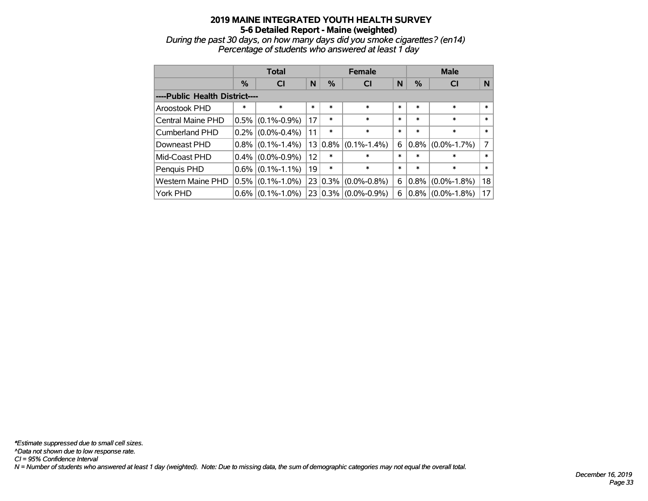*During the past 30 days, on how many days did you smoke cigarettes? (en14) Percentage of students who answered at least 1 day*

|                                |         | <b>Total</b>        |        | <b>Female</b> | <b>Male</b>                    |        |         |                   |        |  |  |
|--------------------------------|---------|---------------------|--------|---------------|--------------------------------|--------|---------|-------------------|--------|--|--|
|                                | %       | <b>CI</b>           | N      | %             | N<br><b>CI</b>                 |        | %       | <b>CI</b>         | N      |  |  |
| ----Public Health District---- |         |                     |        |               |                                |        |         |                   |        |  |  |
| Aroostook PHD                  | $\ast$  | $\ast$              | $\ast$ | $\ast$        | $\ast$                         | *      | $\ast$  | $\ast$            | $\ast$ |  |  |
| Central Maine PHD              | $0.5\%$ | $(0.1\% - 0.9\%)$   | 17     | $\ast$        | $\ast$                         | $\ast$ | $\ast$  | $\ast$            | $\ast$ |  |  |
| <b>Cumberland PHD</b>          |         | $0.2\%$ (0.0%-0.4%) | 11     | $\ast$        | $\ast$                         | $\ast$ | $\ast$  | $\ast$            | $\ast$ |  |  |
| Downeast PHD                   | $0.8\%$ | $(0.1\% - 1.4\%)$   | 13     |               | $ 0.8\% $ (0.1%-1.4%)          | 6      | 0.8%    | $(0.0\% - 1.7\%)$ | 7      |  |  |
| Mid-Coast PHD                  |         | $0.4\%$ (0.0%-0.9%) | 12     | $\ast$        | $\ast$                         | $\ast$ | $\ast$  | $\ast$            | $\ast$ |  |  |
| Penquis PHD                    |         | $0.6\%$ (0.1%-1.1%) | 19     | $\ast$        | $\ast$                         | $\ast$ | $\ast$  | $\ast$            | $\ast$ |  |  |
| <b>Western Maine PHD</b>       | $0.5\%$ | $(0.1\% - 1.0\%)$   |        |               | $23   0.3\%   (0.0\% - 0.8\%)$ | 6      | $0.8\%$ | $(0.0\% - 1.8\%)$ | 18     |  |  |
| York PHD                       | $0.6\%$ | $(0.1\% - 1.0\%)$   |        |               | $23   0.3\%   (0.0\% - 0.9\%)$ | 6      | $0.8\%$ | $(0.0\% - 1.8\%)$ | 17     |  |  |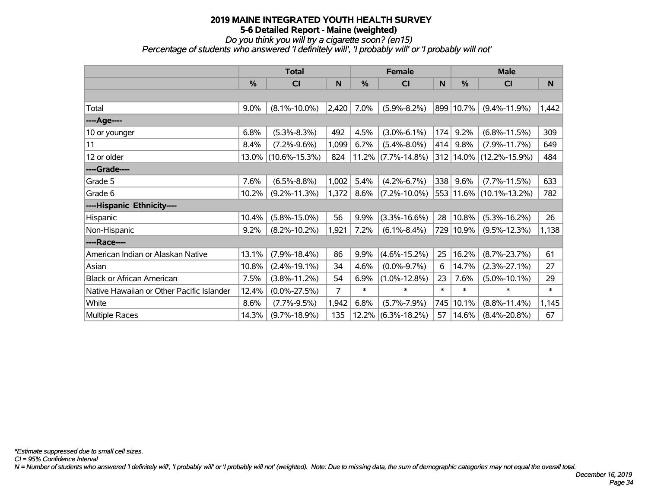*Do you think you will try a cigarette soon? (en15)*

*Percentage of students who answered 'I definitely will', 'I probably will' or 'I probably will not'*

|                                           |               | <b>Total</b>        |       | <b>Female</b> |                       | <b>Male</b> |               |                         |        |
|-------------------------------------------|---------------|---------------------|-------|---------------|-----------------------|-------------|---------------|-------------------------|--------|
|                                           | $\frac{0}{0}$ | CI                  | N     | %             | C <sub>l</sub>        | N           | $\frac{0}{0}$ | CI                      | N      |
|                                           |               |                     |       |               |                       |             |               |                         |        |
| Total                                     | 9.0%          | $(8.1\% - 10.0\%)$  | 2,420 | 7.0%          | $(5.9\% - 8.2\%)$     | 899         | 10.7%         | $(9.4\% - 11.9\%)$      | 1,442  |
| ----Age----                               |               |                     |       |               |                       |             |               |                         |        |
| 10 or younger                             | 6.8%          | $(5.3\% - 8.3\%)$   | 492   | 4.5%          | $(3.0\% - 6.1\%)$     | 174         | 9.2%          | $(6.8\% - 11.5\%)$      | 309    |
| 11                                        | 8.4%          | $(7.2\% - 9.6\%)$   | 1,099 | 6.7%          | $(5.4\% - 8.0\%)$     | 414         | 9.8%          | $(7.9\% - 11.7\%)$      | 649    |
| 12 or older                               | 13.0%         | $(10.6\% - 15.3\%)$ | 824   |               | $11.2\%$ (7.7%-14.8%) |             |               | 312 14.0% (12.2%-15.9%) | 484    |
| ----Grade----                             |               |                     |       |               |                       |             |               |                         |        |
| Grade 5                                   | 7.6%          | $(6.5\% - 8.8\%)$   | 1,002 | 5.4%          | $(4.2\% - 6.7\%)$     | 338         | 9.6%          | $(7.7\% - 11.5\%)$      | 633    |
| Grade 6                                   | 10.2%         | $(9.2\% - 11.3\%)$  | 1,372 | 8.6%          | $(7.2\% - 10.0\%)$    |             |               | 553 11.6% (10.1%-13.2%) | 782    |
| ----Hispanic Ethnicity----                |               |                     |       |               |                       |             |               |                         |        |
| Hispanic                                  | 10.4%         | $(5.8\% - 15.0\%)$  | 56    | 9.9%          | $(3.3\% - 16.6\%)$    | 28          | 10.8%         | $(5.3\% - 16.2\%)$      | 26     |
| Non-Hispanic                              | 9.2%          | $(8.2\% - 10.2\%)$  | 1,921 | 7.2%          | $(6.1\% - 8.4\%)$     |             | 729 10.9%     | $(9.5\% - 12.3\%)$      | 1,138  |
| ----Race----                              |               |                     |       |               |                       |             |               |                         |        |
| American Indian or Alaskan Native         | 13.1%         | $(7.9\% - 18.4\%)$  | 86    | 9.9%          | $(4.6\% - 15.2\%)$    | 25          | 16.2%         | $(8.7\% - 23.7\%)$      | 61     |
| Asian                                     | 10.8%         | $(2.4\% - 19.1\%)$  | 34    | 4.6%          | $(0.0\% - 9.7\%)$     | 6           | 14.7%         | $(2.3\% - 27.1\%)$      | 27     |
| <b>Black or African American</b>          | 7.5%          | $(3.8\% - 11.2\%)$  | 54    | 6.9%          | $(1.0\% - 12.8\%)$    | 23          | 7.6%          | $(5.0\% - 10.1\%)$      | 29     |
| Native Hawaiian or Other Pacific Islander | 12.4%         | $(0.0\% - 27.5\%)$  | 7     | $\ast$        | $\ast$                | $\ast$      | $\ast$        | $\ast$                  | $\ast$ |
| White                                     | 8.6%          | $(7.7\% - 9.5\%)$   | 1,942 | 6.8%          | $(5.7\% - 7.9\%)$     | 745         | 10.1%         | $(8.8\% - 11.4\%)$      | 1,145  |
| Multiple Races                            | 14.3%         | $(9.7\% - 18.9\%)$  | 135   | 12.2%         | $(6.3\% - 18.2\%)$    | 57          | 14.6%         | $(8.4\% - 20.8\%)$      | 67     |

*CI = 95% Confidence Interval*

*N = Number of students who answered 'I definitely will', 'I probably will' or 'I probably will not' (weighted). Note: Due to missing data, the sum of demographic categories may not equal the overall total.*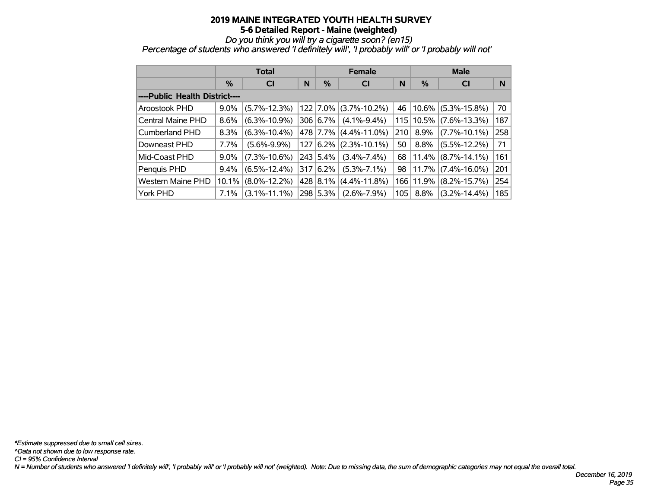*Do you think you will try a cigarette soon? (en15)*

*Percentage of students who answered 'I definitely will', 'I probably will' or 'I probably will not'*

|                                |         | Total              |     |          | <b>Female</b>      |     | <b>Male</b> |                    |     |  |
|--------------------------------|---------|--------------------|-----|----------|--------------------|-----|-------------|--------------------|-----|--|
|                                | $\%$    | <b>CI</b>          | N   | $\%$     | CI                 | N   | %           | <b>CI</b>          | N   |  |
| ----Public Health District---- |         |                    |     |          |                    |     |             |                    |     |  |
| Aroostook PHD                  | 9.0%    | $(5.7\% - 12.3\%)$ |     | 122 7.0% | $(3.7\% - 10.2\%)$ | 46  | $ 10.6\% $  | $(5.3\% - 15.8\%)$ | 70  |  |
| <b>Central Maine PHD</b>       | 8.6%    | $(6.3\% - 10.9\%)$ |     | 306 6.7% | $(4.1\% - 9.4\%)$  |     | 115   10.5% | $(7.6\% - 13.3\%)$ | 187 |  |
| Cumberland PHD                 | 8.3%    | $(6.3\% - 10.4\%)$ |     | 478 7.7% | $(4.4\% - 11.0\%)$ | 210 | 8.9%        | $(7.7\% - 10.1\%)$ | 258 |  |
| Downeast PHD                   | 7.7%    | $(5.6\% - 9.9\%)$  | 127 | $6.2\%$  | $(2.3\% - 10.1\%)$ | 50  | 8.8%        | $(5.5\% - 12.2\%)$ | 71  |  |
| Mid-Coast PHD                  | $9.0\%$ | $(7.3\% - 10.6\%)$ |     | 243 5.4% | $(3.4\% - 7.4\%)$  | 68  | $ 11.4\% $  | $(8.7\% - 14.1\%)$ | 161 |  |
| Penquis PHD                    | $9.4\%$ | $(6.5\% - 12.4\%)$ | 317 | $16.2\%$ | $(5.3\% - 7.1\%)$  | 98  | 11.7%       | $(7.4\% - 16.0\%)$ | 201 |  |
| <b>Western Maine PHD</b>       | 10.1%   | $(8.0\% - 12.2\%)$ |     | 428 8.1% | $(4.4\% - 11.8\%)$ |     | 166 11.9%   | $(8.2\% - 15.7\%)$ | 254 |  |
| York PHD                       | 7.1%    | $(3.1\% - 11.1\%)$ |     | 298 5.3% | $(2.6\% - 7.9\%)$  | 105 | $8.8\%$     | $(3.2\% - 14.4\%)$ | 185 |  |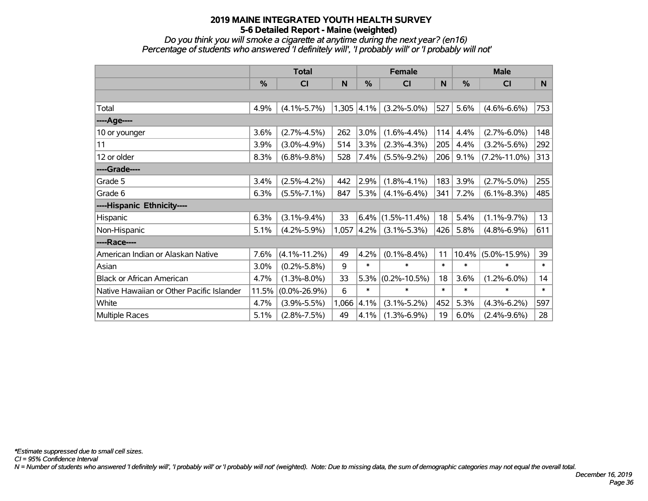*Do you think you will smoke a cigarette at anytime during the next year? (en16) Percentage of students who answered 'I definitely will', 'I probably will' or 'I probably will not'*

|                                           | <b>Total</b> |                    |       |              | <b>Female</b>      |        | <b>Male</b>   |                    |        |  |
|-------------------------------------------|--------------|--------------------|-------|--------------|--------------------|--------|---------------|--------------------|--------|--|
|                                           | %            | <b>CI</b>          | N     | %            | <b>CI</b>          | N      | $\frac{0}{0}$ | <b>CI</b>          | N      |  |
|                                           |              |                    |       |              |                    |        |               |                    |        |  |
| Total                                     | 4.9%         | $(4.1\% - 5.7\%)$  |       | $1,305$ 4.1% | $(3.2\% - 5.0\%)$  | 527    | 5.6%          | $(4.6\% - 6.6\%)$  | 753    |  |
| ----Age----                               |              |                    |       |              |                    |        |               |                    |        |  |
| 10 or younger                             | 3.6%         | $(2.7\% - 4.5\%)$  | 262   | 3.0%         | $(1.6\% - 4.4\%)$  | 114    | 4.4%          | $(2.7\% - 6.0\%)$  | 148    |  |
| 11                                        | 3.9%         | $(3.0\% - 4.9\%)$  | 514   | 3.3%         | $(2.3\% - 4.3\%)$  | 205    | 4.4%          | $(3.2\% - 5.6\%)$  | 292    |  |
| 12 or older                               | 8.3%         | $(6.8\% - 9.8\%)$  | 528   | $7.4\%$      | $(5.5\% - 9.2\%)$  | 206    | 9.1%          | $(7.2\% - 11.0\%)$ | 313    |  |
| ----Grade----                             |              |                    |       |              |                    |        |               |                    |        |  |
| Grade 5                                   | 3.4%         | $(2.5\% - 4.2\%)$  | 442   | 2.9%         | $(1.8\% - 4.1\%)$  | 183    | 3.9%          | $(2.7\% - 5.0\%)$  | 255    |  |
| Grade 6                                   | 6.3%         | $(5.5\% - 7.1\%)$  | 847   | 5.3%         | $(4.1\% - 6.4\%)$  | 341    | 7.2%          | $(6.1\% - 8.3\%)$  | 485    |  |
| ----Hispanic Ethnicity----                |              |                    |       |              |                    |        |               |                    |        |  |
| Hispanic                                  | 6.3%         | $(3.1\% - 9.4\%)$  | 33    | 6.4%         | $(1.5\% - 11.4\%)$ | 18     | 5.4%          | $(1.1\% - 9.7\%)$  | 13     |  |
| Non-Hispanic                              | 5.1%         | $(4.2\% - 5.9\%)$  |       | 1,057 4.2%   | $(3.1\% - 5.3\%)$  | 426    | 5.8%          | $(4.8\% - 6.9\%)$  | 611    |  |
| ----Race----                              |              |                    |       |              |                    |        |               |                    |        |  |
| American Indian or Alaskan Native         | 7.6%         | $(4.1\% - 11.2\%)$ | 49    | 4.2%         | $(0.1\% - 8.4\%)$  | 11     | $10.4\%$      | $(5.0\% - 15.9\%)$ | 39     |  |
| Asian                                     | 3.0%         | $(0.2\% - 5.8\%)$  | 9     | $\ast$       | $\ast$             | $\ast$ | $\ast$        | $\ast$             | $\ast$ |  |
| <b>Black or African American</b>          | 4.7%         | $(1.3\% - 8.0\%)$  | 33    | 5.3%         | $(0.2\% - 10.5\%)$ | 18     | 3.6%          | $(1.2\% - 6.0\%)$  | 14     |  |
| Native Hawaiian or Other Pacific Islander | 11.5%        | $(0.0\% - 26.9\%)$ | 6     | $\ast$       | $\ast$             | $\ast$ | $\ast$        | $\ast$             | $\ast$ |  |
| White                                     | 4.7%         | $(3.9\% - 5.5\%)$  | 1,066 | 4.1%         | $(3.1\% - 5.2\%)$  | 452    | 5.3%          | $(4.3\% - 6.2\%)$  | 597    |  |
| Multiple Races                            | 5.1%         | $(2.8\% - 7.5\%)$  | 49    | 4.1%         | $(1.3\% - 6.9\%)$  | 19     | 6.0%          | $(2.4\% - 9.6\%)$  | 28     |  |

*CI = 95% Confidence Interval*

*N = Number of students who answered 'I definitely will', 'I probably will' or 'I probably will not' (weighted). Note: Due to missing data, the sum of demographic categories may not equal the overall total.*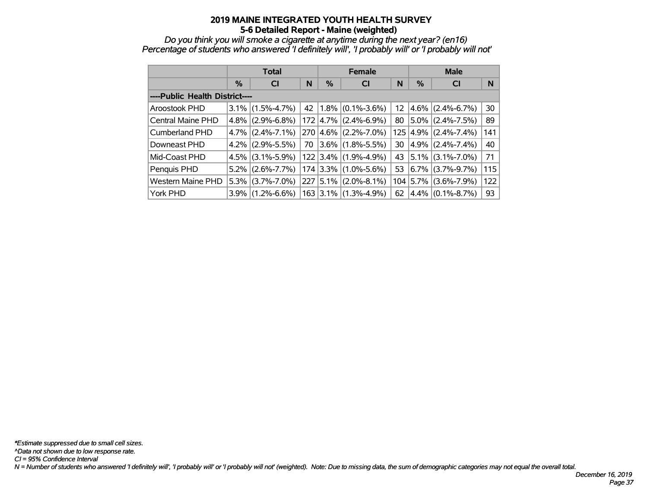*Do you think you will smoke a cigarette at anytime during the next year? (en16) Percentage of students who answered 'I definitely will', 'I probably will' or 'I probably will not'*

|                                |         | <b>Total</b>        |    |   | <b>Female</b>                         |    | <b>Male</b>          |                   |                 |  |
|--------------------------------|---------|---------------------|----|---|---------------------------------------|----|----------------------|-------------------|-----------------|--|
|                                | %       | <b>CI</b>           | N  | % | <b>CI</b>                             | N  | %                    | <b>CI</b>         | N               |  |
| ----Public Health District---- |         |                     |    |   |                                       |    |                      |                   |                 |  |
| Aroostook PHD                  | $3.1\%$ | $(1.5\% - 4.7\%)$   | 42 |   | $1.8\%$ (0.1%-3.6%)                   |    | $12 \mid 4.6\% \mid$ | $(2.4\% - 6.7\%)$ | 30 <sup>1</sup> |  |
| Central Maine PHD              | $4.8\%$ | $(2.9\% - 6.8\%)$   |    |   | $172 \mid 4.7\% \mid (2.4\% - 6.9\%)$ | 80 | 5.0%                 | $(2.4\% - 7.5\%)$ | 89              |  |
| <b>Cumberland PHD</b>          |         | $4.7\%$ (2.4%-7.1%) |    |   | $270  4.6\%  (2.2\% - 7.0\%)$         |    | 125 4.9%             | $(2.4\% - 7.4\%)$ | 141             |  |
| Downeast PHD                   | $4.2\%$ | $(2.9\% - 5.5\%)$   | 70 |   | $ 3.6\% $ (1.8%-5.5%)                 | 30 | 4.9%                 | $(2.4\% - 7.4\%)$ | 40              |  |
| Mid-Coast PHD                  |         | $4.5\%$ (3.1%-5.9%) |    |   | $122$ 3.4% (1.9%-4.9%)                |    | 43 5.1%              | $(3.1\% - 7.0\%)$ | 71              |  |
| Penquis PHD                    | $5.2\%$ | $(2.6\% - 7.7\%)$   |    |   | $174$ 3.3% (1.0%-5.6%)                | 53 | 6.7%                 | $(3.7\% - 9.7\%)$ | 115             |  |
| <b>Western Maine PHD</b>       |         | $5.3\%$ (3.7%-7.0%) |    |   | $227   5.1\%   (2.0\% - 8.1\%)$       |    | 104 5.7%             | $(3.6\% - 7.9\%)$ | 122             |  |
| York PHD                       | $3.9\%$ | $(1.2\% - 6.6\%)$   |    |   | 163 3.1% (1.3%-4.9%)                  | 62 | 4.4%                 | $(0.1\% - 8.7\%)$ | 93              |  |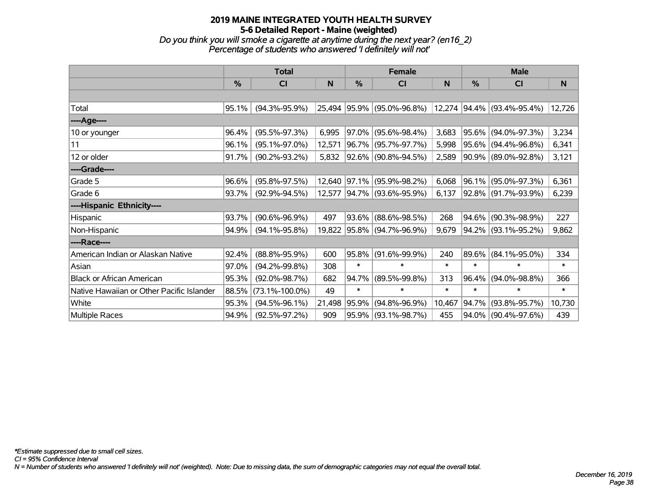# **2019 MAINE INTEGRATED YOUTH HEALTH SURVEY 5-6 Detailed Report - Maine (weighted)** *Do you think you will smoke a cigarette at anytime during the next year? (en16\_2)*

*Percentage of students who answered 'I definitely will not'*

|                                           |               | <b>Total</b>         |        | <b>Female</b> |                            | <b>Male</b> |        |                            |        |
|-------------------------------------------|---------------|----------------------|--------|---------------|----------------------------|-------------|--------|----------------------------|--------|
|                                           | $\frac{0}{0}$ | <b>CI</b>            | N      | %             | <b>CI</b>                  | N           | %      | CI                         | N      |
|                                           |               |                      |        |               |                            |             |        |                            |        |
| Total                                     | 95.1%         | $(94.3\% - 95.9\%)$  |        |               | 25,494 95.9% (95.0%-96.8%) |             |        | 12,274 94.4% (93.4%-95.4%) | 12,726 |
| ----Age----                               |               |                      |        |               |                            |             |        |                            |        |
| 10 or younger                             | 96.4%         | $(95.5\% - 97.3\%)$  | 6,995  |               | $97.0\%$ (95.6%-98.4%)     | 3,683       |        | 95.6% (94.0%-97.3%)        | 3,234  |
| 11                                        | 96.1%         | $(95.1\% - 97.0\%)$  | 12,571 |               | 96.7% (95.7%-97.7%)        | 5,998       |        | 95.6% (94.4%-96.8%)        | 6,341  |
| 12 or older                               | 91.7%         | $(90.2\% - 93.2\%)$  | 5,832  |               | 92.6% (90.8%-94.5%)        | 2,589       |        | 90.9% (89.0%-92.8%)        | 3,121  |
| ----Grade----                             |               |                      |        |               |                            |             |        |                            |        |
| Grade 5                                   | 96.6%         | $(95.8\% - 97.5\%)$  | 12,640 |               | 97.1% (95.9%-98.2%)        | 6,068       |        | 96.1% (95.0%-97.3%)        | 6,361  |
| Grade 6                                   | 93.7%         | $(92.9\% - 94.5\%)$  | 12,577 |               | $ 94.7\% $ (93.6%-95.9%)   | 6,137       |        | 92.8% (91.7%-93.9%)        | 6,239  |
| ----Hispanic Ethnicity----                |               |                      |        |               |                            |             |        |                            |        |
| Hispanic                                  | 93.7%         | $(90.6\% - 96.9\%)$  | 497    | 93.6%         | $(88.6\% - 98.5\%)$        | 268         | 94.6%  | $(90.3\% - 98.9\%)$        | 227    |
| Non-Hispanic                              | 94.9%         | $(94.1\% - 95.8\%)$  |        |               | 19,822 95.8% (94.7%-96.9%) | 9,679       |        | 94.2% (93.1%-95.2%)        | 9,862  |
| ----Race----                              |               |                      |        |               |                            |             |        |                            |        |
| American Indian or Alaskan Native         | 92.4%         | $(88.8\% - 95.9\%)$  | 600    |               | 95.8% (91.6%-99.9%)        | 240         |        | 89.6% (84.1%-95.0%)        | 334    |
| Asian                                     | 97.0%         | $(94.2\% - 99.8\%)$  | 308    | $\ast$        | $\ast$                     | $\ast$      | $\ast$ | $\ast$                     | $\ast$ |
| <b>Black or African American</b>          | 95.3%         | $(92.0\% - 98.7\%)$  | 682    | 94.7%         | $(89.5\% - 99.8\%)$        | 313         | 96.4%  | $(94.0\% - 98.8\%)$        | 366    |
| Native Hawaiian or Other Pacific Islander | 88.5%         | $(73.1\% - 100.0\%)$ | 49     | $\ast$        | $\ast$                     | $\ast$      | $\ast$ | $\ast$                     | $\ast$ |
| White                                     | 95.3%         | $(94.5\% - 96.1\%)$  | 21,498 | 95.9%         | $(94.8\% - 96.9\%)$        | 10,467      | 94.7%  | $(93.8\% - 95.7\%)$        | 10,730 |
| Multiple Races                            | 94.9%         | $(92.5\% - 97.2\%)$  | 909    |               | 95.9% (93.1%-98.7%)        | 455         |        | 94.0% (90.4%-97.6%)        | 439    |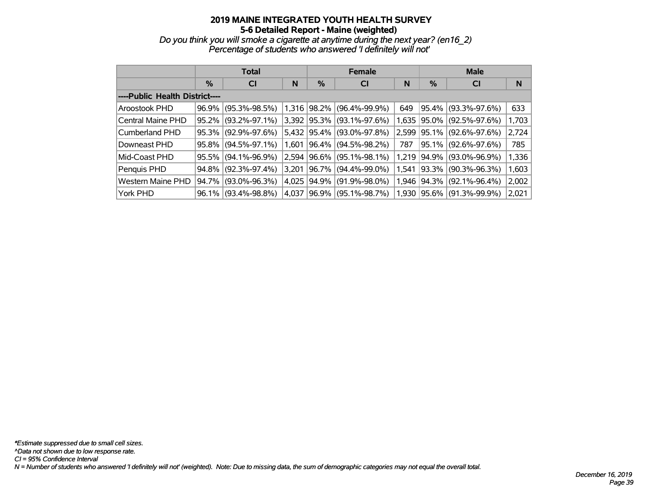*Do you think you will smoke a cigarette at anytime during the next year? (en16\_2) Percentage of students who answered 'I definitely will not'*

|                                |       | <b>Total</b>        |       |          | <b>Female</b>       |       | <b>Male</b> |                     |       |  |  |
|--------------------------------|-------|---------------------|-------|----------|---------------------|-------|-------------|---------------------|-------|--|--|
|                                | %     | <b>CI</b>           | N     | %        | CI                  | N     | %           | <b>CI</b>           | N     |  |  |
| ----Public Health District---- |       |                     |       |          |                     |       |             |                     |       |  |  |
| Aroostook PHD                  | 96.9% | $(95.3\% - 98.5\%)$ | 1,316 | 98.2%    | $(96.4\% - 99.9\%)$ | 649   | 95.4%       | $(93.3\% - 97.6\%)$ | 633   |  |  |
| Central Maine PHD              | 95.2% | $(93.2\% - 97.1\%)$ | 3,392 | 95.3%    | $(93.1\% - 97.6\%)$ | 1,635 | 95.0%       | $(92.5\% - 97.6\%)$ | 1,703 |  |  |
| Cumberland PHD                 | 95.3% | $(92.9\% - 97.6\%)$ | 5,432 | $95.4\%$ | $(93.0\% - 97.8\%)$ | 2,599 | 95.1%       | $(92.6\% - 97.6\%)$ | 2,724 |  |  |
| Downeast PHD                   | 95.8% | $(94.5\% - 97.1\%)$ | 1,601 | 96.4%    | $(94.5\% - 98.2\%)$ | 787   | 95.1%       | $(92.6\% - 97.6\%)$ | 785   |  |  |
| Mid-Coast PHD                  | 95.5% | $(94.1\% - 96.9\%)$ | 2,594 | 96.6%    | $(95.1\% - 98.1\%)$ | 1,219 | 94.9%       | $(93.0\% - 96.9\%)$ | 1,336 |  |  |
| Penquis PHD                    | 94.8% | $(92.3\% - 97.4\%)$ | 3,201 | 96.7%    | $(94.4\% - 99.0\%)$ | 1.541 | 93.3%       | $(90.3\% - 96.3\%)$ | 1,603 |  |  |
| Western Maine PHD              | 94.7% | $(93.0\% - 96.3\%)$ | 4,025 | 94.9%    | $(91.9\% - 98.0\%)$ | 1,946 | 94.3%       | $(92.1\% - 96.4\%)$ | 2,002 |  |  |
| York PHD                       | 96.1% | $(93.4\% - 98.8\%)$ | 4,037 | 96.9%    | $(95.1\% - 98.7\%)$ | 1,930 | 95.6%       | $(91.3\% - 99.9\%)$ | 2,021 |  |  |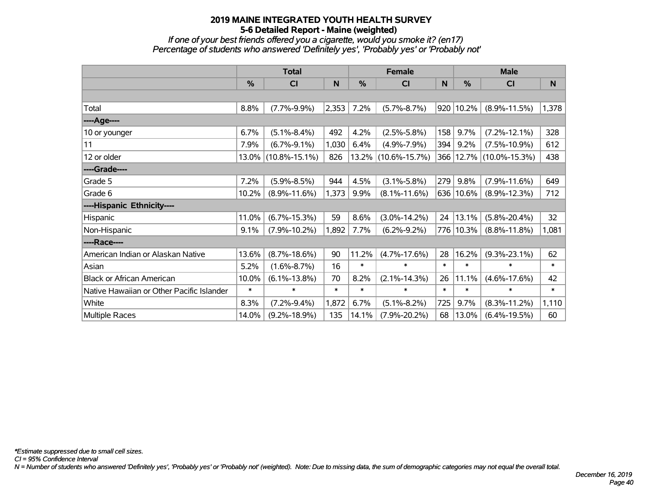*If one of your best friends offered you a cigarette, would you smoke it? (en17) Percentage of students who answered 'Definitely yes', 'Probably yes' or 'Probably not'*

|                                           | <b>Total</b> |                     |        |        | <b>Female</b>       |        | <b>Male</b> |                     |        |
|-------------------------------------------|--------------|---------------------|--------|--------|---------------------|--------|-------------|---------------------|--------|
|                                           | %            | <b>CI</b>           | N      | %      | <b>CI</b>           | N      | %           | C <sub>l</sub>      | N      |
|                                           |              |                     |        |        |                     |        |             |                     |        |
| Total                                     | 8.8%         | $(7.7\% - 9.9\%)$   | 2,353  | 7.2%   | $(5.7\% - 8.7\%)$   | 920    | 10.2%       | $(8.9\% - 11.5\%)$  | 1,378  |
| ----Age----                               |              |                     |        |        |                     |        |             |                     |        |
| 10 or younger                             | 6.7%         | $(5.1\% - 8.4\%)$   | 492    | 4.2%   | $(2.5\% - 5.8\%)$   | 158    | 9.7%        | $(7.2\% - 12.1\%)$  | 328    |
| 11                                        | 7.9%         | $(6.7\% - 9.1\%)$   | 1,030  | 6.4%   | $(4.9\% - 7.9\%)$   | 394    | 9.2%        | $(7.5\% - 10.9\%)$  | 612    |
| 12 or older                               | 13.0%        | $(10.8\% - 15.1\%)$ | 826    |        | 13.2% (10.6%-15.7%) | 366    |             | 12.7% (10.0%-15.3%) | 438    |
| ----Grade----                             |              |                     |        |        |                     |        |             |                     |        |
| Grade 5                                   | 7.2%         | $(5.9\% - 8.5\%)$   | 944    | 4.5%   | $(3.1\% - 5.8\%)$   | 279    | 9.8%        | $(7.9\% - 11.6\%)$  | 649    |
| Grade 6                                   | 10.2%        | $(8.9\% - 11.6\%)$  | 1,373  | 9.9%   | $(8.1\% - 11.6\%)$  | 636    | 10.6%       | $(8.9\% - 12.3\%)$  | 712    |
| ----Hispanic Ethnicity----                |              |                     |        |        |                     |        |             |                     |        |
| Hispanic                                  | 11.0%        | $(6.7\% - 15.3\%)$  | 59     | 8.6%   | $(3.0\% - 14.2\%)$  | 24     | 13.1%       | $(5.8\% - 20.4\%)$  | 32     |
| Non-Hispanic                              | 9.1%         | $(7.9\% - 10.2\%)$  | 1,892  | 7.7%   | $(6.2\% - 9.2\%)$   | 776    | 10.3%       | $(8.8\% - 11.8\%)$  | 1,081  |
| ----Race----                              |              |                     |        |        |                     |        |             |                     |        |
| American Indian or Alaskan Native         | 13.6%        | $(8.7\% - 18.6\%)$  | 90     | 11.2%  | $(4.7\% - 17.6\%)$  | 28     | 16.2%       | $(9.3\% - 23.1\%)$  | 62     |
| Asian                                     | 5.2%         | $(1.6\% - 8.7\%)$   | 16     | $\ast$ | $\ast$              | $\ast$ | $\ast$      | $\ast$              | $\ast$ |
| <b>Black or African American</b>          | 10.0%        | $(6.1\% - 13.8\%)$  | 70     | 8.2%   | $(2.1\% - 14.3\%)$  | 26     | 11.1%       | $(4.6\% - 17.6\%)$  | 42     |
| Native Hawaiian or Other Pacific Islander | $\ast$       | $\ast$              | $\ast$ | $\ast$ | $\ast$              | $\ast$ | $\ast$      | $\ast$              | $\ast$ |
| White                                     | 8.3%         | $(7.2\% - 9.4\%)$   | 1,872  | 6.7%   | $(5.1\% - 8.2\%)$   | 725    | 9.7%        | $(8.3\% - 11.2\%)$  | 1,110  |
| Multiple Races                            | 14.0%        | $(9.2\% - 18.9\%)$  | 135    | 14.1%  | $(7.9\% - 20.2\%)$  | 68     | 13.0%       | $(6.4\% - 19.5\%)$  | 60     |

*CI = 95% Confidence Interval*

*N = Number of students who answered 'Definitely yes', 'Probably yes' or 'Probably not' (weighted). Note: Due to missing data, the sum of demographic categories may not equal the overall total.*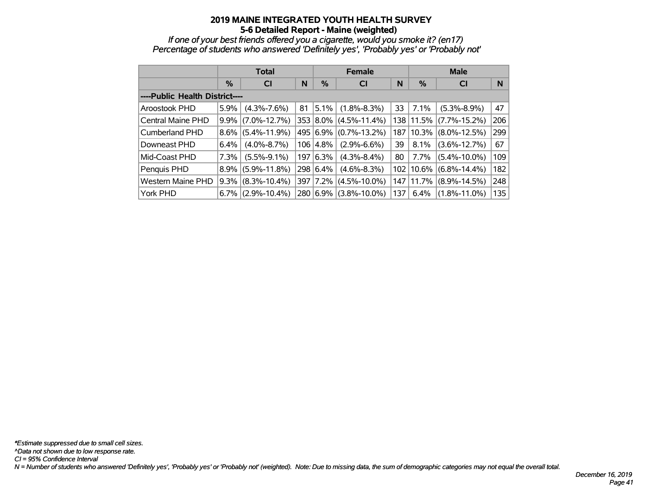*If one of your best friends offered you a cigarette, would you smoke it? (en17) Percentage of students who answered 'Definitely yes', 'Probably yes' or 'Probably not'*

|                                |         | <b>Total</b>       |     |           | <b>Female</b>      |     | <b>Male</b> |                    |     |  |  |
|--------------------------------|---------|--------------------|-----|-----------|--------------------|-----|-------------|--------------------|-----|--|--|
|                                | $\%$    | <b>CI</b>          | N   | %         | <b>CI</b>          | N   | %           | <b>CI</b>          | N   |  |  |
| ----Public Health District---- |         |                    |     |           |                    |     |             |                    |     |  |  |
| Aroostook PHD                  | 5.9%    | $(4.3\% - 7.6\%)$  | 81  | $5.1\%$   | $(1.8\% - 8.3\%)$  | 33  | 7.1%        | $(5.3\% - 8.9\%)$  | 47  |  |  |
| Central Maine PHD              | $9.9\%$ | $(7.0\% - 12.7\%)$ |     | 353 8.0%  | $(4.5\% - 11.4\%)$ | 138 | 11.5%       | $(7.7\% - 15.2\%)$ | 206 |  |  |
| Cumberland PHD                 | $8.6\%$ | $(5.4\% - 11.9\%)$ |     | 495 6.9%  | $(0.7\% - 13.2\%)$ | 187 | 10.3%       | $(8.0\% - 12.5\%)$ | 299 |  |  |
| Downeast PHD                   | 6.4%    | $(4.0\% - 8.7\%)$  | 106 | 4.8%      | $(2.9\% - 6.6\%)$  | 39  | 8.1%        | $(3.6\% - 12.7\%)$ | 67  |  |  |
| Mid-Coast PHD                  | 7.3%    | $(5.5\% - 9.1\%)$  |     | 197 6.3%  | $(4.3\% - 8.4\%)$  | 80  | 7.7%        | $(5.4\% - 10.0\%)$ | 109 |  |  |
| Penquis PHD                    | $8.9\%$ | $(5.9\% - 11.8\%)$ |     | 298 6.4%  | $(4.6\% - 8.3\%)$  | 102 | $10.6\%$    | $(6.8\% - 14.4\%)$ | 182 |  |  |
| Western Maine PHD              | $9.3\%$ | $(8.3\% - 10.4\%)$ | 397 | $ 7.2\% $ | $(4.5\% - 10.0\%)$ | 147 | 11.7%       | $(8.9\% - 14.5\%)$ | 248 |  |  |
| York PHD                       | $6.7\%$ | $(2.9\% - 10.4\%)$ |     | 280 6.9%  | $(3.8\% - 10.0\%)$ | 137 | 6.4%        | $(1.8\% - 11.0\%)$ | 135 |  |  |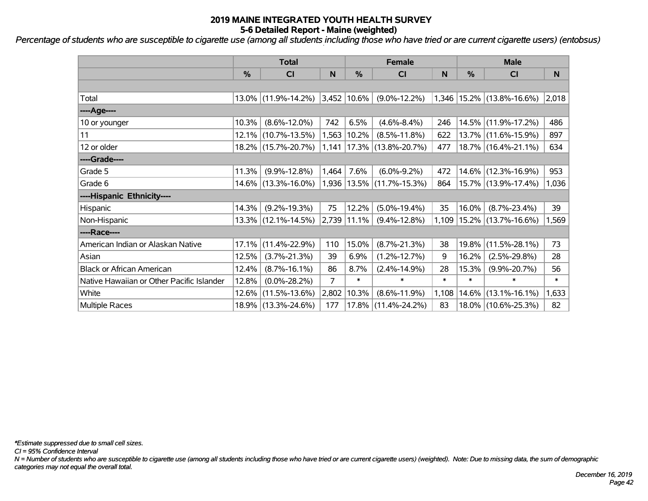*Percentage of students who are susceptible to cigarette use (among all students including those who have tried or are current cigarette users) (entobsus) '*

|                                           |          | <b>Total</b>           |                | <b>Female</b>    |                                 | <b>Male</b> |               |                                 |        |
|-------------------------------------------|----------|------------------------|----------------|------------------|---------------------------------|-------------|---------------|---------------------------------|--------|
|                                           | %        | CI                     | N              | $\frac{0}{0}$    | <b>CI</b>                       | N           | $\frac{0}{0}$ | C <sub>l</sub>                  | N      |
|                                           |          |                        |                |                  |                                 |             |               |                                 |        |
| Total                                     |          | 13.0% (11.9%-14.2%)    |                | $ 3,452 10.6\% $ | $(9.0\% - 12.2\%)$              |             |               | $1,346$   15.2%   (13.8%-16.6%) | 2,018  |
| ----Age----                               |          |                        |                |                  |                                 |             |               |                                 |        |
| 10 or younger                             | 10.3%    | $(8.6\% - 12.0\%)$     | 742            | 6.5%             | $(4.6\% - 8.4\%)$               | 246         |               | 14.5% (11.9%-17.2%)             | 486    |
| 11                                        | 12.1%    | $(10.7\% - 13.5\%)$    | 1,563          | $10.2\%$         | $(8.5\% - 11.8\%)$              | 622         |               | 13.7% (11.6%-15.9%)             | 897    |
| 12 or older                               |          | 18.2% (15.7%-20.7%)    |                |                  | $1,141$   17.3%   (13.8%-20.7%) | 477         |               | 18.7% (16.4%-21.1%)             | 634    |
| ----Grade----                             |          |                        |                |                  |                                 |             |               |                                 |        |
| Grade 5                                   | 11.3%    | $(9.9\% - 12.8\%)$     | 1,464          | 7.6%             | $(6.0\% - 9.2\%)$               | 472         |               | 14.6% (12.3%-16.9%)             | 953    |
| Grade 6                                   |          | 14.6% (13.3%-16.0%)    |                |                  | $1,936$   13.5%   (11.7%-15.3%) | 864         |               | 15.7% (13.9%-17.4%)             | 1,036  |
| ----Hispanic Ethnicity----                |          |                        |                |                  |                                 |             |               |                                 |        |
| Hispanic                                  | $14.3\%$ | $(9.2\% - 19.3\%)$     | 75             | 12.2%            | $(5.0\% - 19.4\%)$              | 35          | 16.0%         | $(8.7\% - 23.4\%)$              | 39     |
| Non-Hispanic                              |          | $13.3\%$ (12.1%-14.5%) |                | $ 2,739 11.1\% $ | $(9.4\% - 12.8\%)$              | 1,109       |               | 15.2% (13.7%-16.6%)             | 1,569  |
| ----Race----                              |          |                        |                |                  |                                 |             |               |                                 |        |
| American Indian or Alaskan Native         | 17.1%    | $(11.4\% - 22.9\%)$    | 110            | 15.0%            | $(8.7\% - 21.3\%)$              | 38          | 19.8%         | $(11.5\% - 28.1\%)$             | 73     |
| Asian                                     | 12.5%    | $(3.7\% - 21.3\%)$     | 39             | 6.9%             | $(1.2\% - 12.7\%)$              | 9           | 16.2%         | $(2.5\% - 29.8\%)$              | 28     |
| <b>Black or African American</b>          | 12.4%    | $(8.7\% - 16.1\%)$     | 86             | 8.7%             | $(2.4\% - 14.9\%)$              | 28          | 15.3%         | $(9.9\% - 20.7\%)$              | 56     |
| Native Hawaiian or Other Pacific Islander | 12.8%    | $(0.0\% - 28.2\%)$     | $\overline{7}$ | $\ast$           | $\ast$                          | $\ast$      | $\ast$        | $\ast$                          | $\ast$ |
| White                                     | $12.6\%$ | $(11.5\% - 13.6\%)$    | 2,802          | 10.3%            | $(8.6\% - 11.9\%)$              | 1,108       | 14.6%         | $(13.1\% - 16.1\%)$             | 1,633  |
| Multiple Races                            |          | 18.9% (13.3%-24.6%)    | 177            |                  | $17.8\%$ (11.4%-24.2%)          | 83          |               | 18.0% (10.6%-25.3%)             | 82     |

*\*Estimate suppressed due to small cell sizes.*

*CI = 95% Confidence Interval*

*N = Number of students who are susceptible to cigarette use (among all students including those who have tried or are current cigarette users) (weighted). Note: Due to missing data, the sum of demographic categories may not equal the overall total.*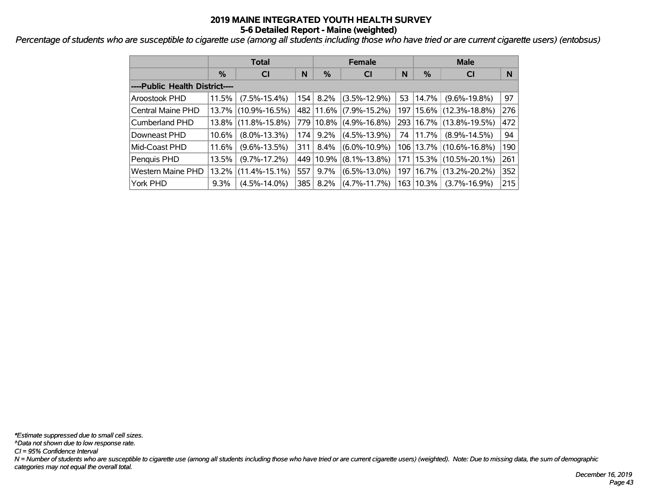*Percentage of students who are susceptible to cigarette use (among all students including those who have tried or are current cigarette users) (entobsus) '*

|                                |         | <b>Total</b>        |     |           | <b>Female</b>      |    | <b>Male</b> |                             |     |  |  |
|--------------------------------|---------|---------------------|-----|-----------|--------------------|----|-------------|-----------------------------|-----|--|--|
|                                | %       | <b>CI</b>           | N   | $\%$      | <b>CI</b>          | N  | %           | <b>CI</b>                   | N   |  |  |
| ----Public Health District---- |         |                     |     |           |                    |    |             |                             |     |  |  |
| Aroostook PHD                  | 11.5%   | $(7.5\% - 15.4\%)$  |     | 154 8.2%  | $(3.5\% - 12.9\%)$ | 53 | $ 14.7\% $  | $(9.6\% - 19.8\%)$          | 97  |  |  |
| <b>Central Maine PHD</b>       |         | 13.7% (10.9%-16.5%) |     | 482 11.6% | $(7.9\% - 15.2\%)$ |    | 197   15.6% | $(12.3\% - 18.8\%)$         | 276 |  |  |
| Cumberland PHD                 |         | 13.8% (11.8%-15.8%) |     | 779 10.8% | $(4.9\% - 16.8\%)$ |    |             | 293   16.7%   (13.8%-19.5%) | 472 |  |  |
| Downeast PHD                   | 10.6%   | $(8.0\% - 13.3\%)$  | 174 | $9.2\%$   | $(4.5\% - 13.9\%)$ | 74 | 11.7%       | $(8.9\% - 14.5\%)$          | 94  |  |  |
| Mid-Coast PHD                  | 11.6%   | $(9.6\% - 13.5\%)$  | 311 | $8.4\%$   | $(6.0\% - 10.9\%)$ |    |             | 106   13.7%   (10.6%-16.8%) | 190 |  |  |
| Penquis PHD                    | 13.5%   | $(9.7\% - 17.2\%)$  | 449 | 10.9%     | $(8.1\% - 13.8\%)$ |    |             | 171   15.3%   (10.5%-20.1%) | 261 |  |  |
| <b>Western Maine PHD</b>       | 13.2%   | $(11.4\% - 15.1\%)$ | 557 | $9.7\%$   | $(6.5\% - 13.0\%)$ |    | 197   16.7% | $(13.2\% - 20.2\%)$         | 352 |  |  |
| York PHD                       | $9.3\%$ | $(4.5\% - 14.0\%)$  | 385 | $8.2\%$   | $(4.7\% - 11.7\%)$ |    | 163   10.3% | $(3.7\% - 16.9\%)$          | 215 |  |  |

*\*Estimate suppressed due to small cell sizes.*

*^Data not shown due to low response rate.*

*CI = 95% Confidence Interval*

*N = Number of students who are susceptible to cigarette use (among all students including those who have tried or are current cigarette users) (weighted). Note: Due to missing data, the sum of demographic categories may not equal the overall total.*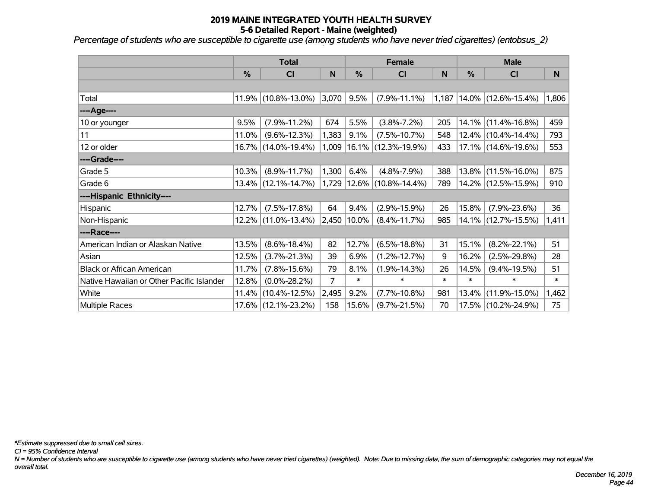*Percentage of students who are susceptible to cigarette use (among students who have never tried cigarettes) (entobsus\_2)*

|                                           | <b>Total</b> |                        |                |               | <b>Female</b>             |        | <b>Male</b> |                        |        |  |
|-------------------------------------------|--------------|------------------------|----------------|---------------|---------------------------|--------|-------------|------------------------|--------|--|
|                                           | %            | CI                     | N              | %             | CI                        | N      | %           | <b>CI</b>              | N      |  |
|                                           |              |                        |                |               |                           |        |             |                        |        |  |
| Total                                     |              | 11.9% (10.8%-13.0%)    | 3,070          | 9.5%          | $(7.9\% - 11.1\%)$        | 1,187  |             | 14.0% (12.6%-15.4%)    | 1,806  |  |
| ----Age----                               |              |                        |                |               |                           |        |             |                        |        |  |
| 10 or younger                             | 9.5%         | $(7.9\% - 11.2\%)$     | 674            | 5.5%          | $(3.8\% - 7.2\%)$         | 205    |             | $14.1\%$ (11.4%-16.8%) | 459    |  |
| 11                                        | 11.0%        | $(9.6\% - 12.3\%)$     | 1,383          | 9.1%          | $(7.5\% - 10.7\%)$        | 548    |             | $12.4\%$ (10.4%-14.4%) | 793    |  |
| 12 or older                               |              | 16.7% (14.0%-19.4%)    | 1,009          |               | $ 16.1\% $ (12.3%-19.9%)  | 433    |             | $17.1\%$ (14.6%-19.6%) | 553    |  |
| ----Grade----                             |              |                        |                |               |                           |        |             |                        |        |  |
| Grade 5                                   | 10.3%        | $(8.9\% - 11.7\%)$     | 1,300          | 6.4%          | $(4.8\% - 7.9\%)$         | 388    | 13.8%       | $(11.5\% - 16.0\%)$    | 875    |  |
| Grade 6                                   |              | $13.4\%$ (12.1%-14.7%) |                |               | 1,729 12.6% (10.8%-14.4%) | 789    |             | 14.2% (12.5%-15.9%)    | 910    |  |
| ----Hispanic Ethnicity----                |              |                        |                |               |                           |        |             |                        |        |  |
| Hispanic                                  | 12.7%        | $(7.5\% - 17.8\%)$     | 64             | 9.4%          | $(2.9\% - 15.9\%)$        | 26     | 15.8%       | $(7.9\% - 23.6\%)$     | 36     |  |
| Non-Hispanic                              | 12.2%        | $(11.0\% - 13.4\%)$    |                | 2,450   10.0% | $(8.4\% - 11.7\%)$        | 985    |             | $14.1\%$ (12.7%-15.5%) | 1,411  |  |
| ----Race----                              |              |                        |                |               |                           |        |             |                        |        |  |
| American Indian or Alaskan Native         | 13.5%        | $(8.6\% - 18.4\%)$     | 82             | 12.7%         | $(6.5\% - 18.8\%)$        | 31     | 15.1%       | $(8.2\% - 22.1\%)$     | 51     |  |
| Asian                                     | 12.5%        | $(3.7\% - 21.3\%)$     | 39             | 6.9%          | $(1.2\% - 12.7\%)$        | 9      | 16.2%       | $(2.5\% - 29.8\%)$     | 28     |  |
| <b>Black or African American</b>          | 11.7%        | $(7.8\% - 15.6\%)$     | 79             | 8.1%          | $(1.9\% - 14.3\%)$        | 26     | 14.5%       | $(9.4\% - 19.5\%)$     | 51     |  |
| Native Hawaiian or Other Pacific Islander | 12.8%        | $(0.0\% - 28.2\%)$     | $\overline{7}$ | $\ast$        | $\ast$                    | $\ast$ | $\ast$      | $\ast$                 | $\ast$ |  |
| White                                     | 11.4%        | $(10.4\% - 12.5\%)$    | 2,495          | 9.2%          | $(7.7\% - 10.8\%)$        | 981    | 13.4%       | $(11.9\% - 15.0\%)$    | 1,462  |  |
| Multiple Races                            |              | 17.6% (12.1%-23.2%)    | 158            | 15.6%         | $(9.7\% - 21.5\%)$        | 70     |             | 17.5% (10.2%-24.9%)    | 75     |  |

*\*Estimate suppressed due to small cell sizes.*

*CI = 95% Confidence Interval*

*N = Number of students who are susceptible to cigarette use (among students who have never tried cigarettes) (weighted). Note: Due to missing data, the sum of demographic categories may not equal the overall total.*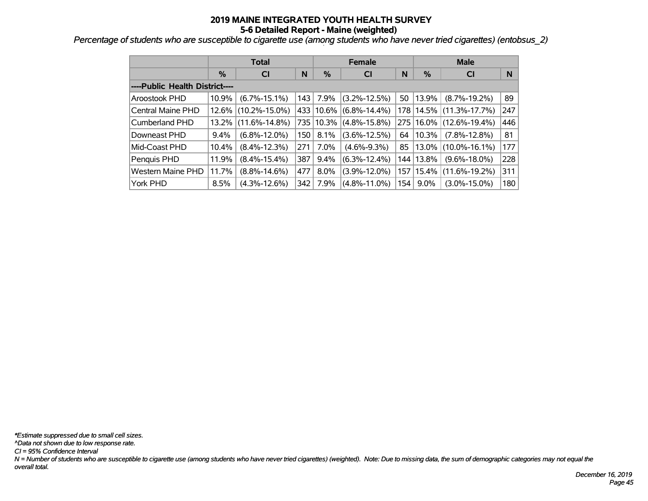*Percentage of students who are susceptible to cigarette use (among students who have never tried cigarettes) (entobsus\_2)*

|                                |               | <b>Total</b>        |     |             | <b>Female</b>      |     | <b>Male</b>   |                     |     |  |
|--------------------------------|---------------|---------------------|-----|-------------|--------------------|-----|---------------|---------------------|-----|--|
|                                | $\frac{0}{0}$ | <b>CI</b>           | N   | $\%$        | <b>CI</b>          | N   | $\frac{9}{6}$ | <b>CI</b>           | N   |  |
| ----Public Health District---- |               |                     |     |             |                    |     |               |                     |     |  |
| <b>Aroostook PHD</b>           | 10.9%         | $(6.7\% - 15.1\%)$  | 143 | 7.9%        | $(3.2\% - 12.5\%)$ | 50  | 13.9%         | $(8.7\% - 19.2\%)$  | 89  |  |
| Central Maine PHD              | 12.6%         | $(10.2\% - 15.0\%)$ |     | 433 10.6%   | $(6.8\% - 14.4\%)$ |     | 178 14.5%     | $(11.3\% - 17.7\%)$ | 247 |  |
| Cumberland PHD                 | 13.2%         | $(11.6\% - 14.8\%)$ |     | 735   10.3% | $(4.8\% - 15.8\%)$ | 275 | 16.0%         | $(12.6\% - 19.4\%)$ | 446 |  |
| Downeast PHD                   | $9.4\%$       | $(6.8\% - 12.0\%)$  | 150 | 8.1%        | $(3.6\% - 12.5\%)$ | 64  | 10.3%         | $(7.8\% - 12.8\%)$  | 81  |  |
| Mid-Coast PHD                  | 10.4%         | $(8.4\% - 12.3\%)$  | 271 | 7.0%        | $(4.6\% - 9.3\%)$  | 85  | 13.0%         | $(10.0\% - 16.1\%)$ | 177 |  |
| Penquis PHD                    | 11.9%         | $(8.4\% - 15.4\%)$  | 387 | $9.4\%$     | $(6.3\% - 12.4\%)$ |     | 144 13.8%     | $(9.6\% - 18.0\%)$  | 228 |  |
| <b>Western Maine PHD</b>       | 11.7%         | $(8.8\% - 14.6\%)$  | 477 | $8.0\%$     | $(3.9\% - 12.0\%)$ |     | 157   15.4%   | $(11.6\% - 19.2\%)$ | 311 |  |
| York PHD                       | 8.5%          | $(4.3\% - 12.6\%)$  | 342 | 7.9%        | $(4.8\% - 11.0\%)$ | 154 | $9.0\%$       | $(3.0\% - 15.0\%)$  | 180 |  |

*N = Number of students who are susceptible to cigarette use (among students who have never tried cigarettes) (weighted). Note: Due to missing data, the sum of demographic categories may not equal the overall total. CI = 95% Confidence Interval ^Data not shown due to low response rate. \*Estimate suppressed due to small cell sizes.*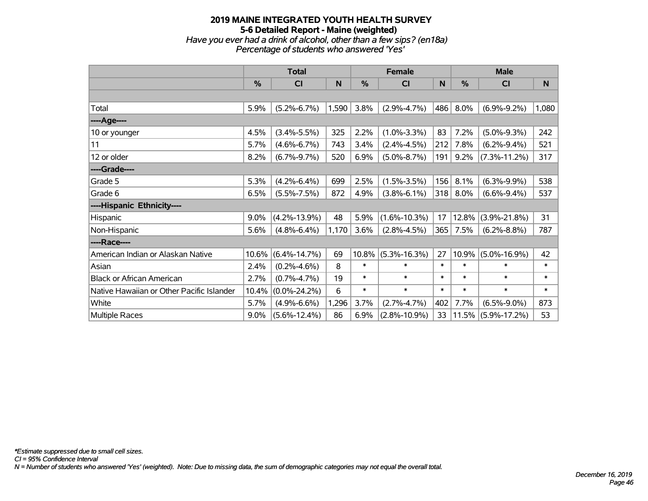# **2019 MAINE INTEGRATED YOUTH HEALTH SURVEY 5-6 Detailed Report - Maine (weighted)** *Have you ever had a drink of alcohol, other than a few sips? (en18a) Percentage of students who answered 'Yes'*

|                                           | <b>Total</b> |                    |           |        | <b>Female</b>      |        | <b>Male</b> |                    |        |  |
|-------------------------------------------|--------------|--------------------|-----------|--------|--------------------|--------|-------------|--------------------|--------|--|
|                                           | %            | CI                 | ${\sf N}$ | %      | CI                 | N      | %           | <b>CI</b>          | N      |  |
|                                           |              |                    |           |        |                    |        |             |                    |        |  |
| Total                                     | 5.9%         | $(5.2\% - 6.7\%)$  | 1,590     | 3.8%   | $(2.9\% - 4.7\%)$  | 486    | 8.0%        | $(6.9\% - 9.2\%)$  | 1,080  |  |
| ----Age----                               |              |                    |           |        |                    |        |             |                    |        |  |
| 10 or younger                             | 4.5%         | $(3.4\% - 5.5\%)$  | 325       | 2.2%   | $(1.0\% - 3.3\%)$  | 83     | 7.2%        | $(5.0\% - 9.3\%)$  | 242    |  |
| 11                                        | 5.7%         | $(4.6\% - 6.7\%)$  | 743       | 3.4%   | $(2.4\% - 4.5\%)$  | 212    | 7.8%        | $(6.2\% - 9.4\%)$  | 521    |  |
| 12 or older                               | 8.2%         | $(6.7\% - 9.7\%)$  | 520       | 6.9%   | $(5.0\% - 8.7\%)$  | 191    | 9.2%        | $(7.3\% - 11.2\%)$ | 317    |  |
| ----Grade----                             |              |                    |           |        |                    |        |             |                    |        |  |
| Grade 5                                   | 5.3%         | $(4.2\% - 6.4\%)$  | 699       | 2.5%   | $(1.5\% - 3.5\%)$  | 156    | 8.1%        | $(6.3\% - 9.9\%)$  | 538    |  |
| Grade 6                                   | 6.5%         | $(5.5\% - 7.5\%)$  | 872       | 4.9%   | $(3.8\% - 6.1\%)$  | 318    | 8.0%        | $(6.6\% - 9.4\%)$  | 537    |  |
| ----Hispanic Ethnicity----                |              |                    |           |        |                    |        |             |                    |        |  |
| Hispanic                                  | 9.0%         | $(4.2\% - 13.9\%)$ | 48        | 5.9%   | $(1.6\% - 10.3\%)$ | 17     | 12.8%       | $(3.9\% - 21.8\%)$ | 31     |  |
| Non-Hispanic                              | 5.6%         | $(4.8\% - 6.4\%)$  | 1,170     | 3.6%   | $(2.8\% - 4.5\%)$  | 365    | 7.5%        | $(6.2\% - 8.8\%)$  | 787    |  |
| ----Race----                              |              |                    |           |        |                    |        |             |                    |        |  |
| American Indian or Alaskan Native         | 10.6%        | $(6.4\% - 14.7\%)$ | 69        | 10.8%  | $(5.3\% - 16.3\%)$ | 27     | 10.9%       | $(5.0\% - 16.9\%)$ | 42     |  |
| Asian                                     | 2.4%         | $(0.2\% - 4.6\%)$  | 8         | $\ast$ | $\ast$             | $\ast$ | $\ast$      | $\ast$             | $\ast$ |  |
| <b>Black or African American</b>          | 2.7%         | $(0.7\% - 4.7\%)$  | 19        | $\ast$ | $\ast$             | $\ast$ | $\ast$      | $\ast$             | $\ast$ |  |
| Native Hawaiian or Other Pacific Islander | 10.4%        | $(0.0\% - 24.2\%)$ | 6         | $\ast$ | $\ast$             | $\ast$ | $\ast$      | $\ast$             | $\ast$ |  |
| White                                     | 5.7%         | $(4.9\% - 6.6\%)$  | 1,296     | 3.7%   | $(2.7\% - 4.7\%)$  | 402    | 7.7%        | $(6.5\% - 9.0\%)$  | 873    |  |
| Multiple Races                            | $9.0\%$      | $(5.6\% - 12.4\%)$ | 86        | 6.9%   | $(2.8\% - 10.9\%)$ | 33     | 11.5%       | $(5.9\% - 17.2\%)$ | 53     |  |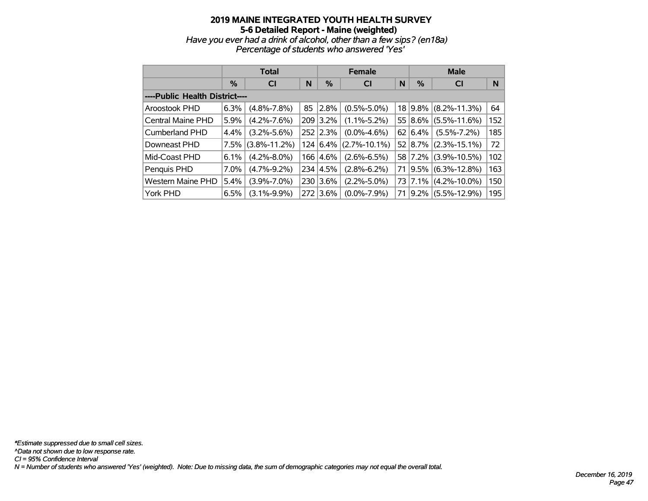#### **2019 MAINE INTEGRATED YOUTH HEALTH SURVEY 5-6 Detailed Report - Maine (weighted)** *Have you ever had a drink of alcohol, other than a few sips? (en18a) Percentage of students who answered 'Yes'*

|                                |         | <b>Total</b>       |     |            | <b>Female</b>      |    | <b>Male</b>     |                                 |     |  |
|--------------------------------|---------|--------------------|-----|------------|--------------------|----|-----------------|---------------------------------|-----|--|
|                                | %       | <b>CI</b>          | N   | %          | <b>CI</b>          | N  | %               | <b>CI</b>                       | N   |  |
| ----Public Health District---- |         |                    |     |            |                    |    |                 |                                 |     |  |
| Aroostook PHD                  | 6.3%    | $(4.8\% - 7.8\%)$  | 85  | 2.8%       | $(0.5\% - 5.0\%)$  |    |                 | 18 9.8% (8.2%-11.3%)            | 64  |  |
| Central Maine PHD              | 5.9%    | $(4.2\% - 7.6\%)$  |     | 209 3.2%   | $(1.1\% - 5.2\%)$  |    | $55 8.6\% $     | $(5.5\% - 11.6\%)$              | 152 |  |
| Cumberland PHD                 | $4.4\%$ | $(3.2\% - 5.6\%)$  |     | 252 2.3%   | $(0.0\% - 4.6\%)$  |    | $62 \mid 6.4\%$ | $(5.5\% - 7.2\%)$               | 185 |  |
| Downeast PHD                   | 7.5%    | $(3.8\% - 11.2\%)$ |     | 124   6.4% | $(2.7\% - 10.1\%)$ |    |                 | $52   8.7\%   (2.3\% - 15.1\%)$ | 72  |  |
| Mid-Coast PHD                  | 6.1%    | $(4.2\% - 8.0\%)$  | 166 | 4.6%       | $(2.6\% - 6.5\%)$  |    |                 | 58 7.2% (3.9%-10.5%)            | 102 |  |
| Penquis PHD                    | 7.0%    | $(4.7\% - 9.2\%)$  |     | 234 4.5%   | $(2.8\% - 6.2\%)$  | 71 |                 | $9.5\%$ (6.3%-12.8%)            | 163 |  |
| <b>Western Maine PHD</b>       | 5.4%    | $(3.9\% - 7.0\%)$  | 230 | 3.6%       | $(2.2\% - 5.0\%)$  |    |                 | 73 7.1% (4.2%-10.0%)            | 150 |  |
| York PHD                       | 6.5%    | $(3.1\% - 9.9\%)$  | 272 | $3.6\%$    | $(0.0\% - 7.9\%)$  | 71 | $ 9.2\% $       | $(5.5\% - 12.9\%)$              | 195 |  |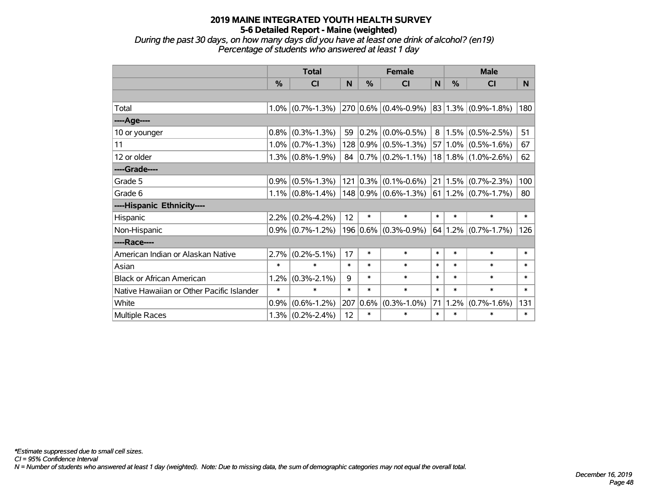*During the past 30 days, on how many days did you have at least one drink of alcohol? (en19) Percentage of students who answered at least 1 day*

|                                           | <b>Total</b> |                                                              |        |        | <b>Female</b>                   |        | <b>Male</b> |                                      |        |  |
|-------------------------------------------|--------------|--------------------------------------------------------------|--------|--------|---------------------------------|--------|-------------|--------------------------------------|--------|--|
|                                           | $\%$         | <b>CI</b>                                                    | N      | $\%$   | <b>CI</b>                       | N      | $\%$        | <b>CI</b>                            | N.     |  |
|                                           |              |                                                              |        |        |                                 |        |             |                                      |        |  |
| Total                                     |              | $1.0\%$ (0.7%-1.3%) 270 0.6% (0.4%-0.9%) 83 1.3% (0.9%-1.8%) |        |        |                                 |        |             |                                      | 180    |  |
| ----Age----                               |              |                                                              |        |        |                                 |        |             |                                      |        |  |
| 10 or younger                             |              | $0.8\%$ (0.3%-1.3%)                                          | 59     |        | $0.2\%$ (0.0%-0.5%)             | 8      |             | $1.5\%$ (0.5%-2.5%)                  | 51     |  |
| 11                                        |              | $1.0\%$ (0.7%-1.3%)                                          |        |        | $128 0.9\% $ (0.5%-1.3%)        |        |             | $57 1.0\% $ (0.5%-1.6%)              | 67     |  |
| 12 or older                               |              | $1.3\%$ (0.8%-1.9%)                                          |        |        | 84 $ 0.7\% $ (0.2\%-1.1\%)      |        |             | $18 1.8\% $ (1.0%-2.6%)              | 62     |  |
| ----Grade----                             |              |                                                              |        |        |                                 |        |             |                                      |        |  |
| Grade 5                                   |              | $0.9\%$ (0.5%-1.3%)                                          |        |        | $121   0.3\%   (0.1\% - 0.6\%)$ |        |             | $21 1.5\% $ (0.7%-2.3%)              | 100    |  |
| Grade 6                                   |              | $1.1\%$ (0.8%-1.4%)                                          |        |        | $ 148 0.9\% $ (0.6%-1.3%)       |        |             | $61 \mid 1.2\% \mid (0.7\% - 1.7\%)$ | 80     |  |
| ----Hispanic Ethnicity----                |              |                                                              |        |        |                                 |        |             |                                      |        |  |
| Hispanic                                  |              | $2.2\%$ (0.2%-4.2%)                                          | 12     | $\ast$ | $\ast$                          | $\ast$ | $\ast$      | $\ast$                               | $\ast$ |  |
| Non-Hispanic                              |              | $0.9\%$ (0.7%-1.2%)                                          |        |        | $196 0.6\% $ (0.3%-0.9%)        |        |             | $64$   1.2%   (0.7%-1.7%)            | 126    |  |
| ----Race----                              |              |                                                              |        |        |                                 |        |             |                                      |        |  |
| American Indian or Alaskan Native         |              | $2.7\%$ (0.2%-5.1%)                                          | 17     | $\ast$ | *                               | $\ast$ | $\ast$      | $\ast$                               | $\ast$ |  |
| Asian                                     | $\ast$       | $\ast$                                                       | $\ast$ | $\ast$ | *                               | $\ast$ | $\ast$      | $\ast$                               | $\ast$ |  |
| <b>Black or African American</b>          | 1.2%         | $(0.3\% - 2.1\%)$                                            | 9      | $\ast$ | $\ast$                          | $\ast$ | $\ast$      | $\ast$                               | $\ast$ |  |
| Native Hawaiian or Other Pacific Islander | $\ast$       | $\ast$                                                       | $\ast$ | $\ast$ | $\ast$                          | $\ast$ | $\ast$      | $\ast$                               | $\ast$ |  |
| White                                     | 0.9%         | $(0.6\% - 1.2\%)$                                            | 207    | 0.6%   | $(0.3\% - 1.0\%)$               | 71     | 1.2%        | $(0.7\% - 1.6\%)$                    | 131    |  |
| Multiple Races                            |              | $1.3\%$ (0.2%-2.4%)                                          | 12     | $\ast$ | *                               | $\ast$ | $\ast$      | $\ast$                               | $\ast$ |  |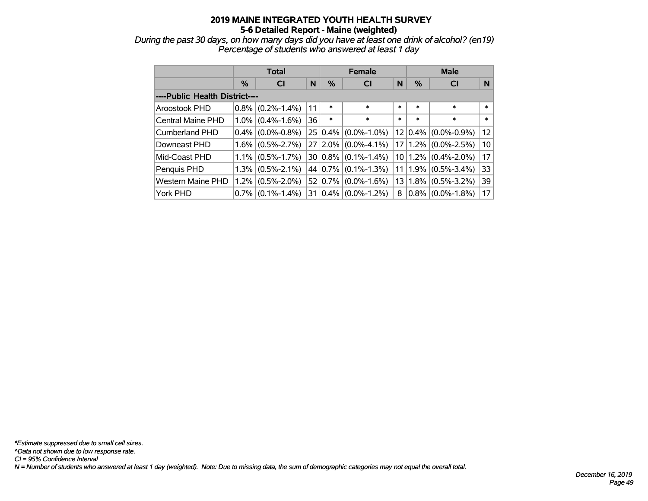*During the past 30 days, on how many days did you have at least one drink of alcohol? (en19) Percentage of students who answered at least 1 day*

|                                |         | Total             |    |                | <b>Female</b>     |        | <b>Male</b> |                                 |          |  |
|--------------------------------|---------|-------------------|----|----------------|-------------------|--------|-------------|---------------------------------|----------|--|
|                                | $\%$    | <b>CI</b>         | N  | %              | <b>CI</b>         | N      | $\%$        | <b>CI</b>                       | <b>N</b> |  |
| ----Public Health District---- |         |                   |    |                |                   |        |             |                                 |          |  |
| Aroostook PHD                  | $0.8\%$ | $(0.2\% - 1.4\%)$ | 11 | $\ast$         | $\ast$            | $\ast$ | $\ast$      | $\ast$                          | $\ast$   |  |
| Central Maine PHD              | $1.0\%$ | $(0.4\% - 1.6\%)$ | 36 | $\ast$         | $\ast$            | $\ast$ | $\ast$      | $\ast$                          | $\ast$   |  |
| Cumberland PHD                 | $0.4\%$ | $(0.0\% - 0.8\%)$ |    | $25 0.4\% $    | $(0.0\% - 1.0\%)$ |        |             | $12   0.4\%   (0.0\% - 0.9\%)$  | 12       |  |
| Downeast PHD                   | $1.6\%$ | $(0.5\% - 2.7\%)$ |    | $27 2.0\% $    | $(0.0\% - 4.1\%)$ |        |             | $17 1.2\% $ (0.0%-2.5%)         | 10       |  |
| Mid-Coast PHD                  | $1.1\%$ | $(0.5\% - 1.7\%)$ |    | $30 0.8\% $    | $(0.1\% - 1.4\%)$ |        |             | $10 1.2\% $ (0.4%-2.0%)         | 17       |  |
| Penguis PHD                    | $1.3\%$ | $(0.5\% - 2.1\%)$ |    | 44 0.7%        | $(0.1\% - 1.3\%)$ |        |             | 11   1.9% $(0.5\text{%-3.4\%)}$ | 33       |  |
| <b>Western Maine PHD</b>       | $1.2\%$ | $(0.5\% - 2.0\%)$ |    | 52 $ 0.7\% $   | $(0.0\% - 1.6\%)$ |        |             | $13 1.8\% $ (0.5%-3.2%)         | 39       |  |
| York PHD                       | $0.7\%$ | $(0.1\% - 1.4\%)$ |    | $31   0.4\%  $ | $(0.0\% - 1.2\%)$ | 8      |             | $0.8\%$ (0.0%-1.8%)             | 17       |  |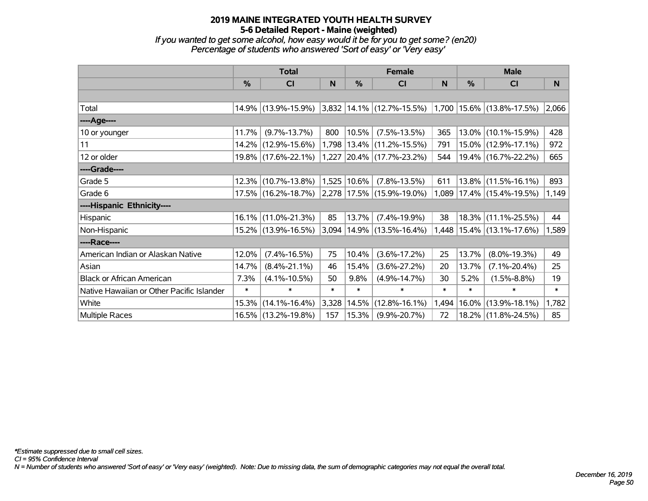*If you wanted to get some alcohol, how easy would it be for you to get some? (en20) Percentage of students who answered 'Sort of easy' or 'Very easy'*

|                                           |        | <b>Total</b>        |        | <b>Female</b> |                                                     | <b>Male</b> |               |                               |        |
|-------------------------------------------|--------|---------------------|--------|---------------|-----------------------------------------------------|-------------|---------------|-------------------------------|--------|
|                                           | $\%$   | <b>CI</b>           | N      | %             | <b>CI</b>                                           | N           | $\frac{0}{0}$ | <b>CI</b>                     | N      |
|                                           |        |                     |        |               |                                                     |             |               |                               |        |
| Total                                     |        | 14.9% (13.9%-15.9%) |        |               | 3,832 14.1% (12.7%-15.5%) 1,700 15.6% (13.8%-17.5%) |             |               |                               | 2,066  |
| ----Age----                               |        |                     |        |               |                                                     |             |               |                               |        |
| 10 or younger                             | 11.7%  | $(9.7\% - 13.7\%)$  | 800    | 10.5%         | $(7.5\% - 13.5\%)$                                  | 365         |               | $13.0\%$ (10.1%-15.9%)        | 428    |
| 11                                        |        | 14.2% (12.9%-15.6%) |        |               | 1,798 13.4% (11.2%-15.5%)                           | 791         |               | $15.0\%$ (12.9%-17.1%)        | 972    |
| 12 or older                               |        | 19.8% (17.6%-22.1%) | 1,227  |               | $ 20.4\% $ (17.7%-23.2%)                            | 544         |               | $19.4\%$ (16.7%-22.2%)        | 665    |
| ----Grade----                             |        |                     |        |               |                                                     |             |               |                               |        |
| Grade 5                                   | 12.3%  | $(10.7\% - 13.8\%)$ | 1,525  | $ 10.6\% $    | $(7.8\% - 13.5\%)$                                  | 611         |               | $13.8\%$ (11.5%-16.1%)        | 893    |
| Grade 6                                   |        | 17.5% (16.2%-18.7%) |        |               | $ 2,278 17.5\% $ (15.9%-19.0%)                      |             |               | 1,089 17.4% (15.4%-19.5%)     | 1,149  |
| ----Hispanic Ethnicity----                |        |                     |        |               |                                                     |             |               |                               |        |
| Hispanic                                  | 16.1%  | $(11.0\% - 21.3\%)$ | 85     | 13.7%         | $(7.4\% - 19.9\%)$                                  | 38          |               | $18.3\%$ (11.1%-25.5%)        | 44     |
| Non-Hispanic                              |        | 15.2% (13.9%-16.5%) |        |               | 3,094   14.9%   (13.5%-16.4%)                       |             |               | 1,448   15.4%   (13.1%-17.6%) | 1,589  |
| ----Race----                              |        |                     |        |               |                                                     |             |               |                               |        |
| American Indian or Alaskan Native         | 12.0%  | $(7.4\% - 16.5\%)$  | 75     | 10.4%         | $(3.6\% - 17.2\%)$                                  | 25          | 13.7%         | $(8.0\% - 19.3\%)$            | 49     |
| Asian                                     | 14.7%  | $(8.4\% - 21.1\%)$  | 46     | 15.4%         | $(3.6\% - 27.2\%)$                                  | 20          | 13.7%         | $(7.1\% - 20.4\%)$            | 25     |
| <b>Black or African American</b>          | 7.3%   | $(4.1\% - 10.5\%)$  | 50     | 9.8%          | $(4.9\% - 14.7\%)$                                  | 30          | 5.2%          | $(1.5\% - 8.8\%)$             | 19     |
| Native Hawaiian or Other Pacific Islander | $\ast$ | $\ast$              | $\ast$ | $\ast$        | $\ast$                                              | $\ast$      | $\ast$        | $\ast$                        | $\ast$ |
| White                                     | 15.3%  | $(14.1\% - 16.4\%)$ | 3,328  | 14.5%         | $(12.8\% - 16.1\%)$                                 | 1,494       |               | $16.0\%$ (13.9%-18.1%)        | 1,782  |
| <b>Multiple Races</b>                     |        | 16.5% (13.2%-19.8%) | 157    | 15.3%         | $(9.9\% - 20.7\%)$                                  | 72          |               | 18.2% (11.8%-24.5%)           | 85     |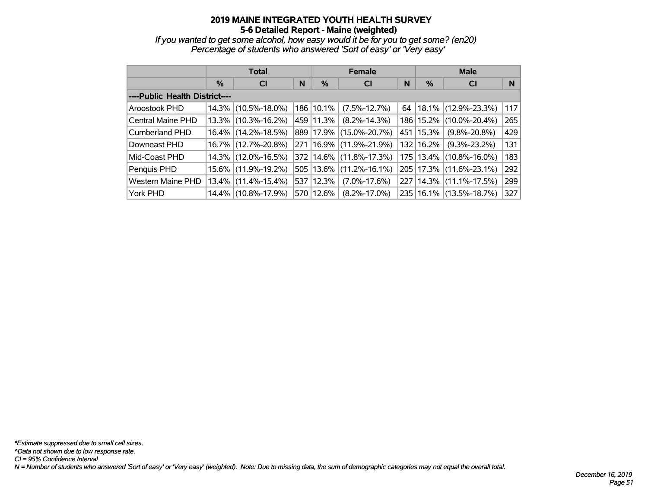*If you wanted to get some alcohol, how easy would it be for you to get some? (en20) Percentage of students who answered 'Sort of easy' or 'Very easy'*

|                                |          | <b>Total</b>        |   |           | <b>Female</b>               |     | <b>Male</b> |                             |     |  |
|--------------------------------|----------|---------------------|---|-----------|-----------------------------|-----|-------------|-----------------------------|-----|--|
|                                | $\%$     | <b>CI</b>           | N | $\%$      | <b>CI</b>                   | N   | %           | <b>CI</b>                   | N   |  |
| ----Public Health District---- |          |                     |   |           |                             |     |             |                             |     |  |
| Aroostook PHD                  | 14.3%    | $(10.5\% - 18.0\%)$ |   | 186 10.1% | $(7.5\% - 12.7\%)$          | 64  |             | $ 18.1\% $ (12.9%-23.3%)    | 117 |  |
| Central Maine PHD              | 13.3%    | $(10.3\% - 16.2\%)$ |   | 459 11.3% | $(8.2\% - 14.3\%)$          |     |             | 186   15.2%   (10.0%-20.4%) | 265 |  |
| Cumberland PHD                 | $16.4\%$ | $(14.2\% - 18.5\%)$ |   |           | 889 17.9% (15.0%-20.7%)     |     | 451   15.3% | $(9.8\% - 20.8\%)$          | 429 |  |
| Downeast PHD                   | $16.7\%$ | $(12.7\% - 20.8\%)$ |   |           | 271   16.9%   (11.9%-21.9%) |     | 132 16.2%   | $(9.3\% - 23.2\%)$          | 131 |  |
| Mid-Coast PHD                  | $14.3\%$ | $(12.0\% - 16.5\%)$ |   |           | 372 14.6% (11.8%-17.3%)     |     |             | 175   13.4%   (10.8%-16.0%) | 183 |  |
| Penquis PHD                    | $15.6\%$ | $(11.9\% - 19.2\%)$ |   | 505 13.6% | $(11.2\% - 16.1\%)$         |     |             | 205   17.3%   (11.6%-23.1%) | 292 |  |
| <b>Western Maine PHD</b>       | $13.4\%$ | $(11.4\% - 15.4\%)$ |   | 537 12.3% | $(7.0\% - 17.6\%)$          | 227 |             | $ 14.3\% $ (11.1%-17.5%)    | 299 |  |
| York PHD                       | 14.4%    | $(10.8\% - 17.9\%)$ |   | 570 12.6% | $(8.2\% - 17.0\%)$          |     |             | 235   16.1%   (13.5%-18.7%) | 327 |  |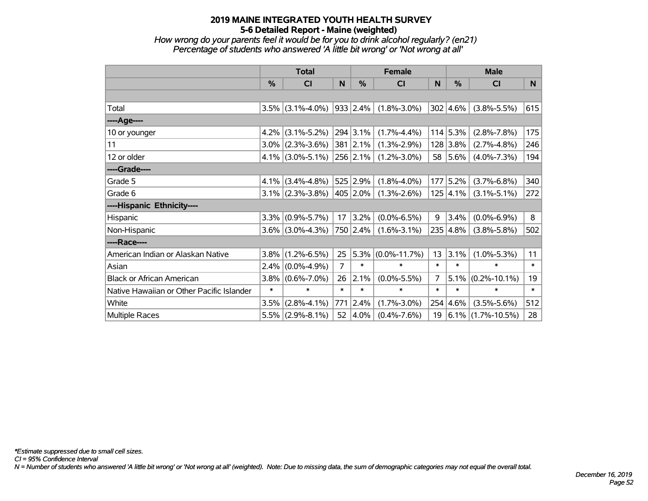*How wrong do your parents feel it would be for you to drink alcohol regularly? (en21) Percentage of students who answered 'A little bit wrong' or 'Not wrong at all'*

|                                           | <b>Total</b>  |                     |        |                  | <b>Female</b>      |                | <b>Male</b>      |                    |        |  |
|-------------------------------------------|---------------|---------------------|--------|------------------|--------------------|----------------|------------------|--------------------|--------|--|
|                                           | $\frac{0}{0}$ | <b>CI</b>           | N      | $\frac{9}{6}$    | CI                 | N              | %                | <b>CI</b>          | N      |  |
|                                           |               |                     |        |                  |                    |                |                  |                    |        |  |
| Total                                     | 3.5%          | $(3.1\% - 4.0\%)$   |        | 933   2.4%       | $(1.8\% - 3.0\%)$  |                | 302   4.6%       | $(3.8\% - 5.5\%)$  | 615    |  |
| ---- Age----                              |               |                     |        |                  |                    |                |                  |                    |        |  |
| 10 or younger                             | 4.2%          | $(3.1\% - 5.2\%)$   |        | $294 \mid 3.1\%$ | $(1.7\% - 4.4\%)$  |                | $114$ 5.3%       | $(2.8\% - 7.8\%)$  | 175    |  |
| 11                                        | $3.0\%$       | $(2.3\% - 3.6\%)$   |        | $381$ 2.1%       | $(1.3\% - 2.9\%)$  |                | 128 3.8%         | $(2.7\% - 4.8\%)$  | 246    |  |
| 12 or older                               |               | $4.1\%$ (3.0%-5.1%) |        | 256 2.1%         | $(1.2\% - 3.0\%)$  | 58             | 5.6%             | $(4.0\% - 7.3\%)$  | 194    |  |
| ----Grade----                             |               |                     |        |                  |                    |                |                  |                    |        |  |
| Grade 5                                   | $4.1\%$       | $(3.4\% - 4.8\%)$   |        | 525 2.9%         | $(1.8\% - 4.0\%)$  | 177            | 5.2%             | $(3.7\% - 6.8\%)$  | 340    |  |
| Grade 6                                   |               | $3.1\%$ (2.3%-3.8%) |        | 405 2.0%         | $(1.3\% - 2.6\%)$  |                | $125 \,   4.1\%$ | $(3.1\% - 5.1\%)$  | 272    |  |
| ----Hispanic Ethnicity----                |               |                     |        |                  |                    |                |                  |                    |        |  |
| Hispanic                                  | 3.3%          | $(0.9\% - 5.7\%)$   | 17     | 3.2%             | $(0.0\% - 6.5\%)$  | 9              | 3.4%             | $(0.0\% - 6.9\%)$  | 8      |  |
| Non-Hispanic                              |               | $3.6\%$ (3.0%-4.3%) |        | 750 2.4%         | $(1.6\% - 3.1\%)$  |                | 235 4.8%         | $(3.8\% - 5.8\%)$  | 502    |  |
| ----Race----                              |               |                     |        |                  |                    |                |                  |                    |        |  |
| American Indian or Alaskan Native         | $3.8\%$       | $(1.2\% - 6.5\%)$   | 25     | 5.3%             | $(0.0\% - 11.7\%)$ | 13             | 3.1%             | $(1.0\% - 5.3\%)$  | 11     |  |
| Asian                                     | 2.4%          | $(0.0\% - 4.9\%)$   | 7      | $\ast$           | $\ast$             | $\ast$         | $\ast$           | $\ast$             | $\ast$ |  |
| <b>Black or African American</b>          | 3.8%          | $(0.6\% - 7.0\%)$   | 26     | 2.1%             | $(0.0\% - 5.5\%)$  | $\overline{7}$ | 5.1%             | $(0.2\% - 10.1\%)$ | 19     |  |
| Native Hawaiian or Other Pacific Islander | $\ast$        | $\ast$              | $\ast$ | $\ast$           | $\ast$             | $\ast$         | $\ast$           | $\ast$             | $\ast$ |  |
| White                                     | 3.5%          | $(2.8\% - 4.1\%)$   | 771    | 2.4%             | $(1.7\% - 3.0\%)$  | 254            | 4.6%             | $(3.5\% - 5.6\%)$  | 512    |  |
| Multiple Races                            | 5.5%          | $(2.9\% - 8.1\%)$   | 52     | 4.0%             | $(0.4\% - 7.6\%)$  | 19             | 6.1%             | $(1.7\% - 10.5\%)$ | 28     |  |

*CI = 95% Confidence Interval*

*N = Number of students who answered 'A little bit wrong' or 'Not wrong at all' (weighted). Note: Due to missing data, the sum of demographic categories may not equal the overall total.*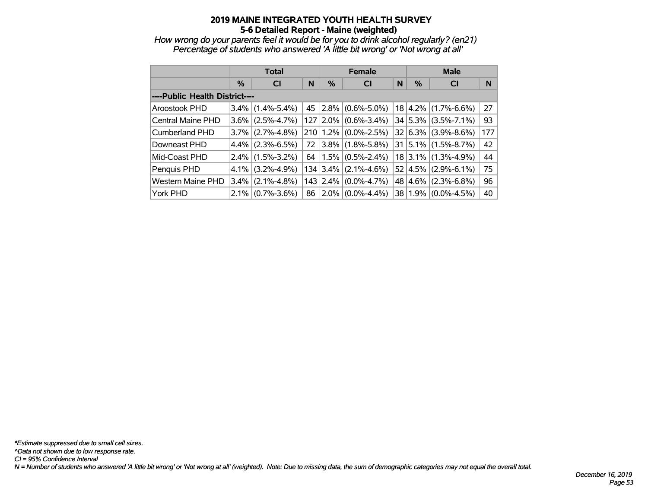*How wrong do your parents feel it would be for you to drink alcohol regularly? (en21) Percentage of students who answered 'A little bit wrong' or 'Not wrong at all'*

|                                | <b>Total</b> |                     |    |   | <b>Female</b>                  |   | <b>Male</b>       |                                      |     |  |
|--------------------------------|--------------|---------------------|----|---|--------------------------------|---|-------------------|--------------------------------------|-----|--|
|                                | $\%$         | N<br><b>CI</b>      |    | % | <b>CI</b>                      | N | $\%$<br><b>CI</b> |                                      | N   |  |
| ----Public Health District---- |              |                     |    |   |                                |   |                   |                                      |     |  |
| Aroostook PHD                  |              | $3.4\%$ (1.4%-5.4%) | 45 |   | $ 2.8\% $ (0.6%-5.0%)          |   |                   | $18 \mid 4.2\% \mid (1.7\% - 6.6\%)$ | 27  |  |
| <b>Central Maine PHD</b>       | $3.6\%$      | $(2.5\% - 4.7\%)$   |    |   | 127 2.0% (0.6%-3.4%)           |   |                   | $34   5.3\%   (3.5\% - 7.1\%)$       | 93  |  |
| <b>Cumberland PHD</b>          |              | $3.7\%$ (2.7%-4.8%) |    |   | $210$   1.2% $(0.0\% - 2.5\%)$ |   |                   | $32   6.3\%   (3.9\% - 8.6\%)$       | 177 |  |
| Downeast PHD                   |              | $4.4\%$ (2.3%-6.5%) | 72 |   | $3.8\%$ (1.8%-5.8%)            |   |                   | $31   5.1\%   (1.5\% - 8.7\%)$       | 42  |  |
| Mid-Coast PHD                  |              | $2.4\%$ (1.5%-3.2%) | 64 |   | $1.5\%$ (0.5%-2.4%)            |   |                   | $18$ 3.1% (1.3%-4.9%)                | 44  |  |
| Penquis PHD                    | $4.1\%$      | $(3.2\% - 4.9\%)$   |    |   | $134 3.4\% $ (2.1%-4.6%)       |   |                   | 52 4.5% (2.9%-6.1%)                  | 75  |  |
| <b>Western Maine PHD</b>       |              | $3.4\%$ (2.1%-4.8%) |    |   | $143$ 2.4% (0.0%-4.7%)         |   |                   | 48 4.6% (2.3%-6.8%)                  | 96  |  |
| York PHD                       |              | $2.1\%$ (0.7%-3.6%) | 86 |   | $2.0\%$ (0.0%-4.4%)            |   |                   | 38   1.9%   (0.0%-4.5%)              | 40  |  |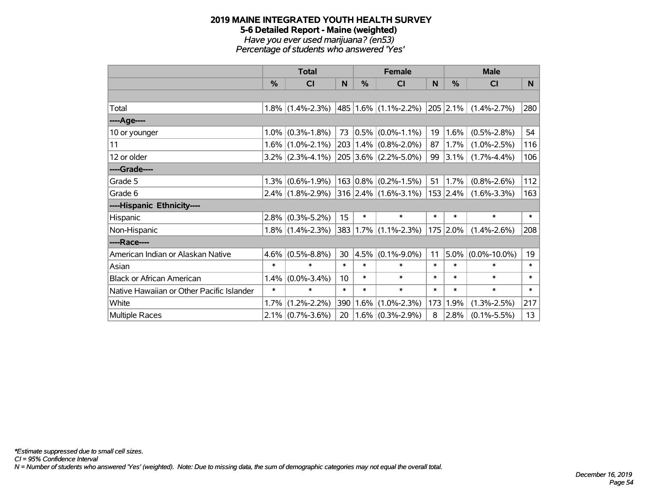# **2019 MAINE INTEGRATED YOUTH HEALTH SURVEY 5-6 Detailed Report - Maine (weighted)** *Have you ever used marijuana? (en53)*

*Percentage of students who answered 'Yes'*

|                                           | <b>Total</b>  |                                          |        |           | <b>Female</b>                   |        | <b>Male</b> |                      |        |
|-------------------------------------------|---------------|------------------------------------------|--------|-----------|---------------------------------|--------|-------------|----------------------|--------|
|                                           | $\frac{0}{0}$ | CI                                       | N      | %         | <b>CI</b>                       | N      | %           | <b>CI</b>            | N.     |
|                                           |               |                                          |        |           |                                 |        |             |                      |        |
| Total                                     |               | $1.8\%$ (1.4%-2.3%) 485 1.6% (1.1%-2.2%) |        |           |                                 |        | 205 2.1%    | $(1.4\% - 2.7\%)$    | 280    |
| ----Age----                               |               |                                          |        |           |                                 |        |             |                      |        |
| 10 or younger                             |               | $1.0\%$ (0.3%-1.8%)                      | 73     | $ 0.5\% $ | $(0.0\% - 1.1\%)$               | 19     | 1.6%        | $(0.5\% - 2.8\%)$    | 54     |
| 11                                        |               | $1.6\%$ (1.0%-2.1%)                      |        |           | 203   1.4%   (0.8%-2.0%)        | 87     | 1.7%        | $(1.0\% - 2.5\%)$    | 116    |
| 12 or older                               |               | $3.2\%$ (2.3%-4.1%)                      |        |           | $205$ 3.6% (2.2%-5.0%)          |        | 99 3.1%     | $(1.7\% - 4.4\%)$    | 106    |
| ----Grade----                             |               |                                          |        |           |                                 |        |             |                      |        |
| Grade 5                                   |               | $1.3\%$ (0.6%-1.9%)                      |        |           | $163   0.8\%   (0.2\% - 1.5\%)$ | 51     | 1.7%        | $(0.8\% - 2.6\%)$    | 112    |
| Grade 6                                   |               | $2.4\%$ (1.8%-2.9%) 316 2.4% (1.6%-3.1%) |        |           |                                 |        | 153 2.4%    | $(1.6\% - 3.3\%)$    | 163    |
| ----Hispanic Ethnicity----                |               |                                          |        |           |                                 |        |             |                      |        |
| Hispanic                                  |               | $2.8\%$ (0.3%-5.2%)                      | 15     | $\ast$    | $\ast$                          | $\ast$ | $\ast$      | $\ast$               | $\ast$ |
| Non-Hispanic                              |               | $1.8\%$ (1.4%-2.3%)                      |        |           | 383 1.7% (1.1%-2.3%)            |        | 175 2.0%    | $(1.4\% - 2.6\%)$    | 208    |
| ----Race----                              |               |                                          |        |           |                                 |        |             |                      |        |
| American Indian or Alaskan Native         | $4.6\%$       | $(0.5\% - 8.8\%)$                        | 30     | 4.5%      | $(0.1\% - 9.0\%)$               | 11     |             | $5.0\%$ (0.0%-10.0%) | 19     |
| Asian                                     | $\ast$        | $\ast$                                   | $\ast$ | $\ast$    | $\ast$                          | $\ast$ | $\ast$      | $\ast$               | $\ast$ |
| <b>Black or African American</b>          | 1.4%          | $(0.0\% - 3.4\%)$                        | 10     | $\ast$    | $\ast$                          | $\ast$ | $\ast$      | $\ast$               | $\ast$ |
| Native Hawaiian or Other Pacific Islander | $\ast$        | $\ast$                                   | $\ast$ | $\ast$    | $\ast$                          | $\ast$ | $\ast$      | $\ast$               | $\ast$ |
| White                                     | 1.7%          | $(1.2\% - 2.2\%)$                        | 390    | 1.6%      | $(1.0\% - 2.3\%)$               | 173    | 1.9%        | $(1.3\% - 2.5\%)$    | 217    |
| Multiple Races                            |               | $2.1\%$ (0.7%-3.6%)                      | 20     |           | $1.6\%$ (0.3%-2.9%)             | 8      | 2.8%        | $(0.1\% - 5.5\%)$    | 13     |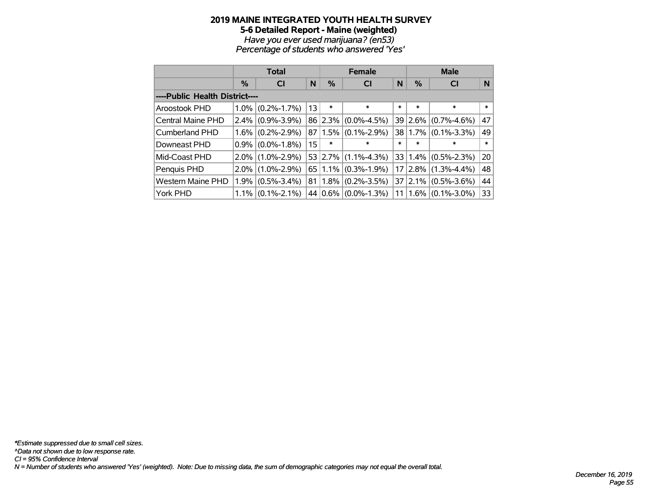#### **2019 MAINE INTEGRATED YOUTH HEALTH SURVEY 5-6 Detailed Report - Maine (weighted)** *Have you ever used marijuana? (en53)*

*Percentage of students who answered 'Yes'*

|                                |               | <b>Total</b>      |    |                      | <b>Female</b>     |                 | <b>Male</b> |                                |        |  |
|--------------------------------|---------------|-------------------|----|----------------------|-------------------|-----------------|-------------|--------------------------------|--------|--|
|                                | $\frac{0}{0}$ | <b>CI</b>         | N  | %                    | <b>CI</b>         | N               | %           | <b>CI</b>                      | N      |  |
| ----Public Health District---- |               |                   |    |                      |                   |                 |             |                                |        |  |
| Aroostook PHD                  | $1.0\%$       | $(0.2\% - 1.7\%)$ | 13 | $\ast$               | $\ast$            | *               | $\ast$      | $\ast$                         | $\ast$ |  |
| Central Maine PHD              | $2.4\%$       | $(0.9\% - 3.9\%)$ |    | 86 2.3%              | $(0.0\% - 4.5\%)$ |                 | 39 2.6%     | $(0.7\% - 4.6\%)$              | 47     |  |
| Cumberland PHD                 | $1.6\%$       | $(0.2\% - 2.9\%)$ |    | 87 1.5%              | $(0.1\% - 2.9\%)$ |                 | 38 1.7%     | $(0.1\% - 3.3\%)$              | 49     |  |
| Downeast PHD                   | $0.9\%$       | $(0.0\% - 1.8\%)$ | 15 | $\ast$               | $\ast$            | $\ast$          | $\ast$      | $\ast$                         | $\ast$ |  |
| Mid-Coast PHD                  | $2.0\%$       | $(1.0\% - 2.9\%)$ |    | $53$   2.7%          | $(1.1\% - 4.3\%)$ |                 |             | $33   1.4\%   (0.5\% - 2.3\%)$ | 20     |  |
| Penquis PHD                    | $2.0\%$       | $(1.0\% - 2.9\%)$ |    | $65 \mid 1.1\% \mid$ | $(0.3\% - 1.9\%)$ |                 | $17 2.8\% $ | $(1.3\% - 4.4\%)$              | 48     |  |
| <b>Western Maine PHD</b>       | 1.9%          | $(0.5\% - 3.4\%)$ |    | $81 1.8\% $          | $(0.2\% - 3.5\%)$ |                 |             | $37$   2.1%   (0.5%-3.6%)      | 44     |  |
| York PHD                       | $1.1\%$       | $(0.1\% - 2.1\%)$ |    | $44 0.6\% $          | $(0.0\% - 1.3\%)$ | 11 <sup>1</sup> |             | $(1.6\%)(0.1\% - 3.0\%)$       | 33     |  |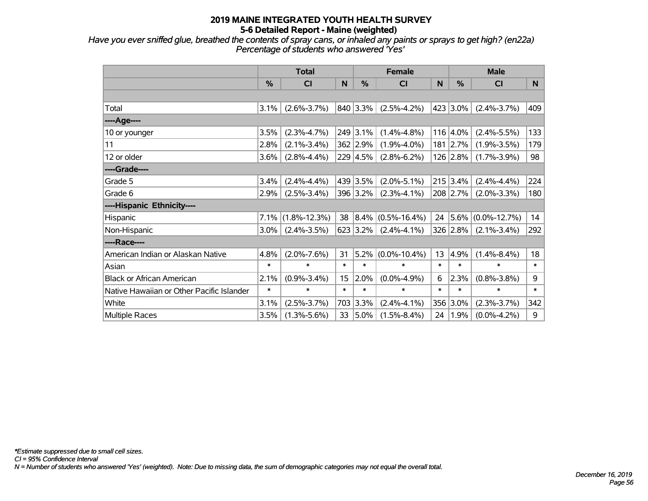*Have you ever sniffed glue, breathed the contents of spray cans, or inhaled any paints or sprays to get high? (en22a) Percentage of students who answered 'Yes'*

|                                           | <b>Total</b> |                    |        |                  | <b>Female</b>      |        | <b>Male</b> |                    |        |
|-------------------------------------------|--------------|--------------------|--------|------------------|--------------------|--------|-------------|--------------------|--------|
|                                           | %            | <b>CI</b>          | N      | $\frac{0}{0}$    | <b>CI</b>          | N      | %           | <b>CI</b>          | N.     |
|                                           |              |                    |        |                  |                    |        |             |                    |        |
| Total                                     | 3.1%         | $(2.6\% - 3.7\%)$  |        | 840 3.3%         | $(2.5\% - 4.2\%)$  |        | 423 3.0%    | $(2.4\% - 3.7\%)$  | 409    |
| ----Age----                               |              |                    |        |                  |                    |        |             |                    |        |
| 10 or younger                             | 3.5%         | $(2.3\% - 4.7\%)$  |        | 249 3.1%         | $(1.4\% - 4.8\%)$  |        | 116 4.0%    | $(2.4\% - 5.5\%)$  | 133    |
| 11                                        | 2.8%         | $(2.1\% - 3.4\%)$  |        | 362 2.9%         | $(1.9\% - 4.0\%)$  |        | 181 2.7%    | $(1.9\% - 3.5\%)$  | 179    |
| 12 or older                               | 3.6%         | $(2.8\% - 4.4\%)$  |        | $229 \mid 4.5\%$ | $(2.8\% - 6.2\%)$  |        | $126$ 2.8%  | $(1.7\% - 3.9\%)$  | 98     |
| ----Grade----                             |              |                    |        |                  |                    |        |             |                    |        |
| Grade 5                                   | 3.4%         | $(2.4\% - 4.4\%)$  |        | 439 3.5%         | $(2.0\% - 5.1\%)$  |        | $215$ 3.4%  | $(2.4\% - 4.4\%)$  | 224    |
| Grade 6                                   | 2.9%         | $(2.5\% - 3.4\%)$  |        | 396 3.2%         | $(2.3\% - 4.1\%)$  |        | 208 2.7%    | $(2.0\% - 3.3\%)$  | 180    |
| ----Hispanic Ethnicity----                |              |                    |        |                  |                    |        |             |                    |        |
| Hispanic                                  | 7.1%         | $(1.8\% - 12.3\%)$ | 38     | 8.4%             | $(0.5\% - 16.4\%)$ | 24     | 5.6%        | $(0.0\% - 12.7\%)$ | 14     |
| Non-Hispanic                              | 3.0%         | $(2.4\% - 3.5\%)$  |        | $623$ 3.2%       | $(2.4\% - 4.1\%)$  |        | 326 2.8%    | $(2.1\% - 3.4\%)$  | 292    |
| ----Race----                              |              |                    |        |                  |                    |        |             |                    |        |
| American Indian or Alaskan Native         | 4.8%         | $(2.0\% - 7.6\%)$  | 31     | 5.2%             | $(0.0\% - 10.4\%)$ | 13     | 4.9%        | $(1.4\% - 8.4\%)$  | 18     |
| Asian                                     | $\ast$       | $\ast$             | $\ast$ | $\ast$           | $\ast$             | $\ast$ | $\ast$      | $\ast$             | $\ast$ |
| <b>Black or African American</b>          | 2.1%         | $(0.9\% - 3.4\%)$  | 15     | 2.0%             | $(0.0\% - 4.9\%)$  | 6      | 2.3%        | $(0.8\% - 3.8\%)$  | 9      |
| Native Hawaiian or Other Pacific Islander | $\ast$       | $\ast$             | $\ast$ | $\ast$           | $\ast$             | $\ast$ | $\ast$      | $\ast$             | $\ast$ |
| White                                     | 3.1%         | $(2.5\% - 3.7\%)$  |        | 703 3.3%         | $(2.4\% - 4.1\%)$  |        | 356 3.0%    | $(2.3\% - 3.7\%)$  | 342    |
| Multiple Races                            | 3.5%         | $(1.3\% - 5.6\%)$  | 33     | $ 5.0\%$         | $(1.5\% - 8.4\%)$  | 24     | 1.9%        | $(0.0\% - 4.2\%)$  | 9      |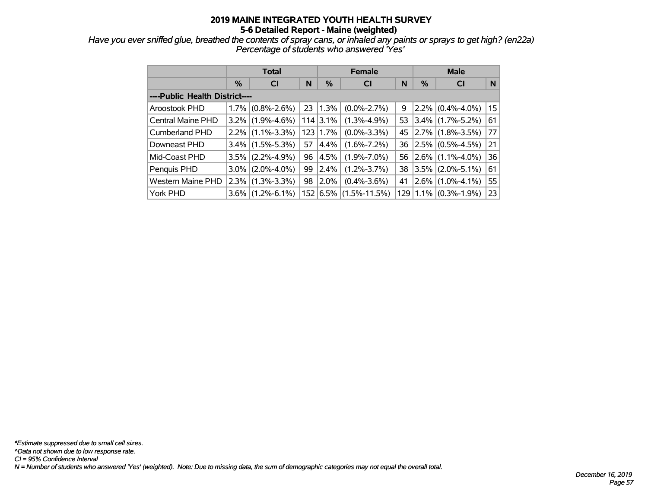*Have you ever sniffed glue, breathed the contents of spray cans, or inhaled any paints or sprays to get high? (en22a) Percentage of students who answered 'Yes'*

|                                |               | <b>Total</b>        |     |               | <b>Female</b>      |    | <b>Male</b> |                          |    |  |
|--------------------------------|---------------|---------------------|-----|---------------|--------------------|----|-------------|--------------------------|----|--|
|                                | $\frac{0}{0}$ | <b>CI</b>           | N   | $\frac{0}{0}$ | <b>CI</b>          | N  | %           | <b>CI</b>                | N  |  |
| ----Public Health District---- |               |                     |     |               |                    |    |             |                          |    |  |
| Aroostook PHD                  |               | $1.7\%$ (0.8%-2.6%) | 23  | 1.3%          | $(0.0\% - 2.7\%)$  | 9  |             | $2.2\%$ (0.4%-4.0%)      | 15 |  |
| <b>Central Maine PHD</b>       |               | $3.2\%$ (1.9%-4.6%) |     | $114$ 3.1%    | $(1.3\% - 4.9\%)$  | 53 |             | $3.4\%$ (1.7%-5.2%)      | 61 |  |
| <b>Cumberland PHD</b>          |               | $2.2\%$ (1.1%-3.3%) | 123 | $1.7\%$       | $(0.0\% - 3.3\%)$  | 45 |             | $2.7\%$ (1.8%-3.5%)      | 77 |  |
| Downeast PHD                   |               | $3.4\%$ (1.5%-5.3%) | 57  | 4.4%          | $(1.6\% - 7.2\%)$  | 36 |             | $2.5\%$ (0.5%-4.5%)      | 21 |  |
| Mid-Coast PHD                  |               | $3.5\%$ (2.2%-4.9%) | 96  | 4.5%          | $(1.9\% - 7.0\%)$  | 56 |             | $2.6\%$ (1.1%-4.0%)      | 36 |  |
| Penquis PHD                    |               | $3.0\%$ (2.0%-4.0%) | 99  | 2.4%          | $(1.2\% - 3.7\%)$  | 38 |             | $3.5\%$ (2.0%-5.1%)      | 61 |  |
| <b>Western Maine PHD</b>       |               | $2.3\%$ (1.3%-3.3%) | 98  | 2.0%          | $(0.4\% - 3.6\%)$  | 41 | $2.6\%$     | $(1.0\% - 4.1\%)$        | 55 |  |
| York PHD                       |               | $3.6\%$ (1.2%-6.1%) | 152 | 6.5%          | $(1.5\% - 11.5\%)$ |    |             | $129 1.1\% $ (0.3%-1.9%) | 23 |  |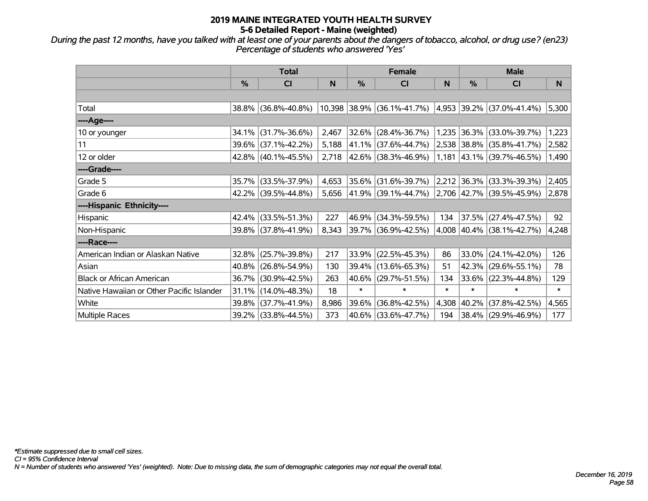*During the past 12 months, have you talked with at least one of your parents about the dangers of tobacco, alcohol, or drug use? (en23) Percentage of students who answered 'Yes'*

|                                           | <b>Total</b> |                     |       |               | <b>Female</b>                                       |        | <b>Male</b> |                             |        |
|-------------------------------------------|--------------|---------------------|-------|---------------|-----------------------------------------------------|--------|-------------|-----------------------------|--------|
|                                           | $\%$         | CI                  | N     | $\frac{0}{0}$ | CI                                                  | N      | $\%$        | CI                          | N      |
|                                           |              |                     |       |               |                                                     |        |             |                             |        |
| Total                                     |              | 38.8% (36.8%-40.8%) |       |               | 10,398 38.9% (36.1%-41.7%)                          |        |             | 4,953 39.2% (37.0%-41.4%)   | 5,300  |
| ----Age----                               |              |                     |       |               |                                                     |        |             |                             |        |
| 10 or younger                             | 34.1%        | $(31.7\% - 36.6\%)$ | 2,467 | 32.6%         | $(28.4\% - 36.7\%)$                                 |        |             | 1,235 36.3% (33.0%-39.7%)   | 1,223  |
| 11                                        |              | 39.6% (37.1%-42.2%) | 5,188 |               | 41.1% (37.6%-44.7%)                                 |        |             | 2,538 38.8% (35.8%-41.7%)   | 2,582  |
| 12 or older                               |              | 42.8% (40.1%-45.5%) |       |               | $2,718$  42.6% (38.3%-46.9%)                        |        |             | $1,181$ 43.1% (39.7%-46.5%) | 1,490  |
| ----Grade----                             |              |                     |       |               |                                                     |        |             |                             |        |
| Grade 5                                   |              | 35.7% (33.5%-37.9%) | 4,653 |               | 35.6% (31.6%-39.7%)                                 |        |             | 2,212 36.3% (33.3%-39.3%)   | 2,405  |
| Grade 6                                   |              | 42.2% (39.5%-44.8%) |       |               | 5,656 41.9% (39.1%-44.7%) 2,706 42.7% (39.5%-45.9%) |        |             |                             | 2,878  |
| ----Hispanic Ethnicity----                |              |                     |       |               |                                                     |        |             |                             |        |
| Hispanic                                  | 42.4%        | $(33.5\% - 51.3\%)$ | 227   | 46.9%         | $(34.3\% - 59.5\%)$                                 | 134    | 37.5%       | $(27.4\% - 47.5\%)$         | 92     |
| Non-Hispanic                              |              | 39.8% (37.8%-41.9%) | 8,343 |               | 39.7% (36.9%-42.5%)                                 |        |             | 4,008 40.4% (38.1%-42.7%)   | 4,248  |
| ----Race----                              |              |                     |       |               |                                                     |        |             |                             |        |
| American Indian or Alaskan Native         | 32.8%        | $(25.7\% - 39.8\%)$ | 217   | 33.9%         | $(22.5\% - 45.3\%)$                                 | 86     | 33.0%       | $(24.1\% - 42.0\%)$         | 126    |
| Asian                                     |              | 40.8% (26.8%-54.9%) | 130   |               | 39.4% (13.6%-65.3%)                                 | 51     | 42.3%       | $(29.6\% - 55.1\%)$         | 78     |
| <b>Black or African American</b>          | 36.7%        | $(30.9\% - 42.5\%)$ | 263   | 40.6%         | $(29.7\% - 51.5\%)$                                 | 134    | 33.6%       | $(22.3\% - 44.8\%)$         | 129    |
| Native Hawaiian or Other Pacific Islander | 31.1%        | $(14.0\% - 48.3\%)$ | 18    | $\ast$        | $\ast$                                              | $\ast$ | $\ast$      | $\ast$                      | $\ast$ |
| White                                     | 39.8%        | $(37.7\% - 41.9\%)$ | 8,986 | 39.6%         | $(36.8\% - 42.5\%)$                                 | 4,308  | 40.2%       | $(37.8\% - 42.5\%)$         | 4,565  |
| Multiple Races                            |              | 39.2% (33.8%-44.5%) | 373   |               | 40.6% (33.6%-47.7%)                                 | 194    |             | $ 38.4\% $ (29.9%-46.9%)    | 177    |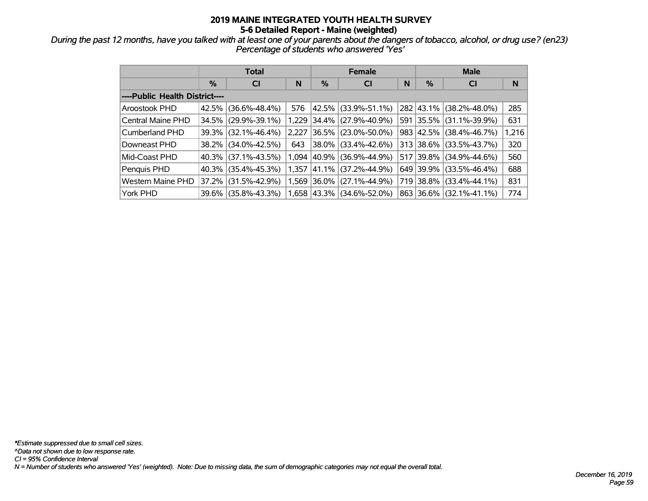*During the past 12 months, have you talked with at least one of your parents about the dangers of tobacco, alcohol, or drug use? (en23) Percentage of students who answered 'Yes'*

|                                |       | <b>Total</b>           |       |             | <b>Female</b>       |     | <b>Male</b> |                     |       |  |
|--------------------------------|-------|------------------------|-------|-------------|---------------------|-----|-------------|---------------------|-------|--|
|                                | %     | <b>CI</b>              | N     | $\%$        | <b>CI</b>           | N   | %           | <b>CI</b>           | N     |  |
| ----Public Health District---- |       |                        |       |             |                     |     |             |                     |       |  |
| Aroostook PHD                  | 42.5% | $(36.6\% - 48.4\%)$    | 576   | 42.5%       | $(33.9\% - 51.1\%)$ |     | 282 43.1%   | $(38.2\% - 48.0\%)$ | 285   |  |
| Central Maine PHD              | 34.5% | $(29.9\% - 39.1\%)$    | 1.229 | $34.4\%$    | $(27.9\% - 40.9\%)$ | 591 | 35.5%       | $(31.1\% - 39.9\%)$ | 631   |  |
| <b>Cumberland PHD</b>          |       | $39.3\%$ (32.1%-46.4%) | 2,227 | $ 36.5\% $  | $(23.0\% - 50.0\%)$ | 983 | 42.5%       | $(38.4\% - 46.7\%)$ | 1,216 |  |
| Downeast PHD                   |       | 38.2% (34.0%-42.5%)    | 643   | $38.0\%$    | $(33.4\% - 42.6\%)$ |     | 313 38.6%   | $(33.5\% - 43.7\%)$ | 320   |  |
| Mid-Coast PHD                  |       | $40.3\%$ (37.1%-43.5%) | 1.094 | 40.9%       | $(36.9\% - 44.9\%)$ |     | $517$ 39.8% | $(34.9\% - 44.6\%)$ | 560   |  |
| Penquis PHD                    |       | $40.3\%$ (35.4%-45.3%) | 1,357 | 41.1%       | $(37.2\% - 44.9\%)$ |     | 649 39.9%   | $(33.5\% - 46.4\%)$ | 688   |  |
| <b>Western Maine PHD</b>       | 37.2% | $(31.5\% - 42.9\%)$    |       | 1,569 36.0% | $(27.1\% - 44.9\%)$ |     | 719 38.8%   | $(33.4\% - 44.1\%)$ | 831   |  |
| York PHD                       |       | 39.6% (35.8%-43.3%)    |       | 1,658 43.3% | $(34.6\% - 52.0\%)$ | 863 | $ 36.6\% $  | $(32.1\% - 41.1\%)$ | 774   |  |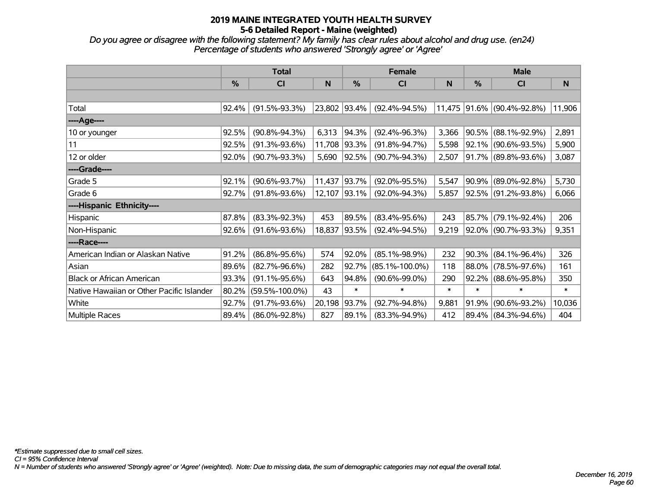*Do you agree or disagree with the following statement? My family has clear rules about alcohol and drug use. (en24) Percentage of students who answered 'Strongly agree' or 'Agree'*

|                                           |               | <b>Total</b>         |        |        | <b>Female</b>        |        | <b>Male</b> |                          |        |  |
|-------------------------------------------|---------------|----------------------|--------|--------|----------------------|--------|-------------|--------------------------|--------|--|
|                                           | $\frac{9}{6}$ | CI                   | N      | %      | <b>CI</b>            | N      | %           | CI                       | N      |  |
|                                           |               |                      |        |        |                      |        |             |                          |        |  |
| Total                                     | 92.4%         | $(91.5\% - 93.3\%)$  | 23,802 | 93.4%  | $(92.4\% - 94.5\%)$  | 11,475 |             | $ 91.6\% $ (90.4%-92.8%) | 11,906 |  |
| ----Age----                               |               |                      |        |        |                      |        |             |                          |        |  |
| 10 or younger                             | 92.5%         | $(90.8\% - 94.3\%)$  | 6,313  | 94.3%  | $(92.4\% - 96.3\%)$  | 3,366  | 90.5%       | $(88.1\% - 92.9\%)$      | 2,891  |  |
| 11                                        | 92.5%         | $(91.3\% - 93.6\%)$  | 11,708 | 93.3%  | $(91.8\% - 94.7\%)$  | 5,598  | 92.1%       | $(90.6\% - 93.5\%)$      | 5,900  |  |
| 12 or older                               | 92.0%         | $(90.7\% - 93.3\%)$  | 5,690  | 92.5%  | $(90.7\% - 94.3\%)$  | 2,507  |             | 91.7% (89.8%-93.6%)      | 3,087  |  |
| ----Grade----                             |               |                      |        |        |                      |        |             |                          |        |  |
| Grade 5                                   | 92.1%         | $(90.6\% - 93.7\%)$  | 11,437 | 93.7%  | $(92.0\% - 95.5\%)$  | 5,547  | 90.9%       | $(89.0\% - 92.8\%)$      | 5,730  |  |
| Grade 6                                   | 92.7%         | $(91.8\% - 93.6\%)$  | 12,107 | 93.1%  | $(92.0\% - 94.3\%)$  | 5,857  |             | 92.5% (91.2%-93.8%)      | 6,066  |  |
| ----Hispanic Ethnicity----                |               |                      |        |        |                      |        |             |                          |        |  |
| Hispanic                                  | 87.8%         | $(83.3\% - 92.3\%)$  | 453    | 89.5%  | $(83.4\% - 95.6\%)$  | 243    | 85.7%       | $(79.1\% - 92.4\%)$      | 206    |  |
| Non-Hispanic                              | 92.6%         | $(91.6\% - 93.6\%)$  | 18,837 | 93.5%  | $(92.4\% - 94.5\%)$  | 9,219  |             | 92.0% (90.7%-93.3%)      | 9,351  |  |
| ----Race----                              |               |                      |        |        |                      |        |             |                          |        |  |
| American Indian or Alaskan Native         | 91.2%         | $(86.8\% - 95.6\%)$  | 574    | 92.0%  | $(85.1\% - 98.9\%)$  | 232    | 90.3%       | $(84.1\% - 96.4\%)$      | 326    |  |
| Asian                                     | 89.6%         | $(82.7\% - 96.6\%)$  | 282    | 92.7%  | $(85.1\% - 100.0\%)$ | 118    | 88.0%       | $(78.5\% - 97.6\%)$      | 161    |  |
| <b>Black or African American</b>          | 93.3%         | $(91.1\% - 95.6\%)$  | 643    | 94.8%  | $(90.6\% - 99.0\%)$  | 290    | 92.2%       | $(88.6\% - 95.8\%)$      | 350    |  |
| Native Hawaiian or Other Pacific Islander | 80.2%         | $(59.5\% - 100.0\%)$ | 43     | $\ast$ | $\ast$               | $\ast$ | $\ast$      | $\ast$                   | $\ast$ |  |
| White                                     | 92.7%         | $(91.7\% - 93.6\%)$  | 20,198 | 93.7%  | $(92.7\% - 94.8\%)$  | 9,881  | 91.9%       | $(90.6\% - 93.2\%)$      | 10,036 |  |
| Multiple Races                            | 89.4%         | $(86.0\% - 92.8\%)$  | 827    | 89.1%  | $(83.3\% - 94.9\%)$  | 412    |             | 89.4% (84.3%-94.6%)      | 404    |  |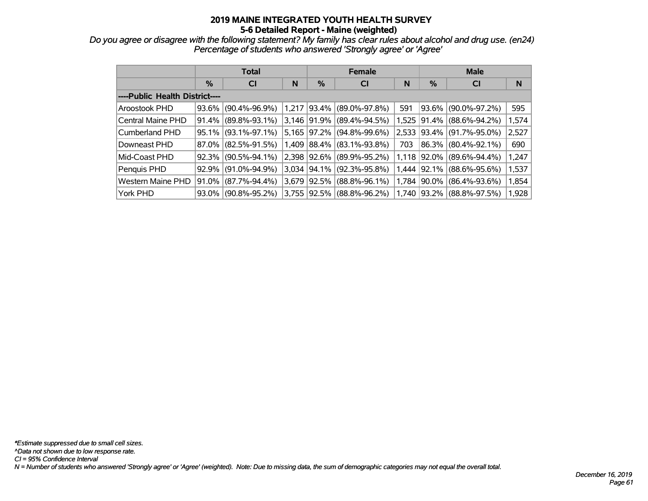*Do you agree or disagree with the following statement? My family has clear rules about alcohol and drug use. (en24) Percentage of students who answered 'Strongly agree' or 'Agree'*

|                                |          | <b>Total</b>        |       |       | <b>Female</b>       |       | <b>Male</b> |                           |       |  |
|--------------------------------|----------|---------------------|-------|-------|---------------------|-------|-------------|---------------------------|-------|--|
|                                | $\%$     | <b>CI</b>           | N     | $\%$  | <b>CI</b>           | N     | %           | <b>CI</b>                 | N     |  |
| ----Public Health District---- |          |                     |       |       |                     |       |             |                           |       |  |
| Aroostook PHD                  | 93.6%    | $(90.4\% - 96.9\%)$ | 1,217 | 93.4% | $(89.0\% - 97.8\%)$ | 591   |             | 93.6% (90.0%-97.2%)       | 595   |  |
| Central Maine PHD              | 91.4%    | $(89.8\% - 93.1\%)$ | 3.146 | 91.9% | $(89.4\% - 94.5\%)$ | 1,525 |             | $ 91.4\% $ (88.6%-94.2%)  | 1,574 |  |
| Cumberland PHD                 | $95.1\%$ | $(93.1\% - 97.1\%)$ | 5,165 | 97.2% | $(94.8\% - 99.6\%)$ |       |             | 2,533 93.4% (91.7%-95.0%) | 2,527 |  |
| Downeast PHD                   | 87.0%    | $(82.5\% - 91.5\%)$ | 1,409 | 88.4% | $(83.1\% - 93.8\%)$ | 703   |             | 86.3% (80.4%-92.1%)       | 690   |  |
| Mid-Coast PHD                  | 92.3%    | $(90.5\% - 94.1\%)$ | 2,398 | 92.6% | $(89.9\% - 95.2\%)$ |       |             | 1,118 92.0% (89.6%-94.4%) | 1,247 |  |
| Penquis PHD                    | 92.9%    | $(91.0\% - 94.9\%)$ | 3.034 | 94.1% | $(92.3\% - 95.8\%)$ |       |             | 1,444 92.1% (88.6%-95.6%) | 1,537 |  |
| <b>Western Maine PHD</b>       | 91.0%    | $(87.7\% - 94.4\%)$ | 3,679 | 92.5% | $(88.8\% - 96.1\%)$ |       |             | 1,784 90.0% (86.4%-93.6%) | 1,854 |  |
| York PHD                       | 93.0%    | $(90.8\% - 95.2\%)$ | 3.755 | 92.5% | (88.8%-96.2%)       |       |             | 1,740 93.2% (88.8%-97.5%) | 1,928 |  |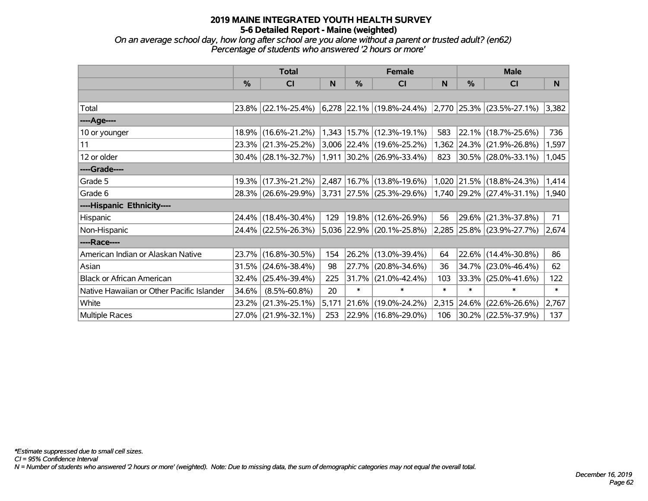*On an average school day, how long after school are you alone without a parent or trusted adult? (en62) Percentage of students who answered '2 hours or more'*

|                                           | <b>Total</b> |                        |       |        | <b>Female</b>                                                           |        | <b>Male</b> |                                |        |
|-------------------------------------------|--------------|------------------------|-------|--------|-------------------------------------------------------------------------|--------|-------------|--------------------------------|--------|
|                                           | %            | <b>CI</b>              | N     | %      | <b>CI</b>                                                               | N      | %           | <b>CI</b>                      | N      |
|                                           |              |                        |       |        |                                                                         |        |             |                                |        |
| Total                                     |              | 23.8% (22.1%-25.4%)    |       |        | $(6,278)$ 22.1% $(19.8\% - 24.4\%)$ $(2,770)$ 25.3% $(23.5\% - 27.1\%)$ |        |             |                                | 3,382  |
| ----Age----                               |              |                        |       |        |                                                                         |        |             |                                |        |
| 10 or younger                             | 18.9%        | $(16.6\% - 21.2\%)$    | 1,343 |        | $ 15.7\% $ (12.3%-19.1%)                                                | 583    | $ 22.1\% $  | $(18.7\% - 25.6\%)$            | 736    |
| 11                                        |              | 23.3% (21.3%-25.2%)    |       |        | 3,006 22.4% (19.6%-25.2%)                                               | 1,362  |             | $ 24.3\% $ (21.9%-26.8%)       | 1,597  |
| 12 or older                               |              | $30.4\%$ (28.1%-32.7%) | 1,911 |        | $ 30.2\% $ (26.9%-33.4%)                                                | 823    |             | $ 30.5\% $ (28.0%-33.1%)       | 1,045  |
| ----Grade----                             |              |                        |       |        |                                                                         |        |             |                                |        |
| Grade 5                                   | 19.3%        | $(17.3\% - 21.2\%)$    | 2,487 |        | 16.7% (13.8%-19.6%)                                                     | 1,020  | $ 21.5\% $  | $(18.8\% - 24.3\%)$            | 1,414  |
| Grade 6                                   |              | 28.3% (26.6%-29.9%)    |       |        | $3,731$ 27.5% (25.3%-29.6%)                                             |        |             | $ 1,740 29.2\% $ (27.4%-31.1%) | 1,940  |
| ----Hispanic Ethnicity----                |              |                        |       |        |                                                                         |        |             |                                |        |
| Hispanic                                  | 24.4%        | $(18.4\% - 30.4\%)$    | 129   |        | 19.8% (12.6%-26.9%)                                                     | 56     | 29.6%       | $(21.3\% - 37.8\%)$            | 71     |
| Non-Hispanic                              |              | 24.4% (22.5%-26.3%)    |       |        | 5,036 22.9% (20.1%-25.8%)                                               |        |             | 2,285 25.8% (23.9%-27.7%)      | 2,674  |
| ----Race----                              |              |                        |       |        |                                                                         |        |             |                                |        |
| American Indian or Alaskan Native         |              | 23.7% (16.8%-30.5%)    | 154   |        | 26.2% (13.0%-39.4%)                                                     | 64     | 22.6%       | $(14.4\% - 30.8\%)$            | 86     |
| Asian                                     | 31.5%        | $(24.6\% - 38.4\%)$    | 98    | 27.7%  | $(20.8\% - 34.6\%)$                                                     | 36     | 34.7%       | $(23.0\% - 46.4\%)$            | 62     |
| <b>Black or African American</b>          | 32.4%        | $(25.4\% - 39.4\%)$    | 225   | 31.7%  | $(21.0\% - 42.4\%)$                                                     | 103    | 33.3%       | $(25.0\% - 41.6\%)$            | 122    |
| Native Hawaiian or Other Pacific Islander | 34.6%        | $(8.5\% - 60.8\%)$     | 20    | $\ast$ | $\ast$                                                                  | $\ast$ | $\ast$      | $\ast$                         | $\ast$ |
| White                                     | 23.2%        | $(21.3\% - 25.1\%)$    | 5,171 | 21.6%  | $(19.0\% - 24.2\%)$                                                     | 2,315  | $ 24.6\% $  | $(22.6\% - 26.6\%)$            | 2,767  |
| <b>Multiple Races</b>                     |              | 27.0% (21.9%-32.1%)    | 253   |        | 22.9% (16.8%-29.0%)                                                     | 106    |             | 30.2% (22.5%-37.9%)            | 137    |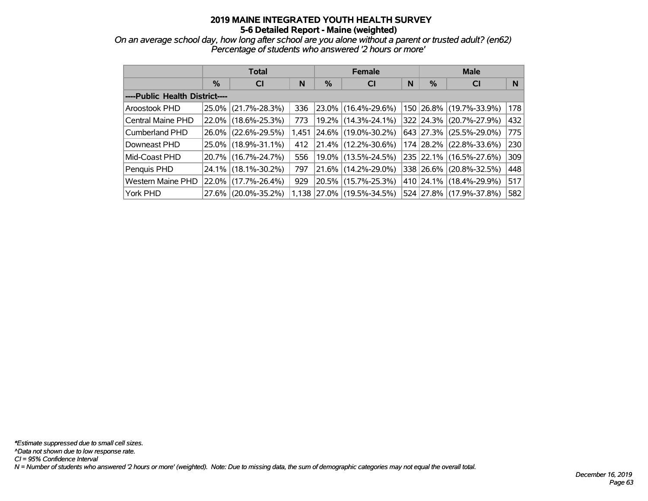*On an average school day, how long after school are you alone without a parent or trusted adult? (en62) Percentage of students who answered '2 hours or more'*

|                                |          | <b>Total</b>        |       |          | <b>Female</b>            |   | <b>Male</b> |                         |     |  |
|--------------------------------|----------|---------------------|-------|----------|--------------------------|---|-------------|-------------------------|-----|--|
|                                | $\%$     | <b>CI</b>           | N     | %        | <b>CI</b>                | N | $\%$        | <b>CI</b>               | N   |  |
| ----Public Health District---- |          |                     |       |          |                          |   |             |                         |     |  |
| Aroostook PHD                  | 25.0%    | $(21.7\% - 28.3\%)$ | 336   |          | 23.0% (16.4%-29.6%)      |   |             | 150 26.8% (19.7%-33.9%) | 178 |  |
| Central Maine PHD              | 22.0%    | $(18.6\% - 25.3\%)$ | 773   | $19.2\%$ | $(14.3\% - 24.1\%)$      |   | 322 24.3%   | $(20.7\% - 27.9\%)$     | 432 |  |
| Cumberland PHD                 | $26.0\%$ | $(22.6\% - 29.5\%)$ | 1,451 |          | 24.6% (19.0%-30.2%)      |   | 643 27.3%   | $(25.5\% - 29.0\%)$     | 775 |  |
| Downeast PHD                   | 25.0%    | $(18.9\% - 31.1\%)$ | 412   |          | $21.4\%$ (12.2%-30.6%)   |   |             | 174 28.2% (22.8%-33.6%) | 230 |  |
| Mid-Coast PHD                  | $20.7\%$ | $(16.7\% - 24.7\%)$ | 556   |          | 19.0% (13.5%-24.5%)      |   |             | 235 22.1% (16.5%-27.6%) | 309 |  |
| Penquis PHD                    | 24.1%    | $(18.1\% - 30.2\%)$ | 797   |          | 21.6% (14.2%-29.0%)      |   | 338 26.6%   | $(20.8\% - 32.5\%)$     | 448 |  |
| <b>Western Maine PHD</b>       | 22.0%    | $(17.7\% - 26.4\%)$ | 929   | 20.5%    | $(15.7\% - 25.3\%)$      |   |             | 410 24.1% (18.4%-29.9%) | 517 |  |
| York PHD                       | 27.6%    | $(20.0\% - 35.2\%)$ | 1.138 |          | $ 27.0\% $ (19.5%-34.5%) |   |             | 524 27.8% (17.9%-37.8%) | 582 |  |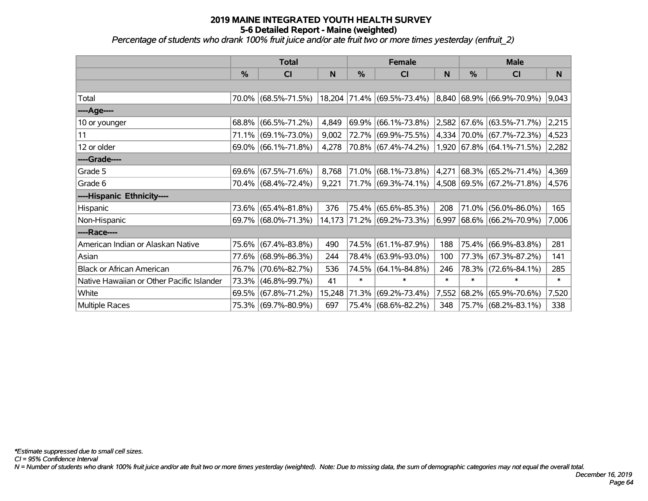*Percentage of students who drank 100% fruit juice and/or ate fruit two or more times yesterday (enfruit\_2)*

|                                           | <b>Total</b> |                        |        |          | <b>Female</b>                                        |        | <b>Male</b> |                                    |        |
|-------------------------------------------|--------------|------------------------|--------|----------|------------------------------------------------------|--------|-------------|------------------------------------|--------|
|                                           | %            | CI                     | N      | %        | <b>CI</b>                                            | N      | %           | <b>CI</b>                          | N      |
|                                           |              |                        |        |          |                                                      |        |             |                                    |        |
| Total                                     |              | 70.0% (68.5%-71.5%)    |        |          | 18,204 71.4% (69.5%-73.4%) 8,840 68.9% (66.9%-70.9%) |        |             |                                    | 9,043  |
| ----Age----                               |              |                        |        |          |                                                      |        |             |                                    |        |
| 10 or younger                             | 68.8%        | $(66.5\% - 71.2\%)$    | 4,849  | $69.9\%$ | $(66.1\% - 73.8\%)$                                  |        |             | $ 2,582 67.6\%  (63.5\% - 71.7\%)$ | 2,215  |
| 11                                        | 71.1%        | $(69.1\% - 73.0\%)$    | 9,002  |          | 72.7% (69.9%-75.5%)                                  |        |             | $ 4,334 70.0\%  (67.7\% -72.3\%)$  | 4,523  |
| 12 or older                               |              | $69.0\%$ (66.1%-71.8%) | 4,278  |          | 70.8% (67.4%-74.2%)                                  |        |             | $1,920$ 67.8% (64.1%-71.5%)        | 2,282  |
| ----Grade----                             |              |                        |        |          |                                                      |        |             |                                    |        |
| Grade 5                                   | 69.6%        | $(67.5\% - 71.6\%)$    | 8,768  | 71.0%    | $(68.1\% - 73.8\%)$                                  | 4,271  |             | $ 68.3\%  (65.2\% - 71.4\%)$       | 4,369  |
| Grade 6                                   |              | 70.4% (68.4%-72.4%)    | 9,221  |          | 71.7% (69.3%-74.1%)                                  |        |             | 4,508   69.5%   (67.2%-71.8%)      | 4,576  |
| ----Hispanic Ethnicity----                |              |                        |        |          |                                                      |        |             |                                    |        |
| Hispanic                                  |              | 73.6% (65.4%-81.8%)    | 376    | 75.4%    | $(65.6\% - 85.3\%)$                                  | 208    | 71.0%       | $(56.0\% - 86.0\%)$                | 165    |
| Non-Hispanic                              |              | 69.7% (68.0%-71.3%)    |        |          | 14,173 71.2% (69.2%-73.3%)                           | 6,997  |             | $ 68.6\%  (66.2\% - 70.9\%)$       | 7,006  |
| ----Race----                              |              |                        |        |          |                                                      |        |             |                                    |        |
| American Indian or Alaskan Native         |              | 75.6% (67.4%-83.8%)    | 490    | 74.5%    | $(61.1\% - 87.9\%)$                                  | 188    | 75.4%       | $(66.9\% - 83.8\%)$                | 281    |
| Asian                                     |              | 77.6% (68.9%-86.3%)    | 244    | 78.4%    | $(63.9\% - 93.0\%)$                                  | 100    | 77.3%       | $(67.3\% - 87.2\%)$                | 141    |
| <b>Black or African American</b>          | 76.7%        | $(70.6\% - 82.7\%)$    | 536    | 74.5%    | $(64.1\% - 84.8\%)$                                  | 246    | 78.3%       | $(72.6\% - 84.1\%)$                | 285    |
| Native Hawaiian or Other Pacific Islander |              | 73.3% (46.8%-99.7%)    | 41     | $\ast$   | $\ast$                                               | $\ast$ | *           | $\ast$                             | $\ast$ |
| White                                     |              | 69.5% (67.8%-71.2%)    | 15,248 | 71.3%    | $(69.2\% - 73.4\%)$                                  | 7,552  | 68.2%       | $(65.9\% - 70.6\%)$                | 7,520  |
| Multiple Races                            |              | 75.3% (69.7%-80.9%)    | 697    |          | 75.4% (68.6%-82.2%)                                  | 348    |             | 75.7% (68.2%-83.1%)                | 338    |

*CI = 95% Confidence Interval*

*N = Number of students who drank 100% fruit juice and/or ate fruit two or more times yesterday (weighted). Note: Due to missing data, the sum of demographic categories may not equal the overall total.*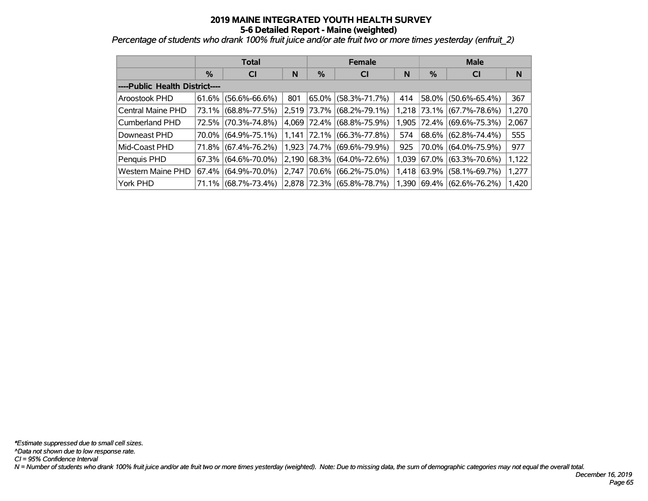*Percentage of students who drank 100% fruit juice and/or ate fruit two or more times yesterday (enfruit\_2)*

|                                |               | <b>Total</b>        |       |             | <b>Female</b>             |       | <b>Male</b> |                     |       |  |
|--------------------------------|---------------|---------------------|-------|-------------|---------------------------|-------|-------------|---------------------|-------|--|
|                                | $\frac{0}{0}$ | <b>CI</b><br>N      |       | %           | <b>CI</b>                 | N     | %           | <b>CI</b>           | N     |  |
| ----Public Health District---- |               |                     |       |             |                           |       |             |                     |       |  |
| Aroostook PHD                  | 61.6%         | $(56.6\% - 66.6\%)$ | 801   | 65.0%       | $(58.3\% - 71.7\%)$       | 414   | 58.0%       | $(50.6\% - 65.4\%)$ | 367   |  |
| Central Maine PHD              | 73.1%         | $(68.8\% - 77.5\%)$ | 2,519 | 73.7%       | $(68.2\% - 79.1\%)$       |       | 1,218 73.1% | $(67.7\% - 78.6\%)$ | 1,270 |  |
| Cumberland PHD                 | 72.5%         | $(70.3\% - 74.8\%)$ |       |             | 4,069 72.4% (68.8%-75.9%) | 1.905 | $ 72.4\% $  | $(69.6\% - 75.3\%)$ | 2,067 |  |
| Downeast PHD                   | 70.0%         | $(64.9\% - 75.1\%)$ |       | 1,141 72.1% | $(66.3\% - 77.8\%)$       | 574   | $68.6\%$    | $(62.8\% - 74.4\%)$ | 555   |  |
| Mid-Coast PHD                  | 71.8%         | $(67.4\% - 76.2\%)$ |       | 1,923 74.7% | $(69.6\% - 79.9\%)$       | 925   | 70.0%       | $(64.0\% - 75.9\%)$ | 977   |  |
| Penquis PHD                    | 67.3%         | $(64.6\% - 70.0\%)$ | 2.190 | $ 68.3\% $  | $(64.0\% - 72.6\%)$       | 1,039 | 67.0%       | $(63.3\% - 70.6\%)$ | 1,122 |  |
| Western Maine PHD              | 67.4%         | $(64.9\% - 70.0\%)$ | 2.747 | 70.6%       | $(66.2\% - 75.0\%)$       | 1,418 | 63.9%       | $(58.1\% - 69.7\%)$ | 1,277 |  |
| York PHD                       | 71.1%         | $(68.7\% - 73.4\%)$ |       | 2.878 72.3% | $(65.8\% - 78.7\%)$       | 1,390 | $ 69.4\% $  | $(62.6\% - 76.2\%)$ | 1,420 |  |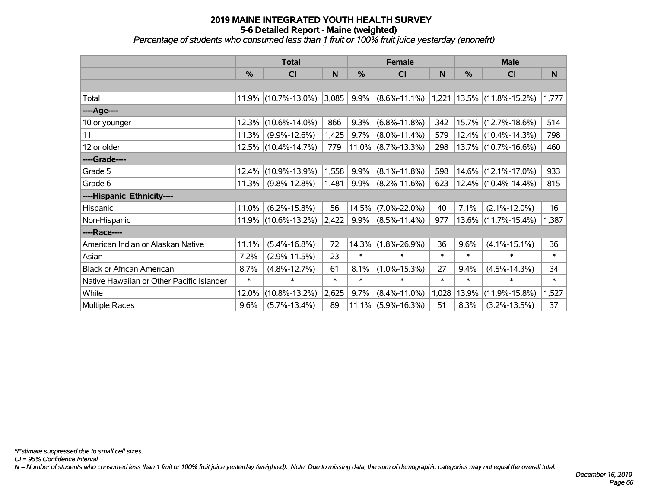# **2019 MAINE INTEGRATED YOUTH HEALTH SURVEY 5-6 Detailed Report - Maine (weighted)** *Percentage of students who consumed less than 1 fruit or 100% fruit juice yesterday (enonefrt) '*

|                                           | <b>Total</b> |                     |        | <b>Female</b> |                       | <b>Male</b> |        |                                                                        |        |
|-------------------------------------------|--------------|---------------------|--------|---------------|-----------------------|-------------|--------|------------------------------------------------------------------------|--------|
|                                           | %            | CI                  | N      | $\frac{0}{0}$ | C <sub>l</sub>        | N           | %      | CI                                                                     | N      |
|                                           |              |                     |        |               |                       |             |        |                                                                        |        |
| Total                                     | 11.9%        | $(10.7\% - 13.0\%)$ | 3,085  | 9.9%          |                       |             |        | $\vert$ (8.6%-11.1%) $\vert$ 1,221 $\vert$ 13.5% $\vert$ (11.8%-15.2%) | 1,777  |
| ----Age----                               |              |                     |        |               |                       |             |        |                                                                        |        |
| 10 or younger                             | 12.3%        | $(10.6\% - 14.0\%)$ | 866    | 9.3%          | $(6.8\% - 11.8\%)$    | 342         |        | 15.7% (12.7%-18.6%)                                                    | 514    |
| 11                                        | 11.3%        | $(9.9\% - 12.6\%)$  | 1,425  | 9.7%          | $(8.0\% - 11.4\%)$    | 579         |        | 12.4% (10.4%-14.3%)                                                    | 798    |
| 12 or older                               | 12.5%        | $(10.4\% - 14.7\%)$ | 779    |               | $11.0\%$ (8.7%-13.3%) | 298         |        | 13.7% (10.7%-16.6%)                                                    | 460    |
| ----Grade----                             |              |                     |        |               |                       |             |        |                                                                        |        |
| Grade 5                                   | 12.4%        | $(10.9\% - 13.9\%)$ | 1,558  | 9.9%          | $(8.1\% - 11.8\%)$    | 598         | 14.6%  | $(12.1\% - 17.0\%)$                                                    | 933    |
| Grade 6                                   | 11.3%        | $(9.8\% - 12.8\%)$  | 1,481  | 9.9%          | $(8.2\% - 11.6\%)$    | 623         |        | $12.4\%$ (10.4%-14.4%)                                                 | 815    |
| ----Hispanic Ethnicity----                |              |                     |        |               |                       |             |        |                                                                        |        |
| Hispanic                                  | 11.0%        | $(6.2\% - 15.8\%)$  | 56     | 14.5%         | $(7.0\% - 22.0\%)$    | 40          | 7.1%   | $(2.1\% - 12.0\%)$                                                     | 16     |
| Non-Hispanic                              | 11.9%        | $(10.6\% - 13.2\%)$ | 2,422  | 9.9%          | $(8.5\% - 11.4\%)$    | 977         |        | 13.6% (11.7%-15.4%)                                                    | 1,387  |
| ----Race----                              |              |                     |        |               |                       |             |        |                                                                        |        |
| American Indian or Alaskan Native         | 11.1%        | $(5.4\% - 16.8\%)$  | 72     | 14.3%         | $(1.8\% - 26.9\%)$    | 36          | 9.6%   | $(4.1\% - 15.1\%)$                                                     | 36     |
| Asian                                     | 7.2%         | $(2.9\% - 11.5\%)$  | 23     | $\ast$        | $\ast$                | $\ast$      | $\ast$ | $\ast$                                                                 | $\ast$ |
| <b>Black or African American</b>          | 8.7%         | $(4.8\% - 12.7\%)$  | 61     | 8.1%          | $(1.0\% - 15.3\%)$    | 27          | 9.4%   | $(4.5\% - 14.3\%)$                                                     | 34     |
| Native Hawaiian or Other Pacific Islander | $\ast$       | $\ast$              | $\ast$ | $\ast$        | $\ast$                | $\ast$      | $\ast$ | $\ast$                                                                 | $\ast$ |
| White                                     | 12.0%        | $(10.8\% - 13.2\%)$ | 2,625  | 9.7%          | $(8.4\% - 11.0\%)$    | 1,028       | 13.9%  | $(11.9\% - 15.8\%)$                                                    | 1,527  |
| <b>Multiple Races</b>                     | 9.6%         | $(5.7\% - 13.4\%)$  | 89     |               | $11.1\%$ (5.9%-16.3%) | 51          | 8.3%   | $(3.2\% - 13.5\%)$                                                     | 37     |

*N = Number of students who consumed less than 1 fruit or 100% fruit juice yesterday (weighted). Note: Due to missing data, the sum of demographic categories may not equal the overall total.*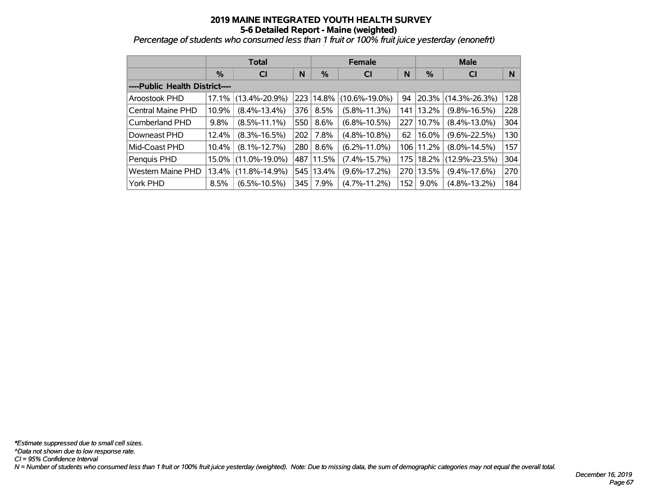*Percentage of students who consumed less than 1 fruit or 100% fruit juice yesterday (enonefrt) '*

|                                |               | <b>Total</b>        |     |           | <b>Female</b>       |            | <b>Male</b> |                     |     |  |
|--------------------------------|---------------|---------------------|-----|-----------|---------------------|------------|-------------|---------------------|-----|--|
|                                | $\frac{9}{6}$ | <b>CI</b>           | N   | %         | <b>CI</b>           | N          | %           | <b>CI</b>           | N   |  |
| ----Public Health District---- |               |                     |     |           |                     |            |             |                     |     |  |
| Aroostook PHD                  | 17.1%         | $(13.4\% - 20.9\%)$ |     | 223 14.8% | $(10.6\% - 19.0\%)$ | 94         | $ 20.3\% $  | $(14.3\% - 26.3\%)$ | 128 |  |
| Central Maine PHD              | 10.9%         | $(8.4\% - 13.4\%)$  | 376 | 8.5%      | $(5.8\% - 11.3\%)$  | 141        | 13.2%       | $(9.8\% - 16.5\%)$  | 228 |  |
| <b>Cumberland PHD</b>          | 9.8%          | $(8.5\% - 11.1\%)$  | 550 | $8.6\%$   | $(6.8\% - 10.5\%)$  | 227        | 10.7%       | $(8.4\% - 13.0\%)$  | 304 |  |
| Downeast PHD                   | 12.4%         | $(8.3\% - 16.5\%)$  | 202 | 7.8%      | $(4.8\% - 10.8\%)$  | 62         | 16.0%       | $(9.6\% - 22.5\%)$  | 130 |  |
| Mid-Coast PHD                  | 10.4%         | $(8.1\% - 12.7\%)$  | 280 | 8.6%      | $(6.2\% - 11.0\%)$  | $106 \mid$ | 11.2%       | $(8.0\% - 14.5\%)$  | 157 |  |
| Penquis PHD                    | 15.0%         | $(11.0\% - 19.0\%)$ |     | 487 11.5% | $(7.4\% - 15.7\%)$  | 175        | $ 18.2\% $  | $(12.9\% - 23.5\%)$ | 304 |  |
| <b>Western Maine PHD</b>       | 13.4%         | $(11.8\% - 14.9\%)$ |     | 545 13.4% | $(9.6\% - 17.2\%)$  | 270        | 13.5%       | $(9.4\% - 17.6\%)$  | 270 |  |
| York PHD                       | 8.5%          | $(6.5\% - 10.5\%)$  | 345 | 7.9%      | $(4.7\% - 11.2\%)$  | 152        | $9.0\%$     | $(4.8\% - 13.2\%)$  | 184 |  |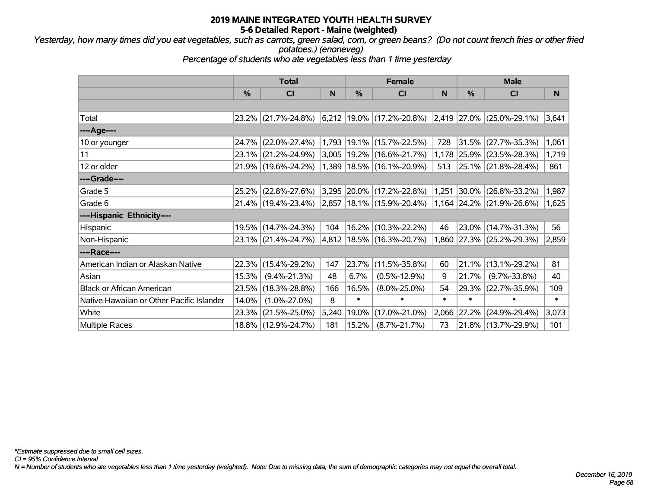*Yesterday, how many times did you eat vegetables, such as carrots, green salad, corn, or green beans? (Do not count french fries or other fried potatoes.) (enoneveg)*

*Percentage of students who ate vegetables less than 1 time yesterday*

|                                           | <b>Total</b> |                     |       |        | <b>Female</b>                                                                                       |        | <b>Male</b>   |                                 |        |
|-------------------------------------------|--------------|---------------------|-------|--------|-----------------------------------------------------------------------------------------------------|--------|---------------|---------------------------------|--------|
|                                           | $\%$         | CI                  | N     | %      | <b>CI</b>                                                                                           | N      | $\frac{0}{0}$ | <b>CI</b>                       | N      |
|                                           |              |                     |       |        |                                                                                                     |        |               |                                 |        |
| Total                                     |              | 23.2% (21.7%-24.8%) |       |        | $\vert 6,212 \vert 19.0\% \vert (17.2\% - 20.8\%) \vert 2,419 \vert 27.0\% \vert (25.0\% - 29.1\%)$ |        |               |                                 | 3,641  |
| ----Age----                               |              |                     |       |        |                                                                                                     |        |               |                                 |        |
| 10 or younger                             | 24.7%        | $(22.0\% - 27.4\%)$ | 1,793 |        | $19.1\%$ (15.7%-22.5%)                                                                              | 728    |               | $31.5\%$ (27.7%-35.3%)          | 1,061  |
| 11                                        |              | 23.1% (21.2%-24.9%) |       |        | $3,005$   19.2%   (16.6%-21.7%)                                                                     |        |               | 1,178 25.9% (23.5%-28.3%)       | 1,719  |
| 12 or older                               |              | 21.9% (19.6%-24.2%) |       |        | $(1,389 \mid 18.5\% \mid (16.1\% - 20.9\%)$                                                         | 513    |               | 25.1% (21.8%-28.4%)             | 861    |
| ----Grade----                             |              |                     |       |        |                                                                                                     |        |               |                                 |        |
| Grade 5                                   | 25.2%        | $(22.8\% - 27.6\%)$ |       |        | 3,295 20.0% (17.2%-22.8%)                                                                           | 1,251  |               | $30.0\%$ (26.8%-33.2%)          | 1,987  |
| Grade 6                                   |              | 21.4% (19.4%-23.4%) |       |        | $ 2,857 18.1\% $ (15.9%-20.4%)                                                                      |        |               | $1,164$   24.2%   (21.9%-26.6%) | 1,625  |
| ----Hispanic Ethnicity----                |              |                     |       |        |                                                                                                     |        |               |                                 |        |
| Hispanic                                  | 19.5%        | $(14.7\% - 24.3\%)$ | 104   |        | 16.2% (10.3%-22.2%)                                                                                 | 46     |               | 23.0% (14.7%-31.3%)             | 56     |
| Non-Hispanic                              |              | 23.1% (21.4%-24.7%) |       |        | 4,812   18.5%   (16.3%-20.7%)                                                                       |        |               | 1,860 27.3% (25.2%-29.3%)       | 2,859  |
| ----Race----                              |              |                     |       |        |                                                                                                     |        |               |                                 |        |
| American Indian or Alaskan Native         | 22.3%        | $(15.4\% - 29.2\%)$ | 147   |        | 23.7% (11.5%-35.8%)                                                                                 | 60     | 21.1%         | $(13.1\% - 29.2\%)$             | 81     |
| Asian                                     | 15.3%        | $(9.4\% - 21.3\%)$  | 48    | 6.7%   | $(0.5\% - 12.9\%)$                                                                                  | 9      | 21.7%         | $(9.7\% - 33.8\%)$              | 40     |
| <b>Black or African American</b>          | 23.5%        | $(18.3\% - 28.8\%)$ | 166   | 16.5%  | $(8.0\% - 25.0\%)$                                                                                  | 54     |               | 29.3% (22.7%-35.9%)             | 109    |
| Native Hawaiian or Other Pacific Islander | 14.0%        | $(1.0\% - 27.0\%)$  | 8     | $\ast$ | $\ast$                                                                                              | $\ast$ | $\ast$        | $\ast$                          | $\ast$ |
| White                                     | 23.3%        | $(21.5\% - 25.0\%)$ | 5,240 | 19.0%  | $(17.0\% - 21.0\%)$                                                                                 | 2,066  | 27.2%         | $(24.9\% - 29.4\%)$             | 3,073  |
| <b>Multiple Races</b>                     |              | 18.8% (12.9%-24.7%) | 181   | 15.2%  | $(8.7\% - 21.7\%)$                                                                                  | 73     |               | 21.8% (13.7%-29.9%)             | 101    |

*CI = 95% Confidence Interval*

*N = Number of students who ate vegetables less than 1 time yesterday (weighted). Note: Due to missing data, the sum of demographic categories may not equal the overall total.*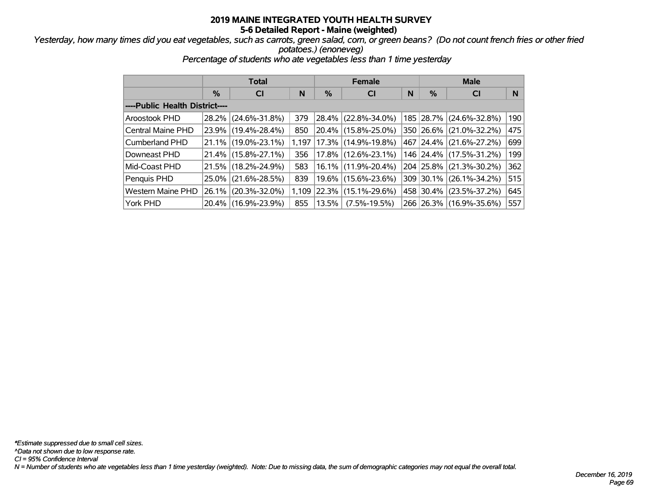#### *Yesterday, how many times did you eat vegetables, such as carrots, green salad, corn, or green beans? (Do not count french fries or other fried potatoes.) (enoneveg)*

*Percentage of students who ate vegetables less than 1 time yesterday*

|                                |          | <b>Total</b>        |       |          | <b>Female</b>       |   | <b>Male</b>   |                         |     |  |
|--------------------------------|----------|---------------------|-------|----------|---------------------|---|---------------|-------------------------|-----|--|
|                                | %        | <b>CI</b>           | N     | %        | <b>CI</b>           | N | $\frac{9}{6}$ | <b>CI</b>               | N   |  |
| ----Public Health District---- |          |                     |       |          |                     |   |               |                         |     |  |
| Aroostook PHD                  | $28.2\%$ | $(24.6\% - 31.8\%)$ | 379   | 28.4%    | $(22.8\% - 34.0\%)$ |   | 185 28.7%     | $(24.6\% - 32.8\%)$     | 190 |  |
| Central Maine PHD              | $23.9\%$ | $(19.4\% - 28.4\%)$ | 850   | $20.4\%$ | $(15.8\% - 25.0\%)$ |   | 350 26.6%     | $(21.0\% - 32.2\%)$     | 475 |  |
| <b>Cumberland PHD</b>          | $21.1\%$ | $(19.0\% - 23.1\%)$ | 1.197 | 17.3%    | $(14.9\% - 19.8\%)$ |   | 467 24.4%     | $(21.6\% - 27.2\%)$     | 699 |  |
| Downeast PHD                   | $21.4\%$ | $(15.8\% - 27.1\%)$ | 356   | $17.8\%$ | $(12.6\% - 23.1\%)$ |   |               | 146 24.4% (17.5%-31.2%) | 199 |  |
| Mid-Coast PHD                  | 21.5%    | $(18.2\% - 24.9\%)$ | 583   | $16.1\%$ | $(11.9\% - 20.4\%)$ |   | 204 25.8%     | $(21.3\% - 30.2\%)$     | 362 |  |
| Penquis PHD                    | $25.0\%$ | $(21.6\% - 28.5\%)$ | 839   | $19.6\%$ | $(15.6\% - 23.6\%)$ |   | 309 30.1%     | $(26.1\% - 34.2\%)$     | 515 |  |
| <b>Western Maine PHD</b>       | $26.1\%$ | $(20.3\% - 32.0\%)$ | 1,109 | 22.3%    | $(15.1\% - 29.6\%)$ |   | 458 30.4%     | $(23.5\% - 37.2\%)$     | 645 |  |
| York PHD                       | $20.4\%$ | $(16.9\% - 23.9\%)$ | 855   | 13.5%    | $(7.5\% - 19.5\%)$  |   |               | 266 26.3% (16.9%-35.6%) | 557 |  |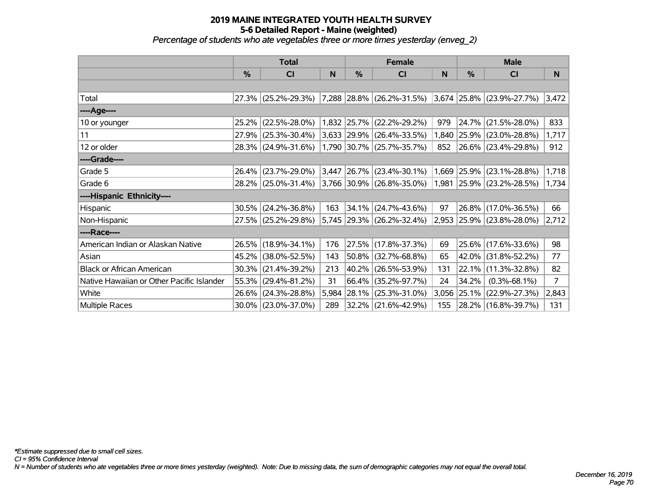#### **2019 MAINE INTEGRATED YOUTH HEALTH SURVEY 5-6 Detailed Report - Maine (weighted)** *Percentage of students who ate vegetables three or more times yesterday (enveg\_2)*

|                                           | <b>Total</b> |                        |       |               | <b>Female</b>                                       |              | <b>Male</b>   |                           |       |  |
|-------------------------------------------|--------------|------------------------|-------|---------------|-----------------------------------------------------|--------------|---------------|---------------------------|-------|--|
|                                           | $\%$         | C <sub>l</sub>         | N     | $\frac{0}{0}$ | CI                                                  | $\mathsf{N}$ | $\frac{0}{0}$ | <b>CI</b>                 | N     |  |
|                                           |              |                        |       |               |                                                     |              |               |                           |       |  |
| Total                                     |              | 27.3% (25.2%-29.3%)    |       |               | 7,288 28.8% (26.2%-31.5%) 3,674 25.8% (23.9%-27.7%) |              |               |                           | 3,472 |  |
| ----Age----                               |              |                        |       |               |                                                     |              |               |                           |       |  |
| 10 or younger                             | 25.2%        | $(22.5\% - 28.0\%)$    |       |               | 1,832 25.7% (22.2%-29.2%)                           | 979          |               | 24.7% (21.5%-28.0%)       | 833   |  |
| 11                                        |              | 27.9% (25.3%-30.4%)    |       |               | $3,633$   29.9%   (26.4%-33.5%)                     |              |               | 1,840 25.9% (23.0%-28.8%) | 1,717 |  |
| 12 or older                               |              | 28.3% (24.9%-31.6%)    |       |               | 1,790 30.7% (25.7%-35.7%)                           | 852          |               | $ 26.6\% $ (23.4%-29.8%)  | 912   |  |
| ----Grade----                             |              |                        |       |               |                                                     |              |               |                           |       |  |
| Grade 5                                   | 26.4%        | $(23.7\% - 29.0\%)$    | 3,447 |               | $ 26.7\% $ (23.4%-30.1%)                            |              | 1,669 25.9%   | $(23.1\% - 28.8\%)$       | 1,718 |  |
| Grade 6                                   |              | 28.2% (25.0%-31.4%)    |       |               | 3,766 30.9% (26.8%-35.0%)                           |              |               | 1,981 25.9% (23.2%-28.5%) | 1,734 |  |
| ----Hispanic Ethnicity----                |              |                        |       |               |                                                     |              |               |                           |       |  |
| Hispanic                                  | 30.5%        | $(24.2\% - 36.8\%)$    | 163   | 34.1%         | $(24.7\% - 43.6\%)$                                 | 97           | 26.8%         | $(17.0\% - 36.5\%)$       | 66    |  |
| Non-Hispanic                              |              | 27.5% (25.2%-29.8%)    |       |               | $5,745$ 29.3% (26.2%-32.4%)                         |              |               | 2,953 25.9% (23.8%-28.0%) | 2,712 |  |
| ----Race----                              |              |                        |       |               |                                                     |              |               |                           |       |  |
| American Indian or Alaskan Native         |              | 26.5% (18.9%-34.1%)    | 176   |               | 27.5% (17.8%-37.3%)                                 | 69           |               | 25.6% (17.6%-33.6%)       | 98    |  |
| Asian                                     | 45.2%        | $(38.0\% - 52.5\%)$    | 143   | 50.8%         | $(32.7\% - 68.8\%)$                                 | 65           | 42.0%         | $(31.8\% - 52.2\%)$       | 77    |  |
| <b>Black or African American</b>          | 30.3%        | $(21.4\% - 39.2\%)$    | 213   |               | 40.2% (26.5%-53.9%)                                 | 131          | 22.1%         | $(11.3\% - 32.8\%)$       | 82    |  |
| Native Hawaiian or Other Pacific Islander | 55.3%        | $(29.4\% - 81.2\%)$    | 31    | 66.4%         | $(35.2\% - 97.7\%)$                                 | 24           | 34.2%         | $(0.3\% - 68.1\%)$        | 7     |  |
| White                                     | 26.6%        | $(24.3\% - 28.8\%)$    | 5,984 | 28.1%         | $(25.3\% - 31.0\%)$                                 |              | 3,056 25.1%   | $(22.9\% - 27.3\%)$       | 2,843 |  |
| Multiple Races                            |              | $30.0\%$ (23.0%-37.0%) | 289   |               | 32.2% (21.6%-42.9%)                                 | 155          |               | 28.2% (16.8%-39.7%)       | 131   |  |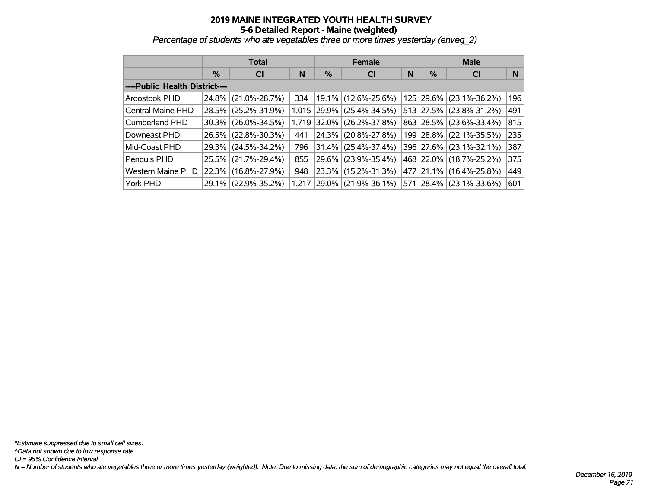*Percentage of students who ate vegetables three or more times yesterday (enveg\_2)*

|                                |          | <b>Total</b>        |       |       | <b>Female</b>          |   | <b>Male</b> |                     |     |  |
|--------------------------------|----------|---------------------|-------|-------|------------------------|---|-------------|---------------------|-----|--|
|                                | $\%$     | N<br><b>CI</b>      |       |       | <b>CI</b>              | N | %           | <b>CI</b>           | N   |  |
| ----Public Health District---- |          |                     |       |       |                        |   |             |                     |     |  |
| Aroostook PHD                  | $24.8\%$ | $(21.0\% - 28.7\%)$ | 334   |       | 19.1% (12.6%-25.6%)    |   | 125 29.6%   | $(23.1\% - 36.2\%)$ | 196 |  |
| Central Maine PHD              | $28.5\%$ | $(25.2\% - 31.9\%)$ | 1.015 | 29.9% | $(25.4\% - 34.5\%)$    |   | 513 27.5%   | $(23.8\% - 31.2\%)$ | 491 |  |
| <b>Cumberland PHD</b>          |          | 30.3% (26.0%-34.5%) | 1.719 | 32.0% | $(26.2\% - 37.8\%)$    |   | 863 28.5%   | $(23.6\% - 33.4\%)$ | 815 |  |
| Downeast PHD                   | $26.5\%$ | $(22.8\% - 30.3\%)$ | 441   | 24.3% | $(20.8\% - 27.8\%)$    |   | 199   28.8% | $(22.1\% - 35.5\%)$ | 235 |  |
| Mid-Coast PHD                  |          | 29.3% (24.5%-34.2%) | 796   |       | $31.4\%$ (25.4%-37.4%) |   | 396 27.6%   | $(23.1\% - 32.1\%)$ | 387 |  |
| Penquis PHD                    | $25.5\%$ | $(21.7\% - 29.4\%)$ | 855   |       | 29.6% (23.9%-35.4%)    |   | 468 22.0%   | $(18.7\% - 25.2\%)$ | 375 |  |
| <b>Western Maine PHD</b>       |          | 22.3% (16.8%-27.9%) | 948   |       | 23.3% (15.2%-31.3%)    |   | 477 21.1%   | $(16.4\% - 25.8\%)$ | 449 |  |
| York PHD                       |          | 29.1% (22.9%-35.2%) | 1.217 | 29.0% | $(21.9\% - 36.1\%)$    |   | 571 28.4%   | $(23.1\% - 33.6\%)$ | 601 |  |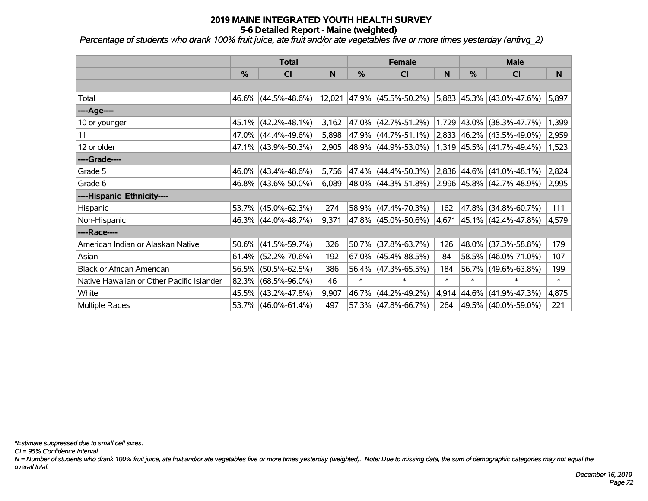*Percentage of students who drank 100% fruit juice, ate fruit and/or ate vegetables five or more times yesterday (enfrvg\_2) '*

|                                           | <b>Total</b>  |                        |       |               | <b>Female</b>                                        |        | <b>Male</b>      |                             |        |  |
|-------------------------------------------|---------------|------------------------|-------|---------------|------------------------------------------------------|--------|------------------|-----------------------------|--------|--|
|                                           | $\frac{0}{0}$ | CI                     | N     | $\frac{9}{6}$ | CI                                                   | N      | $\frac{0}{0}$    | CI                          | N      |  |
|                                           |               |                        |       |               |                                                      |        |                  |                             |        |  |
| Total                                     |               | 46.6% (44.5%-48.6%)    |       |               | 12,021 47.9% (45.5%-50.2%) 5,883 45.3% (43.0%-47.6%) |        |                  |                             | 5,897  |  |
| ----Age----                               |               |                        |       |               |                                                      |        |                  |                             |        |  |
| 10 or younger                             |               | 45.1% (42.2%-48.1%)    | 3,162 |               | 47.0% (42.7%-51.2%)                                  |        | 1,729 43.0%      | $(38.3\% - 47.7\%)$         | 1,399  |  |
| 11                                        |               | 47.0% (44.4%-49.6%)    | 5,898 |               | 47.9% (44.7%-51.1%)                                  |        |                  | 2,833 46.2% (43.5%-49.0%)   | 2,959  |  |
| 12 or older                               |               | 47.1% (43.9%-50.3%)    | 2,905 |               | 48.9% (44.9%-53.0%)                                  |        |                  | $1,319$ 45.5% (41.7%-49.4%) | 1,523  |  |
| ----Grade----                             |               |                        |       |               |                                                      |        |                  |                             |        |  |
| Grade 5                                   |               | 46.0% (43.4%-48.6%)    | 5,756 | 47.4%         | $(44.4\% - 50.3\%)$                                  |        | $ 2,836 44.6\% $ | $(41.0\% - 48.1\%)$         | 2,824  |  |
| Grade 6                                   |               | 46.8% (43.6%-50.0%)    | 6,089 |               | 48.0% (44.3%-51.8%) 2,996 45.8% (42.7%-48.9%)        |        |                  |                             | 2,995  |  |
| ----Hispanic Ethnicity----                |               |                        |       |               |                                                      |        |                  |                             |        |  |
| Hispanic                                  | 53.7%         | $(45.0\% - 62.3\%)$    | 274   |               | 58.9% (47.4%-70.3%)                                  | 162    | 47.8%            | $(34.8\% - 60.7\%)$         | 111    |  |
| Non-Hispanic                              |               | 46.3% (44.0%-48.7%)    | 9,371 |               | 47.8% (45.0%-50.6%)                                  |        |                  | 4,671 45.1% (42.4%-47.8%)   | 4,579  |  |
| ----Race----                              |               |                        |       |               |                                                      |        |                  |                             |        |  |
| American Indian or Alaskan Native         | $50.6\%$      | $(41.5\% - 59.7\%)$    | 326   |               | 50.7% (37.8%-63.7%)                                  | 126    | 48.0%            | $(37.3\% - 58.8\%)$         | 179    |  |
| Asian                                     |               | $61.4\%$ (52.2%-70.6%) | 192   |               | $67.0\%$ (45.4%-88.5%)                               | 84     | 58.5%            | $(46.0\% - 71.0\%)$         | 107    |  |
| <b>Black or African American</b>          | 56.5%         | $(50.5\% - 62.5\%)$    | 386   | 56.4%         | $(47.3\% - 65.5\%)$                                  | 184    | 56.7%            | $(49.6\% - 63.8\%)$         | 199    |  |
| Native Hawaiian or Other Pacific Islander | 82.3%         | $(68.5\% - 96.0\%)$    | 46    | $\ast$        | $\ast$                                               | $\ast$ | *                | $\ast$                      | $\ast$ |  |
| White                                     |               | 45.5% (43.2%-47.8%)    | 9,907 | 46.7%         | $(44.2\% - 49.2\%)$                                  | 4,914  | $ 44.6\% $       | $(41.9\% - 47.3\%)$         | 4,875  |  |
| Multiple Races                            |               | 53.7% (46.0%-61.4%)    | 497   |               | 57.3% (47.8%-66.7%)                                  | 264    |                  | 49.5% (40.0%-59.0%)         | 221    |  |

*\*Estimate suppressed due to small cell sizes.*

*CI = 95% Confidence Interval*

*N = Number of students who drank 100% fruit juice, ate fruit and/or ate vegetables five or more times yesterday (weighted). Note: Due to missing data, the sum of demographic categories may not equal the overall total.*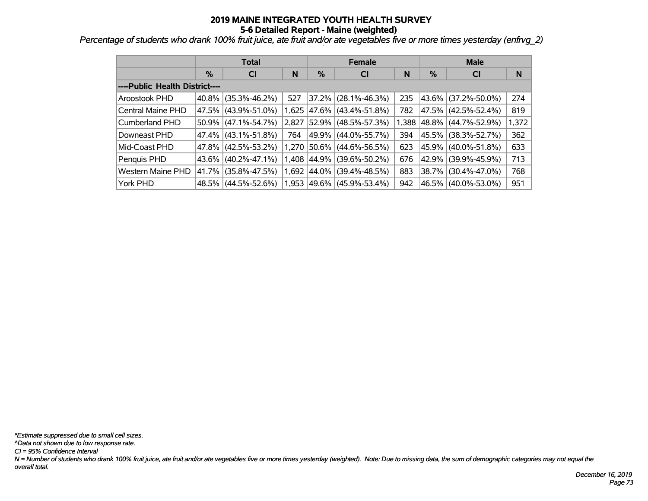*Percentage of students who drank 100% fruit juice, ate fruit and/or ate vegetables five or more times yesterday (enfrvg\_2)*

|                                |          | <b>Total</b>        |       |       | <b>Female</b>        |       | <b>Male</b> |                     |       |  |
|--------------------------------|----------|---------------------|-------|-------|----------------------|-------|-------------|---------------------|-------|--|
|                                | %        | <b>CI</b>           | N     | %     | <b>CI</b>            | N     | %           | <b>CI</b>           | N     |  |
| ----Public Health District---- |          |                     |       |       |                      |       |             |                     |       |  |
| Aroostook PHD                  | 40.8%    | $(35.3\% - 46.2\%)$ | 527   | 37.2% | $(28.1\% - 46.3\%)$  | 235   | 43.6%       | $(37.2\% - 50.0\%)$ | 274   |  |
| Central Maine PHD              | 47.5%    | $(43.9\% - 51.0\%)$ | 1,625 | 47.6% | $(43.4\% - 51.8\%)$  | 782   | 47.5%       | $(42.5\% - 52.4\%)$ | 819   |  |
| Cumberland PHD                 | 50.9%    | $(47.1\% - 54.7\%)$ | 2,827 | 52.9% | $(48.5\% - 57.3\%)$  | 1,388 | $ 48.8\% $  | $(44.7\% - 52.9\%)$ | 1,372 |  |
| Downeast PHD                   |          | 47.4% (43.1%-51.8%) | 764   | 49.9% | $(44.0\% - 55.7\%)$  | 394   | 45.5%       | $(38.3\% - 52.7\%)$ | 362   |  |
| Mid-Coast PHD                  |          | 47.8% (42.5%-53.2%) | 1.270 | 50.6% | $(44.6\% - 56.5\%)$  | 623   | 45.9%       | $(40.0\% - 51.8\%)$ | 633   |  |
| Penquis PHD                    | $43.6\%$ | $(40.2\% - 47.1\%)$ | 1,408 | 44.9% | $(39.6\% - 50.2\%)$  | 676   | 42.9%       | $(39.9\% - 45.9\%)$ | 713   |  |
| <b>Western Maine PHD</b>       | 41.7%    | $(35.8\% - 47.5\%)$ | 1,692 | 44.0% | $(39.4\% - 48.5\%)$  | 883   | 38.7%       | $(30.4\% - 47.0\%)$ | 768   |  |
| York PHD                       |          | 48.5% (44.5%-52.6%) | 1,953 |       | 49.6%  (45.9%-53.4%) | 942   | 46.5%       | $(40.0\% - 53.0\%)$ | 951   |  |

*N = Number of students who drank 100% fruit juice, ate fruit and/or ate vegetables five or more times yesterday (weighted). Note: Due to missing data, the sum of demographic categories may not equal the overall total. CI = 95% Confidence Interval ^Data not shown due to low response rate. \*Estimate suppressed due to small cell sizes.*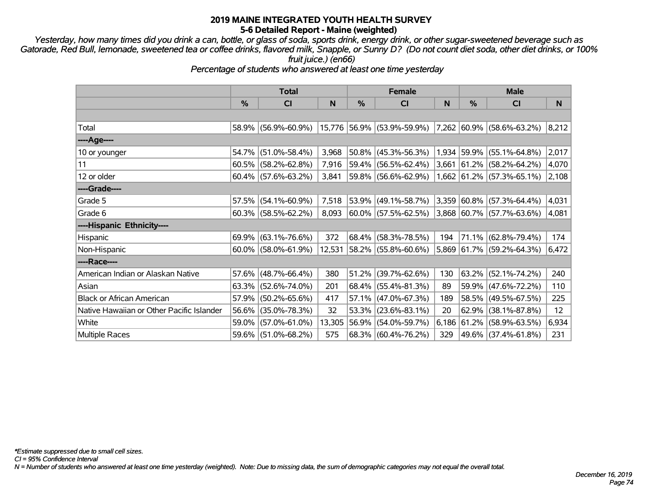*Yesterday, how many times did you drink a can, bottle, or glass of soda, sports drink, energy drink, or other sugar-sweetened beverage such as Gatorade, Red Bull, lemonade, sweetened tea or coffee drinks, flavored milk, Snapple, or Sunny D? (Do not count diet soda, other diet drinks, or 100% fruit juice.) (en66)*

*Percentage of students who answered at least one time yesterday*

|                                           | <b>Total</b>  |                        |        |   | <b>Female</b>                                        |             | <b>Male</b> |                             |                   |
|-------------------------------------------|---------------|------------------------|--------|---|------------------------------------------------------|-------------|-------------|-----------------------------|-------------------|
|                                           | $\frac{0}{0}$ | CI                     | N      | % | CI                                                   | $\mathbf N$ | $\%$        | CI                          | N                 |
|                                           |               |                        |        |   |                                                      |             |             |                             |                   |
| Total                                     |               | 58.9% (56.9%-60.9%)    |        |   | 15,776 56.9% (53.9%-59.9%) 7,262 60.9% (58.6%-63.2%) |             |             |                             | 8,212             |
| ----Age----                               |               |                        |        |   |                                                      |             |             |                             |                   |
| 10 or younger                             | 54.7%         | $(51.0\% - 58.4\%)$    | 3,968  |   | 50.8% (45.3%-56.3%)                                  |             |             | 1,934 59.9% (55.1%-64.8%)   | 2,017             |
| 11                                        |               | $60.5\%$ (58.2%-62.8%) | 7,916  |   | 59.4% (56.5%-62.4%)                                  |             |             | 3,661 61.2% (58.2%-64.2%)   | 4,070             |
| 12 or older                               |               | $60.4\%$ (57.6%-63.2%) | 3,841  |   | 59.8% (56.6%-62.9%)                                  |             |             | $1,662$ 61.2% (57.3%-65.1%) | 2,108             |
| ----Grade----                             |               |                        |        |   |                                                      |             |             |                             |                   |
| Grade 5                                   | 57.5%         | $(54.1\% - 60.9\%)$    | 7,518  |   | 53.9% (49.1%-58.7%)                                  |             |             | 3,359 60.8% (57.3%-64.4%)   | 4,031             |
| Grade 6                                   |               | $60.3\%$ (58.5%-62.2%) | 8,093  |   | 60.0% (57.5%-62.5%)                                  |             |             | $3,868$ 60.7% (57.7%-63.6%) | 4,081             |
| ----Hispanic Ethnicity----                |               |                        |        |   |                                                      |             |             |                             |                   |
| Hispanic                                  |               | $69.9\%$ (63.1%-76.6%) | 372    |   | 68.4% (58.3%-78.5%)                                  | 194         |             | 71.1% (62.8%-79.4%)         | 174               |
| Non-Hispanic                              |               | 60.0% (58.0%-61.9%)    |        |   | 12,531 58.2% (55.8%-60.6%)                           |             |             | 5,869 61.7% (59.2%-64.3%)   | 6,472             |
| ----Race----                              |               |                        |        |   |                                                      |             |             |                             |                   |
| American Indian or Alaskan Native         |               | $57.6\%$ (48.7%-66.4%) | 380    |   | $51.2\%$ (39.7%-62.6%)                               | 130         |             | $63.2\%$ (52.1%-74.2%)      | 240               |
| Asian                                     |               | $63.3\%$ (52.6%-74.0%) | 201    |   | $68.4\%$ (55.4%-81.3%)                               | 89          |             | 59.9% (47.6%-72.2%)         | 110               |
| <b>Black or African American</b>          |               | 57.9% (50.2%-65.6%)    | 417    |   | 57.1% (47.0%-67.3%)                                  | 189         |             | 58.5% (49.5%-67.5%)         | 225               |
| Native Hawaiian or Other Pacific Islander |               | 56.6% (35.0%-78.3%)    | 32     |   | $53.3\%$ (23.6%-83.1%)                               | 20          | 62.9%       | $(38.1\% - 87.8\%)$         | $12 \overline{ }$ |
| White                                     |               | 59.0% (57.0%-61.0%)    | 13,305 |   | 56.9% (54.0%-59.7%)                                  | 6,186       | $ 61.2\% $  | $(58.9\% - 63.5\%)$         | 6,934             |
| Multiple Races                            |               | 59.6% (51.0%-68.2%)    | 575    |   | 68.3% (60.4%-76.2%)                                  | 329         |             | 49.6% (37.4%-61.8%)         | 231               |

*CI = 95% Confidence Interval*

*N = Number of students who answered at least one time yesterday (weighted). Note: Due to missing data, the sum of demographic categories may not equal the overall total.*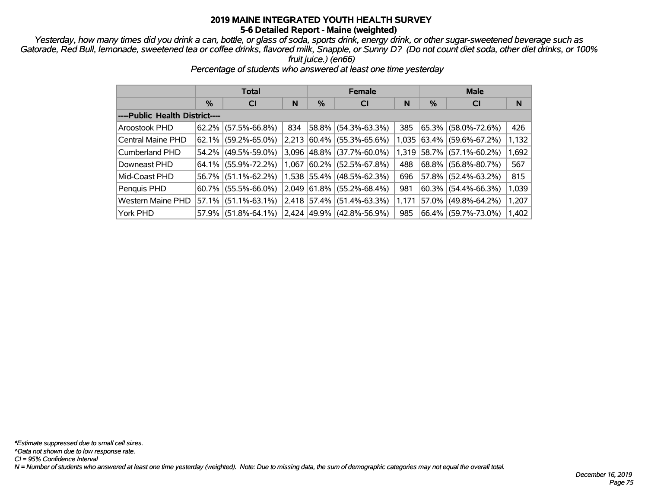*Yesterday, how many times did you drink a can, bottle, or glass of soda, sports drink, energy drink, or other sugar-sweetened beverage such as Gatorade, Red Bull, lemonade, sweetened tea or coffee drinks, flavored milk, Snapple, or Sunny D? (Do not count diet soda, other diet drinks, or 100% fruit juice.) (en66)*

|                                |               | <b>Total</b>           |       |             | <b>Female</b>                  |       | <b>Male</b> |                        |       |  |
|--------------------------------|---------------|------------------------|-------|-------------|--------------------------------|-------|-------------|------------------------|-------|--|
|                                | $\frac{0}{6}$ | <b>CI</b>              | N     | %           | <b>CI</b>                      | N     | $\%$        | <b>CI</b>              | N     |  |
| ----Public Health District---- |               |                        |       |             |                                |       |             |                        |       |  |
| Aroostook PHD                  | 62.2%         | $(57.5\% - 66.8\%)$    | 834   | 58.8%       | $(54.3\% - 63.3\%)$            | 385   |             | $65.3\%$ (58.0%-72.6%) | 426   |  |
| Central Maine PHD              |               | $62.1\%$ (59.2%-65.0%) | 2,213 | $ 60.4\% $  | $(55.3\% - 65.6\%)$            | 1,035 |             | 63.4% (59.6%-67.2%)    | 1,132 |  |
| Cumberland PHD                 |               | 54.2% (49.5%-59.0%)    | 3.096 | 48.8%       | $(37.7\% - 60.0\%)$            | 1.319 |             | 58.7% (57.1%-60.2%)    | 1,692 |  |
| Downeast PHD                   |               | 64.1% (55.9%-72.2%)    | 1,067 | $ 60.2\% $  | $(52.5\% - 67.8\%)$            | 488   |             | 68.8% (56.8%-80.7%)    | 567   |  |
| Mid-Coast PHD                  |               | 56.7% (51.1%-62.2%)    |       |             | 1,538 55.4% (48.5%-62.3%)      | 696   |             | $57.8\%$ (52.4%-63.2%) | 815   |  |
| Penquis PHD                    | $60.7\%$      | $(55.5\% - 66.0\%)$    | 2,049 | 61.8%       | $(55.2\% - 68.4\%)$            | 981   |             | $60.3\%$ (54.4%-66.3%) | 1,039 |  |
| Western Maine PHD              | 57.1%         | $(51.1\% - 63.1\%)$    |       | 2,418 57.4% | $(51.4\% - 63.3\%)$            | 1,171 | 57.0%       | $(49.8\% - 64.2\%)$    | 1,207 |  |
| York PHD                       | 57.9%         | $(51.8\% - 64.1\%)$    |       |             | $2,424$  49.9%   (42.8%-56.9%) | 985   |             | 66.4% (59.7%-73.0%)    | 1,402 |  |

*Percentage of students who answered at least one time yesterday*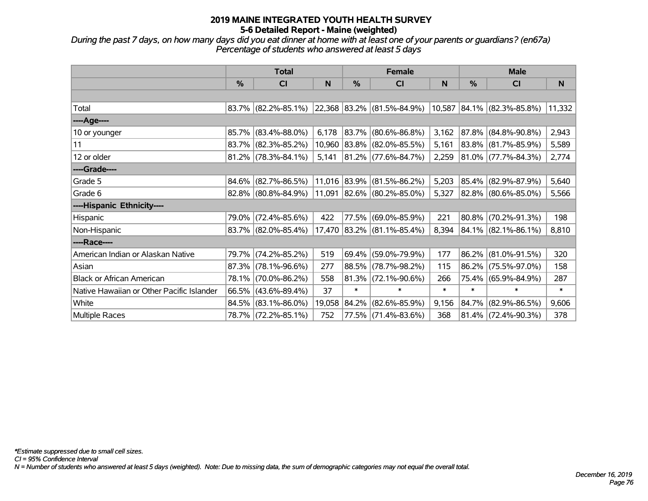*During the past 7 days, on how many days did you eat dinner at home with at least one of your parents or guardians? (en67a) Percentage of students who answered at least 5 days*

|                                           | <b>Total</b>  |                        |        |        | <b>Female</b>                       |        | <b>Male</b>   |                              |        |  |
|-------------------------------------------|---------------|------------------------|--------|--------|-------------------------------------|--------|---------------|------------------------------|--------|--|
|                                           | $\frac{0}{0}$ | CI                     | N      | %      | CI                                  | N      | $\frac{0}{0}$ | CI                           | N      |  |
|                                           |               |                        |        |        |                                     |        |               |                              |        |  |
| Total                                     |               | $83.7\%$ (82.2%-85.1%) |        |        | $ 22,368 83.2\%  (81.5\% - 84.9\%)$ |        |               | $10,587$ 84.1% (82.3%-85.8%) | 11,332 |  |
| ----Age----                               |               |                        |        |        |                                     |        |               |                              |        |  |
| 10 or younger                             | 85.7%         | $(83.4\% - 88.0\%)$    | 6,178  | 83.7%  | $(80.6\% - 86.8\%)$                 | 3,162  | 87.8%         | $(84.8\% - 90.8\%)$          | 2,943  |  |
| 11                                        | 83.7%         | $(82.3\% - 85.2\%)$    | 10,960 |        | 83.8% (82.0%-85.5%)                 | 5,161  |               | 83.8% (81.7%-85.9%)          | 5,589  |  |
| 12 or older                               |               | $81.2\%$ (78.3%-84.1%) | 5,141  |        | $ 81.2\% $ (77.6%-84.7%)            | 2,259  |               | $ 81.0\% $ (77.7%-84.3%)     | 2,774  |  |
| ----Grade----                             |               |                        |        |        |                                     |        |               |                              |        |  |
| Grade 5                                   | 84.6%         | $(82.7\% - 86.5\%)$    |        |        | 11,016 83.9% (81.5%-86.2%)          | 5,203  | 85.4%         | $(82.9\% - 87.9\%)$          | 5,640  |  |
| Grade 6                                   |               | $82.8\%$ (80.8%-84.9%) |        |        | 11,091 82.6% (80.2%-85.0%)          | 5,327  |               | 82.8% (80.6%-85.0%)          | 5,566  |  |
| ----Hispanic Ethnicity----                |               |                        |        |        |                                     |        |               |                              |        |  |
| Hispanic                                  | 79.0%         | $(72.4\% - 85.6\%)$    | 422    | 77.5%  | $(69.0\% - 85.9\%)$                 | 221    | 80.8%         | $(70.2\% - 91.3\%)$          | 198    |  |
| Non-Hispanic                              |               | $83.7\%$ (82.0%-85.4%) | 17,470 |        | $ 83.2\% $ (81.1%-85.4%)            | 8,394  |               | $84.1\%$ (82.1%-86.1%)       | 8,810  |  |
| ----Race----                              |               |                        |        |        |                                     |        |               |                              |        |  |
| American Indian or Alaskan Native         | 79.7%         | $(74.2\% - 85.2\%)$    | 519    | 69.4%  | $(59.0\% - 79.9\%)$                 | 177    | 86.2%         | $(81.0\% - 91.5\%)$          | 320    |  |
| Asian                                     | 87.3%         | $(78.1\% - 96.6\%)$    | 277    | 88.5%  | $(78.7\% - 98.2\%)$                 | 115    | 86.2%         | $(75.5\% - 97.0\%)$          | 158    |  |
| <b>Black or African American</b>          | 78.1%         | $(70.0\% - 86.2\%)$    | 558    | 81.3%  | $(72.1\% - 90.6\%)$                 | 266    |               | 75.4% (65.9%-84.9%)          | 287    |  |
| Native Hawaiian or Other Pacific Islander | 66.5%         | $(43.6\% - 89.4\%)$    | 37     | $\ast$ | $\ast$                              | $\ast$ | $\ast$        | $\ast$                       | $\ast$ |  |
| White                                     | 84.5%         | $(83.1\% - 86.0\%)$    | 19,058 | 84.2%  | $(82.6\% - 85.9\%)$                 | 9,156  | 84.7%         | $(82.9\% - 86.5\%)$          | 9,606  |  |
| Multiple Races                            |               | 78.7% (72.2%-85.1%)    | 752    |        | 77.5% (71.4%-83.6%)                 | 368    |               | $81.4\%$ (72.4%-90.3%)       | 378    |  |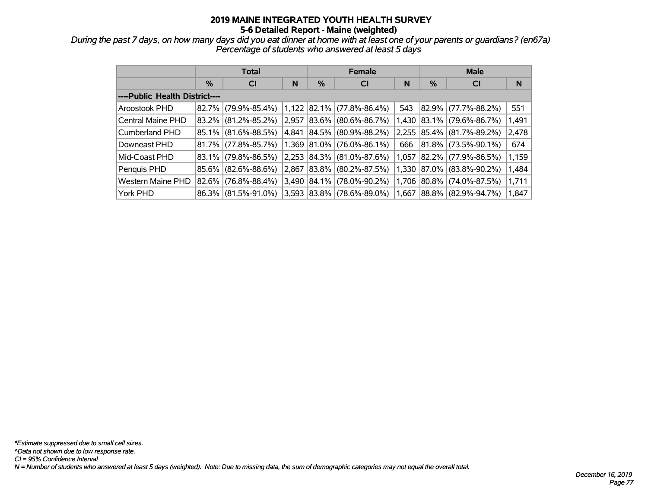*During the past 7 days, on how many days did you eat dinner at home with at least one of your parents or guardians? (en67a) Percentage of students who answered at least 5 days*

|                                |       | <b>Total</b>        |       |            | <b>Female</b>       |       | <b>Male</b> |                           |       |  |
|--------------------------------|-------|---------------------|-------|------------|---------------------|-------|-------------|---------------------------|-------|--|
|                                | %     | <b>CI</b>           | N     | %          | <b>CI</b>           | N     | %           | <b>CI</b>                 | N     |  |
| ----Public Health District---- |       |                     |       |            |                     |       |             |                           |       |  |
| Aroostook PHD                  | 82.7% | $(79.9\% - 85.4\%)$ | 1,122 | $ 82.1\% $ | $(77.8\% - 86.4\%)$ | 543   |             | 82.9% (77.7%-88.2%)       | 551   |  |
| Central Maine PHD              | 83.2% | $(81.2\% - 85.2\%)$ | 2,957 | 83.6%      | $(80.6\% - 86.7\%)$ | 1,430 |             | $ 83.1\% $ (79.6%-86.7%)  | 1,491 |  |
| Cumberland PHD                 | 85.1% | $(81.6\% - 88.5\%)$ | 4.841 | $ 84.5\% $ | $(80.9\% - 88.2\%)$ |       |             | 2,255 85.4% (81.7%-89.2%) | 2,478 |  |
| Downeast PHD                   | 81.7% | $(77.8\% - 85.7\%)$ | 1.369 | 81.0%      | $(76.0\% - 86.1\%)$ | 666   |             | 81.8% (73.5%-90.1%)       | 674   |  |
| Mid-Coast PHD                  | 83.1% | $(79.8\% - 86.5\%)$ | 2,253 | 84.3%      | $(81.0\% - 87.6\%)$ | 1,057 |             | 82.2% (77.9%-86.5%)       | 1,159 |  |
| Penquis PHD                    | 85.6% | $(82.6\% - 88.6\%)$ | 2.867 | 83.8%      | $(80.2\% - 87.5\%)$ | 1.330 |             | $ 87.0\% $ (83.8%-90.2%)  | 1,484 |  |
| Western Maine PHD              | 82.6% | $(76.8\% - 88.4\%)$ | 3,490 | 84.1%      | $(78.0\% - 90.2\%)$ | 1,706 |             | $ 80.8\% $ (74.0%-87.5%)  | 1,711 |  |
| York PHD                       | 86.3% | $(81.5\% - 91.0\%)$ | 3,593 | 83.8%      | $(78.6\% - 89.0\%)$ | 1.667 |             | 88.8% (82.9%-94.7%)       | 1,847 |  |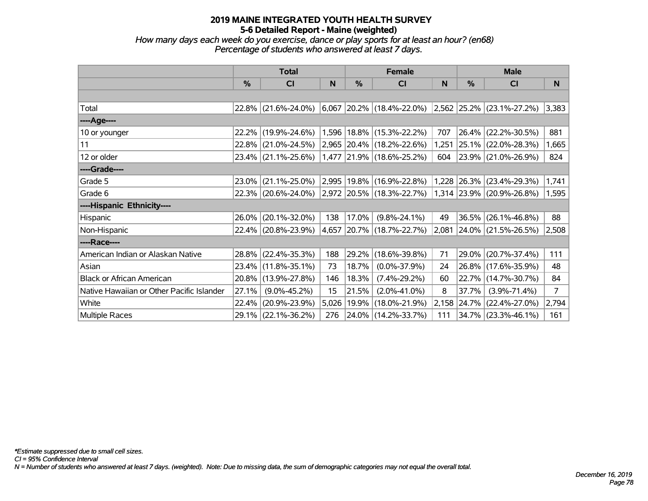*How many days each week do you exercise, dance or play sports for at least an hour? (en68) Percentage of students who answered at least 7 days.*

|                                           |          | <b>Total</b>        |              |            | <b>Female</b>                                 |       | <b>Male</b> |                                   |                |
|-------------------------------------------|----------|---------------------|--------------|------------|-----------------------------------------------|-------|-------------|-----------------------------------|----------------|
|                                           | $\%$     | <b>CI</b>           | <sub>N</sub> | %          | <b>CI</b>                                     | N     | %           | <b>CI</b>                         | N.             |
|                                           |          |                     |              |            |                                               |       |             |                                   |                |
| Total                                     | 22.8%    | $(21.6\% - 24.0\%)$ | 6,067        |            | $ 20.2\% $ (18.4%-22.0%)                      |       |             | $ 2,562 25.2\%  (23.1\% -27.2\%)$ | 3,383          |
| ----Age----                               |          |                     |              |            |                                               |       |             |                                   |                |
| 10 or younger                             | 22.2%    | $(19.9\% - 24.6\%)$ |              |            | 1,596   18.8%   (15.3%-22.2%)                 | 707   |             | 26.4% (22.2%-30.5%)               | 881            |
| 11                                        | $22.8\%$ | $(21.0\% - 24.5\%)$ |              |            | 2,965 20.4% (18.2%-22.6%)                     | 1,251 |             | 25.1% (22.0%-28.3%)               | 1,665          |
| 12 or older                               |          | 23.4% (21.1%-25.6%) |              |            | $(1,477 \vert 21.9\% \vert (18.6\% - 25.2\%)$ | 604   |             | 23.9% (21.0%-26.9%)               | 824            |
| ----Grade----                             |          |                     |              |            |                                               |       |             |                                   |                |
| Grade 5                                   | 23.0%    | $(21.1\% - 25.0\%)$ |              |            | 2,995 19.8% (16.9%-22.8%)                     | 1,228 |             | $ 26.3\% $ (23.4%-29.3%)          | 1,741          |
| Grade 6                                   |          | 22.3% (20.6%-24.0%) |              |            | $ 2,972 20.5\%  (18.3\% - 22.7\%)$            |       |             | $ 1,314 23.9\% $ (20.9%-26.8%)    | 1,595          |
| ----Hispanic Ethnicity----                |          |                     |              |            |                                               |       |             |                                   |                |
| Hispanic                                  | 26.0%    | $(20.1\% - 32.0\%)$ | 138          | 17.0%      | $(9.8\% - 24.1\%)$                            | 49    |             | $36.5\%$ (26.1%-46.8%)            | 88             |
| Non-Hispanic                              |          | 22.4% (20.8%-23.9%) | 4,657        |            | $ 20.7\% $ (18.7%-22.7%)                      | 2,081 |             | 24.0% (21.5%-26.5%)               | 2,508          |
| ----Race----                              |          |                     |              |            |                                               |       |             |                                   |                |
| American Indian or Alaskan Native         |          | 28.8% (22.4%-35.3%) | 188          | $ 29.2\% $ | $(18.6\% - 39.8\%)$                           | 71    |             | 29.0% (20.7%-37.4%)               | 111            |
| Asian                                     | 23.4%    | $(11.8\% - 35.1\%)$ | 73           | 18.7%      | $(0.0\% - 37.9\%)$                            | 24    |             | 26.8% (17.6%-35.9%)               | 48             |
| <b>Black or African American</b>          | 20.8%    | $(13.9\% - 27.8\%)$ | 146          | 18.3%      | $(7.4\% - 29.2\%)$                            | 60    |             | 22.7% (14.7%-30.7%)               | 84             |
| Native Hawaiian or Other Pacific Islander | 27.1%    | $(9.0\% - 45.2\%)$  | 15           | 21.5%      | $(2.0\% - 41.0\%)$                            | 8     | 37.7%       | $(3.9\% - 71.4\%)$                | $\overline{7}$ |
| White                                     | 22.4%    | $(20.9\% - 23.9\%)$ | 5,026        | $ 19.9\% $ | $(18.0\% - 21.9\%)$                           | 2,158 |             | 24.7% (22.4%-27.0%)               | 2,794          |
| Multiple Races                            |          | 29.1% (22.1%-36.2%) | 276          |            | 24.0% (14.2%-33.7%)                           | 111   |             | $34.7\%$ (23.3%-46.1%)            | 161            |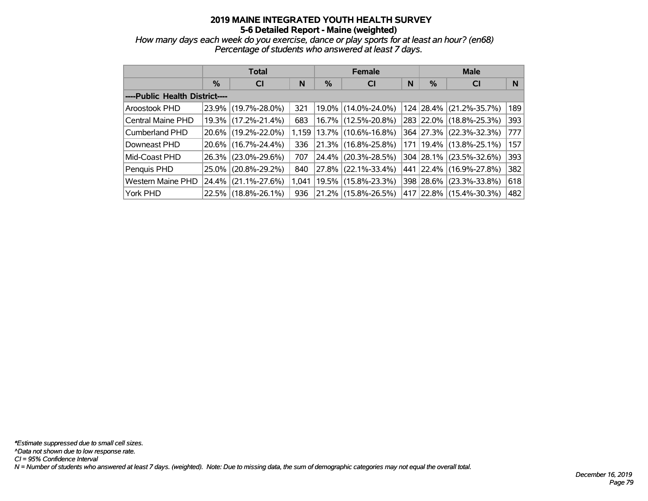*How many days each week do you exercise, dance or play sports for at least an hour? (en68) Percentage of students who answered at least 7 days.*

|                                |          | <b>Total</b>        |       |          | <b>Female</b>            |   | <b>Male</b> |                             |     |  |
|--------------------------------|----------|---------------------|-------|----------|--------------------------|---|-------------|-----------------------------|-----|--|
|                                | $\%$     | <b>CI</b>           | N     | %        | <b>CI</b>                | N | %           | <b>CI</b>                   | N   |  |
| ----Public Health District---- |          |                     |       |          |                          |   |             |                             |     |  |
| Aroostook PHD                  | 23.9%    | $(19.7\% - 28.0\%)$ | 321   |          | 19.0% (14.0%-24.0%)      |   | 124 28.4%   | $(21.2\% - 35.7\%)$         | 189 |  |
| Central Maine PHD              | $19.3\%$ | $(17.2\% - 21.4\%)$ | 683   | $16.7\%$ | $(12.5\% - 20.8\%)$      |   |             | 283 22.0% (18.8%-25.3%)     | 393 |  |
| Cumberland PHD                 |          | 20.6% (19.2%-22.0%) | 1.159 |          | $ 13.7\% $ (10.6%-16.8%) |   |             | 364 27.3% (22.3%-32.3%)     | 777 |  |
| Downeast PHD                   |          | 20.6% (16.7%-24.4%) | 336   |          | 21.3% (16.8%-25.8%)      |   |             | 171   19.4%   (13.8%-25.1%) | 157 |  |
| Mid-Coast PHD                  |          | 26.3% (23.0%-29.6%) | 707   | $24.4\%$ | $(20.3\% - 28.5\%)$      |   |             | 304 28.1% (23.5%-32.6%)     | 393 |  |
| Penquis PHD                    | $25.0\%$ | $(20.8\% - 29.2\%)$ | 840   | 27.8%    | $(22.1\% - 33.4\%)$      |   |             | 441 22.4% (16.9%-27.8%)     | 382 |  |
| <b>Western Maine PHD</b>       | 24.4%    | $(21.1\% - 27.6\%)$ | 1.041 | 19.5%    | $(15.8\% - 23.3\%)$      |   | 398 28.6%   | $(23.3\% - 33.8\%)$         | 618 |  |
| York PHD                       |          | 22.5% (18.8%-26.1%) | 936   |          | $21.2\%$ (15.8%-26.5%)   |   |             | 417 22.8% (15.4%-30.3%)     | 482 |  |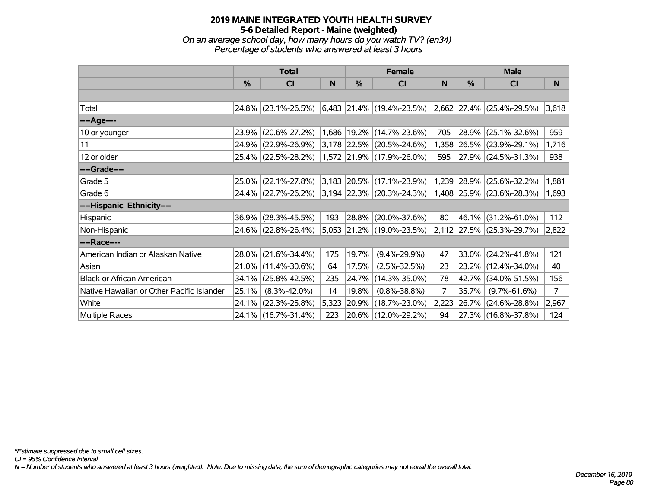#### **2019 MAINE INTEGRATED YOUTH HEALTH SURVEY 5-6 Detailed Report - Maine (weighted)** *On an average school day, how many hours do you watch TV? (en34)*

*Percentage of students who answered at least 3 hours*

|                                           |       | <b>Total</b>        |       | <b>Female</b> |                                      | <b>Male</b> |             |                           |       |
|-------------------------------------------|-------|---------------------|-------|---------------|--------------------------------------|-------------|-------------|---------------------------|-------|
|                                           | $\%$  | <b>CI</b>           | N     | %             | <b>CI</b>                            | N           | %           | <b>CI</b>                 | N.    |
|                                           |       |                     |       |               |                                      |             |             |                           |       |
| Total                                     | 24.8% | $(23.1\% - 26.5\%)$ |       |               | $6,483$ 21.4% (19.4%-23.5%)          |             | 2,662 27.4% | $(25.4\% - 29.5\%)$       | 3,618 |
| ----Age----                               |       |                     |       |               |                                      |             |             |                           |       |
| 10 or younger                             | 23.9% | $(20.6\% - 27.2\%)$ |       |               | 1,686   19.2%   (14.7%-23.6%)        | 705         | 28.9%       | $(25.1\% - 32.6\%)$       | 959   |
| 11                                        | 24.9% | $(22.9\% - 26.9\%)$ |       |               | 3,178 22.5% (20.5%-24.6%)            | 1,358       |             | 26.5% (23.9%-29.1%)       | 1,716 |
| 12 or older                               |       | 25.4% (22.5%-28.2%) |       |               | 1,572 21.9% (17.9%-26.0%)            | 595         |             | 27.9% (24.5%-31.3%)       | 938   |
| ----Grade----                             |       |                     |       |               |                                      |             |             |                           |       |
| Grade 5                                   | 25.0% | $(22.1\% - 27.8\%)$ |       |               | 3,183 20.5% (17.1%-23.9%)            | 1,239       | $ 28.9\% $  | $(25.6\% - 32.2\%)$       | 1,881 |
| Grade 6                                   |       | 24.4% (22.7%-26.2%) |       |               | $3,194$ $22.3\%$ $(20.3\% - 24.3\%)$ |             |             | 1,408 25.9% (23.6%-28.3%) | 1,693 |
| ----Hispanic Ethnicity----                |       |                     |       |               |                                      |             |             |                           |       |
| Hispanic                                  | 36.9% | $(28.3\% - 45.5\%)$ | 193   | 28.8%         | $(20.0\% - 37.6\%)$                  | 80          | 46.1%       | $(31.2\% - 61.0\%)$       | 112   |
| Non-Hispanic                              |       | 24.6% (22.8%-26.4%) |       |               | 5,053 21.2% (19.0%-23.5%)            |             |             | 2,112 27.5% (25.3%-29.7%) | 2,822 |
| ----Race----                              |       |                     |       |               |                                      |             |             |                           |       |
| American Indian or Alaskan Native         | 28.0% | $(21.6\% - 34.4\%)$ | 175   | 19.7%         | $(9.4\% - 29.9\%)$                   | 47          | $33.0\%$    | $(24.2\% - 41.8\%)$       | 121   |
| Asian                                     | 21.0% | $(11.4\% - 30.6\%)$ | 64    | 17.5%         | $(2.5\% - 32.5\%)$                   | 23          | $23.2\%$    | $(12.4\% - 34.0\%)$       | 40    |
| <b>Black or African American</b>          | 34.1% | $(25.8\% - 42.5\%)$ | 235   | 24.7%         | $(14.3\% - 35.0\%)$                  | 78          | 42.7%       | $(34.0\% - 51.5\%)$       | 156   |
| Native Hawaiian or Other Pacific Islander | 25.1% | $(8.3\% - 42.0\%)$  | 14    | 19.8%         | $(0.8\% - 38.8\%)$                   | 7           | 35.7%       | $(9.7\% - 61.6\%)$        | 7     |
| White                                     | 24.1% | $(22.3\% - 25.8\%)$ | 5,323 | 20.9%         | $(18.7\% - 23.0\%)$                  | 2,223       | $ 26.7\% $  | $(24.6\% - 28.8\%)$       | 2,967 |
| Multiple Races                            |       | 24.1% (16.7%-31.4%) | 223   |               | 20.6% (12.0%-29.2%)                  | 94          |             | 27.3% (16.8%-37.8%)       | 124   |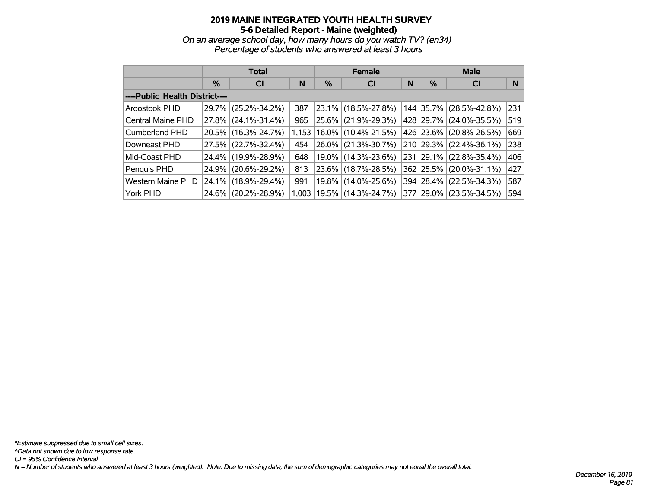*On an average school day, how many hours do you watch TV? (en34) Percentage of students who answered at least 3 hours*

|                                |               | <b>Total</b>        |       |          | <b>Female</b>            |   | <b>Male</b> |                     |     |  |
|--------------------------------|---------------|---------------------|-------|----------|--------------------------|---|-------------|---------------------|-----|--|
|                                | $\frac{9}{6}$ | <b>CI</b>           | N     | %        | <b>CI</b>                | N | %           | <b>CI</b>           | N   |  |
| ----Public Health District---- |               |                     |       |          |                          |   |             |                     |     |  |
| Aroostook PHD                  | 29.7%         | $(25.2\% - 34.2\%)$ | 387   |          | 23.1% (18.5%-27.8%)      |   | 144 35.7%   | $(28.5\% - 42.8\%)$ | 231 |  |
| Central Maine PHD              |               | 27.8% (24.1%-31.4%) | 965   | 25.6%    | $(21.9\% - 29.3\%)$      |   | 428 29.7%   | $(24.0\% - 35.5\%)$ | 519 |  |
| Cumberland PHD                 |               | 20.5% (16.3%-24.7%) | 1.153 |          | $ 16.0\% $ (10.4%-21.5%) |   | 426 23.6%   | $(20.8\% - 26.5\%)$ | 669 |  |
| Downeast PHD                   |               | 27.5% (22.7%-32.4%) | 454   | $26.0\%$ | $(21.3\% - 30.7\%)$      |   | 210 29.3%   | $(22.4\% - 36.1\%)$ | 238 |  |
| Mid-Coast PHD                  |               | 24.4% (19.9%-28.9%) | 648   |          | 19.0% (14.3%-23.6%)      |   | 231 29.1%   | $(22.8\% - 35.4\%)$ | 406 |  |
| Penquis PHD                    | 24.9%         | $(20.6\% - 29.2\%)$ | 813   |          | 23.6% (18.7%-28.5%)      |   | 362 25.5%   | $(20.0\% - 31.1\%)$ | 427 |  |
| <b>Western Maine PHD</b>       |               | 24.1% (18.9%-29.4%) | 991   | 19.8%    | $(14.0\% - 25.6\%)$      |   | 394 28.4%   | $(22.5\% - 34.3\%)$ | 587 |  |
| York PHD                       |               | 24.6% (20.2%-28.9%) | 1,003 |          | $ 19.5\% $ (14.3%-24.7%) |   | 377 29.0%   | $(23.5\% - 34.5\%)$ | 594 |  |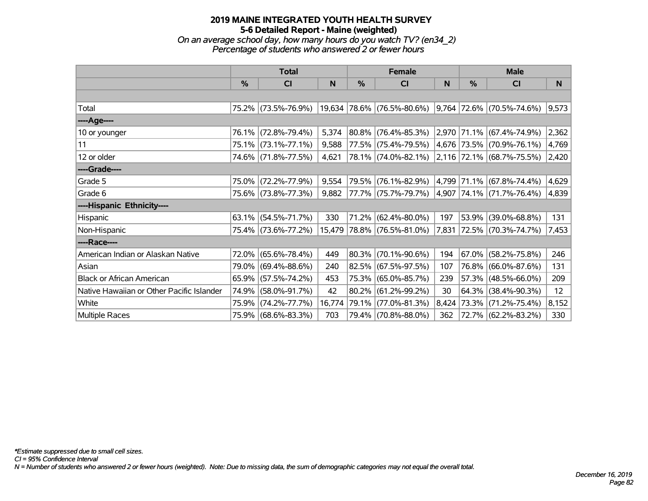#### **2019 MAINE INTEGRATED YOUTH HEALTH SURVEY 5-6 Detailed Report - Maine (weighted)** *On an average school day, how many hours do you watch TV? (en34\_2) Percentage of students who answered 2 or fewer hours*

|                                           | <b>Total</b>  |                     | <b>Female</b> |               |                            | <b>Male</b> |               |                               |                 |
|-------------------------------------------|---------------|---------------------|---------------|---------------|----------------------------|-------------|---------------|-------------------------------|-----------------|
|                                           | $\frac{9}{6}$ | CI                  | N             | $\frac{0}{0}$ | <b>CI</b>                  | ${\sf N}$   | $\frac{0}{0}$ | CI                            | N               |
|                                           |               |                     |               |               |                            |             |               |                               |                 |
| Total                                     |               | 75.2% (73.5%-76.9%) |               |               | 19,634 78.6% (76.5%-80.6%) |             |               | 9,764 72.6% (70.5%-74.6%)     | 9,573           |
| ----Age----                               |               |                     |               |               |                            |             |               |                               |                 |
| 10 or younger                             |               | 76.1% (72.8%-79.4%) | 5,374         |               | 80.8% (76.4%-85.3%)        |             |               | 2,970 71.1% (67.4%-74.9%)     | 2,362           |
| 11                                        |               | 75.1% (73.1%-77.1%) | 9,588         |               | 77.5% (75.4%-79.5%)        |             |               | 4,676 73.5% (70.9%-76.1%)     | 4,769           |
| 12 or older                               |               | 74.6% (71.8%-77.5%) | 4,621         |               | 78.1% (74.0%-82.1%)        |             |               | 2,116 72.1% (68.7%-75.5%)     | 2,420           |
| ----Grade----                             |               |                     |               |               |                            |             |               |                               |                 |
| Grade 5                                   |               | 75.0% (72.2%-77.9%) | 9,554         |               | 79.5% (76.1%-82.9%)        |             |               | 4,799  71.1%  (67.8%-74.4%)   | 4,629           |
| Grade 6                                   |               | 75.6% (73.8%-77.3%) | 9,882         |               | 77.7% (75.7%-79.7%)        |             |               | 4,907   74.1%   (71.7%-76.4%) | 4,839           |
| ----Hispanic Ethnicity----                |               |                     |               |               |                            |             |               |                               |                 |
| Hispanic                                  | 63.1%         | $(54.5\% - 71.7\%)$ | 330           | 71.2%         | $(62.4\% - 80.0\%)$        | 197         |               | 53.9% (39.0%-68.8%)           | 131             |
| Non-Hispanic                              |               | 75.4% (73.6%-77.2%) | 15,479        |               | 78.8% (76.5%-81.0%)        |             |               | 7,831 72.5% (70.3%-74.7%)     | 7,453           |
| ----Race----                              |               |                     |               |               |                            |             |               |                               |                 |
| American Indian or Alaskan Native         |               | 72.0% (65.6%-78.4%) | 449           |               | 80.3% (70.1%-90.6%)        | 194         |               | $67.0\%$ (58.2%-75.8%)        | 246             |
| Asian                                     |               | 79.0% (69.4%-88.6%) | 240           |               | 82.5% (67.5%-97.5%)        | 107         |               | 76.8% (66.0%-87.6%)           | 131             |
| <b>Black or African American</b>          |               | 65.9% (57.5%-74.2%) | 453           |               | 75.3% (65.0%-85.7%)        | 239         |               | 57.3% (48.5%-66.0%)           | 209             |
| Native Hawaiian or Other Pacific Islander | 74.9%         | $(58.0\% - 91.7\%)$ | 42            | 80.2%         | $(61.2\% - 99.2\%)$        | 30          |               | 64.3% (38.4%-90.3%)           | 12 <sub>2</sub> |
| White                                     | 75.9%         | $(74.2\% - 77.7\%)$ | 16,774        | 79.1%         | $(77.0\% - 81.3\%)$        |             |               | 8,424 73.3% (71.2%-75.4%)     | 8,152           |
| Multiple Races                            |               | 75.9% (68.6%-83.3%) | 703           |               | 79.4% (70.8%-88.0%)        | 362         |               | 72.7% (62.2%-83.2%)           | 330             |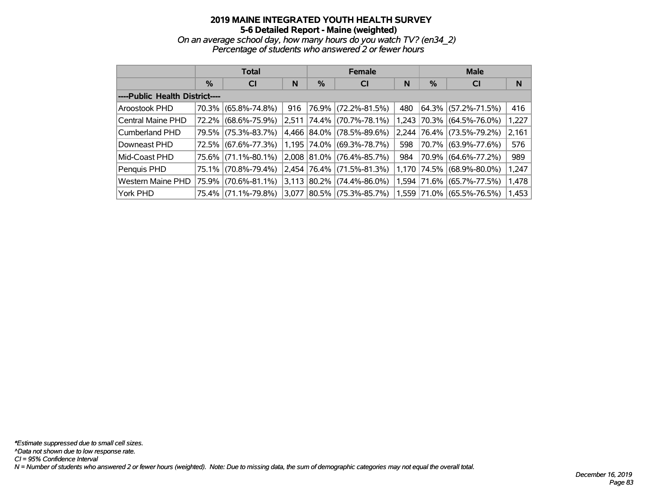*On an average school day, how many hours do you watch TV? (en34\_2) Percentage of students who answered 2 or fewer hours*

|                                |               | <b>Total</b>        |       |             | <b>Female</b>       |     | <b>Male</b>   |                           |       |  |
|--------------------------------|---------------|---------------------|-------|-------------|---------------------|-----|---------------|---------------------------|-------|--|
|                                | $\frac{0}{0}$ | <b>CI</b>           | N     | %           | <b>CI</b>           | N   | $\frac{9}{6}$ | <b>CI</b>                 | N     |  |
| ----Public Health District---- |               |                     |       |             |                     |     |               |                           |       |  |
| Aroostook PHD                  |               | 70.3% (65.8%-74.8%) | 916   | 76.9%       | $(72.2\% - 81.5\%)$ | 480 |               | $ 64.3\% $ (57.2%-71.5%)  | 416   |  |
| Central Maine PHD              | 72.2%         | $(68.6\% - 75.9\%)$ | 2,511 | 74.4%       | $(70.7\% - 78.1\%)$ |     |               | 1,243 70.3% (64.5%-76.0%) | 1,227 |  |
| Cumberland PHD                 |               | 79.5% (75.3%-83.7%) |       | 4,466 84.0% | $(78.5\% - 89.6\%)$ |     |               | 2,244 76.4% (73.5%-79.2%) | 2,161 |  |
| Downeast PHD                   | $72.5\%$      | $(67.6\% - 77.3\%)$ | 1,195 | 74.0%       | $(69.3\% - 78.7\%)$ | 598 |               | 70.7% (63.9%-77.6%)       | 576   |  |
| Mid-Coast PHD                  | 75.6% l       | $(71.1\% - 80.1\%)$ |       | 2,008 81.0% | $(76.4\% - 85.7\%)$ | 984 |               | 70.9% (64.6%-77.2%)       | 989   |  |
| Penquis PHD                    | 75.1%         | $(70.8\% - 79.4\%)$ |       | 2,454 76.4% | $(71.5\% - 81.3\%)$ |     |               | 1,170 74.5% (68.9%-80.0%) | 1,247 |  |
| Western Maine PHD              | 75.9%         | $(70.6\% - 81.1\%)$ | 3,113 | 80.2%       | $(74.4\% - 86.0\%)$ |     |               | 1,594 71.6% (65.7%-77.5%) | 1,478 |  |
| York PHD                       | 75.4%         | $(71.1\% - 79.8\%)$ | 3,077 | 80.5%       | $(75.3\% - 85.7\%)$ |     |               | 1,559 71.0% (65.5%-76.5%) | 1,453 |  |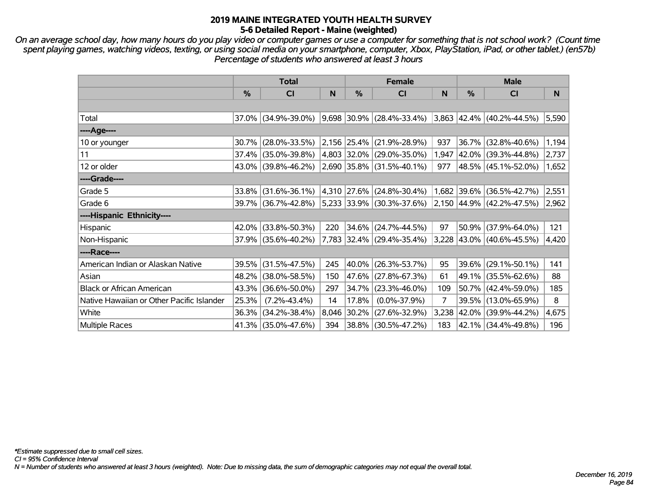*On an average school day, how many hours do you play video or computer games or use a computer for something that is not school work? (Count time spent playing games, watching videos, texting, or using social media on your smartphone, computer, Xbox, PlayStation, iPad, or other tablet.) (en57b) Percentage of students who answered at least 3 hours*

|                                           |          | <b>Total</b>           | <b>Female</b> |            |                                    |                | <b>Male</b> |                                    |       |  |
|-------------------------------------------|----------|------------------------|---------------|------------|------------------------------------|----------------|-------------|------------------------------------|-------|--|
|                                           | $\%$     | <b>CI</b>              | <b>N</b>      | %          | <b>CI</b>                          | N              | $\%$        | <b>CI</b>                          | N     |  |
|                                           |          |                        |               |            |                                    |                |             |                                    |       |  |
| Total                                     | 37.0%    | $(34.9\% - 39.0\%)$    |               |            | $ 9,698 30.9\%  (28.4\% - 33.4\%)$ |                |             | $ 3,863 $ 42.4% (40.2%-44.5%)      | 5,590 |  |
| ----Age----                               |          |                        |               |            |                                    |                |             |                                    |       |  |
| 10 or younger                             | 30.7%    | $(28.0\% - 33.5\%)$    |               |            | 2,156 25.4% (21.9%-28.9%)          | 937            |             | 36.7% (32.8%-40.6%)                | 1,194 |  |
| 11                                        | 37.4%    | $(35.0\% - 39.8\%)$    |               |            | 4,803 32.0% (29.0%-35.0%)          | 1,947          |             | 42.0% (39.3%-44.8%)                | 2,737 |  |
| 12 or older                               |          | $43.0\%$ (39.8%-46.2%) |               |            | $ 2,690 35.8\%  (31.5\% - 40.1\%)$ | 977            |             | 48.5% (45.1%-52.0%)                | 1,652 |  |
| ----Grade----                             |          |                        |               |            |                                    |                |             |                                    |       |  |
| Grade 5                                   | $33.8\%$ | $(31.6\% - 36.1\%)$    |               |            | 4,310 27.6% (24.8%-30.4%)          |                |             | 1,682 39.6% (36.5%-42.7%)          | 2,551 |  |
| Grade 6                                   |          | 39.7% (36.7%-42.8%)    |               |            | $ 5,233 33.9\%  (30.3\% - 37.6\%)$ |                |             | $ 2,150 44.9\%  (42.2\% - 47.5\%)$ | 2,962 |  |
| ----Hispanic Ethnicity----                |          |                        |               |            |                                    |                |             |                                    |       |  |
| Hispanic                                  | 42.0%    | $(33.8\% - 50.3\%)$    | 220           | $34.6\%$   | $(24.7\% - 44.5\%)$                | 97             | 50.9%       | $(37.9\% - 64.0\%)$                | 121   |  |
| Non-Hispanic                              |          | 37.9% (35.6%-40.2%)    |               |            | 7,783 32.4% (29.4%-35.4%)          |                |             | 3,228 43.0% (40.6%-45.5%)          | 4,420 |  |
| ----Race----                              |          |                        |               |            |                                    |                |             |                                    |       |  |
| American Indian or Alaskan Native         | 39.5%    | $(31.5\% - 47.5\%)$    | 245           |            | 40.0% (26.3%-53.7%)                | 95             |             | 39.6% (29.1%-50.1%)                | 141   |  |
| Asian                                     | 48.2%    | $(38.0\% - 58.5\%)$    | 150           |            | 47.6% (27.8%-67.3%)                | 61             |             | 49.1% (35.5%-62.6%)                | 88    |  |
| <b>Black or African American</b>          | 43.3%    | $(36.6\% - 50.0\%)$    | 297           | 34.7%      | $(23.3\% - 46.0\%)$                | 109            |             | 50.7% (42.4%-59.0%)                | 185   |  |
| Native Hawaiian or Other Pacific Islander | 25.3%    | $(7.2\% - 43.4\%)$     | 14            | 17.8%      | $(0.0\% - 37.9\%)$                 | $\overline{7}$ |             | 39.5% (13.0%-65.9%)                | 8     |  |
| White                                     | 36.3%    | $(34.2\% - 38.4\%)$    | 8,046         | $ 30.2\% $ | $(27.6\% - 32.9\%)$                | 3,238          |             | 42.0% (39.9%-44.2%)                | 4,675 |  |
| Multiple Races                            |          | 41.3% (35.0%-47.6%)    | 394           |            | 38.8% (30.5%-47.2%)                | 183            |             | 42.1% (34.4%-49.8%)                | 196   |  |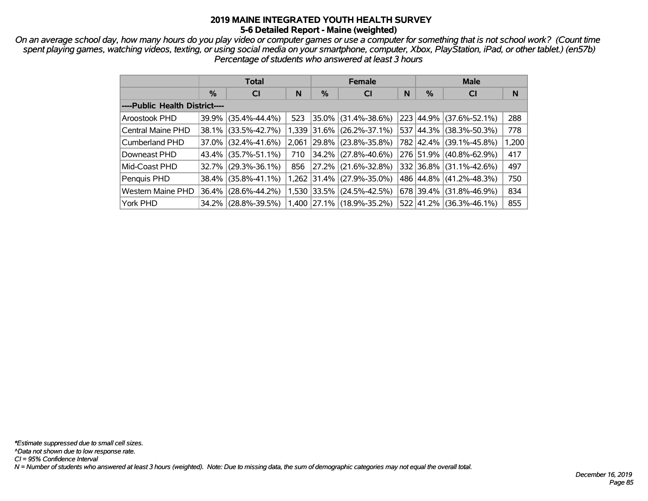*On an average school day, how many hours do you play video or computer games or use a computer for something that is not school work? (Count time spent playing games, watching videos, texting, or using social media on your smartphone, computer, Xbox, PlayStation, iPad, or other tablet.) (en57b) Percentage of students who answered at least 3 hours*

|                                |   | <b>Total</b>        |       |   | <b>Female</b>               |   | <b>Male</b> |                     |       |  |  |
|--------------------------------|---|---------------------|-------|---|-----------------------------|---|-------------|---------------------|-------|--|--|
|                                | % | <b>CI</b>           | N     | % | <b>CI</b>                   | N | %           | <b>CI</b>           | N     |  |  |
| ----Public Health District---- |   |                     |       |   |                             |   |             |                     |       |  |  |
| Aroostook PHD                  |   | 39.9% (35.4%-44.4%) | 523   |   | 35.0% (31.4%-38.6%)         |   | 223 44.9%   | $(37.6\% - 52.1\%)$ | 288   |  |  |
| <b>Central Maine PHD</b>       |   | 38.1% (33.5%-42.7%) |       |   | 1,339 31.6% (26.2%-37.1%)   |   | 537 44.3%   | $(38.3\% - 50.3\%)$ | 778   |  |  |
| <b>Cumberland PHD</b>          |   | 37.0% (32.4%-41.6%) | 2.061 |   | $ 29.8\% $ (23.8%-35.8%)    |   | 782 42.4%   | $(39.1\% - 45.8\%)$ | 1,200 |  |  |
| Downeast PHD                   |   | 43.4% (35.7%-51.1%) | 710   |   | 34.2% (27.8%-40.6%)         |   | 276 51.9%   | $(40.8\% - 62.9\%)$ | 417   |  |  |
| Mid-Coast PHD                  |   | 32.7% (29.3%-36.1%) | 856   |   | 27.2% (21.6%-32.8%)         |   | 332 36.8%   | $(31.1\% - 42.6\%)$ | 497   |  |  |
| Penquis PHD                    |   | 38.4% (35.8%-41.1%) |       |   | $1,262$ 31.4% (27.9%-35.0%) |   | 486 44.8%   | $(41.2\% - 48.3\%)$ | 750   |  |  |
| <b>Western Maine PHD</b>       |   | 36.4% (28.6%-44.2%) |       |   | 1,530 33.5% (24.5%-42.5%)   |   | 678 39.4%   | $(31.8\% - 46.9\%)$ | 834   |  |  |
| York PHD                       |   | 34.2% (28.8%-39.5%) |       |   | $1,400$ 27.1% (18.9%-35.2%) |   | 522 41.2%   | $(36.3\% - 46.1\%)$ | 855   |  |  |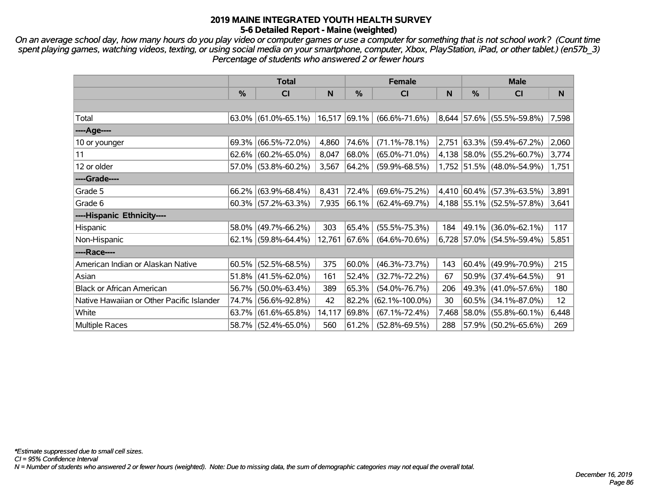*On an average school day, how many hours do you play video or computer games or use a computer for something that is not school work? (Count time spent playing games, watching videos, texting, or using social media on your smartphone, computer, Xbox, PlayStation, iPad, or other tablet.) (en57b\_3) Percentage of students who answered 2 or fewer hours*

|                                           | <b>Total</b>  |                        |        |               | <b>Female</b>        | <b>Male</b> |       |                                 |       |
|-------------------------------------------|---------------|------------------------|--------|---------------|----------------------|-------------|-------|---------------------------------|-------|
|                                           | $\frac{0}{0}$ | <b>CI</b>              | N      | $\frac{0}{0}$ | CI                   | N           | $\%$  | CI                              | N     |
|                                           |               |                        |        |               |                      |             |       |                                 |       |
| Total                                     |               | $63.0\%$ (61.0%-65.1%) | 16,517 | $ 69.1\% $    | $(66.6\% - 71.6\%)$  |             |       | 8,644 57.6% (55.5%-59.8%)       | 7,598 |
| ----Age----                               |               |                        |        |               |                      |             |       |                                 |       |
| 10 or younger                             | 69.3%         | $(66.5\% - 72.0\%)$    | 4,860  | 74.6%         | $(71.1\% - 78.1\%)$  | 2,751       | 63.3% | $(59.4\% - 67.2\%)$             | 2,060 |
| 11                                        | 62.6%         | $(60.2\% - 65.0\%)$    | 8,047  | 68.0%         | $(65.0\% - 71.0\%)$  |             |       | 4,138 58.0% (55.2%-60.7%)       | 3,774 |
| 12 or older                               |               | 57.0% (53.8%-60.2%)    | 3,567  | 64.2%         | $(59.9\% - 68.5\%)$  |             |       | 1,752 51.5% (48.0%-54.9%)       | 1,751 |
| ----Grade----                             |               |                        |        |               |                      |             |       |                                 |       |
| Grade 5                                   | 66.2%         | $(63.9\% - 68.4\%)$    | 8,431  | 72.4%         | $(69.6\% - 75.2\%)$  |             |       | 4,410 60.4% (57.3%-63.5%)       | 3,891 |
| Grade 6                                   |               | $60.3\%$ (57.2%-63.3%) | 7,935  | 66.1%         | $(62.4\% - 69.7\%)$  |             |       | 4,188 55.1% (52.5%-57.8%)       | 3,641 |
| ----Hispanic Ethnicity----                |               |                        |        |               |                      |             |       |                                 |       |
| Hispanic                                  | 58.0%         | $(49.7\% - 66.2\%)$    | 303    | 65.4%         | $(55.5\% - 75.3\%)$  | 184         | 49.1% | $(36.0\% - 62.1\%)$             | 117   |
| Non-Hispanic                              | 62.1%         | $(59.8\% - 64.4\%)$    | 12,761 | 67.6%         | $(64.6\% - 70.6\%)$  |             |       | $6,728$   57.0%   (54.5%-59.4%) | 5,851 |
| ----Race----                              |               |                        |        |               |                      |             |       |                                 |       |
| American Indian or Alaskan Native         | 60.5%         | $(52.5\% - 68.5\%)$    | 375    | 60.0%         | $(46.3\% - 73.7\%)$  | 143         | 60.4% | $(49.9\% - 70.9\%)$             | 215   |
| Asian                                     | 51.8%         | $(41.5\% - 62.0\%)$    | 161    | 52.4%         | $(32.7\% - 72.2\%)$  | 67          | 50.9% | $(37.4\% - 64.5\%)$             | 91    |
| <b>Black or African American</b>          | 56.7%         | $(50.0\% - 63.4\%)$    | 389    | 65.3%         | $(54.0\% - 76.7\%)$  | 206         | 49.3% | $(41.0\% - 57.6\%)$             | 180   |
| Native Hawaiian or Other Pacific Islander | 74.7%         | $(56.6\% - 92.8\%)$    | 42     | 82.2%         | $(62.1\% - 100.0\%)$ | 30          | 60.5% | $(34.1\% - 87.0\%)$             | 12    |
| White                                     | 63.7%         | $(61.6\% - 65.8\%)$    | 14,117 | 69.8%         | $(67.1\% - 72.4\%)$  | 7,468       | 58.0% | $(55.8\% - 60.1\%)$             | 6,448 |
| <b>Multiple Races</b>                     |               | 58.7% (52.4%-65.0%)    | 560    | 61.2%         | $(52.8\% - 69.5\%)$  | 288         |       | $57.9\%$ (50.2%-65.6%)          | 269   |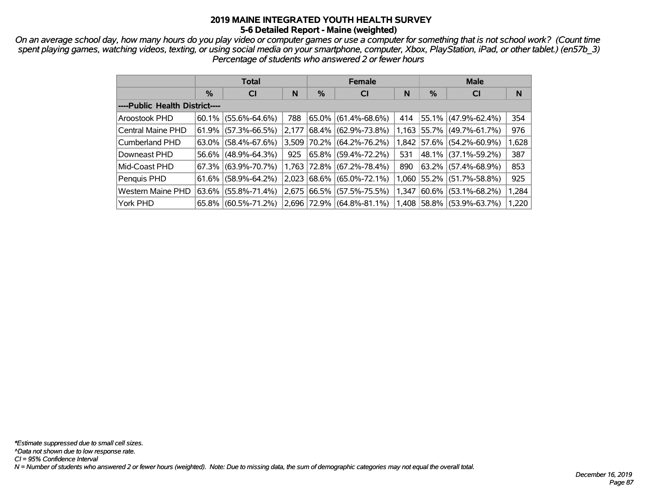*On an average school day, how many hours do you play video or computer games or use a computer for something that is not school work? (Count time spent playing games, watching videos, texting, or using social media on your smartphone, computer, Xbox, PlayStation, iPad, or other tablet.) (en57b\_3) Percentage of students who answered 2 or fewer hours*

|                                |               | <b>Total</b>        |       |   | <b>Female</b>             |       | <b>Male</b> |                             |       |  |
|--------------------------------|---------------|---------------------|-------|---|---------------------------|-------|-------------|-----------------------------|-------|--|
|                                | $\frac{0}{0}$ | <b>CI</b>           | N     | % | <b>CI</b>                 | N     | %           | <b>CI</b>                   | N     |  |
| ----Public Health District---- |               |                     |       |   |                           |       |             |                             |       |  |
| Aroostook PHD                  | 60.1%         | $(55.6\% - 64.6\%)$ | 788   |   | $65.0\%$ (61.4%-68.6%)    | 414   |             | $ 55.1\% $ (47.9%-62.4%)    | 354   |  |
| Central Maine PHD              | 61.9%         | $(57.3\% - 66.5\%)$ | 2,177 |   | 68.4% (62.9%-73.8%)       |       |             | $1,163$ 55.7% (49.7%-61.7%) | 976   |  |
| Cumberland PHD                 | 63.0%         | $(58.4\% - 67.6\%)$ | 3.509 |   | 70.2% (64.2%-76.2%)       |       |             | 1,842 57.6% (54.2%-60.9%)   | 1,628 |  |
| Downeast PHD                   | 56.6%         | $(48.9\% - 64.3\%)$ | 925   |   | $65.8\%$ (59.4%-72.2%)    | 531   |             | 48.1%   (37.1%-59.2%)       | 387   |  |
| Mid-Coast PHD                  | 67.3%         | $(63.9\% - 70.7\%)$ |       |   | 1,763 72.8% (67.2%-78.4%) | 890   |             | 63.2%   (57.4%-68.9%)       | 853   |  |
| Penquis PHD                    | 61.6%         | $(58.9\% - 64.2\%)$ | 2,023 |   | $68.6\%$ (65.0%-72.1%)    |       |             | $1,060$ 55.2% (51.7%-58.8%) | 925   |  |
| Western Maine PHD              | 63.6%         | $(55.8\% - 71.4\%)$ | 2,675 |   | 66.5% (57.5%-75.5%)       | 1,347 | $ 60.6\% $  | $(53.1\% - 68.2\%)$         | 1,284 |  |
| York PHD                       | $65.8\%$      | $(60.5\% - 71.2\%)$ |       |   | 2,696 72.9% (64.8%-81.1%) |       |             | 1,408 58.8% (53.9%-63.7%)   | 1,220 |  |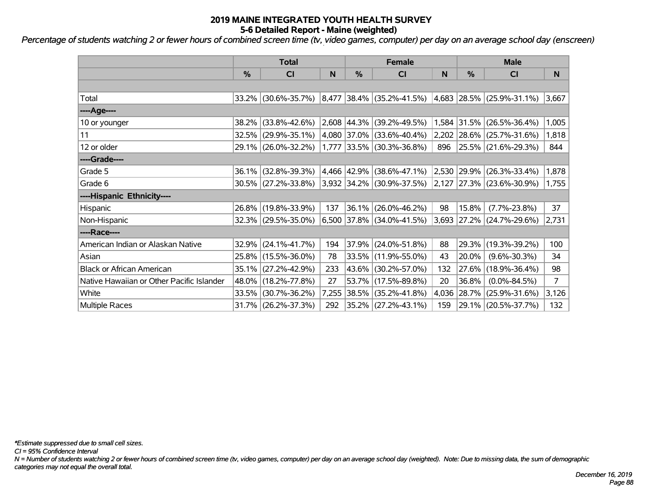*Percentage of students watching 2 or fewer hours of combined screen time (tv, video games, computer) per day on an average school day (enscreen)*

|                                           |               | <b>Total</b>           |       | <b>Female</b>    |                                    | <b>Male</b> |       |                                |       |
|-------------------------------------------|---------------|------------------------|-------|------------------|------------------------------------|-------------|-------|--------------------------------|-------|
|                                           | $\frac{0}{0}$ | C <sub>l</sub>         | N     | %                | <b>CI</b>                          | N           | %     | <b>CI</b>                      | N     |
|                                           |               |                        |       |                  |                                    |             |       |                                |       |
| Total                                     |               | 33.2% (30.6%-35.7%)    |       |                  | $ 8,477 38.4\%  (35.2\% - 41.5\%)$ |             |       | $ 4,683 28.5\% $ (25.9%-31.1%) | 3,667 |
| ---- Age----                              |               |                        |       |                  |                                    |             |       |                                |       |
| 10 or younger                             | 38.2%         | $(33.8\% - 42.6\%)$    |       | $ 2,608 44.3\% $ | $(39.2\% - 49.5\%)$                |             |       | 1,584 31.5% (26.5%-36.4%)      | 1,005 |
| 11                                        |               | $32.5\%$ (29.9%-35.1%) |       |                  | $ 4,080 37.0\% $ (33.6%-40.4%)     |             |       | $2,202$ 28.6% (25.7%-31.6%)    | 1,818 |
| 12 or older                               |               | 29.1% (26.0%-32.2%)    |       |                  | $1,777$ 33.5% (30.3%-36.8%)        | 896         |       | $ 25.5\% $ (21.6%-29.3%)       | 844   |
| ----Grade----                             |               |                        |       |                  |                                    |             |       |                                |       |
| Grade 5                                   | 36.1%         | $(32.8\% - 39.3\%)$    |       | 4,466 42.9%      | $(38.6\% - 47.1\%)$                | 2,530       | 29.9% | $(26.3\% - 33.4\%)$            | 1,878 |
| Grade 6                                   |               | $30.5\%$ (27.2%-33.8%) |       |                  | $ 3,932 34.2\%  (30.9\% - 37.5\%)$ |             |       | $ 2,127 27.3\% $ (23.6%-30.9%) | 1,755 |
| ----Hispanic Ethnicity----                |               |                        |       |                  |                                    |             |       |                                |       |
| Hispanic                                  |               | 26.8% (19.8%-33.9%)    | 137   | 36.1%            | $(26.0\% - 46.2\%)$                | 98          | 15.8% | $(7.7\% - 23.8\%)$             | 37    |
| Non-Hispanic                              |               | 32.3% (29.5%-35.0%)    |       |                  | $6,500$ 37.8% (34.0%-41.5%)        |             |       | 3,693 27.2% (24.7%-29.6%)      | 2,731 |
| ----Race----                              |               |                        |       |                  |                                    |             |       |                                |       |
| American Indian or Alaskan Native         |               | $32.9\%$ (24.1%-41.7%) | 194   | 37.9%            | $(24.0\% - 51.8\%)$                | 88          | 29.3% | $(19.3\% - 39.2\%)$            | 100   |
| Asian                                     |               | 25.8% (15.5%-36.0%)    | 78    |                  | 33.5% (11.9%-55.0%)                | 43          | 20.0% | $(9.6\% - 30.3\%)$             | 34    |
| <b>Black or African American</b>          | 35.1%         | $(27.2\% - 42.9\%)$    | 233   | 43.6%            | $(30.2\% - 57.0\%)$                | 132         | 27.6% | $(18.9\% - 36.4\%)$            | 98    |
| Native Hawaiian or Other Pacific Islander | 48.0%         | $(18.2\% - 77.8\%)$    | 27    | 53.7%            | $(17.5\% - 89.8\%)$                | 20          | 36.8% | $(0.0\% - 84.5\%)$             | 7     |
| White                                     | 33.5%         | $(30.7\% - 36.2\%)$    | 7,255 | 38.5%            | $(35.2\% - 41.8\%)$                | 4,036       | 28.7% | $(25.9\% - 31.6\%)$            | 3,126 |
| Multiple Races                            |               | $31.7\%$ (26.2%-37.3%) | 292   |                  | 35.2% (27.2%-43.1%)                | 159         |       | 29.1% (20.5%-37.7%)            | 132   |

*\*Estimate suppressed due to small cell sizes.*

*CI = 95% Confidence Interval*

*N = Number of students watching 2 or fewer hours of combined screen time (tv, video games, computer) per day on an average school day (weighted). Note: Due to missing data, the sum of demographic categories may not equal the overall total.*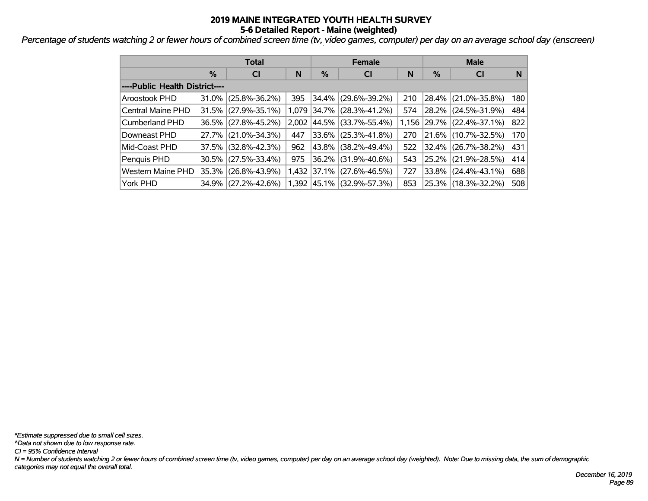*Percentage of students watching 2 or fewer hours of combined screen time (tv, video games, computer) per day on an average school day (enscreen)*

|                                |       | <b>Total</b>           |       |   | <b>Female</b>             |     | <b>Male</b> |                                 |     |  |
|--------------------------------|-------|------------------------|-------|---|---------------------------|-----|-------------|---------------------------------|-----|--|
|                                | %     | N<br><b>CI</b>         |       | % | <b>CI</b>                 | N   | %           | <b>CI</b>                       | N   |  |
| ----Public Health District---- |       |                        |       |   |                           |     |             |                                 |     |  |
| <b>Aroostook PHD</b>           |       | $31.0\%$ (25.8%-36.2%) | 395   |   | 34.4% (29.6%-39.2%)       | 210 |             | 28.4% (21.0%-35.8%)             | 180 |  |
| Central Maine PHD              |       | $31.5\%$ (27.9%-35.1%) |       |   | 1,079 34.7% (28.3%-41.2%) | 574 |             | 28.2% (24.5%-31.9%)             | 484 |  |
| Cumberland PHD                 |       | 36.5% (27.8%-45.2%)    | 2.002 |   | 44.5% (33.7%-55.4%)       |     |             | $1,156$   29.7%   (22.4%-37.1%) | 822 |  |
| Downeast PHD                   |       | 27.7% (21.0%-34.3%)    | 447   |   | 33.6% (25.3%-41.8%)       | 270 |             | 21.6% (10.7%-32.5%)             | 170 |  |
| Mid-Coast PHD                  |       | $37.5\%$ (32.8%-42.3%) | 962   |   | 43.8% (38.2%-49.4%)       | 522 |             | 32.4% (26.7%-38.2%)             | 431 |  |
| Penquis PHD                    |       | $30.5\%$ (27.5%-33.4%) | 975   |   | 36.2% (31.9%-40.6%)       | 543 |             | 25.2% (21.9%-28.5%)             | 414 |  |
| <b>Western Maine PHD</b>       | 35.3% | $(26.8\% - 43.9\%)$    |       |   | 1,432 37.1% (27.6%-46.5%) | 727 |             | 33.8% (24.4%-43.1%)             | 688 |  |
| York PHD                       |       | 34.9% (27.2%-42.6%)    |       |   | 1,392 45.1% (32.9%-57.3%) | 853 |             | 25.3% (18.3%-32.2%)             | 508 |  |

*N = Number of students watching 2 or fewer hours of combined screen time (tv, video games, computer) per day on an average school day (weighted). Note: Due to missing data, the sum of demographic categories may not equal the overall total. CI = 95% Confidence Interval ^Data not shown due to low response rate. \*Estimate suppressed due to small cell sizes.*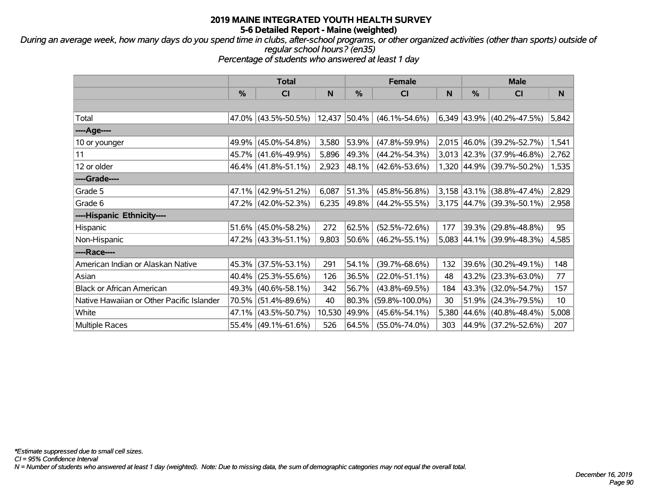*During an average week, how many days do you spend time in clubs, after-school programs, or other organized activities (other than sports) outside of regular school hours? (en35)*

*Percentage of students who answered at least 1 day*

|                                           | <b>Total</b> |                        |        |               | <b>Female</b>        | <b>Male</b> |                  |                                  |       |
|-------------------------------------------|--------------|------------------------|--------|---------------|----------------------|-------------|------------------|----------------------------------|-------|
|                                           | %            | <b>CI</b>              | N      | $\frac{9}{6}$ | CI                   | N           | %                | CI                               | N     |
|                                           |              |                        |        |               |                      |             |                  |                                  |       |
| Total                                     |              | $47.0\%$ (43.5%-50.5%) | 12,437 | $ 50.4\% $    | $(46.1\% - 54.6\%)$  |             |                  | $6,349$ 43.9% (40.2%-47.5%)      | 5,842 |
| ----Age----                               |              |                        |        |               |                      |             |                  |                                  |       |
| 10 or younger                             | 49.9%        | $(45.0\% - 54.8\%)$    | 3,580  | 53.9%         | $(47.8\% - 59.9\%)$  |             | $ 2,015 46.0\% $ | $(39.2\% - 52.7\%)$              | 1,541 |
| 11                                        | 45.7%        | $(41.6\% - 49.9\%)$    | 5,896  | 49.3%         | $(44.2\% - 54.3\%)$  |             |                  | $3,013$ 42.3% (37.9%-46.8%)      | 2,762 |
| 12 or older                               |              | 46.4% (41.8%-51.1%)    | 2,923  | 48.1%         | $(42.6\% - 53.6\%)$  |             |                  | 1,320 44.9% (39.7%-50.2%)        | 1,535 |
| ----Grade----                             |              |                        |        |               |                      |             |                  |                                  |       |
| Grade 5                                   | 47.1%        | $(42.9\% - 51.2\%)$    | 6,087  | 51.3%         | $(45.8\% - 56.8\%)$  |             |                  | $3,158$ 43.1% (38.8%-47.4%)      | 2,829 |
| Grade 6                                   |              | 47.2% (42.0%-52.3%)    | 6,235  | 49.8%         | $(44.2\% - 55.5\%)$  |             |                  | $3,175$ $ 44.7\% $ (39.3%-50.1%) | 2,958 |
| ----Hispanic Ethnicity----                |              |                        |        |               |                      |             |                  |                                  |       |
| <b>Hispanic</b>                           | 51.6%        | $(45.0\% - 58.2\%)$    | 272    | 62.5%         | $(52.5\% - 72.6\%)$  | 177         | 39.3%            | $(29.8\% - 48.8\%)$              | 95    |
| Non-Hispanic                              |              | 47.2% (43.3%-51.1%)    | 9,803  | 50.6%         | $(46.2\% - 55.1\%)$  | 5,083       |                  | 44.1% (39.9%-48.3%)              | 4,585 |
| ----Race----                              |              |                        |        |               |                      |             |                  |                                  |       |
| American Indian or Alaskan Native         | 45.3%        | $(37.5\% - 53.1\%)$    | 291    | 54.1%         | $(39.7\% - 68.6\%)$  | 132         | 39.6%            | $(30.2\% - 49.1\%)$              | 148   |
| Asian                                     | 40.4%        | $(25.3\% - 55.6\%)$    | 126    | 36.5%         | $(22.0\% - 51.1\%)$  | 48          | 43.2%            | $(23.3\% - 63.0\%)$              | 77    |
| <b>Black or African American</b>          | 49.3%        | $(40.6\% - 58.1\%)$    | 342    | 56.7%         | $(43.8\% - 69.5\%)$  | 184         | 43.3%            | $(32.0\% - 54.7\%)$              | 157   |
| Native Hawaiian or Other Pacific Islander | 70.5%        | $(51.4\% - 89.6\%)$    | 40     | 80.3%         | $(59.8\% - 100.0\%)$ | 30          | 51.9%            | $(24.3\% - 79.5\%)$              | 10    |
| White                                     | 47.1%        | $(43.5\% - 50.7\%)$    | 10,530 | 49.9%         | $(45.6\% - 54.1\%)$  | 5,380       | 44.6%            | $(40.8\% - 48.4\%)$              | 5,008 |
| <b>Multiple Races</b>                     |              | 55.4% (49.1%-61.6%)    | 526    | 64.5%         | $(55.0\% - 74.0\%)$  | 303         |                  | 44.9% (37.2%-52.6%)              | 207   |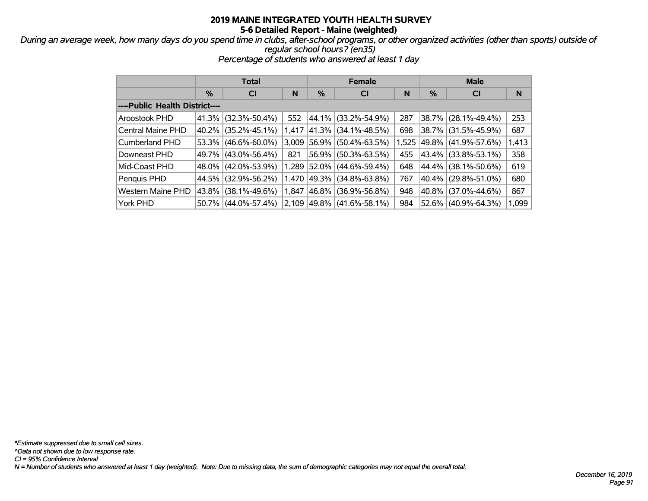*During an average week, how many days do you spend time in clubs, after-school programs, or other organized activities (other than sports) outside of regular school hours? (en35)*

*Percentage of students who answered at least 1 day*

|                                |       | <b>Total</b>        |       |             | <b>Female</b>       |       | <b>Male</b> |                       |       |  |
|--------------------------------|-------|---------------------|-------|-------------|---------------------|-------|-------------|-----------------------|-------|--|
|                                | %     | <b>CI</b>           | N     | $\%$        | <b>CI</b>           | N     | %           | <b>CI</b>             | N     |  |
| ----Public Health District---- |       |                     |       |             |                     |       |             |                       |       |  |
| Aroostook PHD                  | 41.3% | $(32.3\% - 50.4\%)$ | 552   | $44.1\%$    | $(33.2\% - 54.9\%)$ | 287   |             | 38.7% (28.1%-49.4%)   | 253   |  |
| Central Maine PHD              | 40.2% | $(35.2\% - 45.1\%)$ | 1,417 | 41.3%       | $(34.1\% - 48.5\%)$ | 698   |             | 38.7% (31.5%-45.9%)   | 687   |  |
| Cumberland PHD                 | 53.3% | $(46.6\% - 60.0\%)$ | 3,009 | 56.9%       | $(50.4\% - 63.5\%)$ | 1,525 |             | 49.8%   (41.9%-57.6%) | 1,413 |  |
| Downeast PHD                   | 49.7% | $(43.0\% - 56.4\%)$ | 821   | 56.9%       | $(50.3\% - 63.5\%)$ | 455   |             | 43.4% (33.8%-53.1%)   | 358   |  |
| Mid-Coast PHD                  | 48.0% | $(42.0\% - 53.9\%)$ |       | 1,289 52.0% | $(44.6\% - 59.4\%)$ | 648   |             | 44.4% (38.1%-50.6%)   | 619   |  |
| Penquis PHD                    | 44.5% | $(32.9\% - 56.2\%)$ | 1.470 | 49.3%       | $(34.8\% - 63.8\%)$ | 767   |             | 40.4% (29.8%-51.0%)   | 680   |  |
| Western Maine PHD              | 43.8% | $(38.1\% - 49.6\%)$ | 1.847 | 46.8%       | $(36.9\% - 56.8\%)$ | 948   |             | 40.8% (37.0%-44.6%)   | 867   |  |
| York PHD                       | 50.7% | $(44.0\% - 57.4\%)$ | 2,109 | $ 49.8\% $  | $(41.6\% - 58.1\%)$ | 984   |             | 52.6% (40.9%-64.3%)   | 1,099 |  |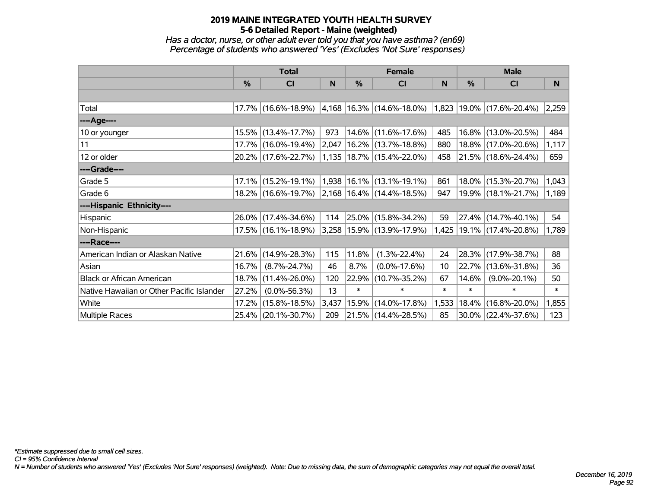*Has a doctor, nurse, or other adult ever told you that you have asthma? (en69) Percentage of students who answered 'Yes' (Excludes 'Not Sure' responses)*

|                                           | <b>Total</b> |                                                  |       |          | <b>Female</b>                  |        | <b>Male</b> |                           |        |  |
|-------------------------------------------|--------------|--------------------------------------------------|-------|----------|--------------------------------|--------|-------------|---------------------------|--------|--|
|                                           | %            | <b>CI</b>                                        | N     | %        | <b>CI</b>                      | N      | %           | <b>CI</b>                 | N.     |  |
|                                           |              |                                                  |       |          |                                |        |             |                           |        |  |
| Total                                     |              | 17.7% (16.6%-18.9%)                              |       |          | $ 4,168 16.3\% $ (14.6%-18.0%) |        |             | 1,823 19.0% (17.6%-20.4%) | 2,259  |  |
| ----Age----                               |              |                                                  |       |          |                                |        |             |                           |        |  |
| 10 or younger                             | 15.5%        | $(13.4\% - 17.7\%)$                              | 973   |          | 14.6% (11.6%-17.6%)            | 485    | $16.8\%$    | $(13.0\% - 20.5\%)$       | 484    |  |
| 11                                        |              | 17.7% (16.0%-19.4%)                              | 2,047 |          | 16.2% (13.7%-18.8%)            | 880    |             | 18.8% (17.0%-20.6%)       | 1,117  |  |
| 12 or older                               |              | 20.2% (17.6%-22.7%)                              |       |          | 1,135   18.7%   (15.4%-22.0%)  | 458    |             | 21.5% (18.6%-24.4%)       | 659    |  |
| ----Grade----                             |              |                                                  |       |          |                                |        |             |                           |        |  |
| Grade 5                                   | 17.1%        | $(15.2\% - 19.1\%)$                              |       |          | 1,938 16.1% (13.1%-19.1%)      | 861    | $18.0\%$    | $(15.3\% - 20.7\%)$       | 1,043  |  |
| Grade 6                                   |              | $18.2\%$ (16.6%-19.7%) 2,168 16.4% (14.4%-18.5%) |       |          |                                | 947    |             | 19.9% (18.1%-21.7%)       | 1,189  |  |
| ----Hispanic Ethnicity----                |              |                                                  |       |          |                                |        |             |                           |        |  |
| Hispanic                                  | 26.0%        | $(17.4\% - 34.6\%)$                              | 114   | $25.0\%$ | $(15.8\% - 34.2\%)$            | 59     | 27.4%       | $(14.7\% - 40.1\%)$       | 54     |  |
| Non-Hispanic                              |              | 17.5% (16.1%-18.9%)                              |       |          | 3,258   15.9%   (13.9%-17.9%)  | 1,425  |             | $ 19.1\% $ (17.4%-20.8%)  | 1,789  |  |
| ----Race----                              |              |                                                  |       |          |                                |        |             |                           |        |  |
| American Indian or Alaskan Native         | 21.6%        | $(14.9\% - 28.3\%)$                              | 115   | 11.8%    | $(1.3\% - 22.4\%)$             | 24     | 28.3%       | $(17.9\% - 38.7\%)$       | 88     |  |
| Asian                                     | 16.7%        | $(8.7\% - 24.7\%)$                               | 46    | 8.7%     | $(0.0\% - 17.6\%)$             | 10     | 22.7%       | $(13.6\% - 31.8\%)$       | 36     |  |
| <b>Black or African American</b>          | 18.7%        | $(11.4\% - 26.0\%)$                              | 120   | 22.9%    | $(10.7\% - 35.2\%)$            | 67     | 14.6%       | $(9.0\% - 20.1\%)$        | 50     |  |
| Native Hawaiian or Other Pacific Islander | 27.2%        | $(0.0\% - 56.3\%)$                               | 13    | $\ast$   | $\ast$                         | $\ast$ | $\ast$      | $\ast$                    | $\ast$ |  |
| White                                     | 17.2%        | $(15.8\% - 18.5\%)$                              | 3,437 | 15.9%    | $(14.0\% - 17.8\%)$            | 1,533  | 18.4%       | $(16.8\% - 20.0\%)$       | 1,855  |  |
| <b>Multiple Races</b>                     |              | 25.4% (20.1%-30.7%)                              | 209   |          | 21.5% (14.4%-28.5%)            | 85     |             | $30.0\%$ (22.4%-37.6%)    | 123    |  |

*CI = 95% Confidence Interval*

*N = Number of students who answered 'Yes' (Excludes 'Not Sure' responses) (weighted). Note: Due to missing data, the sum of demographic categories may not equal the overall total.*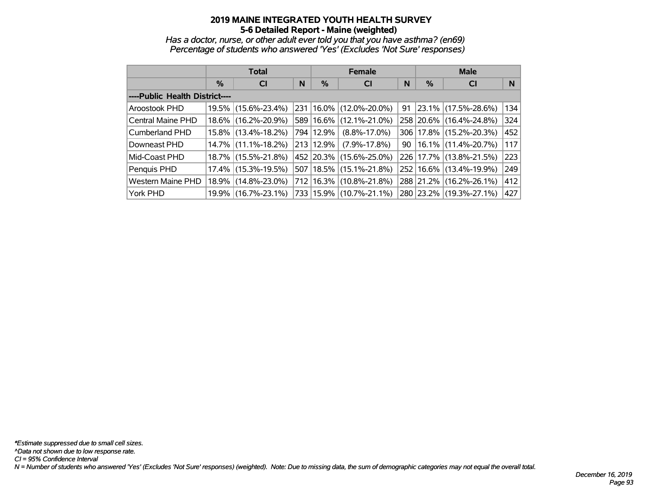*Has a doctor, nurse, or other adult ever told you that you have asthma? (en69) Percentage of students who answered 'Yes' (Excludes 'Not Sure' responses)*

|                                |          | <b>Total</b>        |  |           | <b>Female</b>               |    | <b>Male</b> |                             |     |  |
|--------------------------------|----------|---------------------|--|-----------|-----------------------------|----|-------------|-----------------------------|-----|--|
|                                | %        | N<br><b>CI</b>      |  |           | <b>CI</b>                   | N  | $\%$        | <b>CI</b>                   | N   |  |
| ----Public Health District---- |          |                     |  |           |                             |    |             |                             |     |  |
| Aroostook PHD                  | $19.5\%$ | $(15.6\% - 23.4\%)$ |  |           | 231   16.0%   (12.0%-20.0%) | 91 |             | $ 23.1\% $ (17.5%-28.6%)    | 134 |  |
| <b>Central Maine PHD</b>       | 18.6%    | $(16.2\% - 20.9\%)$ |  | 589 16.6% | $(12.1\% - 21.0\%)$         |    |             | 258 20.6% (16.4%-24.8%)     | 324 |  |
| <b>Cumberland PHD</b>          | $15.8\%$ | $(13.4\% - 18.2\%)$ |  | 794 12.9% | $(8.8\% - 17.0\%)$          |    |             | 306   17.8%   (15.2%-20.3%) | 452 |  |
| Downeast PHD                   | $14.7\%$ | $(11.1\% - 18.2\%)$ |  | 213 12.9% | $(7.9\% - 17.8\%)$          | 90 |             | 16.1%  (11.4%-20.7%)        | 117 |  |
| Mid-Coast PHD                  | $18.7\%$ | $(15.5\% - 21.8\%)$ |  |           | 452 20.3% (15.6%-25.0%)     |    |             | 226 17.7% (13.8%-21.5%)     | 223 |  |
| Penquis PHD                    | $17.4\%$ | $(15.3\% - 19.5\%)$ |  |           | 507   18.5%   (15.1%-21.8%) |    |             | 252   16.6%   (13.4%-19.9%) | 249 |  |
| <b>Western Maine PHD</b>       | 18.9%    | $(14.8\% - 23.0\%)$ |  | 712 16.3% | $(10.8\% - 21.8\%)$         |    |             | 288 21.2% (16.2%-26.1%)     | 412 |  |
| York PHD                       | 19.9%    | $(16.7\% - 23.1\%)$ |  |           | 733 15.9% (10.7%-21.1%)     |    |             | 280 23.2% (19.3%-27.1%)     | 427 |  |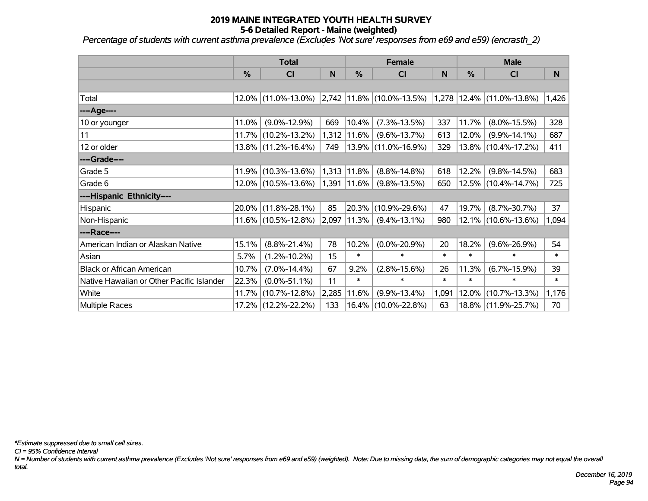*Percentage of students with current asthma prevalence (Excludes 'Not sure' responses from e69 and e59) (encrasth\_2)*

|                                           | <b>Total</b>  |                        |       |               | <b>Female</b>                                                              |        | <b>Male</b>   |                        |        |  |
|-------------------------------------------|---------------|------------------------|-------|---------------|----------------------------------------------------------------------------|--------|---------------|------------------------|--------|--|
|                                           | $\frac{0}{0}$ | C <sub>l</sub>         | N     | $\frac{0}{0}$ | CI                                                                         | N      | $\frac{0}{0}$ | C <sub>1</sub>         | N      |  |
|                                           |               |                        |       |               |                                                                            |        |               |                        |        |  |
| Total                                     |               |                        |       |               | $12.0\%$ (11.0%-13.0%) 2,742 11.8% (10.0%-13.5%) 1,278 12.4% (11.0%-13.8%) |        |               |                        | 1,426  |  |
| ----Age----                               |               |                        |       |               |                                                                            |        |               |                        |        |  |
| 10 or younger                             | 11.0%         | $(9.0\% - 12.9\%)$     | 669   | 10.4%         | $(7.3\% - 13.5\%)$                                                         | 337    | 11.7%         | $(8.0\% - 15.5\%)$     | 328    |  |
| 11                                        |               | 11.7% (10.2%-13.2%)    | 1,312 | $11.6\%$      | $(9.6\% - 13.7\%)$                                                         | 613    | $12.0\%$      | $(9.9\% - 14.1\%)$     | 687    |  |
| 12 or older                               |               | $13.8\%$ (11.2%-16.4%) | 749   |               | 13.9% (11.0%-16.9%)                                                        | 329    |               | $13.8\%$ (10.4%-17.2%) | 411    |  |
| ----Grade----                             |               |                        |       |               |                                                                            |        |               |                        |        |  |
| Grade 5                                   | 11.9%         | $(10.3\% - 13.6\%)$    | 1,313 | 11.8%         | $(8.8\% - 14.8\%)$                                                         | 618    | 12.2%         | $(9.8\% - 14.5\%)$     | 683    |  |
| Grade 6                                   |               | 12.0% (10.5%-13.6%)    | 1,391 | $ 11.6\% $    | $(9.8\% - 13.5\%)$                                                         | 650    |               | $12.5\%$ (10.4%-14.7%) | 725    |  |
| ----Hispanic Ethnicity----                |               |                        |       |               |                                                                            |        |               |                        |        |  |
| Hispanic                                  | 20.0%         | $(11.8\% - 28.1\%)$    | 85    | $ 20.3\% $    | $(10.9\% - 29.6\%)$                                                        | 47     | 19.7%         | $(8.7\% - 30.7\%)$     | 37     |  |
| Non-Hispanic                              |               | $11.6\%$ (10.5%-12.8%) | 2,097 | 11.3%         | $(9.4\% - 13.1\%)$                                                         | 980    |               | $12.1\%$ (10.6%-13.6%) | 1,094  |  |
| ----Race----                              |               |                        |       |               |                                                                            |        |               |                        |        |  |
| American Indian or Alaskan Native         | 15.1%         | $(8.8\% - 21.4\%)$     | 78    | 10.2%         | $(0.0\% - 20.9\%)$                                                         | 20     | 18.2%         | $(9.6\% - 26.9\%)$     | 54     |  |
| Asian                                     | 5.7%          | $(1.2\% - 10.2\%)$     | 15    | $\ast$        | $\ast$                                                                     | $\ast$ | $\ast$        | $\ast$                 | $\ast$ |  |
| <b>Black or African American</b>          | 10.7%         | $(7.0\% - 14.4\%)$     | 67    | 9.2%          | $(2.8\% - 15.6\%)$                                                         | 26     | 11.3%         | $(6.7\% - 15.9\%)$     | 39     |  |
| Native Hawaiian or Other Pacific Islander | 22.3%         | $(0.0\% - 51.1\%)$     | 11    | $\ast$        | $\ast$                                                                     | $\ast$ | $\ast$        | $\ast$                 | $\ast$ |  |
| White                                     | 11.7%         | $(10.7\% - 12.8\%)$    | 2,285 | 11.6%         | $(9.9\% - 13.4\%)$                                                         | 1,091  | 12.0%         | $(10.7\% - 13.3\%)$    | 1,176  |  |
| <b>Multiple Races</b>                     |               | 17.2% (12.2%-22.2%)    | 133   | 16.4%         | $(10.0\% - 22.8\%)$                                                        | 63     |               | 18.8% (11.9%-25.7%)    | 70     |  |

*\*Estimate suppressed due to small cell sizes.*

*CI = 95% Confidence Interval*

*N = Number of students with current asthma prevalence (Excludes 'Not sure' responses from e69 and e59) (weighted). Note: Due to missing data, the sum of demographic categories may not equal the overall total.*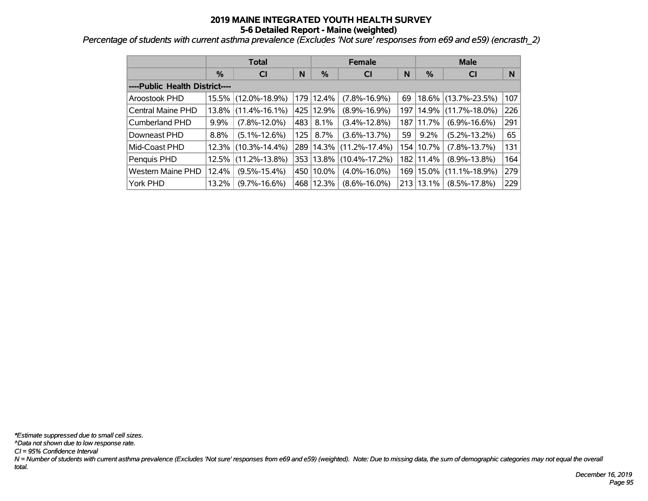*Percentage of students with current asthma prevalence (Excludes 'Not sure' responses from e69 and e59) (encrasth\_2)*

|                                |       | <b>Total</b>        |                  |             | <b>Female</b>       |     | <b>Male</b>   |                     |     |  |  |
|--------------------------------|-------|---------------------|------------------|-------------|---------------------|-----|---------------|---------------------|-----|--|--|
|                                | $\%$  | <b>CI</b>           | N                | %           | <b>CI</b>           | N   | %             | <b>CI</b>           | N   |  |  |
| ----Public Health District---- |       |                     |                  |             |                     |     |               |                     |     |  |  |
| Aroostook PHD                  | 15.5% | $(12.0\% - 18.9\%)$ |                  | 179 12.4%   | $(7.8\% - 16.9\%)$  | 69  | 18.6%         | $(13.7\% - 23.5\%)$ | 107 |  |  |
| Central Maine PHD              | 13.8% | $(11.4\% - 16.1\%)$ |                  | 425 12.9%   | $(8.9\% - 16.9\%)$  | 197 | 14.9%         | $(11.7\% - 18.0\%)$ | 226 |  |  |
| <b>Cumberland PHD</b>          | 9.9%  | $(7.8\% - 12.0\%)$  | 483              | $8.1\%$     | $(3.4\% - 12.8\%)$  | 187 | $ 11.7\% $    | $(6.9\% - 16.6\%)$  | 291 |  |  |
| Downeast PHD                   | 8.8%  | $(5.1\% - 12.6\%)$  | 125 <sup>1</sup> | 8.7%        | $(3.6\% - 13.7\%)$  | 59  | 9.2%          | $(5.2\% - 13.2\%)$  | 65  |  |  |
| Mid-Coast PHD                  | 12.3% | $(10.3\% - 14.4\%)$ |                  | 289 14.3%   | $(11.2\% - 17.4\%)$ |     | 154   10.7%   | $(7.8\% - 13.7\%)$  | 131 |  |  |
| Penquis PHD                    | 12.5% | $(11.2\% - 13.8\%)$ |                  | 353   13.8% | $(10.4\% - 17.2\%)$ |     | 182   11.4%   | $(8.9\% - 13.8\%)$  | 164 |  |  |
| <b>Western Maine PHD</b>       | 12.4% | $(9.5\% - 15.4\%)$  |                  | 450 10.0%   | $(4.0\% - 16.0\%)$  |     | 169   15.0%   | $(11.1\% - 18.9\%)$ | 279 |  |  |
| York PHD                       | 13.2% | $(9.7\% - 16.6\%)$  |                  | 468 12.3%   | $(8.6\% - 16.0\%)$  |     | $213 13.1\% $ | $(8.5\% - 17.8\%)$  | 229 |  |  |

*N = Number of students with current asthma prevalence (Excludes 'Not sure' responses from e69 and e59) (weighted). Note: Due to missing data, the sum of demographic categories may not equal the overall total. CI = 95% Confidence Interval ^Data not shown due to low response rate. \*Estimate suppressed due to small cell sizes.*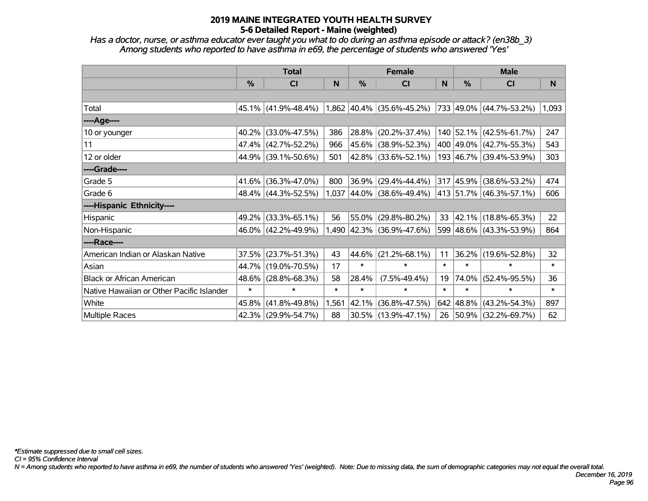*Has a doctor, nurse, or asthma educator ever taught you what to do during an asthma episode or attack? (en38b\_3) Among students who reported to have asthma in e69, the percentage of students who answered 'Yes'*

|                                           | <b>Total</b> |                        |        |        | <b>Female</b>                    |        | <b>Male</b> |                              |        |  |
|-------------------------------------------|--------------|------------------------|--------|--------|----------------------------------|--------|-------------|------------------------------|--------|--|
|                                           | %            | <b>CI</b>              | N      | %      | <b>CI</b>                        | N      | %           | <b>CI</b>                    | N      |  |
|                                           |              |                        |        |        |                                  |        |             |                              |        |  |
| Total                                     |              | $45.1\%$ (41.9%-48.4%) |        |        | $1,862$ $ 40.4\% $ (35.6%-45.2%) |        |             | $ 733 49.0\% $ (44.7%-53.2%) | 1,093  |  |
| ----Age----                               |              |                        |        |        |                                  |        |             |                              |        |  |
| 10 or younger                             | 40.2%        | $(33.0\% - 47.5\%)$    | 386    | 28.8%  | $(20.2\% - 37.4\%)$              |        |             | 140 52.1% (42.5%-61.7%)      | 247    |  |
| 11                                        | 47.4%        | $(42.7\% - 52.2\%)$    | 966    |        | 45.6% (38.9%-52.3%)              |        |             | 400 49.0% (42.7%-55.3%)      | 543    |  |
| 12 or older                               | 44.9%        | $(39.1\% - 50.6\%)$    | 501    |        | 42.8% (33.6%-52.1%)              |        |             | 193 46.7% (39.4%-53.9%)      | 303    |  |
| ----Grade----                             |              |                        |        |        |                                  |        |             |                              |        |  |
| Grade 5                                   | 41.6%        | $(36.3\% - 47.0\%)$    | 800    | 36.9%  | $(29.4\% - 44.4\%)$              |        |             | 317 45.9% (38.6%-53.2%)      | 474    |  |
| Grade 6                                   |              | 48.4% (44.3%-52.5%)    |        |        | $1,037$ 44.0% (38.6%-49.4%)      |        |             | 413 51.7% (46.3%-57.1%)      | 606    |  |
| ----Hispanic Ethnicity----                |              |                        |        |        |                                  |        |             |                              |        |  |
| Hispanic                                  | 49.2%        | $(33.3\% - 65.1\%)$    | 56     | 55.0%  | $(29.8\% - 80.2\%)$              | 33     |             | $ 42.1\% $ (18.8%-65.3%)     | 22     |  |
| Non-Hispanic                              |              | 46.0% (42.2%-49.9%)    |        |        | 1,490 42.3% (36.9%-47.6%)        |        |             | 599 48.6% (43.3%-53.9%)      | 864    |  |
| ----Race----                              |              |                        |        |        |                                  |        |             |                              |        |  |
| American Indian or Alaskan Native         | 37.5%        | $(23.7\% - 51.3\%)$    | 43     | 44.6%  | $(21.2\% - 68.1\%)$              | 11     |             | 36.2% (19.6%-52.8%)          | 32     |  |
| Asian                                     | 44.7%        | $(19.0\% - 70.5\%)$    | 17     | $\ast$ | $\ast$                           | $\ast$ | $\ast$      | $\ast$                       | $\ast$ |  |
| <b>Black or African American</b>          | 48.6%        | $(28.8\% - 68.3\%)$    | 58     | 28.4%  | $(7.5\% - 49.4\%)$               | 19     | 74.0%       | $(52.4\% - 95.5\%)$          | 36     |  |
| Native Hawaiian or Other Pacific Islander | $\ast$       | $\ast$                 | $\ast$ | $\ast$ | $\ast$                           | $\ast$ | $\ast$      | $\ast$                       | $\ast$ |  |
| White                                     | 45.8%        | $(41.8\% - 49.8\%)$    | 1,561  | 42.1%  | $(36.8\% - 47.5\%)$              |        |             | 642 48.8% (43.2%-54.3%)      | 897    |  |
| Multiple Races                            | 42.3%        | $(29.9\% - 54.7\%)$    | 88     |        | 30.5% (13.9%-47.1%)              |        |             | 26 50.9% (32.2%-69.7%)       | 62     |  |

*CI = 95% Confidence Interval*

*N = Among students who reported to have asthma in e69, the number of students who answered 'Yes' (weighted). Note: Due to missing data, the sum of demographic categories may not equal the overall total.*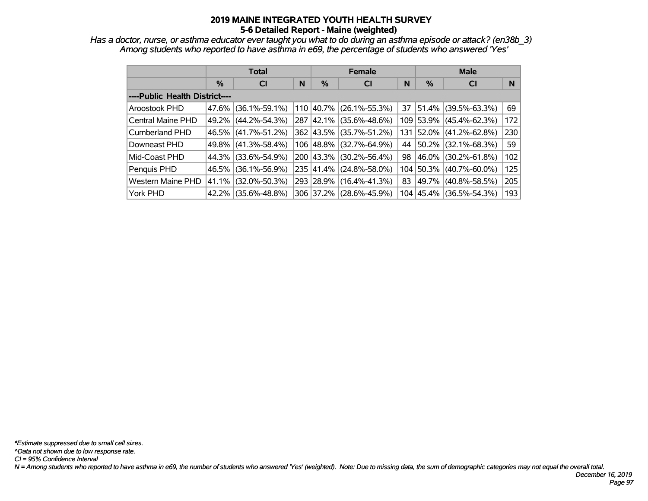*Has a doctor, nurse, or asthma educator ever taught you what to do during an asthma episode or attack? (en38b\_3) Among students who reported to have asthma in e69, the percentage of students who answered 'Yes'*

|                                |       | <b>Total</b>        |   |           | <b>Female</b>       |     | <b>Male</b> |                          |     |  |
|--------------------------------|-------|---------------------|---|-----------|---------------------|-----|-------------|--------------------------|-----|--|
|                                | %     | <b>CI</b>           | N |           | <b>CI</b>           | N   | $\%$        | <b>CI</b>                | N   |  |
| ----Public Health District---- |       |                     |   |           |                     |     |             |                          |     |  |
| <b>Aroostook PHD</b>           | 47.6% | $(36.1\% - 59.1\%)$ |   | 110 40.7% | $(26.1\% - 55.3\%)$ | 37  |             | $ 51.4\% $ (39.5%-63.3%) | 69  |  |
| <b>Central Maine PHD</b>       | 49.2% | $(44.2\% - 54.3\%)$ |   | 287 42.1% | $(35.6\% - 48.6\%)$ |     |             | 109 53.9% (45.4%-62.3%)  | 172 |  |
| <b>Cumberland PHD</b>          | 46.5% | $(41.7\% - 51.2\%)$ |   | 362 43.5% | $(35.7\% - 51.2\%)$ | 131 |             | $ 52.0\% $ (41.2%-62.8%) | 230 |  |
| Downeast PHD                   | 49.8% | $(41.3\% - 58.4\%)$ |   | 106 48.8% | (32.7%-64.9%)       | 44  |             | 50.2% (32.1%-68.3%)      | 59  |  |
| Mid-Coast PHD                  | 44.3% | $(33.6\% - 54.9\%)$ |   | 200 43.3% | $(30.2\% - 56.4\%)$ | 98  |             | 46.0%   (30.2%-61.8%)    | 102 |  |
| Penquis PHD                    | 46.5% | $(36.1\% - 56.9\%)$ |   | 235 41.4% | $(24.8\% - 58.0\%)$ |     | 104 50.3%   | $(40.7\% - 60.0\%)$      | 125 |  |
| <b>Western Maine PHD</b>       | 41.1% | $(32.0\% - 50.3\%)$ |   | 293 28.9% | $(16.4\% - 41.3\%)$ | 83  | 49.7%       | $(40.8\% - 58.5\%)$      | 205 |  |
| York PHD                       | 42.2% | $(35.6\% - 48.8\%)$ |   | 306 37.2% | $(28.6\% - 45.9\%)$ |     |             | 104 45.4% (36.5%-54.3%)  | 193 |  |

*Page 97*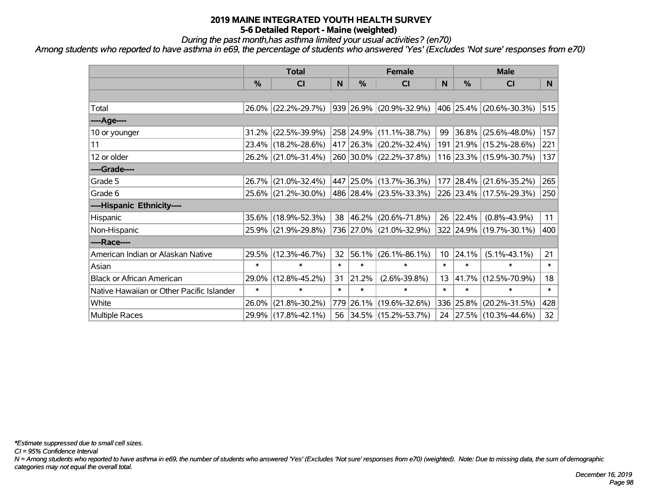*During the past month,has asthma limited your usual activities? (en70)*

*Among students who reported to have asthma in e69, the percentage of students who answered 'Yes' (Excludes 'Not sure' responses from e70)*

|                                           | <b>Total</b> |                        |        |        | <b>Female</b>           |                 | <b>Male</b>   |                         |        |  |
|-------------------------------------------|--------------|------------------------|--------|--------|-------------------------|-----------------|---------------|-------------------------|--------|--|
|                                           | %            | <b>CI</b>              | N      | %      | <b>CI</b>               | N               | $\frac{0}{0}$ | <b>CI</b>               | N.     |  |
|                                           |              |                        |        |        |                         |                 |               |                         |        |  |
| Total                                     |              | 26.0% (22.2%-29.7%)    |        |        | 939 26.9% (20.9%-32.9%) |                 |               | 406 25.4% (20.6%-30.3%) | 515    |  |
| ----Age----                               |              |                        |        |        |                         |                 |               |                         |        |  |
| 10 or younger                             |              | $31.2\%$ (22.5%-39.9%) |        |        | 258 24.9% (11.1%-38.7%) | 99              | 36.8%         | $(25.6\% - 48.0\%)$     | 157    |  |
| 11                                        |              | 23.4% (18.2%-28.6%)    |        |        | 417 26.3% (20.2%-32.4%) |                 |               | 191 21.9% (15.2%-28.6%) | 221    |  |
| 12 or older                               |              | 26.2% (21.0%-31.4%)    |        |        | 260 30.0% (22.2%-37.8%) |                 |               | 116 23.3% (15.9%-30.7%) | 137    |  |
| ----Grade----                             |              |                        |        |        |                         |                 |               |                         |        |  |
| Grade 5                                   |              | 26.7% (21.0%-32.4%)    |        |        | 447 25.0% (13.7%-36.3%) |                 | 177 28.4%     | $(21.6\% - 35.2\%)$     | 265    |  |
| Grade 6                                   |              | 25.6% (21.2%-30.0%)    |        |        | 486 28.4% (23.5%-33.3%) |                 |               | 226 23.4% (17.5%-29.3%) | 250    |  |
| ----Hispanic Ethnicity----                |              |                        |        |        |                         |                 |               |                         |        |  |
| Hispanic                                  |              | 35.6% (18.9%-52.3%)    | 38     | 46.2%  | $(20.6\% - 71.8\%)$     | 26              | 22.4%         | $(0.8\% - 43.9\%)$      | 11     |  |
| Non-Hispanic                              |              | 25.9% (21.9%-29.8%)    |        |        | 736 27.0% (21.0%-32.9%) |                 |               | 322 24.9% (19.7%-30.1%) | 400    |  |
| ----Race----                              |              |                        |        |        |                         |                 |               |                         |        |  |
| American Indian or Alaskan Native         |              | 29.5% (12.3%-46.7%)    | 32     | 56.1%  | $(26.1\% - 86.1\%)$     | 10 <sup>°</sup> | 24.1%         | $(5.1\% - 43.1\%)$      | 21     |  |
| Asian                                     | $\ast$       | $\ast$                 | $\ast$ | $\ast$ | $\ast$                  | $\ast$          | $\ast$        | $\ast$                  | $\ast$ |  |
| <b>Black or African American</b>          | 29.0%        | $(12.8\% - 45.2\%)$    | 31     | 21.2%  | $(2.6\% - 39.8\%)$      | 13              | 41.7%         | $(12.5\% - 70.9\%)$     | 18     |  |
| Native Hawaiian or Other Pacific Islander | $\ast$       | $\ast$                 | $\ast$ | $\ast$ | $\ast$                  | $\ast$          | $\ast$        | $\ast$                  | $\ast$ |  |
| White                                     | 26.0%        | $(21.8\% - 30.2\%)$    | 779    | 26.1%  | $(19.6\% - 32.6\%)$     |                 | 336 25.8%     | $(20.2\% - 31.5\%)$     | 428    |  |
| <b>Multiple Races</b>                     |              | 29.9% (17.8%-42.1%)    |        |        | 56 34.5% (15.2%-53.7%)  |                 |               | 24 27.5% (10.3%-44.6%)  | 32     |  |

*\*Estimate suppressed due to small cell sizes.*

*CI = 95% Confidence Interval*

*N = Among students who reported to have asthma in e69, the number of students who answered 'Yes' (Excludes 'Not sure' responses from e70) (weighted). Note: Due to missing data, the sum of demographic categories may not equal the overall total.*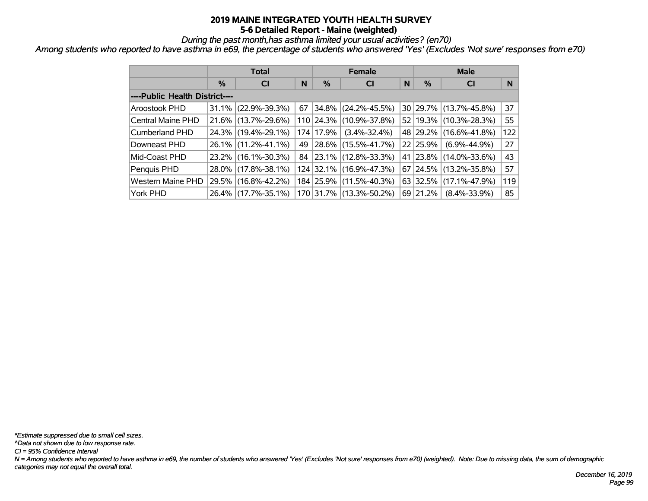*During the past month,has asthma limited your usual activities? (en70)*

*Among students who reported to have asthma in e69, the percentage of students who answered 'Yes' (Excludes 'Not sure' responses from e70)*

|                                |          | <b>Total</b>        |    |           | <b>Female</b>           | <b>Male</b> |               |                        |     |
|--------------------------------|----------|---------------------|----|-----------|-------------------------|-------------|---------------|------------------------|-----|
|                                | %        | <b>CI</b>           | N  | $\%$      | <b>CI</b>               | N           | $\frac{0}{0}$ | <b>CI</b>              | N   |
| ----Public Health District---- |          |                     |    |           |                         |             |               |                        |     |
| Aroostook PHD                  | 31.1%    | $(22.9\% - 39.3\%)$ | 67 | $ 34.8\%$ | $(24.2\% - 45.5\%)$     |             |               | 30 29.7% (13.7%-45.8%) | 37  |
| Central Maine PHD              |          | 21.6% (13.7%-29.6%) |    |           | 110 24.3% (10.9%-37.8%) |             | 52 19.3%      | $(10.3\% - 28.3\%)$    | 55  |
| Cumberland PHD                 |          | 24.3% (19.4%-29.1%) |    | 174 17.9% | $(3.4\% - 32.4\%)$      |             | 48 29.2%      | $(16.6\% - 41.8\%)$    | 122 |
| Downeast PHD                   |          | 26.1% (11.2%-41.1%) |    |           | 49 28.6% (15.5%-41.7%)  |             | 22 25.9%      | $(6.9\% - 44.9\%)$     | 27  |
| Mid-Coast PHD                  |          | 23.2% (16.1%-30.3%) |    |           | 84 23.1% (12.8%-33.3%)  |             | 41 23.8%      | $(14.0\% - 33.6\%)$    | 43  |
| Penquis PHD                    | $28.0\%$ | $(17.8\% - 38.1\%)$ |    |           | 124 32.1% (16.9%-47.3%) |             | $67$   24.5%  | $(13.2\% - 35.8\%)$    | 57  |
| <b>Western Maine PHD</b>       | 29.5%    | $(16.8\% - 42.2\%)$ |    |           | 184 25.9% (11.5%-40.3%) |             | $63$ 32.5%    | $(17.1\% - 47.9\%)$    | 119 |
| York PHD                       | $26.4\%$ | $(17.7\% - 35.1\%)$ |    |           | 170 31.7% (13.3%-50.2%) |             | 69 21.2%      | $(8.4\% - 33.9\%)$     | 85  |

*N = Among students who reported to have asthma in e69, the number of students who answered 'Yes' (Excludes 'Not sure' responses from e70) (weighted). Note: Due to missing data, the sum of demographic categories may not equal the overall total. CI = 95% Confidence Interval ^Data not shown due to low response rate. \*Estimate suppressed due to small cell sizes.*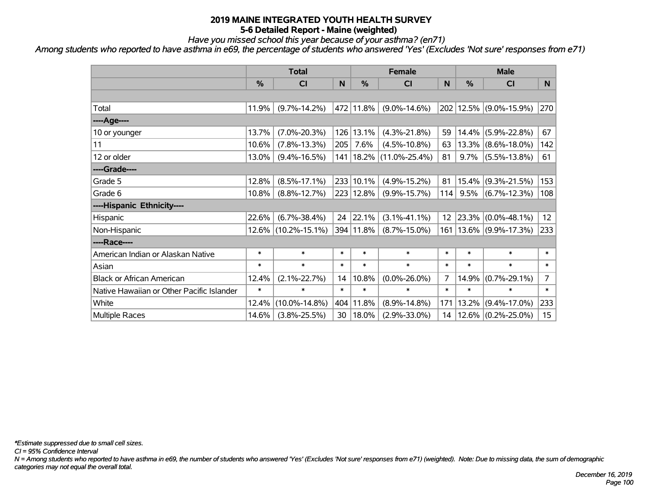*Have you missed school this year because of your asthma? (en71)*

*Among students who reported to have asthma in e69, the percentage of students who answered 'Yes' (Excludes 'Not sure' responses from e71)*

|                                           | <b>Total</b>  |                     |        |           | <b>Female</b>               |                 | <b>Male</b> |                        |                  |  |
|-------------------------------------------|---------------|---------------------|--------|-----------|-----------------------------|-----------------|-------------|------------------------|------------------|--|
|                                           | $\frac{0}{0}$ | <b>CI</b>           | N      | %         | <b>CI</b>                   | N               | %           | <b>CI</b>              | N                |  |
|                                           |               |                     |        |           |                             |                 |             |                        |                  |  |
| Total                                     | 11.9%         | $(9.7\% - 14.2\%)$  |        | 472 11.8% | $(9.0\% - 14.6\%)$          |                 |             | 202 12.5% (9.0%-15.9%) | 270              |  |
| ----Age----                               |               |                     |        |           |                             |                 |             |                        |                  |  |
| 10 or younger                             | 13.7%         | $(7.0\% - 20.3\%)$  |        | 126 13.1% | $(4.3\% - 21.8\%)$          | 59              |             | 14.4% (5.9%-22.8%)     | 67               |  |
| 11                                        | 10.6%         | $(7.8\% - 13.3\%)$  | 205    | 7.6%      | $(4.5\% - 10.8\%)$          | 63              |             | $13.3\%$ (8.6%-18.0%)  | 142              |  |
| 12 or older                               | 13.0%         | $(9.4\% - 16.5\%)$  |        |           | 141   18.2%   (11.0%-25.4%) | 81              |             | $9.7\%$ (5.5%-13.8%)   | 61               |  |
| ----Grade----                             |               |                     |        |           |                             |                 |             |                        |                  |  |
| Grade 5                                   | 12.8%         | $(8.5\% - 17.1\%)$  |        | 233 10.1% | $(4.9\% - 15.2\%)$          | 81              | $15.4\%$    | $(9.3\% - 21.5\%)$     | 153              |  |
| Grade 6                                   | 10.8%         | $(8.8\% - 12.7\%)$  |        | 223 12.8% | $(9.9\% - 15.7\%)$          | 114             |             | $9.5\%$ (6.7%-12.3%)   | 108              |  |
| ----Hispanic Ethnicity----                |               |                     |        |           |                             |                 |             |                        |                  |  |
| Hispanic                                  | 22.6%         | $(6.7\% - 38.4\%)$  | 24     | 22.1%     | $(3.1\% - 41.1\%)$          | 12 <sub>2</sub> |             | 23.3% (0.0%-48.1%)     | 12 <sub>2</sub>  |  |
| Non-Hispanic                              |               | 12.6% (10.2%-15.1%) |        | 394 11.8% | $(8.7\% - 15.0\%)$          | 161             |             | $13.6\%$ (9.9%-17.3%)  | 233              |  |
| ----Race----                              |               |                     |        |           |                             |                 |             |                        |                  |  |
| American Indian or Alaskan Native         | $\ast$        | $\ast$              | $\ast$ | $\ast$    | $\ast$                      | $\ast$          | $\ast$      | $\ast$                 | $\ast$           |  |
| Asian                                     | $\ast$        | $\ast$              | $\ast$ | $\ast$    | $\ast$                      | $\ast$          | $\ast$      | $\ast$                 | $\ast$           |  |
| <b>Black or African American</b>          | 12.4%         | $(2.1\% - 22.7\%)$  | 14     | 10.8%     | $(0.0\% - 26.0\%)$          | $\overline{7}$  | 14.9%       | $(0.7\% - 29.1\%)$     | $\overline{7}$   |  |
| Native Hawaiian or Other Pacific Islander | $\ast$        | $\ast$              | $\ast$ | $\ast$    | $\ast$                      | $\ast$          | $\ast$      | $\ast$                 | $\pmb{\ast}$     |  |
| White                                     | 12.4%         | $(10.0\% - 14.8\%)$ | 404    | 11.8%     | $(8.9\% - 14.8\%)$          | 171             | 13.2%       | $(9.4\% - 17.0\%)$     | 233              |  |
| <b>Multiple Races</b>                     | 14.6%         | $(3.8\% - 25.5\%)$  | 30     | $ 18.0\%$ | $(2.9\% - 33.0\%)$          | 14              |             | $12.6\%$ (0.2%-25.0%)  | 15 <sub>15</sub> |  |

*\*Estimate suppressed due to small cell sizes.*

*CI = 95% Confidence Interval*

*N = Among students who reported to have asthma in e69, the number of students who answered 'Yes' (Excludes 'Not sure' responses from e71) (weighted). Note: Due to missing data, the sum of demographic categories may not equal the overall total.*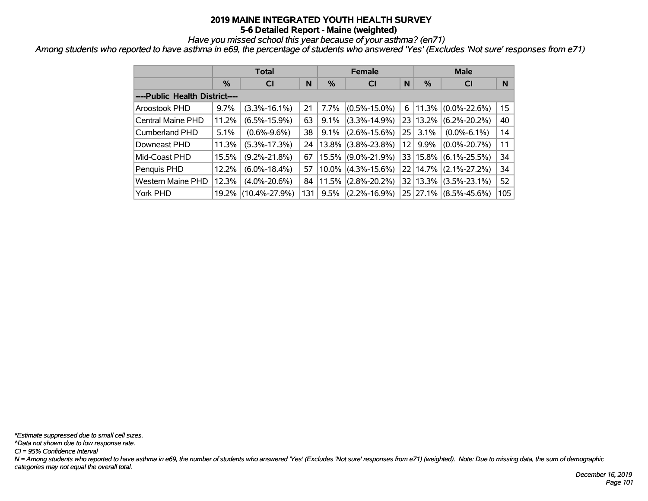*Have you missed school this year because of your asthma? (en71)*

*Among students who reported to have asthma in e69, the percentage of students who answered 'Yes' (Excludes 'Not sure' responses from e71)*

|                                |               | <b>Total</b>        |     |         | <b>Female</b>         |                 | <b>Male</b> |                         |     |  |
|--------------------------------|---------------|---------------------|-----|---------|-----------------------|-----------------|-------------|-------------------------|-----|--|
|                                | $\frac{0}{0}$ | <b>CI</b>           | N   | $\%$    | <b>CI</b>             | N               | $\%$        | <b>CI</b>               | N   |  |
| ----Public Health District---- |               |                     |     |         |                       |                 |             |                         |     |  |
| <b>Aroostook PHD</b>           | 9.7%          | $(3.3\% - 16.1\%)$  | 21  | 7.7%    | $(0.5\% - 15.0\%)$    | 6               |             | $ 11.3\% $ (0.0%-22.6%) | 15  |  |
| Central Maine PHD              | 11.2%         | $(6.5\% - 15.9\%)$  | 63  | 9.1%    | $(3.3\% - 14.9\%)$    |                 | 23 13.2%    | $(6.2\% - 20.2\%)$      | 40  |  |
| <b>Cumberland PHD</b>          | 5.1%          | $(0.6\% - 9.6\%)$   | 38  | $9.1\%$ | $(2.6\% - 15.6\%)$    | 25 <sub>1</sub> | $3.1\%$     | $(0.0\% - 6.1\%)$       | 14  |  |
| Downeast PHD                   | 11.3%         | $(5.3\% - 17.3\%)$  | 24  | 13.8%   | $(3.8\% - 23.8\%)$    | 12 <sup>2</sup> | $9.9\%$     | $(0.0\% - 20.7\%)$      | 11  |  |
| Mid-Coast PHD                  | 15.5%         | $(9.2\% - 21.8\%)$  | 67  |         | 15.5% (9.0%-21.9%)    |                 | 33 15.8%    | $(6.1\% - 25.5\%)$      | 34  |  |
| Penquis PHD                    | 12.2%         | $(6.0\% - 18.4\%)$  | 57  |         | $10.0\%$ (4.3%-15.6%) |                 | 22 14.7%    | $(2.1\% - 27.2\%)$      | 34  |  |
| Western Maine PHD              | 12.3%         | $(4.0\% - 20.6\%)$  | 84  |         | $11.5\%$ (2.8%-20.2%) |                 | 32 13.3%    | $(3.5\% - 23.1\%)$      | 52  |  |
| York PHD                       | 19.2%         | $(10.4\% - 27.9\%)$ | 131 | 9.5%    | $(2.2\% - 16.9\%)$    |                 |             | 25 27.1% (8.5%-45.6%)   | 105 |  |

*N = Among students who reported to have asthma in e69, the number of students who answered 'Yes' (Excludes 'Not sure' responses from e71) (weighted). Note: Due to missing data, the sum of demographic categories may not equal the overall total. CI = 95% Confidence Interval ^Data not shown due to low response rate. \*Estimate suppressed due to small cell sizes.*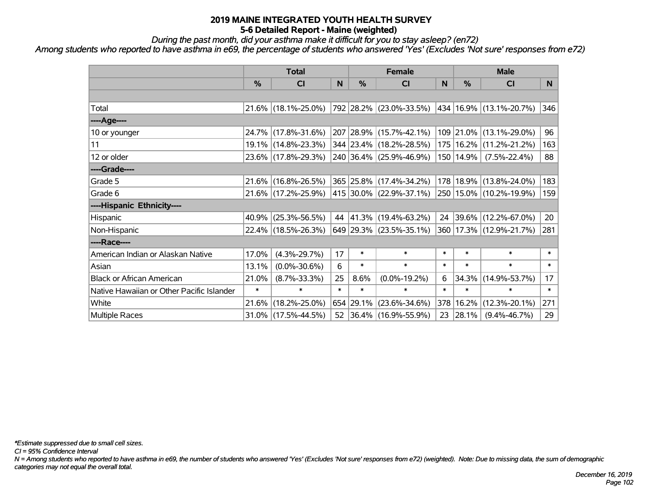*During the past month, did your asthma make it difficult for you to stay asleep? (en72)*

*Among students who reported to have asthma in e69, the percentage of students who answered 'Yes' (Excludes 'Not sure' responses from e72)*

|                                           | <b>Total</b> |                        |        |               | <b>Female</b>                | <b>Male</b> |               |                             |        |
|-------------------------------------------|--------------|------------------------|--------|---------------|------------------------------|-------------|---------------|-----------------------------|--------|
|                                           | %            | <b>CI</b>              | N      | $\frac{0}{0}$ | <b>CI</b>                    | N           | $\frac{0}{0}$ | <b>CI</b>                   | N.     |
|                                           |              |                        |        |               |                              |             |               |                             |        |
| Total                                     |              | $21.6\%$ (18.1%-25.0%) |        |               | 792 28.2% (23.0%-33.5%)      |             |               | 434 16.9% (13.1%-20.7%)     | 346    |
| ----Age----                               |              |                        |        |               |                              |             |               |                             |        |
| 10 or younger                             |              | 24.7% (17.8%-31.6%)    |        |               | 207 28.9% (15.7%-42.1%)      |             |               | 109 21.0% (13.1%-29.0%)     | 96     |
| 11                                        |              | 19.1% (14.8%-23.3%)    |        |               | 344 23.4% (18.2%-28.5%)      |             |               | 175   16.2%   (11.2%-21.2%) | 163    |
| 12 or older                               |              | 23.6% (17.8%-29.3%)    |        |               | 240 36.4% (25.9%-46.9%)      |             | 150   14.9%   | $(7.5\% - 22.4\%)$          | 88     |
| ----Grade----                             |              |                        |        |               |                              |             |               |                             |        |
| Grade 5                                   |              | 21.6% (16.8%-26.5%)    |        |               | 365 25.8% (17.4%-34.2%)      |             |               | 178 18.9% (13.8%-24.0%)     | 183    |
| Grade 6                                   |              | 21.6% (17.2%-25.9%)    |        |               | $ 415 30.0\% $ (22.9%-37.1%) |             |               | 250   15.0%   (10.2%-19.9%) | 159    |
| ----Hispanic Ethnicity----                |              |                        |        |               |                              |             |               |                             |        |
| Hispanic                                  |              | $40.9\%$ (25.3%-56.5%) | 44     |               | $ 41.3\% $ (19.4%-63.2%)     |             |               | 24 39.6% (12.2%-67.0%)      | 20     |
| Non-Hispanic                              |              | 22.4% (18.5%-26.3%)    |        |               | 649 29.3% (23.5%-35.1%)      |             |               | 360 17.3% (12.9%-21.7%)     | 281    |
| ----Race----                              |              |                        |        |               |                              |             |               |                             |        |
| American Indian or Alaskan Native         | 17.0%        | $(4.3\% - 29.7\%)$     | 17     | $\ast$        | $\ast$                       | $\ast$      | $\ast$        | $\ast$                      | $\ast$ |
| Asian                                     | 13.1%        | $(0.0\% - 30.6\%)$     | 6      | $\ast$        | $\ast$                       | $\ast$      | $\ast$        | $\ast$                      | $\ast$ |
| <b>Black or African American</b>          | 21.0%        | $(8.7\% - 33.3\%)$     | 25     | 8.6%          | $(0.0\% - 19.2\%)$           | 6           | 34.3%         | $(14.9\% - 53.7\%)$         | 17     |
| Native Hawaiian or Other Pacific Islander | $\ast$       | $\ast$                 | $\ast$ | $\ast$        | $\ast$                       | $\ast$      | $\ast$        | $\ast$                      | $\ast$ |
| White                                     |              | 21.6% (18.2%-25.0%)    |        | 654 29.1%     | $(23.6\% - 34.6\%)$          | 378         | 16.2%         | $(12.3\% - 20.1\%)$         | 271    |
| Multiple Races                            |              | $31.0\%$ (17.5%-44.5%) |        |               | 52 36.4% (16.9%-55.9%)       | 23          | 28.1%         | $(9.4\% - 46.7\%)$          | 29     |

*\*Estimate suppressed due to small cell sizes.*

*CI = 95% Confidence Interval*

*N = Among students who reported to have asthma in e69, the number of students who answered 'Yes' (Excludes 'Not sure' responses from e72) (weighted). Note: Due to missing data, the sum of demographic categories may not equal the overall total.*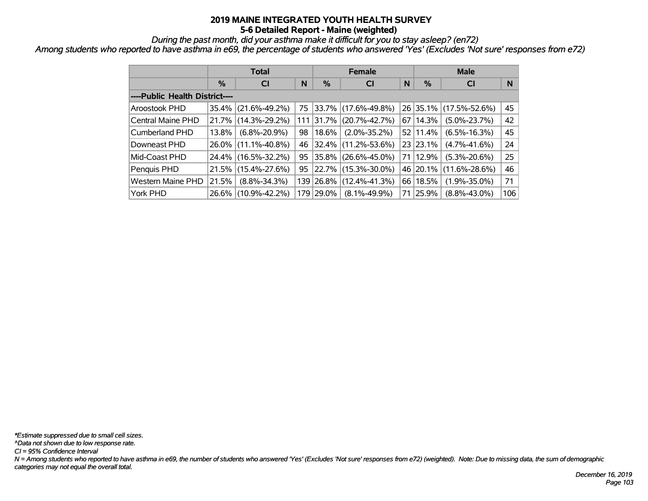*During the past month, did your asthma make it difficult for you to stay asleep? (en72)*

*Among students who reported to have asthma in e69, the percentage of students who answered 'Yes' (Excludes 'Not sure' responses from e72)*

|                                | <b>Total</b> |                     |    |               | <b>Female</b>           |    | <b>Male</b> |                     |     |  |
|--------------------------------|--------------|---------------------|----|---------------|-------------------------|----|-------------|---------------------|-----|--|
|                                | $\%$         | <b>CI</b>           | N  | $\frac{9}{6}$ | <b>CI</b>               | N  | %           | <b>CI</b>           | N   |  |
| ----Public Health District---- |              |                     |    |               |                         |    |             |                     |     |  |
| Aroostook PHD                  | 35.4%        | $(21.6\% - 49.2\%)$ |    |               | 75 33.7% (17.6%-49.8%)  |    | $26$ 35.1%  | $(17.5\% - 52.6\%)$ | 45  |  |
| Central Maine PHD              | 21.7%        | $(14.3\% - 29.2\%)$ |    |               | 111 31.7% (20.7%-42.7%) |    | 67 14.3%    | $(5.0\% - 23.7\%)$  | 42  |  |
| Cumberland PHD                 | 13.8%        | $(6.8\% - 20.9\%)$  | 98 | 18.6%         | $(2.0\% - 35.2\%)$      |    | 52 11.4%    | $(6.5\% - 16.3\%)$  | 45  |  |
| Downeast PHD                   |              | 26.0% (11.1%-40.8%) | 46 |               | 32.4% (11.2%-53.6%)     |    | 23 23.1%    | $(4.7\% - 41.6\%)$  | 24  |  |
| Mid-Coast PHD                  |              | 24.4% (16.5%-32.2%) | 95 |               | 35.8% (26.6%-45.0%)     |    | 71   12.9%  | $(5.3\% - 20.6\%)$  | 25  |  |
| Penquis PHD                    | 21.5%        | $(15.4\% - 27.6\%)$ | 95 |               | 22.7% (15.3%-30.0%)     |    | 46 20.1%    | $(11.6\% - 28.6\%)$ | 46  |  |
| <b>Western Maine PHD</b>       | 21.5%        | $(8.8\% - 34.3\%)$  |    |               | 139 26.8% (12.4%-41.3%) |    | 66 18.5%    | $(1.9\% - 35.0\%)$  | 71  |  |
| York PHD                       |              | 26.6% (10.9%-42.2%) |    | 179 29.0%     | $(8.1\% - 49.9\%)$      | 71 | 25.9%       | $(8.8\% - 43.0\%)$  | 106 |  |

*N = Among students who reported to have asthma in e69, the number of students who answered 'Yes' (Excludes 'Not sure' responses from e72) (weighted). Note: Due to missing data, the sum of demographic categories may not equal the overall total. CI = 95% Confidence Interval ^Data not shown due to low response rate. \*Estimate suppressed due to small cell sizes.*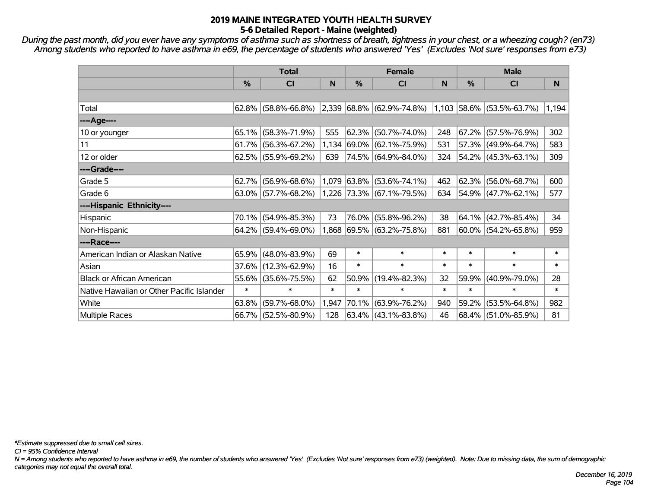*During the past month, did you ever have any symptoms of asthma such as shortness of breath, tightness in your chest, or a wheezing cough? (en73) Among students who reported to have asthma in e69, the percentage of students who answered 'Yes' (Excludes 'Not sure' responses from e73)*

|                                           |        | <b>Total</b>           |        | <b>Female</b> |                                                                       | <b>Male</b> |            |                          |        |
|-------------------------------------------|--------|------------------------|--------|---------------|-----------------------------------------------------------------------|-------------|------------|--------------------------|--------|
|                                           | %      | <b>CI</b>              | N      | %             | <b>CI</b>                                                             | N           | %          | <b>CI</b>                | N      |
|                                           |        |                        |        |               |                                                                       |             |            |                          |        |
| Total                                     |        | $62.8\%$ (58.8%-66.8%) |        |               | $ 2,339 68.8\%  (62.9\% - 74.8\%)  1,103  58.6\%   (53.5\% - 63.7\%)$ |             |            |                          | 1,194  |
| ----Age----                               |        |                        |        |               |                                                                       |             |            |                          |        |
| 10 or younger                             | 65.1%  | $(58.3\% - 71.9\%)$    | 555    | $ 62.3\% $    | $(50.7\% - 74.0\%)$                                                   | 248         | $67.2\%$   | $(57.5\% - 76.9\%)$      | 302    |
| 11                                        |        | $61.7\%$ (56.3%-67.2%) |        |               | $1,134$ 69.0% (62.1%-75.9%)                                           | 531         |            | 57.3% (49.9%-64.7%)      | 583    |
| 12 or older                               |        | $62.5\%$ (55.9%-69.2%) | 639    |               | 74.5% (64.9%-84.0%)                                                   | 324         |            | $ 54.2\% $ (45.3%-63.1%) | 309    |
| ----Grade----                             |        |                        |        |               |                                                                       |             |            |                          |        |
| Grade 5                                   | 62.7%  | $(56.9\% - 68.6\%)$    |        | $1,079$ 63.8% | $(53.6\% - 74.1\%)$                                                   | 462         | $ 62.3\% $ | $(56.0\% - 68.7\%)$      | 600    |
| Grade 6                                   |        | $63.0\%$ (57.7%-68.2%) |        |               | $ 1,226 73.3\%  (67.1\% -79.5\%)$                                     | 634         |            | 54.9% (47.7%-62.1%)      | 577    |
| ----Hispanic Ethnicity----                |        |                        |        |               |                                                                       |             |            |                          |        |
| Hispanic                                  | 70.1%  | $(54.9\% - 85.3\%)$    | 73     | 76.0%         | $(55.8\% - 96.2\%)$                                                   | 38          | $ 64.1\% $ | $(42.7\% - 85.4\%)$      | 34     |
| Non-Hispanic                              |        | 64.2% (59.4%-69.0%)    |        |               | 1,868 69.5% (63.2%-75.8%)                                             | 881         |            | $60.0\%$ (54.2%-65.8%)   | 959    |
| ----Race----                              |        |                        |        |               |                                                                       |             |            |                          |        |
| American Indian or Alaskan Native         | 65.9%  | $(48.0\% - 83.9\%)$    | 69     | $\ast$        | $\ast$                                                                | $\ast$      | $\ast$     | $\ast$                   | $\ast$ |
| Asian                                     |        | 37.6% (12.3%-62.9%)    | 16     | $\ast$        | $\ast$                                                                | $\ast$      | $\ast$     | $\ast$                   | $\ast$ |
| <b>Black or African American</b>          | 55.6%  | $(35.6\% - 75.5\%)$    | 62     | 50.9%         | $(19.4\% - 82.3\%)$                                                   | 32          | 59.9%      | $(40.9\% - 79.0\%)$      | 28     |
| Native Hawaiian or Other Pacific Islander | $\ast$ | $\ast$                 | $\ast$ | $\ast$        | $\ast$                                                                | $\ast$      | $\ast$     | $\ast$                   | $\ast$ |
| White                                     | 63.8%  | $(59.7\% - 68.0\%)$    | 1,947  | 70.1%         | $(63.9\% - 76.2\%)$                                                   | 940         | 59.2%      | $(53.5\% - 64.8\%)$      | 982    |
| <b>Multiple Races</b>                     |        | 66.7% (52.5%-80.9%)    | 128    |               | 63.4% (43.1%-83.8%)                                                   | 46          |            | 68.4% (51.0%-85.9%)      | 81     |

*\*Estimate suppressed due to small cell sizes.*

*CI = 95% Confidence Interval*

*N = Among students who reported to have asthma in e69, the number of students who answered 'Yes' (Excludes 'Not sure' responses from e73) (weighted). Note: Due to missing data, the sum of demographic categories may not equal the overall total.*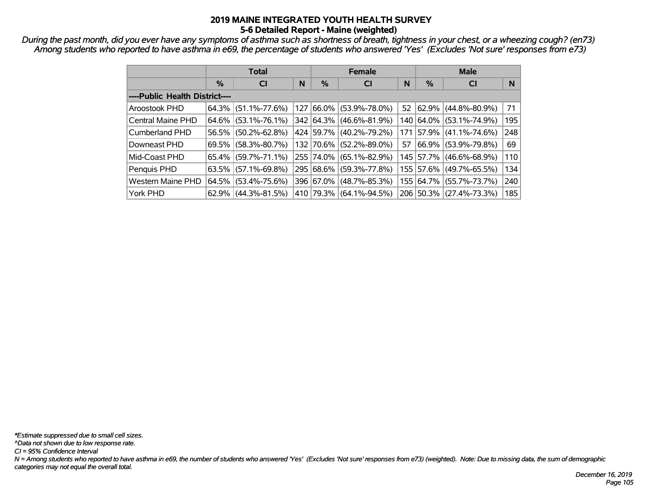*During the past month, did you ever have any symptoms of asthma such as shortness of breath, tightness in your chest, or a wheezing cough? (en73) Among students who reported to have asthma in e69, the percentage of students who answered 'Yes' (Excludes 'Not sure' responses from e73)*

|                                |          | <b>Total</b>           |   |             | <b>Female</b>       |    | <b>Male</b> |                             |     |  |
|--------------------------------|----------|------------------------|---|-------------|---------------------|----|-------------|-----------------------------|-----|--|
|                                | %        | <b>CI</b>              | N | %           | <b>CI</b>           | N  | %           | <b>CI</b>                   | N   |  |
| ----Public Health District---- |          |                        |   |             |                     |    |             |                             |     |  |
| Aroostook PHD                  |          | $64.3\%$ (51.1%-77.6%) |   | 127 66.0%   | $(53.9\% - 78.0\%)$ |    |             | 52 $ 62.9\% $ (44.8%-80.9%) | 71  |  |
| Central Maine PHD              |          | $64.6\%$ (53.1%-76.1%) |   | 342 64.3%   | $(46.6\% - 81.9\%)$ |    |             | 140 64.0% (53.1%-74.9%)     | 195 |  |
| Cumberland PHD                 |          | 56.5% (50.2%-62.8%)    |   | 424 59.7%   | $(40.2\% - 79.2\%)$ |    |             | 171 57.9% (41.1%-74.6%)     | 248 |  |
| Downeast PHD                   | $69.5\%$ | $(58.3\% - 80.7\%)$    |   | 132 70.6%   | $(52.2\% - 89.0\%)$ | 57 |             | 66.9%   (53.9%-79.8%)       | 69  |  |
| Mid-Coast PHD                  |          | 65.4% (59.7%-71.1%)    |   | 255 74.0%   | $(65.1\% - 82.9\%)$ |    |             | 145   57.7%   (46.6%-68.9%) | 110 |  |
| Penquis PHD                    |          | $63.5\%$ (57.1%-69.8%) |   | 295 68.6%   | $(59.3\% - 77.8\%)$ |    |             | 155 57.6% (49.7%-65.5%)     | 134 |  |
| <b>Western Maine PHD</b>       |          | 64.5% (53.4%-75.6%)    |   | 396 67.0%   | $(48.7\% - 85.3\%)$ |    |             | 155 64.7% (55.7%-73.7%)     | 240 |  |
| York PHD                       |          | $62.9\%$ (44.3%-81.5%) |   | 410   79.3% | $(64.1\% - 94.5\%)$ |    |             | 206 50.3% (27.4%-73.3%)     | 185 |  |

*N = Among students who reported to have asthma in e69, the number of students who answered 'Yes' (Excludes 'Not sure' responses from e73) (weighted). Note: Due to missing data, the sum of demographic categories may not equal the overall total. CI = 95% Confidence Interval ^Data not shown due to low response rate. \*Estimate suppressed due to small cell sizes.*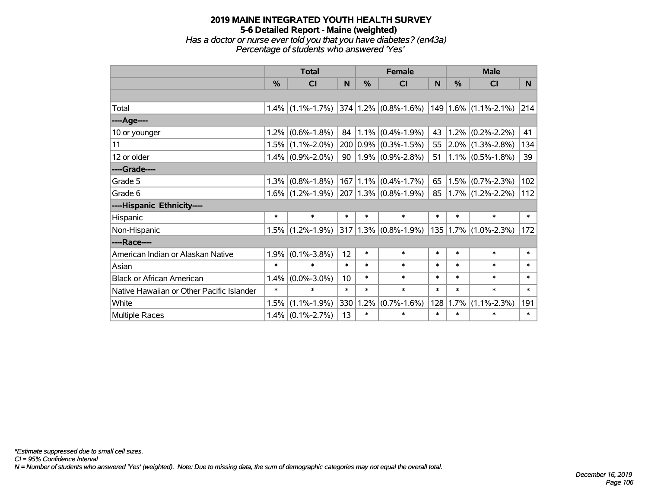# **2019 MAINE INTEGRATED YOUTH HEALTH SURVEY 5-6 Detailed Report - Maine (weighted)** *Has a doctor or nurse ever told you that you have diabetes? (en43a) Percentage of students who answered 'Yes'*

|                                           | <b>Total</b>  |                                          |        |        | <b>Female</b>                        |        | <b>Male</b> |                            |        |  |
|-------------------------------------------|---------------|------------------------------------------|--------|--------|--------------------------------------|--------|-------------|----------------------------|--------|--|
|                                           | $\frac{9}{6}$ | <b>CI</b>                                | N      | $\%$   | <b>CI</b>                            | N      | %           | <b>CI</b>                  | N.     |  |
|                                           |               |                                          |        |        |                                      |        |             |                            |        |  |
| Total                                     |               | $1.4\%$ (1.1%-1.7%) 374 1.2% (0.8%-1.6%) |        |        |                                      |        |             | $149$   1.6%   (1.1%-2.1%) | 214    |  |
| ---- Age----                              |               |                                          |        |        |                                      |        |             |                            |        |  |
| 10 or younger                             | $1.2\%$       | $(0.6\% - 1.8\%)$                        |        |        | $84 \mid 1.1\% \mid (0.4\% - 1.9\%)$ | 43     |             | $1.2\%$ (0.2%-2.2%)        | 41     |  |
| 11                                        |               | $1.5\%$ (1.1%-2.0%)                      |        |        | $200 0.9\% $ (0.3%-1.5%)             | 55     |             | $ 2.0\% $ (1.3%-2.8%)      | 134    |  |
| 12 or older                               |               | $1.4\%$ (0.9%-2.0%)                      |        |        | 90   1.9% $(0.9\% - 2.8\%)$          | 51     |             | $1.1\%$ (0.5%-1.8%)        | 39     |  |
| ----Grade----                             |               |                                          |        |        |                                      |        |             |                            |        |  |
| Grade 5                                   | 1.3%          | $(0.8\% - 1.8\%)$                        |        |        | $167$   1.1% $(0.4\% - 1.7\%)$       | 65     |             | $1.5\%$ (0.7%-2.3%)        | 102    |  |
| Grade 6                                   |               | $1.6\%$ (1.2%-1.9%) 207 1.3% (0.8%-1.9%) |        |        |                                      | 85     |             | $1.7\%$ (1.2%-2.2%)        | 112    |  |
| ----Hispanic Ethnicity----                |               |                                          |        |        |                                      |        |             |                            |        |  |
| Hispanic                                  | $\ast$        | $\ast$                                   | $\ast$ | $\ast$ | $\ast$                               | $\ast$ | $\ast$      | $\ast$                     | $\ast$ |  |
| Non-Hispanic                              |               | $1.5\%$ (1.2%-1.9%)                      |        |        | $ 317 1.3\%  (0.8\% - 1.9\%)$        |        |             | $135 1.7\% $ (1.0%-2.3%)   | 172    |  |
| ----Race----                              |               |                                          |        |        |                                      |        |             |                            |        |  |
| American Indian or Alaskan Native         | 1.9%          | $(0.1\% - 3.8\%)$                        | 12     | $\ast$ | $\ast$                               | $\ast$ | $\ast$      | $\ast$                     | $\ast$ |  |
| Asian                                     | $\ast$        | $\ast$                                   | $\ast$ | $\ast$ | $\ast$                               | $\ast$ | $\ast$      | $\ast$                     | $\ast$ |  |
| <b>Black or African American</b>          | 1.4%          | $(0.0\% - 3.0\%)$                        | 10     | $\ast$ | $\ast$                               | $\ast$ | $\ast$      | $\ast$                     | $\ast$ |  |
| Native Hawaiian or Other Pacific Islander | $\ast$        | $\ast$                                   | $\ast$ | $\ast$ | $\ast$                               | $\ast$ | $\ast$      | $\ast$                     | $\ast$ |  |
| White                                     | 1.5%          | $(1.1\% - 1.9\%)$                        | 330    | 1.2%   | $(0.7\% - 1.6\%)$                    | 128    | 1.7%        | $(1.1\% - 2.3\%)$          | 191    |  |
| Multiple Races                            |               | $1.4\%$ (0.1%-2.7%)                      | 13     | $\ast$ | $\ast$                               | $\ast$ | $\ast$      | $\ast$                     | $\ast$ |  |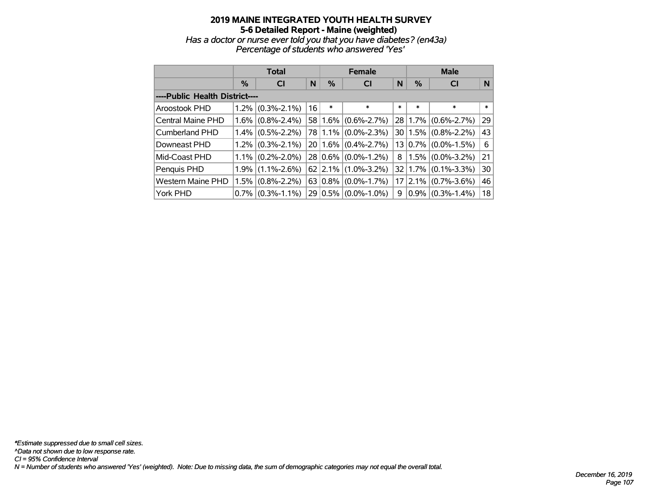# **2019 MAINE INTEGRATED YOUTH HEALTH SURVEY 5-6 Detailed Report - Maine (weighted)** *Has a doctor or nurse ever told you that you have diabetes? (en43a) Percentage of students who answered 'Yes'*

|                                |      | <b>Total</b>        |    | <b>Female</b> |                   | <b>Male</b> |         |                   |        |
|--------------------------------|------|---------------------|----|---------------|-------------------|-------------|---------|-------------------|--------|
|                                | $\%$ | <b>CI</b>           | N  | %             | <b>CI</b>         | N           | $\%$    | <b>CI</b>         | N      |
| ----Public Health District---- |      |                     |    |               |                   |             |         |                   |        |
| Aroostook PHD                  |      | $1.2\%$ (0.3%-2.1%) | 16 | $\ast$        | $\ast$            | $\ast$      | $\ast$  | $\ast$            | $\ast$ |
| <b>Central Maine PHD</b>       |      | $1.6\%$ (0.8%-2.4%) |    | 58 1.6%       | $(0.6\% - 2.7\%)$ |             | 28 1.7% | $(0.6\% - 2.7\%)$ | 29     |
| Cumberland PHD                 |      | $1.4\%$ (0.5%-2.2%) |    | 78 1.1%       | $(0.0\% - 2.3\%)$ |             | 3011.5% | $(0.8\% - 2.2\%)$ | 43     |
| Downeast PHD                   |      | $1.2\%$ (0.3%-2.1%) |    | $20 1.6\% $   | $(0.4\% - 2.7\%)$ |             | 13 0.7% | $(0.0\% - 1.5\%)$ | 6      |
| Mid-Coast PHD                  |      | $1.1\%$ (0.2%-2.0%) |    | 28 0.6%       | $(0.0\% - 1.2\%)$ | 8           | $1.5\%$ | $(0.0\% - 3.2\%)$ | 21     |
| Penquis PHD                    |      | $1.9\%$ (1.1%-2.6%) |    | $62$   2.1%   | $(1.0\% - 3.2\%)$ |             | 32 1.7% | $(0.1\% - 3.3\%)$ | 30     |
| <b>Western Maine PHD</b>       |      | $1.5\%$ (0.8%-2.2%) |    | 63 0.8%       | $(0.0\% - 1.7\%)$ |             | 17 2.1% | $(0.7\% - 3.6\%)$ | 46     |
| York PHD                       |      | $0.7\%$ (0.3%-1.1%) |    | 29 0.5%       | $(0.0\% - 1.0\%)$ | 9           | $0.9\%$ | $(0.3\% - 1.4\%)$ | 18     |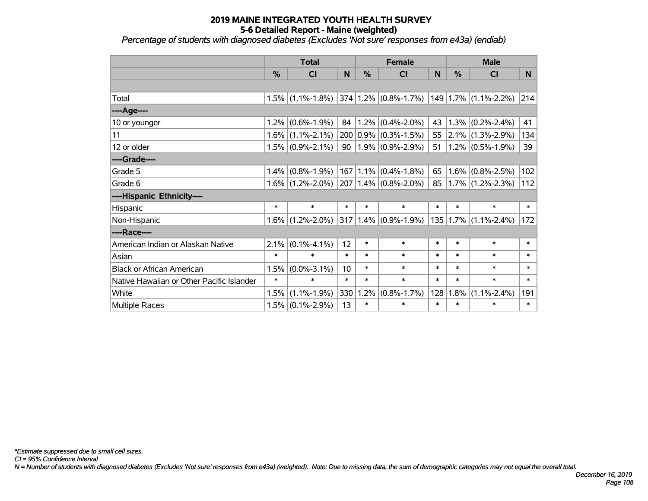*Percentage of students with diagnosed diabetes (Excludes 'Not sure' responses from e43a) (endiab)*

|                                           | <b>Total</b>  |                                          |        |               | <b>Female</b>                      |        | <b>Male</b> |                              |        |  |
|-------------------------------------------|---------------|------------------------------------------|--------|---------------|------------------------------------|--------|-------------|------------------------------|--------|--|
|                                           | $\frac{0}{0}$ | <b>CI</b>                                | N      | $\frac{0}{2}$ | <b>CI</b>                          | N      | %           | <b>CI</b>                    | N      |  |
|                                           |               |                                          |        |               |                                    |        |             |                              |        |  |
| Total                                     |               | $1.5\%$ (1.1%-1.8%) 374 1.2% (0.8%-1.7%) |        |               |                                    |        |             | $149$   1.7%   (1.1%-2.2%)   | 214    |  |
| ----Age----                               |               |                                          |        |               |                                    |        |             |                              |        |  |
| 10 or younger                             |               | $1.2\%$ (0.6%-1.9%)                      |        |               | 84   1.2% $(0.4\textdegree-2.0\%)$ | 43     |             | $(0.2\% - 2.4\%)$            | 41     |  |
| 11                                        |               | $1.6\%$ (1.1%-2.1%)                      |        |               | $200 0.9\% $ (0.3%-1.5%)           | 55     |             | $ 2.1\% $ (1.3%-2.9%)        | 134    |  |
| 12 or older                               |               | $1.5\%$ (0.9%-2.1%)                      |        |               | 90   1.9% $(0.9\% - 2.9\%)$        | 51     |             | $(0.5\% - 1.9\%)$            | 39     |  |
| ----Grade----                             |               |                                          |        |               |                                    |        |             |                              |        |  |
| Grade 5                                   | $1.4\%$       | $(0.8\% - 1.9\%)$                        |        |               | $167 1.1\% $ (0.4%-1.8%)           | 65     |             | $1.6\%$ (0.8%-2.5%)          | 102    |  |
| Grade 6                                   |               | $1.6\%$ (1.2%-2.0%)                      |        |               | $ 207 1.4\% 0.8\% - 2.0\% $        | 85     |             | $1.7\%$ (1.2%-2.3%)          | 112    |  |
| ----Hispanic Ethnicity----                |               |                                          |        |               |                                    |        |             |                              |        |  |
| Hispanic                                  | $\ast$        | $\ast$                                   | $\ast$ | $\ast$        | $\ast$                             | $\ast$ | $\ast$      | $\ast$                       | $\ast$ |  |
| Non-Hispanic                              |               | $1.6\%$ (1.2%-2.0%)                      |        |               | $ 317 1.4\%  (0.9\%$ -1.9%)        |        |             | $135 1.7\%  (1.1\% - 2.4\%)$ | 172    |  |
| ----Race----                              |               |                                          |        |               |                                    |        |             |                              |        |  |
| American Indian or Alaskan Native         | 2.1%          | $(0.1\% - 4.1\%)$                        | 12     | $\ast$        | $\ast$                             | $\ast$ | $\ast$      | $\ast$                       | $\ast$ |  |
| Asian                                     | $\ast$        | $\ast$                                   | $\ast$ | $\ast$        | $\ast$                             | $\ast$ | $\ast$      | $\ast$                       | $\ast$ |  |
| <b>Black or African American</b>          | 1.5%          | $(0.0\% - 3.1\%)$                        | 10     | $\ast$        | $\ast$                             | $\ast$ | $\ast$      | $\ast$                       | $\ast$ |  |
| Native Hawaiian or Other Pacific Islander | $\ast$        | $\ast$                                   | $\ast$ | $\ast$        | $\ast$                             | $\ast$ | $\ast$      | $\ast$                       | $\ast$ |  |
| White                                     | 1.5%          | $(1.1\% - 1.9\%)$                        | 330    |               | $1.2\%$ (0.8%-1.7%)                | 128    | $ 1.8\% $   | $(1.1\% - 2.4\%)$            | 191    |  |
| Multiple Races                            |               | $1.5\%$ (0.1%-2.9%)                      | 13     | $\ast$        | $\ast$                             | $\ast$ | $\ast$      | $\ast$                       | $\ast$ |  |

*N = Number of students with diagnosed diabetes (Excludes 'Not sure' responses from e43a) (weighted). Note: Due to missing data, the sum of demographic categories may not equal the overall total.*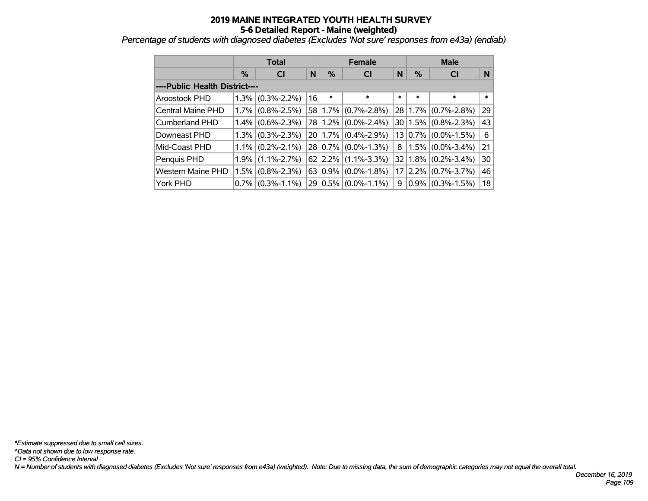*Percentage of students with diagnosed diabetes (Excludes 'Not sure' responses from e43a) (endiab)*

|                                |         | <b>Total</b>        |    |             | <b>Female</b>     |                 | <b>Male</b>   |                   |        |  |
|--------------------------------|---------|---------------------|----|-------------|-------------------|-----------------|---------------|-------------------|--------|--|
|                                | $\%$    | <b>CI</b>           | N  | %           | <b>CI</b>         | N               | $\frac{0}{0}$ | <b>CI</b>         | N      |  |
| ----Public Health District---- |         |                     |    |             |                   |                 |               |                   |        |  |
| Aroostook PHD                  | $1.3\%$ | $(0.3\% - 2.2\%)$   | 16 | $\ast$      | $\ast$            | *               | $\ast$        | $\ast$            | $\ast$ |  |
| Central Maine PHD              | $1.7\%$ | $(0.8\% - 2.5\%)$   |    | 58 1.7%     | $(0.7\% - 2.8\%)$ | 28 <sup>1</sup> | $ 1.7\% $     | $(0.7\% - 2.8\%)$ | 29     |  |
| Cumberland PHD                 |         | $1.4\%$ (0.6%-2.3%) |    | 78 1.2%     | $(0.0\% - 2.4\%)$ |                 | 30 1.5%       | $(0.8\% - 2.3\%)$ | 43     |  |
| Downeast PHD                   | $1.3\%$ | $(0.3\% - 2.3\%)$   |    | 20 1.7%     | $(0.4\% - 2.9\%)$ |                 | 13 0.7%       | $(0.0\% - 1.5\%)$ | 6      |  |
| Mid-Coast PHD                  |         | $1.1\%$ (0.2%-2.1%) |    | $28 0.7\% $ | $(0.0\% - 1.3\%)$ | 8               | $1.5\%$       | $(0.0\% - 3.4\%)$ | 21     |  |
| Penquis PHD                    | $1.9\%$ | $(1.1\% - 2.7\%)$   |    | $62$   2.2% | $(1.1\% - 3.3\%)$ | 32              | 1.8%          | $(0.2\% - 3.4\%)$ | 30     |  |
| <b>Western Maine PHD</b>       | $1.5\%$ | $(0.8\% - 2.3\%)$   |    | 63 0.9%     | $(0.0\% - 1.8\%)$ | 17              | 2.2%          | $(0.7\% - 3.7\%)$ | 46     |  |
| York PHD                       | $0.7\%$ | $(0.3\% - 1.1\%)$   |    | 29 0.5%     | $(0.0\% - 1.1\%)$ | 9               | $0.9\%$       | $(0.3\% - 1.5\%)$ | 18     |  |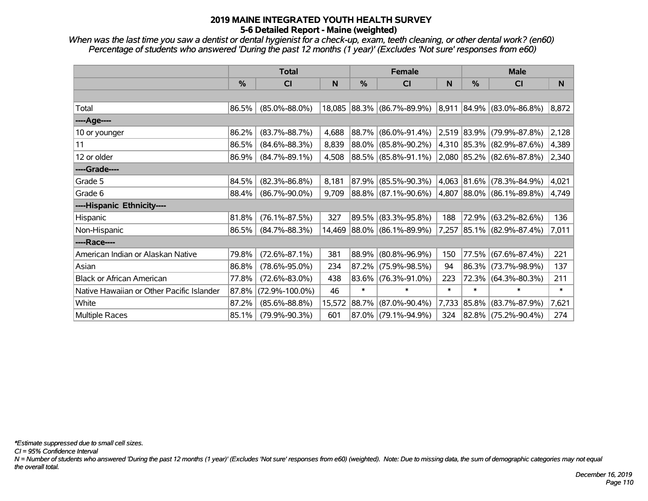*When was the last time you saw a dentist or dental hygienist for a check-up, exam, teeth cleaning, or other dental work? (en60) Percentage of students who answered 'During the past 12 months (1 year)' (Excludes 'Not sure' responses from e60)*

|                                           | <b>Total</b> |                      |        |        | <b>Female</b>              |        | <b>Male</b> |                                    |        |
|-------------------------------------------|--------------|----------------------|--------|--------|----------------------------|--------|-------------|------------------------------------|--------|
|                                           | %            | CI                   | N      | %      | <b>CI</b>                  | N      | %           | <b>CI</b>                          | N      |
|                                           |              |                      |        |        |                            |        |             |                                    |        |
| Total                                     | 86.5%        | $(85.0\% - 88.0\%)$  |        |        | 18,085 88.3% (86.7%-89.9%) |        |             | $ 8,911 84.9\%  (83.0\% - 86.8\%)$ | 8,872  |
| ----Age----                               |              |                      |        |        |                            |        |             |                                    |        |
| 10 or younger                             | 86.2%        | $(83.7\% - 88.7\%)$  | 4,688  |        | 88.7% (86.0%-91.4%)        |        |             | 2,519 83.9% (79.9%-87.8%)          | 2,128  |
| 11                                        | 86.5%        | $(84.6\% - 88.3\%)$  | 8,839  |        | 88.0% (85.8%-90.2%)        |        |             | 4,310 85.3% (82.9%-87.6%)          | 4,389  |
| 12 or older                               | 86.9%        | $(84.7\% - 89.1\%)$  | 4,508  |        | 88.5% (85.8%-91.1%)        |        |             | 2,080 85.2% (82.6%-87.8%)          | 2,340  |
| ----Grade----                             |              |                      |        |        |                            |        |             |                                    |        |
| Grade 5                                   | 84.5%        | $(82.3\% - 86.8\%)$  | 8,181  |        | $87.9\%$ (85.5%-90.3%)     |        |             | 4,063 81.6% (78.3%-84.9%)          | 4,021  |
| Grade 6                                   | 88.4%        | $(86.7\% - 90.0\%)$  | 9,709  |        | 88.8% (87.1%-90.6%)        |        |             | 4,807 88.0% (86.1%-89.8%)          | 4,749  |
| ----Hispanic Ethnicity----                |              |                      |        |        |                            |        |             |                                    |        |
| Hispanic                                  | 81.8%        | $(76.1\% - 87.5\%)$  | 327    |        | 89.5% (83.3%-95.8%)        | 188    | 72.9%       | $(63.2\% - 82.6\%)$                | 136    |
| Non-Hispanic                              | 86.5%        | $(84.7\% - 88.3\%)$  | 14,469 |        | 88.0% (86.1%-89.9%)        |        |             | 7,257 85.1% (82.9%-87.4%)          | 7,011  |
| ----Race----                              |              |                      |        |        |                            |        |             |                                    |        |
| American Indian or Alaskan Native         | 79.8%        | $(72.6\% - 87.1\%)$  | 381    |        | 88.9% (80.8%-96.9%)        | 150    | 77.5%       | $(67.6\% - 87.4\%)$                | 221    |
| Asian                                     | 86.8%        | $(78.6\% - 95.0\%)$  | 234    |        | 87.2% (75.9%-98.5%)        | 94     |             | 86.3% (73.7%-98.9%)                | 137    |
| <b>Black or African American</b>          | 77.8%        | $(72.6\% - 83.0\%)$  | 438    |        | 83.6% (76.3%-91.0%)        | 223    | 72.3%       | $(64.3\% - 80.3\%)$                | 211    |
| Native Hawaiian or Other Pacific Islander | 87.8%        | $(72.9\% - 100.0\%)$ | 46     | $\ast$ | $\ast$                     | $\ast$ | $\ast$      | $\ast$                             | $\ast$ |
| White                                     | 87.2%        | $(85.6\% - 88.8\%)$  | 15,572 | 88.7%  | $(87.0\% - 90.4\%)$        | 7,733  | 85.8%       | $(83.7\% - 87.9\%)$                | 7,621  |
| <b>Multiple Races</b>                     | 85.1%        | $(79.9\% - 90.3\%)$  | 601    |        | 87.0% (79.1%-94.9%)        |        |             | 324 82.8% (75.2%-90.4%)            | 274    |

*\*Estimate suppressed due to small cell sizes.*

*CI = 95% Confidence Interval*

*N = Number of students who answered 'During the past 12 months (1 year)' (Excludes 'Not sure' responses from e60) (weighted). Note: Due to missing data, the sum of demographic categories may not equal the overall total.*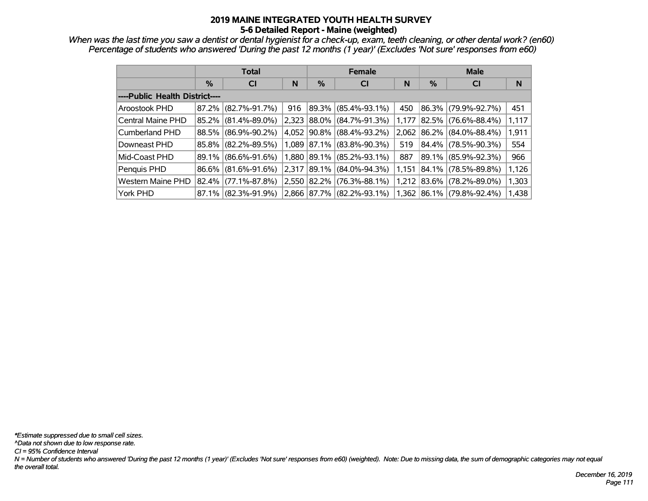*When was the last time you saw a dentist or dental hygienist for a check-up, exam, teeth cleaning, or other dental work? (en60) Percentage of students who answered 'During the past 12 months (1 year)' (Excludes 'Not sure' responses from e60)*

|                                |       | <b>Total</b>        |       |          | <b>Female</b>          |       | <b>Male</b> |                     |       |  |  |
|--------------------------------|-------|---------------------|-------|----------|------------------------|-------|-------------|---------------------|-------|--|--|
|                                | $\%$  | <b>CI</b>           | N     | %        | <b>CI</b>              | N     | %           | <b>CI</b>           | N     |  |  |
| ----Public Health District---- |       |                     |       |          |                        |       |             |                     |       |  |  |
| Aroostook PHD                  |       | 87.2% (82.7%-91.7%) | 916   | $89.3\%$ | $(85.4\% - 93.1\%)$    | 450   | 86.3%       | $(79.9\% - 92.7\%)$ | 451   |  |  |
| Central Maine PHD              | 85.2% | $(81.4\% - 89.0\%)$ | 2,323 |          | 88.0% (84.7%-91.3%)    | 1,177 | 82.5%       | $(76.6\% - 88.4\%)$ | 1,117 |  |  |
| Cumberland PHD                 |       | 88.5% (86.9%-90.2%) | 4.052 |          | $90.8\%$ (88.4%-93.2%) | 2,062 | $ 86.2\% $  | $(84.0\% - 88.4\%)$ | 1,911 |  |  |
| Downeast PHD                   |       | 85.8% (82.2%-89.5%) | 1,089 |          | 87.1% (83.8%-90.3%)    | 519   | $84.4\%$    | $(78.5\% - 90.3\%)$ | 554   |  |  |
| Mid-Coast PHD                  |       | 89.1% (86.6%-91.6%) | 1,880 |          | 89.1% (85.2%-93.1%)    | 887   | 89.1%       | $(85.9\% - 92.3\%)$ | 966   |  |  |
| Penquis PHD                    |       | 86.6% (81.6%-91.6%) | 2.317 | 89.1%    | $(84.0\% - 94.3\%)$    | 1.151 | 84.1%       | $(78.5\% - 89.8\%)$ | 1,126 |  |  |
| <b>Western Maine PHD</b>       | 82.4% | $(77.1\% - 87.8\%)$ | 2,550 | 82.2%    | $(76.3\% - 88.1\%)$    | 1,212 | 83.6%       | $(78.2\% - 89.0\%)$ | 1,303 |  |  |
| York PHD                       |       | 87.1% (82.3%-91.9%) | 2,866 |          | 87.7% (82.2%-93.1%)    | 1,362 | $ 86.1\% $  | $(79.8\% - 92.4\%)$ | 1,438 |  |  |

*N = Number of students who answered 'During the past 12 months (1 year)' (Excludes 'Not sure' responses from e60) (weighted). Note: Due to missing data, the sum of demographic categories may not equal the overall total. CI = 95% Confidence Interval ^Data not shown due to low response rate. \*Estimate suppressed due to small cell sizes.*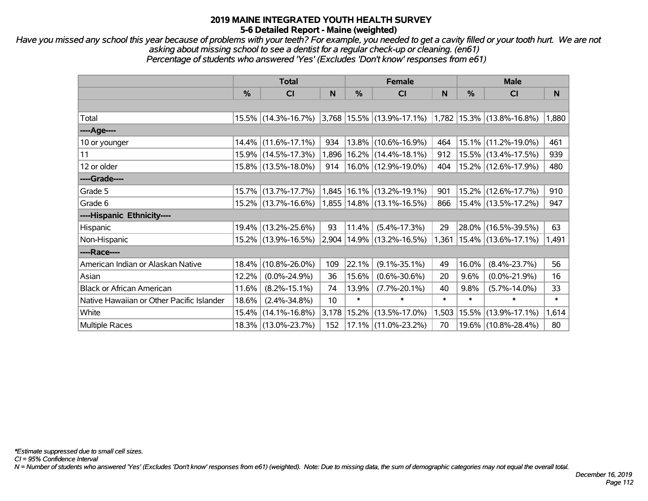*Have you missed any school this year because of problems with your teeth? For example, you needed to get a cavity filled or your tooth hurt. We are not asking about missing school to see a dentist for a regular check-up or cleaning. (en61) Percentage of students who answered 'Yes' (Excludes 'Don't know' responses from e61)*

|                                           |          | <b>Total</b>        |       | <b>Female</b> |                                                                         | <b>Male</b> |               |                                 |        |
|-------------------------------------------|----------|---------------------|-------|---------------|-------------------------------------------------------------------------|-------------|---------------|---------------------------------|--------|
|                                           | %        | <b>CI</b>           | N     | $\frac{0}{0}$ | C <sub>1</sub>                                                          | N           | $\frac{0}{0}$ | C <sub>l</sub>                  | N      |
|                                           |          |                     |       |               |                                                                         |             |               |                                 |        |
| Total                                     |          |                     |       |               | 15.5% (14.3%-16.7%) 3,768 15.5% (13.9%-17.1%) 1,782 15.3% (13.8%-16.8%) |             |               |                                 | 1,880  |
| ----Age----                               |          |                     |       |               |                                                                         |             |               |                                 |        |
| 10 or younger                             | $14.4\%$ | $(11.6\% - 17.1\%)$ | 934   |               | 13.8% (10.6%-16.9%)                                                     | 464         |               | 15.1% (11.2%-19.0%)             | 461    |
| 11                                        |          | 15.9% (14.5%-17.3%) | 1,896 |               | 16.2% (14.4%-18.1%)                                                     | 912         |               | 15.5% (13.4%-17.5%)             | 939    |
| 12 or older                               |          | 15.8% (13.5%-18.0%) | 914   |               | 16.0% (12.9%-19.0%)                                                     | 404         |               | 15.2% (12.6%-17.9%)             | 480    |
| ----Grade----                             |          |                     |       |               |                                                                         |             |               |                                 |        |
| Grade 5                                   | 15.7%    | $(13.7\% - 17.7\%)$ |       |               | $1,845$   16.1%   (13.2%-19.1%)                                         | 901         |               | 15.2% (12.6%-17.7%)             | 910    |
| Grade 6                                   |          | 15.2% (13.7%-16.6%) |       |               | $1,855$ $14.8\%$ (13.1%-16.5%)                                          | 866         |               | 15.4% (13.5%-17.2%)             | 947    |
| ----Hispanic Ethnicity----                |          |                     |       |               |                                                                         |             |               |                                 |        |
| Hispanic                                  |          | 19.4% (13.2%-25.6%) | 93    | 11.4%         | $(5.4\% - 17.3\%)$                                                      | 29          |               | 28.0% (16.5%-39.5%)             | 63     |
| Non-Hispanic                              |          | 15.2% (13.9%-16.5%) | 2,904 |               | 14.9% (13.2%-16.5%)                                                     |             |               | $1,361$   15.4%   (13.6%-17.1%) | 1,491  |
| ----Race----                              |          |                     |       |               |                                                                         |             |               |                                 |        |
| American Indian or Alaskan Native         | $18.4\%$ | $(10.8\% - 26.0\%)$ | 109   | 22.1%         | $(9.1\% - 35.1\%)$                                                      | 49          | 16.0%         | $(8.4\% - 23.7\%)$              | 56     |
| Asian                                     | 12.2%    | $(0.0\% - 24.9\%)$  | 36    | 15.6%         | $(0.6\% - 30.6\%)$                                                      | 20          | 9.6%          | $(0.0\% - 21.9\%)$              | 16     |
| <b>Black or African American</b>          | 11.6%    | $(8.2\% - 15.1\%)$  | 74    | 13.9%         | $(7.7\% - 20.1\%)$                                                      | 40          | 9.8%          | $(5.7\% - 14.0\%)$              | 33     |
| Native Hawaiian or Other Pacific Islander | 18.6%    | $(2.4\% - 34.8\%)$  | 10    | $\ast$        | $\ast$                                                                  | $\ast$      | $\ast$        | $\ast$                          | $\ast$ |
| White                                     | 15.4%    | $(14.1\% - 16.8\%)$ | 3,178 |               | 15.2% (13.5%-17.0%)                                                     | 1,503       |               | 15.5% (13.9%-17.1%)             | 1,614  |
| <b>Multiple Races</b>                     |          | 18.3% (13.0%-23.7%) | 152   |               | 17.1% (11.0%-23.2%)                                                     | 70          |               | 19.6% (10.8%-28.4%)             | 80     |

*CI = 95% Confidence Interval*

*N = Number of students who answered 'Yes' (Excludes 'Don't know' responses from e61) (weighted). Note: Due to missing data, the sum of demographic categories may not equal the overall total.*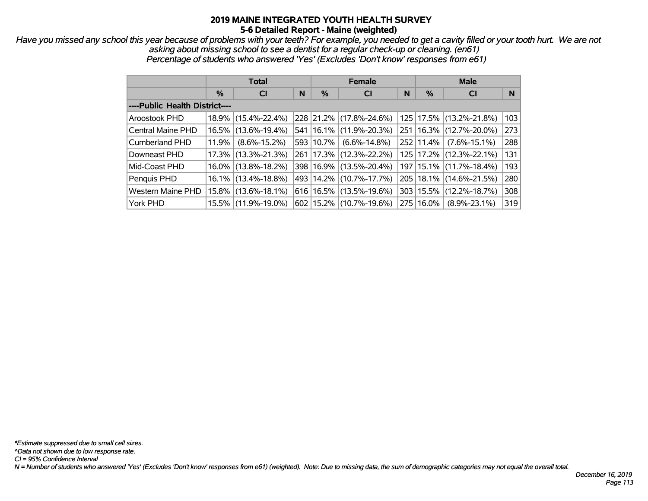*Have you missed any school this year because of problems with your teeth? For example, you needed to get a cavity filled or your tooth hurt. We are not asking about missing school to see a dentist for a regular check-up or cleaning. (en61) Percentage of students who answered 'Yes' (Excludes 'Don't know' responses from e61)*

|                                |          | <b>Total</b>           |   |           | <b>Female</b>               |   | <b>Male</b>   |                             |     |  |
|--------------------------------|----------|------------------------|---|-----------|-----------------------------|---|---------------|-----------------------------|-----|--|
|                                | $\%$     | <b>CI</b>              | N | $\%$      | <b>CI</b>                   | N | %             | <b>CI</b>                   | N   |  |
| ----Public Health District---- |          |                        |   |           |                             |   |               |                             |     |  |
| Aroostook PHD                  | $18.9\%$ | $(15.4\% - 22.4\%)$    |   |           | 228 21.2% (17.8%-24.6%)     |   | 125   17.5%   | $(13.2\% - 21.8\%)$         | 103 |  |
| <b>Central Maine PHD</b>       | $16.5\%$ | $(13.6\% - 19.4\%)$    |   |           | 541   16.1%   (11.9%-20.3%) |   | $251 16.3\% $ | $(12.7\% - 20.0\%)$         | 273 |  |
| <b>Cumberland PHD</b>          | 11.9%    | $(8.6\% - 15.2\%)$     |   | 593 10.7% | $(6.6\% - 14.8\%)$          |   | 252 11.4%     | $(7.6\% - 15.1\%)$          | 288 |  |
| Downeast PHD                   |          | $17.3\%$ (13.3%-21.3%) |   |           | 261   17.3%   (12.3%-22.2%) |   |               | 125   17.2%   (12.3%-22.1%) | 131 |  |
| Mid-Coast PHD                  |          | $16.0\%$ (13.8%-18.2%) |   |           | 398 16.9% (13.5%-20.4%)     |   |               | 197   15.1%   (11.7%-18.4%) | 193 |  |
| Penquis PHD                    |          | $16.1\%$ (13.4%-18.8%) |   |           | 493 14.2% (10.7%-17.7%)     |   | $205$   18.1% | $(14.6\% - 21.5\%)$         | 280 |  |
| <b>Western Maine PHD</b>       |          | 15.8% (13.6%-18.1%)    |   |           | 616 16.5% (13.5%-19.6%)     |   | 303   15.5%   | $(12.2\% - 18.7\%)$         | 308 |  |
| York PHD                       |          | 15.5% (11.9%-19.0%)    |   |           | 602   15.2%   (10.7%-19.6%) |   | 275   16.0%   | $(8.9\% - 23.1\%)$          | 319 |  |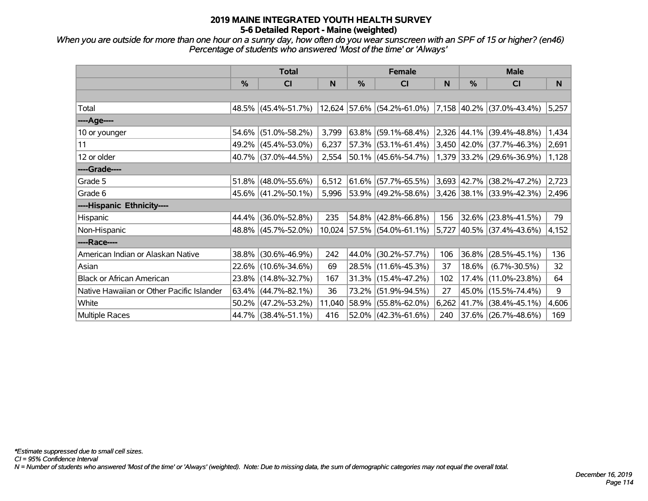*When you are outside for more than one hour on a sunny day, how often do you wear sunscreen with an SPF of 15 or higher? (en46) Percentage of students who answered 'Most of the time' or 'Always'*

|                                           |               | <b>Total</b>        |        | <b>Female</b> |                            | <b>Male</b> |               |                                |       |
|-------------------------------------------|---------------|---------------------|--------|---------------|----------------------------|-------------|---------------|--------------------------------|-------|
|                                           | $\frac{0}{0}$ | CI                  | N      | $\frac{0}{0}$ | CI                         | N           | $\frac{0}{0}$ | CI                             | N     |
|                                           |               |                     |        |               |                            |             |               |                                |       |
| Total                                     |               | 48.5% (45.4%-51.7%) |        |               | 12,624 57.6% (54.2%-61.0%) |             |               | 7,158 40.2% (37.0%-43.4%)      | 5,257 |
| ----Age----                               |               |                     |        |               |                            |             |               |                                |       |
| 10 or younger                             | 54.6%         | $(51.0\% - 58.2\%)$ | 3,799  | 63.8%         | $(59.1\% - 68.4\%)$        |             | 2,326 44.1%   | $(39.4\% - 48.8\%)$            | 1,434 |
| 11                                        |               | 49.2% (45.4%-53.0%) | 6,237  |               | $57.3\%$ (53.1%-61.4%)     |             |               | $3,450$ 42.0% (37.7%-46.3%)    | 2,691 |
| 12 or older                               |               | 40.7% (37.0%-44.5%) | 2,554  |               | $50.1\%$ (45.6%-54.7%)     |             |               | $1,379$ 33.2% (29.6%-36.9%)    | 1,128 |
| ----Grade----                             |               |                     |        |               |                            |             |               |                                |       |
| Grade 5                                   | 51.8%         | $(48.0\% - 55.6\%)$ | 6,512  | 61.6%         | $(57.7\% - 65.5\%)$        |             |               | 3,693 42.7% (38.2%-47.2%)      | 2,723 |
| Grade 6                                   |               | 45.6% (41.2%-50.1%) | 5,996  |               | 53.9% (49.2%-58.6%)        |             |               | $ 3,426 38.1\% $ (33.9%-42.3%) | 2,496 |
| ----Hispanic Ethnicity----                |               |                     |        |               |                            |             |               |                                |       |
| <b>Hispanic</b>                           | 44.4%         | $(36.0\% - 52.8\%)$ | 235    | 54.8%         | $(42.8\% - 66.8\%)$        | 156         | 32.6%         | $(23.8\% - 41.5\%)$            | 79    |
| Non-Hispanic                              |               | 48.8% (45.7%-52.0%) | 10,024 |               | 57.5% (54.0%-61.1%)        | 5,727       |               | 40.5% (37.4%-43.6%)            | 4,152 |
| ----Race----                              |               |                     |        |               |                            |             |               |                                |       |
| American Indian or Alaskan Native         | 38.8%         | $(30.6\% - 46.9\%)$ | 242    | 44.0%         | $(30.2\% - 57.7\%)$        | 106         | 36.8%         | $(28.5\% - 45.1\%)$            | 136   |
| Asian                                     |               | 22.6% (10.6%-34.6%) | 69     |               | 28.5% (11.6%-45.3%)        | 37          | 18.6%         | $(6.7\% - 30.5\%)$             | 32    |
| <b>Black or African American</b>          | 23.8%         | $(14.8\% - 32.7\%)$ | 167    |               | $31.3\%$ (15.4%-47.2%)     | 102         | 17.4%         | $(11.0\% - 23.8\%)$            | 64    |
| Native Hawaiian or Other Pacific Islander | 63.4%         | $(44.7\% - 82.1\%)$ | 36     | 73.2%         | $(51.9\% - 94.5\%)$        | 27          | 45.0%         | $(15.5\% - 74.4\%)$            | 9     |
| White                                     | 50.2%         | $(47.2\% - 53.2\%)$ | 11,040 | 58.9%         | $(55.8\% - 62.0\%)$        | 6,262       | 41.7%         | $(38.4\% - 45.1\%)$            | 4,606 |
| Multiple Races                            |               | 44.7% (38.4%-51.1%) | 416    |               | $52.0\%$ (42.3%-61.6%)     | 240         |               | 37.6% (26.7%-48.6%)            | 169   |

*CI = 95% Confidence Interval*

*N = Number of students who answered 'Most of the time' or 'Always' (weighted). Note: Due to missing data, the sum of demographic categories may not equal the overall total.*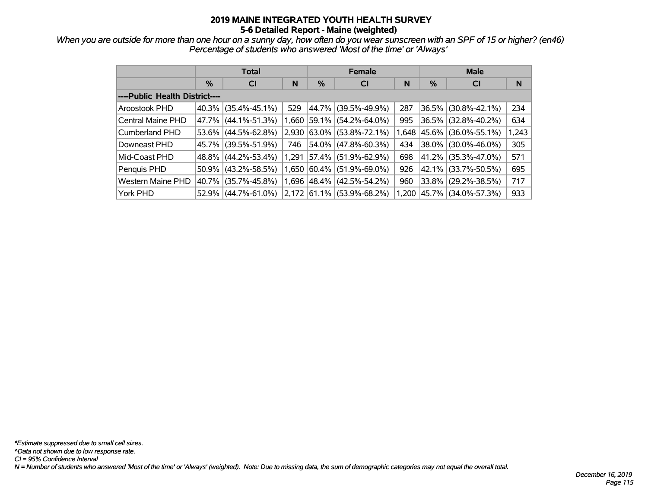*When you are outside for more than one hour on a sunny day, how often do you wear sunscreen with an SPF of 15 or higher? (en46) Percentage of students who answered 'Most of the time' or 'Always'*

|                                |       | <b>Total</b>        |       |            | <b>Female</b>       |       | <b>Male</b> |                       |       |  |
|--------------------------------|-------|---------------------|-------|------------|---------------------|-------|-------------|-----------------------|-------|--|
|                                | $\%$  | <b>CI</b>           | N     | %          | <b>CI</b>           | N     | %           | <b>CI</b>             | N     |  |
| ----Public Health District---- |       |                     |       |            |                     |       |             |                       |       |  |
| Aroostook PHD                  | 40.3% | $(35.4\% - 45.1\%)$ | 529   | 44.7%      | $(39.5\% - 49.9\%)$ | 287   |             | 36.5% (30.8%-42.1%)   | 234   |  |
| Central Maine PHD              | 47.7% | $(44.1\% - 51.3\%)$ | 1,660 | 59.1%      | $(54.2\% - 64.0\%)$ | 995   |             | 36.5% (32.8%-40.2%)   | 634   |  |
| Cumberland PHD                 | 53.6% | $(44.5\% - 62.8\%)$ | 2,930 | 63.0%      | $(53.8\% - 72.1\%)$ | 1.648 |             | 45.6% (36.0%-55.1%)   | 1,243 |  |
| Downeast PHD                   | 45.7% | $(39.5\% - 51.9\%)$ | 746   | $54.0\%$   | $(47.8\% - 60.3\%)$ | 434   |             | 38.0% (30.0%-46.0%)   | 305   |  |
| Mid-Coast PHD                  | 48.8% | $(44.2\% - 53.4\%)$ | 1,291 | 57.4%      | $(51.9\% - 62.9\%)$ | 698   |             | 41.2% (35.3%-47.0%)   | 571   |  |
| Penquis PHD                    | 50.9% | $(43.2\% - 58.5\%)$ | 1.650 | 60.4%      | (51.9%-69.0%)       | 926   |             | 42.1% (33.7%-50.5%)   | 695   |  |
| <b>Western Maine PHD</b>       | 40.7% | $(35.7\% - 45.8\%)$ | 1,696 | $ 48.4\% $ | $(42.5\% - 54.2\%)$ | 960   |             | 33.8% (29.2%-38.5%)   | 717   |  |
| York PHD                       | 52.9% | $(44.7\% - 61.0\%)$ | 2.172 | $ 61.1\% $ | $(53.9\% - 68.2\%)$ | 1.200 |             | 45.7%   (34.0%-57.3%) | 933   |  |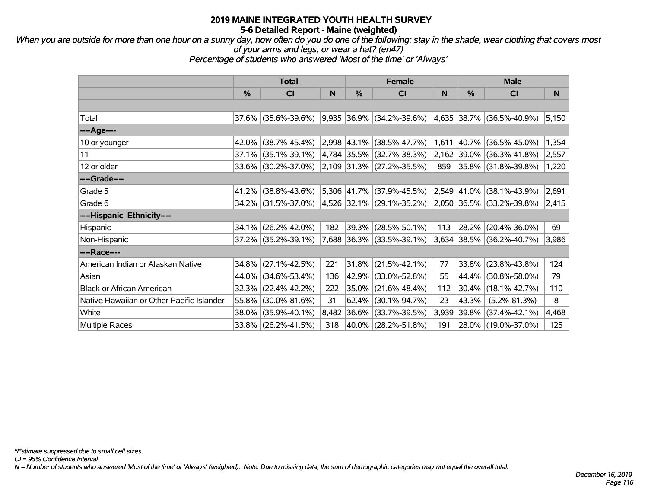*When you are outside for more than one hour on a sunny day, how often do you do one of the following: stay in the shade, wear clothing that covers most of your arms and legs, or wear a hat? (en47)*

*Percentage of students who answered 'Most of the time' or 'Always'*

|                                           | <b>Total</b> |                     |       |          | <b>Female</b>                      |       | <b>Male</b> |                             |       |  |
|-------------------------------------------|--------------|---------------------|-------|----------|------------------------------------|-------|-------------|-----------------------------|-------|--|
|                                           | %            | CI                  | N     | %        | <b>CI</b>                          | N     | $\%$        | C <sub>l</sub>              | N     |  |
|                                           |              |                     |       |          |                                    |       |             |                             |       |  |
| Total                                     | $37.6\%$     | $(35.6\% - 39.6\%)$ |       |          | 9,935 36.9% (34.2%-39.6%)          |       |             | 4,635 38.7% (36.5%-40.9%)   | 5,150 |  |
| ----Age----                               |              |                     |       |          |                                    |       |             |                             |       |  |
| 10 or younger                             | 42.0%        | $(38.7\% - 45.4\%)$ |       |          | 2,998 43.1% (38.5%-47.7%)          | 1,611 |             | 40.7% (36.5%-45.0%)         | 1,354 |  |
| 11                                        | 37.1%        | $(35.1\% - 39.1\%)$ |       |          | 4,784 35.5% (32.7%-38.3%)          |       |             | 2,162 39.0% (36.3%-41.8%)   | 2,557 |  |
| 12 or older                               |              | 33.6% (30.2%-37.0%) |       |          | $ 2,109 31.3\%  (27.2\% - 35.5\%)$ | 859   |             | 35.8% (31.8%-39.8%)         | 1,220 |  |
| ----Grade----                             |              |                     |       |          |                                    |       |             |                             |       |  |
| Grade 5                                   | 41.2%        | $(38.8\% - 43.6\%)$ |       |          | 5,306 41.7% (37.9%-45.5%)          |       |             | $2,549$ 41.0% (38.1%-43.9%) | 2,691 |  |
| Grade 6                                   |              | 34.2% (31.5%-37.0%) |       |          | 4,526  32.1%   (29.1%-35.2%)       |       |             | $2,050$ 36.5% (33.2%-39.8%) | 2,415 |  |
| ----Hispanic Ethnicity----                |              |                     |       |          |                                    |       |             |                             |       |  |
| Hispanic                                  | 34.1%        | $(26.2\% - 42.0\%)$ | 182   |          | 39.3% (28.5%-50.1%)                | 113   | 28.2%       | $(20.4\% - 36.0\%)$         | 69    |  |
| Non-Hispanic                              |              | 37.2% (35.2%-39.1%) |       |          | $ 7,688 36.3\%  (33.5\% - 39.1\%)$ |       |             | $3,634$ 38.5% (36.2%-40.7%) | 3,986 |  |
| ----Race----                              |              |                     |       |          |                                    |       |             |                             |       |  |
| American Indian or Alaskan Native         | $34.8\%$     | $(27.1\% - 42.5\%)$ | 221   |          | $31.8\%$ (21.5%-42.1%)             | 77    |             | 33.8% (23.8%-43.8%)         | 124   |  |
| Asian                                     | 44.0%        | $(34.6\% - 53.4\%)$ | 136   |          | 42.9% (33.0%-52.8%)                | 55    |             | 44.4% (30.8%-58.0%)         | 79    |  |
| <b>Black or African American</b>          | 32.3%        | $(22.4\% - 42.2\%)$ | 222   | $35.0\%$ | $(21.6\% - 48.4\%)$                | 112   |             | $30.4\%$ (18.1%-42.7%)      | 110   |  |
| Native Hawaiian or Other Pacific Islander | 55.8%        | $(30.0\% - 81.6\%)$ | 31    | 62.4%    | $(30.1\% - 94.7\%)$                | 23    | 43.3%       | $(5.2\% - 81.3\%)$          | 8     |  |
| White                                     | 38.0%        | $(35.9\% - 40.1\%)$ | 8,482 | $36.6\%$ | $(33.7\% - 39.5\%)$                | 3,939 | 39.8%       | $(37.4\% - 42.1\%)$         | 4,468 |  |
| <b>Multiple Races</b>                     |              | 33.8% (26.2%-41.5%) | 318   |          | 40.0% (28.2%-51.8%)                | 191   |             | 28.0% (19.0%-37.0%)         | 125   |  |

*CI = 95% Confidence Interval*

*N = Number of students who answered 'Most of the time' or 'Always' (weighted). Note: Due to missing data, the sum of demographic categories may not equal the overall total.*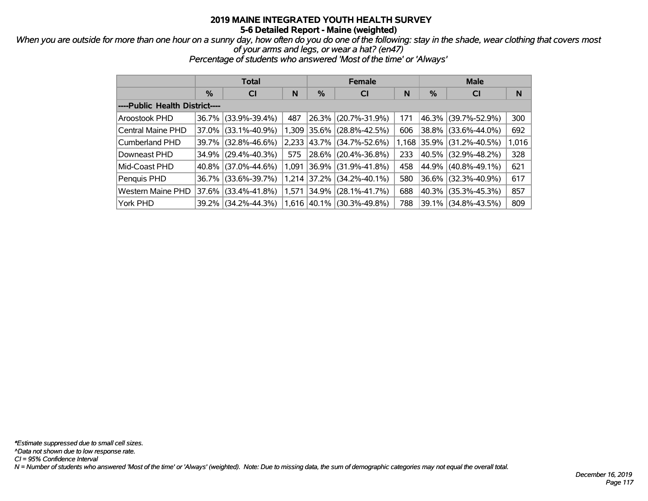#### *When you are outside for more than one hour on a sunny day, how often do you do one of the following: stay in the shade, wear clothing that covers most of your arms and legs, or wear a hat? (en47)*

*Percentage of students who answered 'Most of the time' or 'Always'*

|                                |               | <b>Total</b>        |       |               | <b>Female</b>       |     | <b>Male</b> |                           |       |  |
|--------------------------------|---------------|---------------------|-------|---------------|---------------------|-----|-------------|---------------------------|-------|--|
|                                | $\frac{0}{0}$ | <b>CI</b>           | N     | %             | <b>CI</b>           | N   | %           | <b>CI</b>                 | N     |  |
| ----Public Health District---- |               |                     |       |               |                     |     |             |                           |       |  |
| Aroostook PHD                  |               | 36.7% (33.9%-39.4%) | 487   | 26.3%         | $(20.7\% - 31.9\%)$ | 171 |             | 46.3% (39.7%-52.9%)       | 300   |  |
| Central Maine PHD              | $37.0\%$      | $(33.1\% - 40.9\%)$ | 1,309 | $ 35.6\% $    | $(28.8\% - 42.5\%)$ | 606 |             | 38.8% (33.6%-44.0%)       | 692   |  |
| Cumberland PHD                 | $39.7\%$      | $(32.8\% - 46.6\%)$ | 2,233 | 43.7%         | $(34.7\% - 52.6\%)$ |     |             | 1,168 35.9% (31.2%-40.5%) | 1,016 |  |
| Downeast PHD                   | 34.9%         | $(29.4\% - 40.3\%)$ | 575   | 28.6%         | $(20.4\% - 36.8\%)$ | 233 |             | 40.5%   (32.9%-48.2%)     | 328   |  |
| Mid-Coast PHD                  |               | 40.8% (37.0%-44.6%) | 1,091 | $ 36.9\% $    | $(31.9\% - 41.8\%)$ | 458 |             | 44.9%   (40.8%-49.1%)     | 621   |  |
| Penquis PHD                    | $36.7\%$      | $(33.6\% - 39.7\%)$ |       | 1,214 37.2%   | $(34.2\% - 40.1\%)$ | 580 |             | 36.6% (32.3%-40.9%)       | 617   |  |
| Western Maine PHD              | 37.6% l       | $(33.4\% - 41.8\%)$ | 1,571 | 34.9%         | $(28.1\% - 41.7\%)$ | 688 |             | 40.3% (35.3%-45.3%)       | 857   |  |
| York PHD                       |               | 39.2% (34.2%-44.3%) |       | $1,616$ 40.1% | (30.3%-49.8%)       | 788 |             | 39.1% (34.8%-43.5%)       | 809   |  |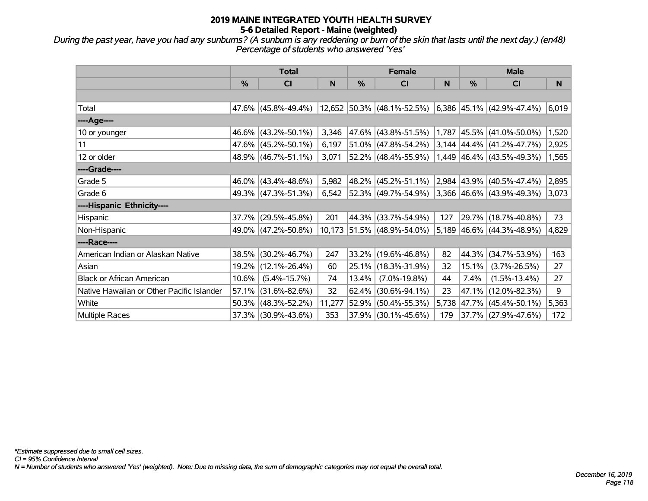*During the past year, have you had any sunburns? (A sunburn is any reddening or burn of the skin that lasts until the next day.) (en48) Percentage of students who answered 'Yes'*

|                                           | <b>Total</b>  |                     |        |               | <b>Female</b>              |     | <b>Male</b> |                                  |       |
|-------------------------------------------|---------------|---------------------|--------|---------------|----------------------------|-----|-------------|----------------------------------|-------|
|                                           | $\frac{0}{0}$ | CI                  | N      | $\frac{0}{0}$ | <b>CI</b>                  | N   | $\%$        | CI                               | N     |
|                                           |               |                     |        |               |                            |     |             |                                  |       |
| Total                                     |               | 47.6% (45.8%-49.4%) |        |               | 12,652 50.3% (48.1%-52.5%) |     |             | $6,386$ 45.1% (42.9%-47.4%)      | 6,019 |
| ----Age----                               |               |                     |        |               |                            |     |             |                                  |       |
| 10 or younger                             | 46.6%         | $(43.2\% - 50.1\%)$ | 3,346  |               | 47.6% (43.8%-51.5%)        |     | 1,787 45.5% | $(41.0\% - 50.0\%)$              | 1,520 |
| 11                                        |               | 47.6% (45.2%-50.1%) | 6,197  |               | $51.0\%$ (47.8%-54.2%)     |     |             | $3,144$   44.4%   (41.2%-47.7%)  | 2,925 |
| 12 or older                               |               | 48.9% (46.7%-51.1%) | 3,071  |               | $52.2\%$ (48.4%-55.9%)     |     |             | $1,449$   46.4%   (43.5%-49.3%)  | 1,565 |
| ----Grade----                             |               |                     |        |               |                            |     |             |                                  |       |
| Grade 5                                   | 46.0%         | $(43.4\% - 48.6\%)$ | 5,982  |               | 48.2% (45.2%-51.1%)        |     |             | 2,984 43.9% (40.5%-47.4%)        | 2,895 |
| Grade 6                                   |               | 49.3% (47.3%-51.3%) | 6,542  |               | 52.3% (49.7%-54.9%)        |     |             | $3,366$ $ 46.6\% $ (43.9%-49.3%) | 3,073 |
| ----Hispanic Ethnicity----                |               |                     |        |               |                            |     |             |                                  |       |
| <b>Hispanic</b>                           | 37.7%         | $(29.5\% - 45.8\%)$ | 201    | 44.3%         | $(33.7\% - 54.9\%)$        | 127 | 29.7%       | $(18.7\% - 40.8\%)$              | 73    |
| Non-Hispanic                              |               | 49.0% (47.2%-50.8%) |        |               | 10,173 51.5% (48.9%-54.0%) |     |             | $5,189$ 46.6% (44.3%-48.9%)      | 4,829 |
| ----Race----                              |               |                     |        |               |                            |     |             |                                  |       |
| American Indian or Alaskan Native         | 38.5%         | $(30.2\% - 46.7\%)$ | 247    |               | 33.2% (19.6%-46.8%)        | 82  | 44.3%       | $(34.7\% - 53.9\%)$              | 163   |
| Asian                                     | 19.2%         | $(12.1\% - 26.4\%)$ | 60     |               | 25.1% (18.3%-31.9%)        | 32  | 15.1%       | $(3.7\% - 26.5\%)$               | 27    |
| <b>Black or African American</b>          | 10.6%         | $(5.4\% - 15.7\%)$  | 74     | 13.4%         | $(7.0\% - 19.8\%)$         | 44  | 7.4%        | $(1.5\% - 13.4\%)$               | 27    |
| Native Hawaiian or Other Pacific Islander | 57.1%         | $(31.6\% - 82.6\%)$ | 32     | 62.4%         | $(30.6\% - 94.1\%)$        | 23  | 47.1%       | $(12.0\% - 82.3\%)$              | 9     |
| White                                     | 50.3%         | $(48.3\% - 52.2\%)$ | 11,277 | 52.9%         | $(50.4\% - 55.3\%)$        |     | 5,738 47.7% | $(45.4\% - 50.1\%)$              | 5,363 |
| Multiple Races                            |               | 37.3% (30.9%-43.6%) | 353    |               | $37.9\%$ (30.1%-45.6%)     | 179 |             | 37.7% (27.9%-47.6%)              | 172   |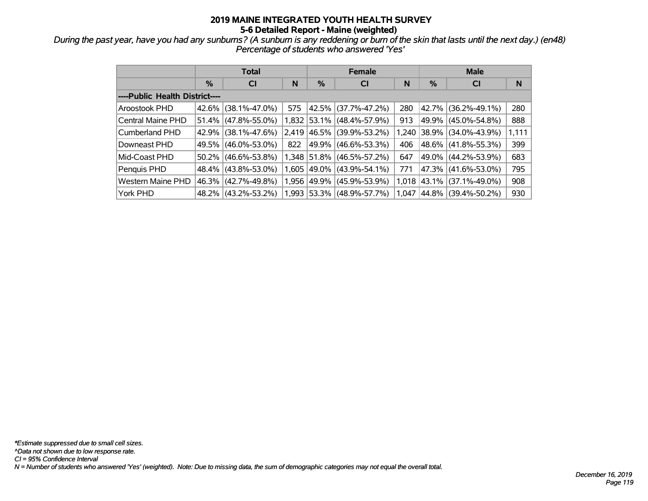*During the past year, have you had any sunburns? (A sunburn is any reddening or burn of the skin that lasts until the next day.) (en48) Percentage of students who answered 'Yes'*

|                                |          | <b>Total</b>        |       |       | <b>Female</b>             |       | <b>Male</b> |                       |       |  |
|--------------------------------|----------|---------------------|-------|-------|---------------------------|-------|-------------|-----------------------|-------|--|
|                                | $\%$     | <b>CI</b>           | N     | %     | <b>CI</b>                 | N     | %           | <b>CI</b>             | N     |  |
| ----Public Health District---- |          |                     |       |       |                           |       |             |                       |       |  |
| Aroostook PHD                  | $42.6\%$ | $(38.1\% - 47.0\%)$ | 575   |       | 42.5% (37.7%-47.2%)       | 280   |             | 42.7% (36.2%-49.1%)   | 280   |  |
| Central Maine PHD              | 51.4%    | $(47.8\% - 55.0\%)$ | 1,832 |       | 53.1% (48.4%-57.9%)       | 913   |             | 49.9% (45.0%-54.8%)   | 888   |  |
| Cumberland PHD                 | 42.9%    | $(38.1\% - 47.6\%)$ | 2.419 |       | 46.5% (39.9%-53.2%)       | 1,240 |             | 38.9% (34.0%-43.9%)   | 1,111 |  |
| Downeast PHD                   | 49.5%    | $(46.0\% - 53.0\%)$ | 822   |       | 49.9% (46.6%-53.3%)       | 406   |             | 48.6% (41.8%-55.3%)   | 399   |  |
| Mid-Coast PHD                  | $50.2\%$ | $(46.6\% - 53.8\%)$ |       |       | 1,348 51.8% (46.5%-57.2%) | 647   |             | 49.0% (44.2%-53.9%)   | 683   |  |
| Penquis PHD                    | $48.4\%$ | $(43.8\% - 53.0\%)$ | 1.605 |       | 49.0%  (43.9%-54.1%)      | 771   |             | 47.3% (41.6%-53.0%)   | 795   |  |
| Western Maine PHD              | 46.3%    | $(42.7\% - 49.8\%)$ | 1,956 | 49.9% | $(45.9\% - 53.9\%)$       | 1,018 |             | 43.1%  (37.1%-49.0%)  | 908   |  |
| York PHD                       |          | 48.2% (43.2%-53.2%) |       |       | 1,993 53.3% (48.9%-57.7%) | 1.047 |             | 44.8%   (39.4%-50.2%) | 930   |  |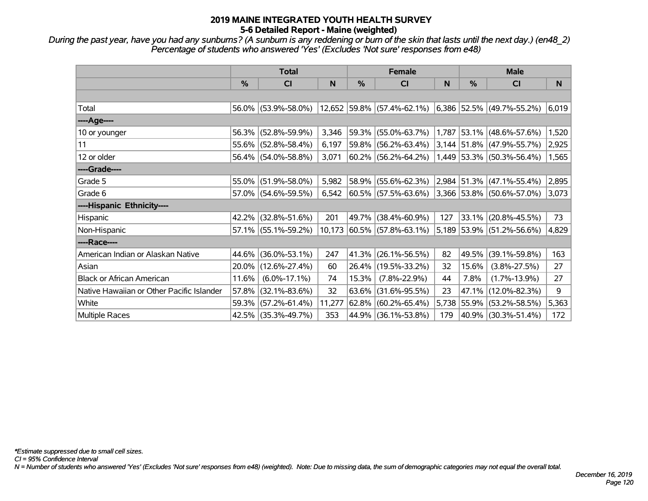*During the past year, have you had any sunburns? (A sunburn is any reddening or burn of the skin that lasts until the next day.) (en48\_2) Percentage of students who answered 'Yes' (Excludes 'Not sure' responses from e48)*

|                                           | <b>Total</b> |                     |        | <b>Female</b> |                                                        |     |             | <b>Male</b>                 |       |  |
|-------------------------------------------|--------------|---------------------|--------|---------------|--------------------------------------------------------|-----|-------------|-----------------------------|-------|--|
|                                           | $\%$         | <b>CI</b>           | N      | $\frac{0}{0}$ | <b>CI</b>                                              | N   | $\%$        | <b>CI</b>                   | N     |  |
|                                           |              |                     |        |               |                                                        |     |             |                             |       |  |
| Total                                     |              | 56.0% (53.9%-58.0%) |        |               | $12,652$ 59.8% (57.4%-62.1%) 6,386 52.5% (49.7%-55.2%) |     |             |                             | 6,019 |  |
| ----Age----                               |              |                     |        |               |                                                        |     |             |                             |       |  |
| 10 or younger                             | 56.3%        | $(52.8\% - 59.9\%)$ | 3,346  | 59.3%         | $(55.0\% - 63.7\%)$                                    |     |             | 1,787 53.1% (48.6%-57.6%)   | 1,520 |  |
| 11                                        |              | 55.6% (52.8%-58.4%) | 6,197  | 59.8%         | $(56.2\% - 63.4\%)$                                    |     |             | 3,144 51.8% (47.9%-55.7%)   | 2,925 |  |
| 12 or older                               |              | 56.4% (54.0%-58.8%) | 3,071  |               | $60.2\%$ (56.2%-64.2%)                                 |     |             | $1,449$ 53.3% (50.3%-56.4%) | 1,565 |  |
| ----Grade----                             |              |                     |        |               |                                                        |     |             |                             |       |  |
| Grade 5                                   | 55.0%        | $(51.9\% - 58.0\%)$ | 5,982  | 58.9%         | $(55.6\% - 62.3\%)$                                    |     |             | 2,984 51.3% (47.1%-55.4%)   | 2,895 |  |
| Grade 6                                   |              | 57.0% (54.6%-59.5%) | 6,542  |               | $ 60.5\% $ (57.5%-63.6%) 3,366 53.8% (50.6%-57.0%)     |     |             |                             | 3,073 |  |
| ----Hispanic Ethnicity----                |              |                     |        |               |                                                        |     |             |                             |       |  |
| Hispanic                                  | 42.2%        | $(32.8\% - 51.6\%)$ | 201    | 49.7%         | $(38.4\% - 60.9\%)$                                    | 127 | 33.1%       | $(20.8\% - 45.5\%)$         | 73    |  |
| Non-Hispanic                              |              | 57.1% (55.1%-59.2%) |        |               | $10,173$ 60.5% (57.8%-63.1%)                           |     |             | 5,189 53.9% (51.2%-56.6%)   | 4,829 |  |
| ----Race----                              |              |                     |        |               |                                                        |     |             |                             |       |  |
| American Indian or Alaskan Native         |              | 44.6% (36.0%-53.1%) | 247    | 41.3%         | $(26.1\% - 56.5\%)$                                    | 82  | 49.5%       | $(39.1\% - 59.8\%)$         | 163   |  |
| Asian                                     |              | 20.0% (12.6%-27.4%) | 60     |               | 26.4% (19.5%-33.2%)                                    | 32  | 15.6%       | $(3.8\% - 27.5\%)$          | 27    |  |
| <b>Black or African American</b>          | 11.6%        | $(6.0\% - 17.1\%)$  | 74     | 15.3%         | $(7.8\% - 22.9\%)$                                     | 44  | 7.8%        | $(1.7\% - 13.9\%)$          | 27    |  |
| Native Hawaiian or Other Pacific Islander | 57.8%        | $(32.1\% - 83.6\%)$ | 32     | 63.6%         | $(31.6\% - 95.5\%)$                                    | 23  | 47.1%       | $(12.0\% - 82.3\%)$         | 9     |  |
| White                                     | 59.3%        | $(57.2\% - 61.4\%)$ | 11,277 | 62.8%         | $(60.2\% - 65.4\%)$                                    |     | 5,738 55.9% | $(53.2\% - 58.5\%)$         | 5,363 |  |
| Multiple Races                            |              | 42.5% (35.3%-49.7%) | 353    |               | 44.9% (36.1%-53.8%)                                    | 179 |             | 40.9% (30.3%-51.4%)         | 172   |  |

*CI = 95% Confidence Interval*

*N = Number of students who answered 'Yes' (Excludes 'Not sure' responses from e48) (weighted). Note: Due to missing data, the sum of demographic categories may not equal the overall total.*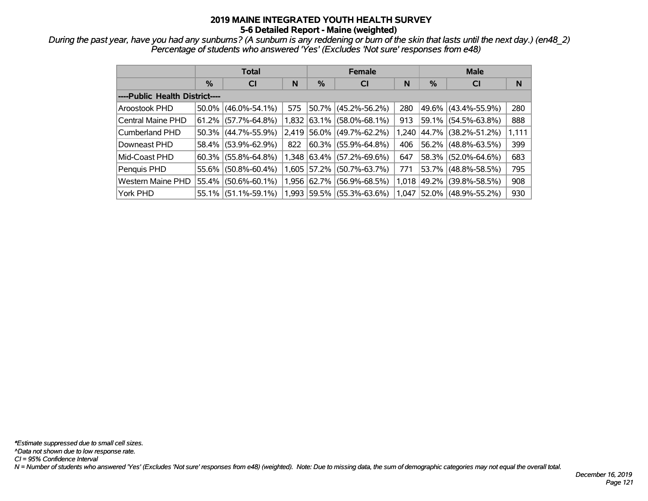*During the past year, have you had any sunburns? (A sunburn is any reddening or burn of the skin that lasts until the next day.) (en48\_2) Percentage of students who answered 'Yes' (Excludes 'Not sure' responses from e48)*

|                                | <b>Total</b> |                     |       |          | <b>Female</b>       |       | <b>Male</b> |                     |       |  |
|--------------------------------|--------------|---------------------|-------|----------|---------------------|-------|-------------|---------------------|-------|--|
|                                | %            | <b>CI</b>           | N     | %        | <b>CI</b>           | N     | %           | <b>CI</b>           | N     |  |
| ----Public Health District---- |              |                     |       |          |                     |       |             |                     |       |  |
| Aroostook PHD                  | 50.0%        | $(46.0\% - 54.1\%)$ | 575   |          | 50.7% (45.2%-56.2%) | 280   | 49.6%       | $(43.4\% - 55.9\%)$ | 280   |  |
| Central Maine PHD              | 61.2%        | $(57.7\% - 64.8\%)$ | 1,832 | $63.1\%$ | $(58.0\% - 68.1\%)$ | 913   | 59.1%       | $(54.5\% - 63.8\%)$ | 888   |  |
| Cumberland PHD                 | 50.3%        | $(44.7\% - 55.9\%)$ | 2,419 | 56.0%    | $(49.7\% - 62.2\%)$ | 1,240 | 44.7%       | $(38.2\% - 51.2\%)$ | 1,111 |  |
| Downeast PHD                   | 58.4%        | $(53.9\% - 62.9\%)$ | 822   | $60.3\%$ | $(55.9\% - 64.8\%)$ | 406   | 56.2%       | $(48.8\% - 63.5\%)$ | 399   |  |
| Mid-Coast PHD                  | 60.3%        | $(55.8\% - 64.8\%)$ | 1.348 | 63.4%    | $(57.2\% - 69.6\%)$ | 647   | 58.3%       | $(52.0\% - 64.6\%)$ | 683   |  |
| Penquis PHD                    | 55.6%        | $(50.8\% - 60.4\%)$ | 1,605 | 57.2%    | $(50.7\% - 63.7\%)$ | 771   | 53.7%       | $(48.8\% - 58.5\%)$ | 795   |  |
| Western Maine PHD              | 55.4%        | $(50.6\% - 60.1\%)$ | 1,956 | 62.7%    | $(56.9\% - 68.5\%)$ | 1,018 | 49.2%       | $(39.8\% - 58.5\%)$ | 908   |  |
| York PHD                       | 55.1%        | $(51.1\% - 59.1\%)$ | 1,993 |          | 59.5% (55.3%-63.6%) | 1.047 | $ 52.0\% $  | $(48.9\% - 55.2\%)$ | 930   |  |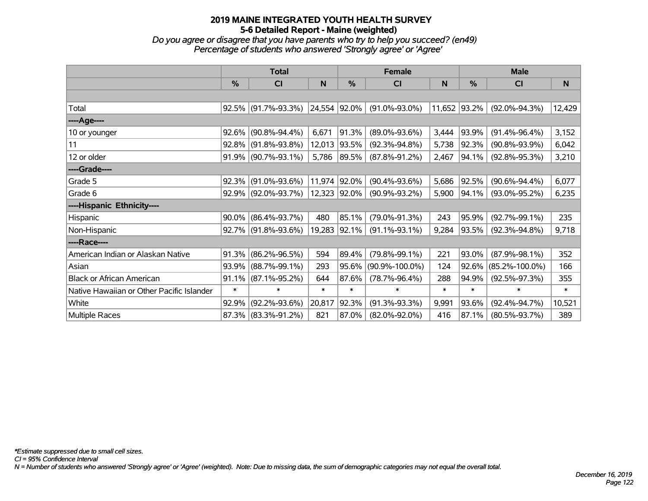*Do you agree or disagree that you have parents who try to help you succeed? (en49) Percentage of students who answered 'Strongly agree' or 'Agree'*

|                                           | <b>Total</b>  |                        |              |              | Female               |        |              | <b>Male</b>          |        |  |
|-------------------------------------------|---------------|------------------------|--------------|--------------|----------------------|--------|--------------|----------------------|--------|--|
|                                           | $\frac{0}{0}$ | C <sub>l</sub>         | N            | %            | <b>CI</b>            | N.     | %            | <b>CI</b>            | N      |  |
|                                           |               |                        |              |              |                      |        |              |                      |        |  |
| Total                                     |               | $92.5\%$ (91.7%-93.3%) | 24,554 92.0% |              | $(91.0\% - 93.0\%)$  |        | 11,652 93.2% | $(92.0\% - 94.3\%)$  | 12,429 |  |
| ----Age----                               |               |                        |              |              |                      |        |              |                      |        |  |
| 10 or younger                             | 92.6%         | $(90.8\% - 94.4\%)$    | 6,671        | 91.3%        | $(89.0\% - 93.6\%)$  | 3,444  | 93.9%        | $(91.4\% - 96.4\%)$  | 3,152  |  |
| 11                                        |               | $92.8\%$ (91.8%-93.8%) | 12,013       | 93.5%        | $(92.3\% - 94.8\%)$  | 5,738  | 92.3%        | $(90.8\% - 93.9\%)$  | 6,042  |  |
| 12 or older                               |               | $91.9\%$ (90.7%-93.1%) | 5,786        | $ 89.5\% $   | $(87.8\% - 91.2\%)$  | 2,467  | 94.1%        | $(92.8\% - 95.3\%)$  | 3,210  |  |
| ----Grade----                             |               |                        |              |              |                      |        |              |                      |        |  |
| Grade 5                                   |               | $92.3\%$ (91.0%-93.6%) | 11,974 92.0% |              | $(90.4\% - 93.6\%)$  | 5,686  | 92.5%        | $(90.6\% - 94.4\%)$  | 6,077  |  |
| Grade 6                                   |               | $92.9\%$ (92.0%-93.7%) |              | 12,323 92.0% | $(90.9\% - 93.2\%)$  | 5,900  | 94.1%        | $(93.0\% - 95.2\%)$  | 6,235  |  |
| ----Hispanic Ethnicity----                |               |                        |              |              |                      |        |              |                      |        |  |
| Hispanic                                  |               | $90.0\%$ (86.4%-93.7%) | 480          | 85.1%        | $(79.0\% - 91.3\%)$  | 243    | 95.9%        | $(92.7\% - 99.1\%)$  | 235    |  |
| Non-Hispanic                              |               | $92.7\%$ (91.8%-93.6%) |              | 19,283 92.1% | $(91.1\% - 93.1\%)$  | 9,284  | 93.5%        | $(92.3\% - 94.8\%)$  | 9,718  |  |
| ----Race----                              |               |                        |              |              |                      |        |              |                      |        |  |
| American Indian or Alaskan Native         | 91.3%         | $(86.2\% - 96.5\%)$    | 594          | 89.4%        | $(79.8\% - 99.1\%)$  | 221    | 93.0%        | $(87.9\% - 98.1\%)$  | 352    |  |
| Asian                                     |               | 93.9% (88.7%-99.1%)    | 293          | 95.6%        | $(90.9\% - 100.0\%)$ | 124    | $92.6\%$     | $(85.2\% - 100.0\%)$ | 166    |  |
| <b>Black or African American</b>          | 91.1%         | $(87.1\% - 95.2\%)$    | 644          | 87.6%        | $(78.7\% - 96.4\%)$  | 288    | 94.9%        | $(92.5\% - 97.3\%)$  | 355    |  |
| Native Hawaiian or Other Pacific Islander | $\ast$        | $\ast$                 | $\ast$       | $\ast$       | $\ast$               | $\ast$ | $\ast$       | $\ast$               | $\ast$ |  |
| White                                     | 92.9%         | $(92.2\% - 93.6\%)$    | 20,817       | 92.3%        | $(91.3\% - 93.3\%)$  | 9,991  | 93.6%        | $(92.4\% - 94.7\%)$  | 10,521 |  |
| <b>Multiple Races</b>                     |               | 87.3% (83.3%-91.2%)    | 821          | 87.0%        | $(82.0\% - 92.0\%)$  | 416    | 87.1%        | $(80.5\% - 93.7\%)$  | 389    |  |

*N = Number of students who answered 'Strongly agree' or 'Agree' (weighted). Note: Due to missing data, the sum of demographic categories may not equal the overall total.*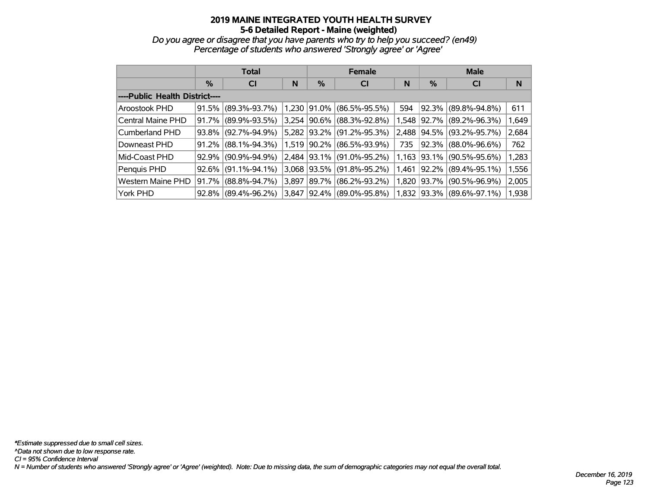*Do you agree or disagree that you have parents who try to help you succeed? (en49) Percentage of students who answered 'Strongly agree' or 'Agree'*

|                                | <b>Total</b> |                     |       |          | <b>Female</b>       |       | <b>Male</b>   |                     |       |  |
|--------------------------------|--------------|---------------------|-------|----------|---------------------|-------|---------------|---------------------|-------|--|
|                                | %            | <b>CI</b>           | N     | %        | <b>CI</b>           | N     | $\frac{0}{0}$ | <b>CI</b>           | N     |  |
| ----Public Health District---- |              |                     |       |          |                     |       |               |                     |       |  |
| Aroostook PHD                  | 91.5%        | $(89.3\% - 93.7\%)$ | 1,230 | $91.0\%$ | $(86.5\% - 95.5\%)$ | 594   | 92.3%         | $(89.8\% - 94.8\%)$ | 611   |  |
| Central Maine PHD              | 91.7%        | $(89.9\% - 93.5\%)$ | 3,254 | 90.6%    | $(88.3\% - 92.8\%)$ | 1,548 | 92.7%         | $(89.2\% - 96.3\%)$ | 1,649 |  |
| Cumberland PHD                 | 93.8%        | $(92.7\% - 94.9\%)$ | 5,282 | $93.2\%$ | $(91.2\% - 95.3\%)$ | 2,488 | 94.5%         | $(93.2\% - 95.7\%)$ | 2,684 |  |
| Downeast PHD                   | 91.2%        | $(88.1\% - 94.3\%)$ | 1,519 | 90.2%    | $(86.5\% - 93.9\%)$ | 735   | 92.3%         | $(88.0\% - 96.6\%)$ | 762   |  |
| Mid-Coast PHD                  | 92.9%        | $(90.9\% - 94.9\%)$ | 2,484 | 93.1%    | $(91.0\% - 95.2\%)$ | 1,163 | 93.1%         | $(90.5\% - 95.6\%)$ | 1,283 |  |
| Penquis PHD                    | 92.6%        | $(91.1\% - 94.1\%)$ | 3,068 | 93.5%    | $(91.8\% - 95.2\%)$ | 1,461 | 92.2%         | $(89.4\% - 95.1\%)$ | 1,556 |  |
| <b>Western Maine PHD</b>       | 91.7%        | $(88.8\% - 94.7\%)$ | 3,897 | 89.7%    | $(86.2\% - 93.2\%)$ | 1,820 | 93.7%         | $(90.5\% - 96.9\%)$ | 2,005 |  |
| York PHD                       | 92.8%        | $(89.4\% - 96.2\%)$ | 3.847 | $92.4\%$ | (89.0%-95.8%)       | 1,832 | 93.3%         | $(89.6\% - 97.1\%)$ | 1,938 |  |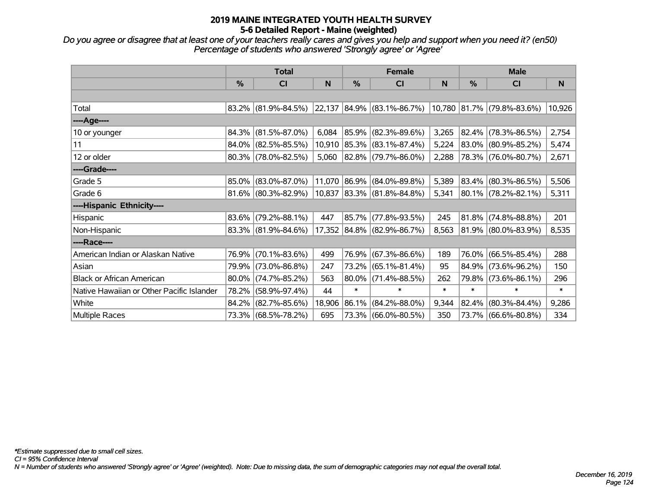*Do you agree or disagree that at least one of your teachers really cares and gives you help and support when you need it? (en50) Percentage of students who answered 'Strongly agree' or 'Agree'*

|                                           | <b>Total</b> |                        |        |              | <b>Female</b>              |        |        | <b>Male</b>                |        |  |
|-------------------------------------------|--------------|------------------------|--------|--------------|----------------------------|--------|--------|----------------------------|--------|--|
|                                           | %            | CI                     | N      | %            | C <sub>l</sub>             | N      | %      | CI                         | N      |  |
|                                           |              |                        |        |              |                            |        |        |                            |        |  |
| Total                                     |              | $83.2\%$ (81.9%-84.5%) |        |              | 22,137 84.9% (83.1%-86.7%) |        |        | 10,780 81.7% (79.8%-83.6%) | 10,926 |  |
| ----Age----                               |              |                        |        |              |                            |        |        |                            |        |  |
| 10 or younger                             | 84.3%        | $(81.5\% - 87.0\%)$    | 6,084  | 85.9%        | $(82.3\% - 89.6\%)$        | 3,265  |        | 82.4% (78.3%-86.5%)        | 2,754  |  |
| 11                                        | 84.0%        | $(82.5\% - 85.5\%)$    |        |              | 10,910 85.3% (83.1%-87.4%) | 5,224  |        | 83.0% (80.9%-85.2%)        | 5,474  |  |
| 12 or older                               |              | $80.3\%$ (78.0%-82.5%) | 5,060  |              | 82.8% (79.7%-86.0%)        | 2,288  |        | 78.3% (76.0%-80.7%)        | 2,671  |  |
| ----Grade----                             |              |                        |        |              |                            |        |        |                            |        |  |
| Grade 5                                   | 85.0%        | $(83.0\% - 87.0\%)$    |        | 11,070 86.9% | $(84.0\% - 89.8\%)$        | 5,389  |        | 83.4% (80.3%-86.5%)        | 5,506  |  |
| Grade 6                                   |              | $81.6\%$ (80.3%-82.9%) |        |              | 10,837 83.3% (81.8%-84.8%) | 5,341  |        | 80.1% (78.2%-82.1%)        | 5,311  |  |
| ----Hispanic Ethnicity----                |              |                        |        |              |                            |        |        |                            |        |  |
| Hispanic                                  | 83.6%        | $(79.2\% - 88.1\%)$    | 447    | 85.7%        | $(77.8\% - 93.5\%)$        | 245    | 81.8%  | $(74.8\% - 88.8\%)$        | 201    |  |
| Non-Hispanic                              |              | $83.3\%$ (81.9%-84.6%) |        |              | 17,352 84.8% (82.9%-86.7%) | 8,563  |        | 81.9% (80.0%-83.9%)        | 8,535  |  |
| ----Race----                              |              |                        |        |              |                            |        |        |                            |        |  |
| American Indian or Alaskan Native         | 76.9%        | $(70.1\% - 83.6\%)$    | 499    | 76.9%        | $(67.3\% - 86.6\%)$        | 189    |        | 76.0% (66.5%-85.4%)        | 288    |  |
| Asian                                     | 79.9%        | $(73.0\% - 86.8\%)$    | 247    | 73.2%        | $(65.1\% - 81.4\%)$        | 95     |        | 84.9% (73.6%-96.2%)        | 150    |  |
| <b>Black or African American</b>          | 80.0%        | $(74.7\% - 85.2\%)$    | 563    | 80.0%        | $(71.4\% - 88.5\%)$        | 262    |        | 79.8% (73.6%-86.1%)        | 296    |  |
| Native Hawaiian or Other Pacific Islander | 78.2%        | $(58.9\% - 97.4\%)$    | 44     | $\ast$       | $\ast$                     | $\ast$ | $\ast$ | $\ast$                     | $\ast$ |  |
| White                                     | 84.2%        | $(82.7\% - 85.6\%)$    | 18,906 | 86.1%        | $(84.2\% - 88.0\%)$        | 9,344  |        | $82.4\%$ (80.3%-84.4%)     | 9,286  |  |
| <b>Multiple Races</b>                     |              | 73.3% (68.5%-78.2%)    | 695    |              | 73.3% (66.0%-80.5%)        | 350    |        | 73.7% (66.6%-80.8%)        | 334    |  |